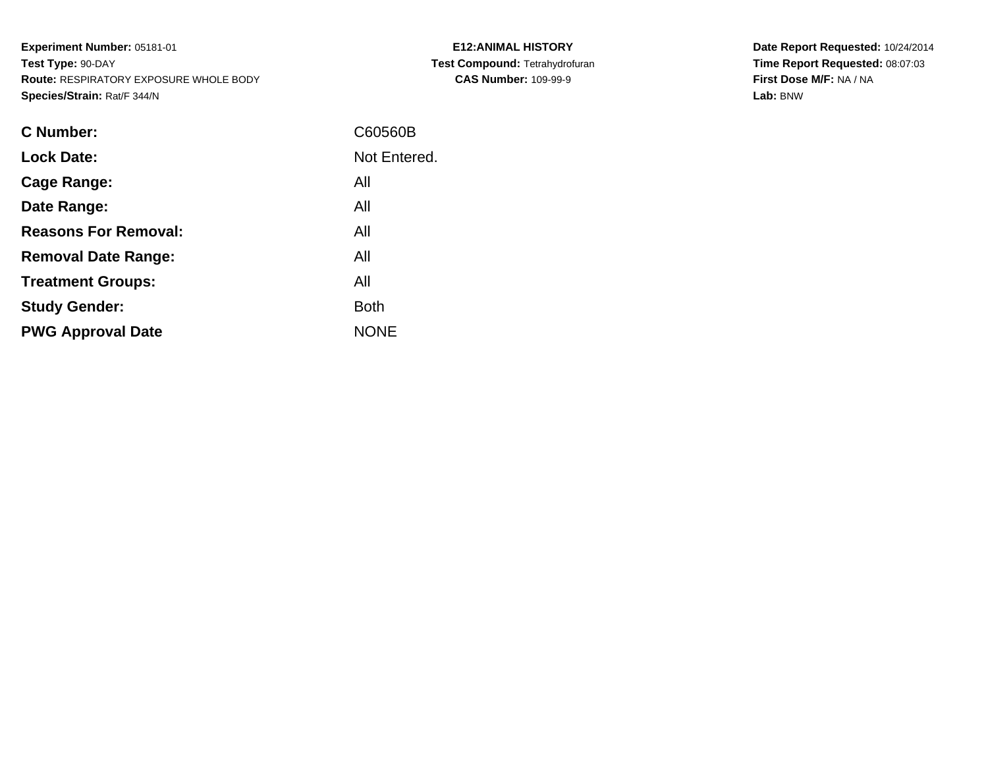**Experiment Number:** 05181-01**Test Type:** 90-DAY **Route:** RESPIRATORY EXPOSURE WHOLE BODY**Species/Strain:** Rat/F 344/N

| <b>C Number:</b>            | C60560B      |
|-----------------------------|--------------|
| <b>Lock Date:</b>           | Not Entered. |
| <b>Cage Range:</b>          | All          |
| Date Range:                 | All          |
| <b>Reasons For Removal:</b> | All          |
| <b>Removal Date Range:</b>  | All          |
| <b>Treatment Groups:</b>    | All          |
| <b>Study Gender:</b>        | <b>Both</b>  |
| <b>PWG Approval Date</b>    | <b>NONE</b>  |
|                             |              |

**E12:ANIMAL HISTORY Test Compound:** Tetrahydrofuran**CAS Number:** 109-99-9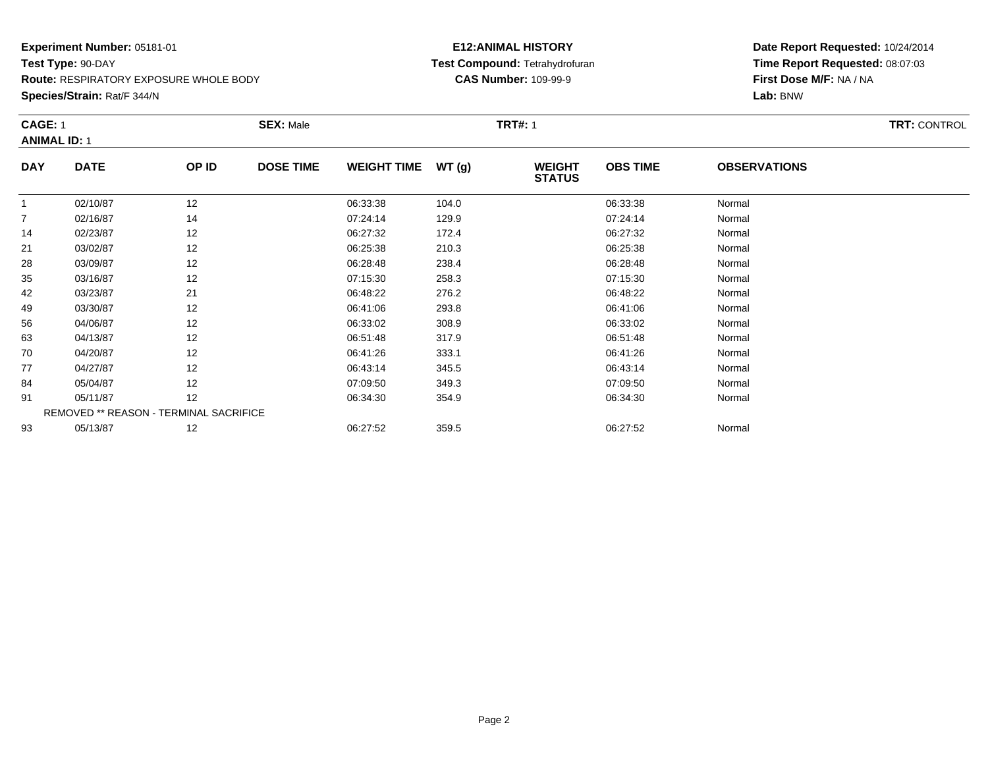**Route:** RESPIRATORY EXPOSURE WHOLE BODY

**Species/Strain:** Rat/F 344/N

# **E12:ANIMAL HISTORY Test Compound:** Tetrahydrofuran**CAS Number:** 109-99-9

|                | <b>CAGE: 1</b><br><b>ANIMAL ID: 1</b> |                                        | <b>SEX: Male</b> |                    |       | <b>TRT#: 1</b>                 |                 |                     | <b>TRT: CONTROL</b> |
|----------------|---------------------------------------|----------------------------------------|------------------|--------------------|-------|--------------------------------|-----------------|---------------------|---------------------|
| <b>DAY</b>     | <b>DATE</b>                           | OP ID                                  | <b>DOSE TIME</b> | <b>WEIGHT TIME</b> | WT(g) | <b>WEIGHT</b><br><b>STATUS</b> | <b>OBS TIME</b> | <b>OBSERVATIONS</b> |                     |
| $\mathbf{1}$   | 02/10/87                              | 12                                     |                  | 06:33:38           | 104.0 |                                | 06:33:38        | Normal              |                     |
| $\overline{7}$ | 02/16/87                              | 14                                     |                  | 07:24:14           | 129.9 |                                | 07:24:14        | Normal              |                     |
| 14             | 02/23/87                              | 12                                     |                  | 06:27:32           | 172.4 |                                | 06:27:32        | Normal              |                     |
| 21             | 03/02/87                              | 12                                     |                  | 06:25:38           | 210.3 |                                | 06:25:38        | Normal              |                     |
| 28             | 03/09/87                              | 12                                     |                  | 06:28:48           | 238.4 |                                | 06:28:48        | Normal              |                     |
| 35             | 03/16/87                              | 12                                     |                  | 07:15:30           | 258.3 |                                | 07:15:30        | Normal              |                     |
| 42             | 03/23/87                              | 21                                     |                  | 06:48:22           | 276.2 |                                | 06:48:22        | Normal              |                     |
| 49             | 03/30/87                              | 12                                     |                  | 06:41:06           | 293.8 |                                | 06:41:06        | Normal              |                     |
| 56             | 04/06/87                              | 12                                     |                  | 06:33:02           | 308.9 |                                | 06:33:02        | Normal              |                     |
| 63             | 04/13/87                              | 12                                     |                  | 06:51:48           | 317.9 |                                | 06:51:48        | Normal              |                     |
| 70             | 04/20/87                              | 12                                     |                  | 06:41:26           | 333.1 |                                | 06:41:26        | Normal              |                     |
| 77             | 04/27/87                              | 12                                     |                  | 06:43:14           | 345.5 |                                | 06:43:14        | Normal              |                     |
| 84             | 05/04/87                              | 12                                     |                  | 07:09:50           | 349.3 |                                | 07:09:50        | Normal              |                     |
| 91             | 05/11/87                              | 12                                     |                  | 06:34:30           | 354.9 |                                | 06:34:30        | Normal              |                     |
|                |                                       | REMOVED ** REASON - TERMINAL SACRIFICE |                  |                    |       |                                |                 |                     |                     |
| 93             | 05/13/87                              | 12                                     |                  | 06:27:52           | 359.5 |                                | 06:27:52        | Normal              |                     |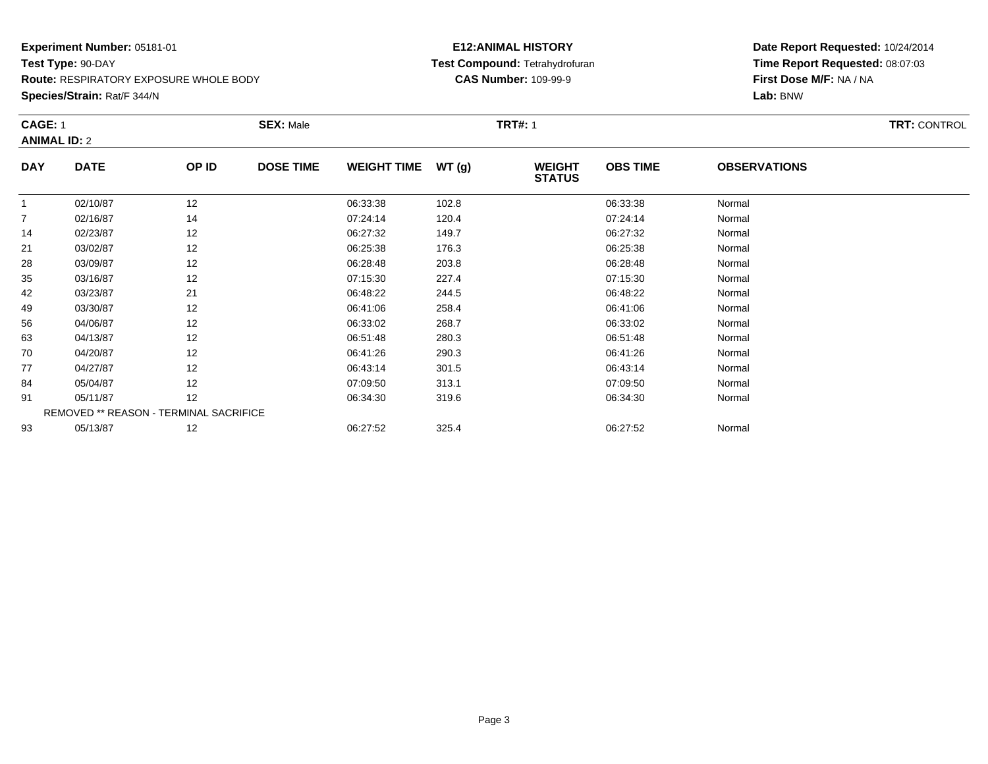**Route:** RESPIRATORY EXPOSURE WHOLE BODY

**Species/Strain:** Rat/F 344/N

# **E12:ANIMAL HISTORY Test Compound:** Tetrahydrofuran**CAS Number:** 109-99-9

|                     | <b>CAGE: 1</b> |                                        | <b>SEX: Male</b> |                    |       | <b>TRT#: 1</b>                 | <b>TRT: CONTROL</b> |                     |  |
|---------------------|----------------|----------------------------------------|------------------|--------------------|-------|--------------------------------|---------------------|---------------------|--|
| <b>ANIMAL ID: 2</b> |                |                                        |                  |                    |       |                                |                     |                     |  |
| <b>DAY</b>          | <b>DATE</b>    | OP ID                                  | <b>DOSE TIME</b> | <b>WEIGHT TIME</b> | WT(g) | <b>WEIGHT</b><br><b>STATUS</b> | <b>OBS TIME</b>     | <b>OBSERVATIONS</b> |  |
|                     | 02/10/87       | 12                                     |                  | 06:33:38           | 102.8 |                                | 06:33:38            | Normal              |  |
| $\overline{7}$      | 02/16/87       | 14                                     |                  | 07:24:14           | 120.4 |                                | 07:24:14            | Normal              |  |
| 14                  | 02/23/87       | 12                                     |                  | 06:27:32           | 149.7 |                                | 06:27:32            | Normal              |  |
| 21                  | 03/02/87       | 12                                     |                  | 06:25:38           | 176.3 |                                | 06:25:38            | Normal              |  |
| 28                  | 03/09/87       | 12                                     |                  | 06:28:48           | 203.8 |                                | 06:28:48            | Normal              |  |
| 35                  | 03/16/87       | 12                                     |                  | 07:15:30           | 227.4 |                                | 07:15:30            | Normal              |  |
| 42                  | 03/23/87       | 21                                     |                  | 06:48:22           | 244.5 |                                | 06:48:22            | Normal              |  |
| 49                  | 03/30/87       | 12                                     |                  | 06:41:06           | 258.4 |                                | 06:41:06            | Normal              |  |
| 56                  | 04/06/87       | 12                                     |                  | 06:33:02           | 268.7 |                                | 06:33:02            | Normal              |  |
| 63                  | 04/13/87       | 12                                     |                  | 06:51:48           | 280.3 |                                | 06:51:48            | Normal              |  |
| 70                  | 04/20/87       | 12                                     |                  | 06:41:26           | 290.3 |                                | 06:41:26            | Normal              |  |
| 77                  | 04/27/87       | 12                                     |                  | 06:43:14           | 301.5 |                                | 06:43:14            | Normal              |  |
| 84                  | 05/04/87       | 12                                     |                  | 07:09:50           | 313.1 |                                | 07:09:50            | Normal              |  |
| 91                  | 05/11/87       | 12                                     |                  | 06:34:30           | 319.6 |                                | 06:34:30            | Normal              |  |
|                     |                | REMOVED ** REASON - TERMINAL SACRIFICE |                  |                    |       |                                |                     |                     |  |
| 93                  | 05/13/87       | 12                                     |                  | 06:27:52           | 325.4 |                                | 06:27:52            | Normal              |  |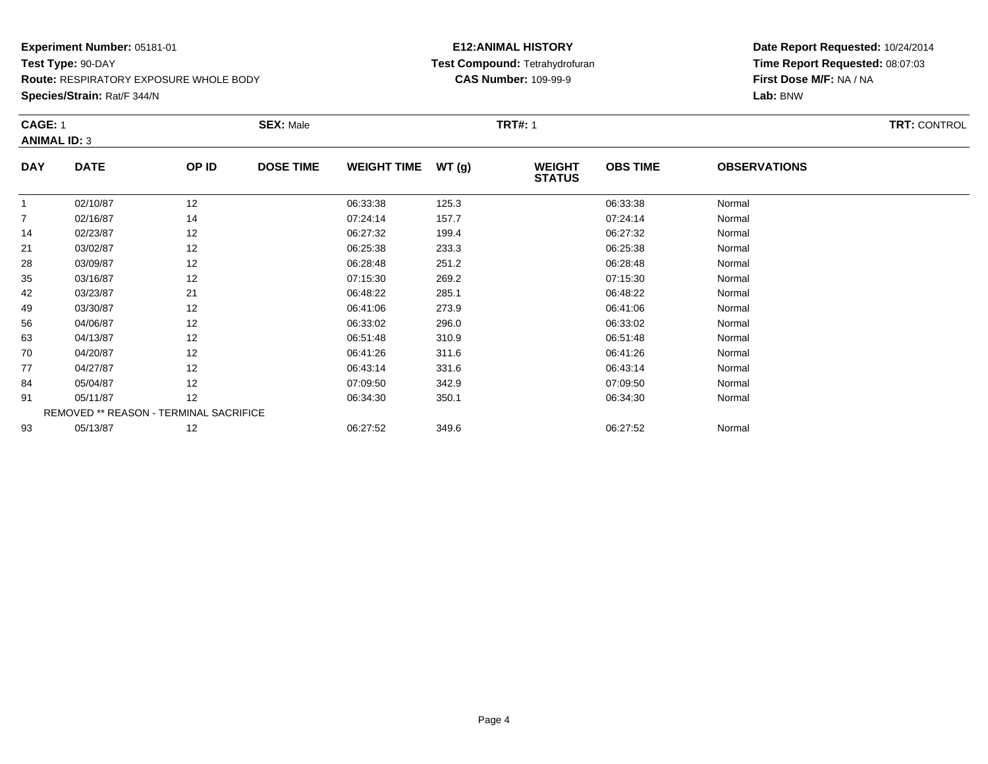**Route:** RESPIRATORY EXPOSURE WHOLE BODY

**Species/Strain:** Rat/F 344/N

# **E12:ANIMAL HISTORY Test Compound:** Tetrahydrofuran**CAS Number:** 109-99-9

|                | <b>CAGE: 1</b><br><b>ANIMAL ID: 3</b> |                                        | <b>SEX: Male</b> |                     |       | <b>TRT#: 1</b>                 | TRT: CONTROL    |                     |  |
|----------------|---------------------------------------|----------------------------------------|------------------|---------------------|-------|--------------------------------|-----------------|---------------------|--|
| <b>DAY</b>     | <b>DATE</b>                           | OP ID                                  | <b>DOSE TIME</b> | WEIGHT TIME $WT(g)$ |       | <b>WEIGHT</b><br><b>STATUS</b> | <b>OBS TIME</b> | <b>OBSERVATIONS</b> |  |
|                | 02/10/87                              | 12                                     |                  | 06:33:38            | 125.3 |                                | 06:33:38        | Normal              |  |
| $\overline{7}$ | 02/16/87                              | 14                                     |                  | 07:24:14            | 157.7 |                                | 07:24:14        | Normal              |  |
| 14             | 02/23/87                              | 12                                     |                  | 06:27:32            | 199.4 |                                | 06:27:32        | Normal              |  |
| 21             | 03/02/87                              | 12                                     |                  | 06:25:38            | 233.3 |                                | 06:25:38        | Normal              |  |
| 28             | 03/09/87                              | 12                                     |                  | 06:28:48            | 251.2 |                                | 06:28:48        | Normal              |  |
| 35             | 03/16/87                              | 12                                     |                  | 07:15:30            | 269.2 |                                | 07:15:30        | Normal              |  |
| 42             | 03/23/87                              | 21                                     |                  | 06:48:22            | 285.1 |                                | 06:48:22        | Normal              |  |
| 49             | 03/30/87                              | 12                                     |                  | 06:41:06            | 273.9 |                                | 06:41:06        | Normal              |  |
| 56             | 04/06/87                              | 12                                     |                  | 06:33:02            | 296.0 |                                | 06:33:02        | Normal              |  |
| 63             | 04/13/87                              | 12                                     |                  | 06:51:48            | 310.9 |                                | 06:51:48        | Normal              |  |
| 70             | 04/20/87                              | 12                                     |                  | 06:41:26            | 311.6 |                                | 06:41:26        | Normal              |  |
| 77             | 04/27/87                              | 12                                     |                  | 06:43:14            | 331.6 |                                | 06:43:14        | Normal              |  |
| 84             | 05/04/87                              | 12                                     |                  | 07:09:50            | 342.9 |                                | 07:09:50        | Normal              |  |
| 91             | 05/11/87                              | 12                                     |                  | 06:34:30            | 350.1 |                                | 06:34:30        | Normal              |  |
|                |                                       | REMOVED ** REASON - TERMINAL SACRIFICE |                  |                     |       |                                |                 |                     |  |
| 93             | 05/13/87                              | 12                                     |                  | 06:27:52            | 349.6 |                                | 06:27:52        | Normal              |  |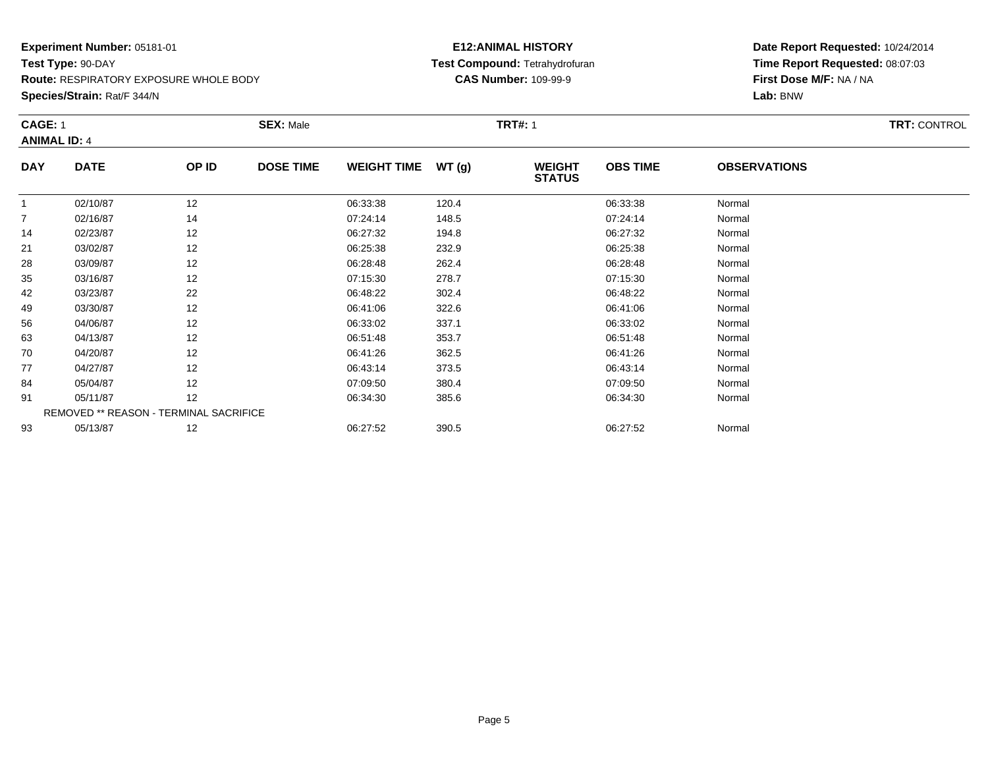**Route:** RESPIRATORY EXPOSURE WHOLE BODY

**Species/Strain:** Rat/F 344/N

# **E12:ANIMAL HISTORY Test Compound:** Tetrahydrofuran**CAS Number:** 109-99-9

|              | <b>CAGE: 1</b><br><b>ANIMAL ID: 4</b>  |       | <b>SEX: Male</b> |                    |       | <b>TRT#: 1</b>                 | <b>TRT: CONTROL</b> |                     |  |
|--------------|----------------------------------------|-------|------------------|--------------------|-------|--------------------------------|---------------------|---------------------|--|
| <b>DAY</b>   | <b>DATE</b>                            | OP ID | <b>DOSE TIME</b> | <b>WEIGHT TIME</b> | WT(g) | <b>WEIGHT</b><br><b>STATUS</b> | <b>OBS TIME</b>     | <b>OBSERVATIONS</b> |  |
| $\mathbf{1}$ | 02/10/87                               | 12    |                  | 06:33:38           | 120.4 |                                | 06:33:38            | Normal              |  |
| 7            | 02/16/87                               | 14    |                  | 07:24:14           | 148.5 |                                | 07:24:14            | Normal              |  |
| 14           | 02/23/87                               | 12    |                  | 06:27:32           | 194.8 |                                | 06:27:32            | Normal              |  |
| 21           | 03/02/87                               | 12    |                  | 06:25:38           | 232.9 |                                | 06:25:38            | Normal              |  |
| 28           | 03/09/87                               | 12    |                  | 06:28:48           | 262.4 |                                | 06:28:48            | Normal              |  |
| 35           | 03/16/87                               | 12    |                  | 07:15:30           | 278.7 |                                | 07:15:30            | Normal              |  |
| 42           | 03/23/87                               | 22    |                  | 06:48:22           | 302.4 |                                | 06:48:22            | Normal              |  |
| 49           | 03/30/87                               | 12    |                  | 06:41:06           | 322.6 |                                | 06:41:06            | Normal              |  |
| 56           | 04/06/87                               | 12    |                  | 06:33:02           | 337.1 |                                | 06:33:02            | Normal              |  |
| 63           | 04/13/87                               | 12    |                  | 06:51:48           | 353.7 |                                | 06:51:48            | Normal              |  |
| 70           | 04/20/87                               | 12    |                  | 06:41:26           | 362.5 |                                | 06:41:26            | Normal              |  |
| 77           | 04/27/87                               | 12    |                  | 06:43:14           | 373.5 |                                | 06:43:14            | Normal              |  |
| 84           | 05/04/87                               | 12    |                  | 07:09:50           | 380.4 |                                | 07:09:50            | Normal              |  |
| 91           | 05/11/87                               | 12    |                  | 06:34:30           | 385.6 |                                | 06:34:30            | Normal              |  |
|              | REMOVED ** REASON - TERMINAL SACRIFICE |       |                  |                    |       |                                |                     |                     |  |
| 93           | 05/13/87                               | 12    |                  | 06:27:52           | 390.5 |                                | 06:27:52            | Normal              |  |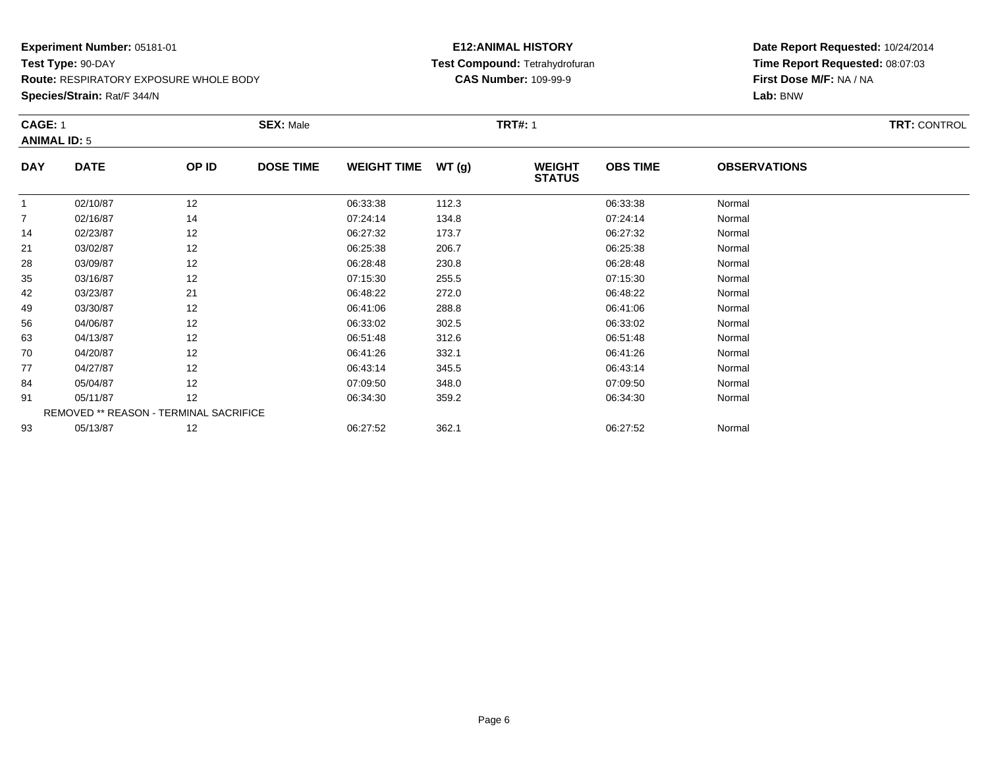**Route:** RESPIRATORY EXPOSURE WHOLE BODY

**Species/Strain:** Rat/F 344/N

# **E12:ANIMAL HISTORY Test Compound:** Tetrahydrofuran**CAS Number:** 109-99-9

|                | <b>CAGE: 1</b><br><b>ANIMAL ID: 5</b> |                                        | <b>SEX: Male</b> |                    |       | <b>TRT#: 1</b>                 |                 | TRT: CONTROL        |  |
|----------------|---------------------------------------|----------------------------------------|------------------|--------------------|-------|--------------------------------|-----------------|---------------------|--|
| <b>DAY</b>     | <b>DATE</b>                           | OP ID                                  | <b>DOSE TIME</b> | <b>WEIGHT TIME</b> | WT(g) | <b>WEIGHT</b><br><b>STATUS</b> | <b>OBS TIME</b> | <b>OBSERVATIONS</b> |  |
| -1             | 02/10/87                              | 12                                     |                  | 06:33:38           | 112.3 |                                | 06:33:38        | Normal              |  |
| $\overline{7}$ | 02/16/87                              | 14                                     |                  | 07:24:14           | 134.8 |                                | 07:24:14        | Normal              |  |
| 14             | 02/23/87                              | 12                                     |                  | 06:27:32           | 173.7 |                                | 06:27:32        | Normal              |  |
| 21             | 03/02/87                              | 12                                     |                  | 06:25:38           | 206.7 |                                | 06:25:38        | Normal              |  |
| 28             | 03/09/87                              | 12                                     |                  | 06:28:48           | 230.8 |                                | 06:28:48        | Normal              |  |
| 35             | 03/16/87                              | 12                                     |                  | 07:15:30           | 255.5 |                                | 07:15:30        | Normal              |  |
| 42             | 03/23/87                              | 21                                     |                  | 06:48:22           | 272.0 |                                | 06:48:22        | Normal              |  |
| 49             | 03/30/87                              | 12                                     |                  | 06:41:06           | 288.8 |                                | 06:41:06        | Normal              |  |
| 56             | 04/06/87                              | 12                                     |                  | 06:33:02           | 302.5 |                                | 06:33:02        | Normal              |  |
| 63             | 04/13/87                              | 12                                     |                  | 06:51:48           | 312.6 |                                | 06:51:48        | Normal              |  |
| 70             | 04/20/87                              | 12                                     |                  | 06:41:26           | 332.1 |                                | 06:41:26        | Normal              |  |
| 77             | 04/27/87                              | 12                                     |                  | 06:43:14           | 345.5 |                                | 06:43:14        | Normal              |  |
| 84             | 05/04/87                              | 12                                     |                  | 07:09:50           | 348.0 |                                | 07:09:50        | Normal              |  |
| 91             | 05/11/87                              | 12                                     |                  | 06:34:30           | 359.2 |                                | 06:34:30        | Normal              |  |
|                |                                       | REMOVED ** REASON - TERMINAL SACRIFICE |                  |                    |       |                                |                 |                     |  |
| 93             | 05/13/87                              | 12                                     |                  | 06:27:52           | 362.1 |                                | 06:27:52        | Normal              |  |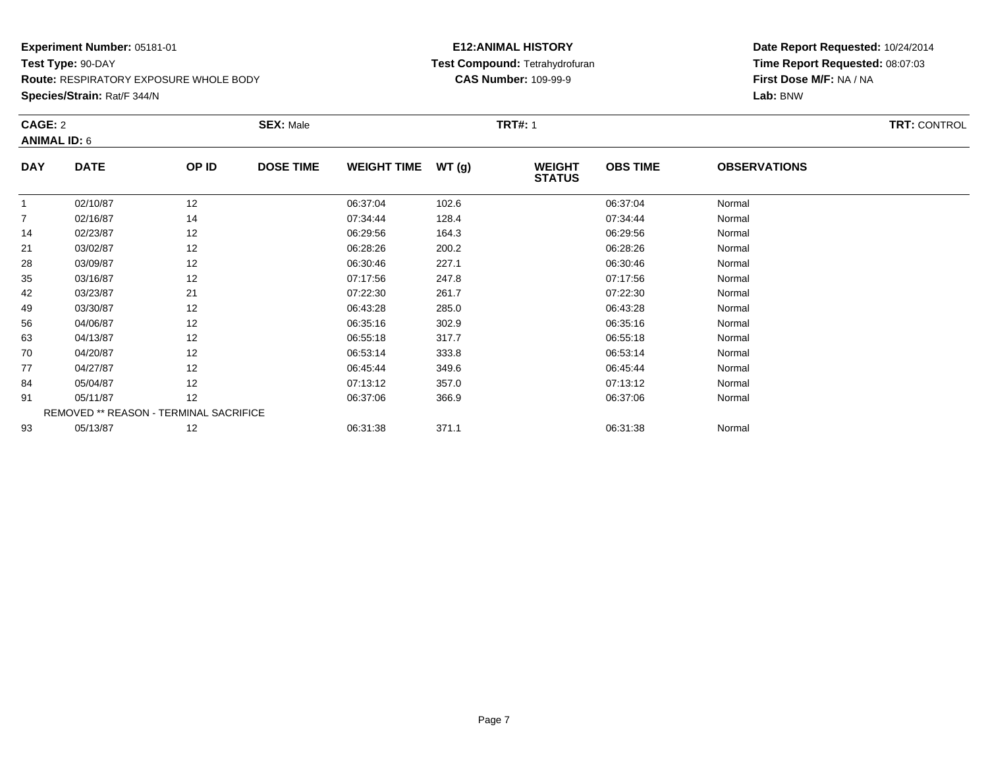**Route:** RESPIRATORY EXPOSURE WHOLE BODY

**Species/Strain:** Rat/F 344/N

# **E12:ANIMAL HISTORY Test Compound:** Tetrahydrofuran**CAS Number:** 109-99-9

|                | CAGE: 2<br><b>ANIMAL ID: 6</b> |                                        | <b>SEX: Male</b> |                    | <b>TRT#: 1</b> | <b>TRT: CONTROL</b>            |                 |                     |  |
|----------------|--------------------------------|----------------------------------------|------------------|--------------------|----------------|--------------------------------|-----------------|---------------------|--|
| <b>DAY</b>     | <b>DATE</b>                    | OP ID                                  | <b>DOSE TIME</b> | <b>WEIGHT TIME</b> | WT(g)          | <b>WEIGHT</b><br><b>STATUS</b> | <b>OBS TIME</b> | <b>OBSERVATIONS</b> |  |
|                | 02/10/87                       | 12                                     |                  | 06:37:04           | 102.6          |                                | 06:37:04        | Normal              |  |
| $\overline{7}$ | 02/16/87                       | 14                                     |                  | 07:34:44           | 128.4          |                                | 07:34:44        | Normal              |  |
| 14             | 02/23/87                       | 12                                     |                  | 06:29:56           | 164.3          |                                | 06:29:56        | Normal              |  |
| 21             | 03/02/87                       | 12                                     |                  | 06:28:26           | 200.2          |                                | 06:28:26        | Normal              |  |
| 28             | 03/09/87                       | 12                                     |                  | 06:30:46           | 227.1          |                                | 06:30:46        | Normal              |  |
| 35             | 03/16/87                       | 12                                     |                  | 07:17:56           | 247.8          |                                | 07:17:56        | Normal              |  |
| 42             | 03/23/87                       | 21                                     |                  | 07:22:30           | 261.7          |                                | 07:22:30        | Normal              |  |
| 49             | 03/30/87                       | 12                                     |                  | 06:43:28           | 285.0          |                                | 06:43:28        | Normal              |  |
| 56             | 04/06/87                       | 12                                     |                  | 06:35:16           | 302.9          |                                | 06:35:16        | Normal              |  |
| 63             | 04/13/87                       | 12                                     |                  | 06:55:18           | 317.7          |                                | 06:55:18        | Normal              |  |
| 70             | 04/20/87                       | 12                                     |                  | 06:53:14           | 333.8          |                                | 06:53:14        | Normal              |  |
| 77             | 04/27/87                       | 12                                     |                  | 06:45:44           | 349.6          |                                | 06:45:44        | Normal              |  |
| 84             | 05/04/87                       | 12                                     |                  | 07:13:12           | 357.0          |                                | 07:13:12        | Normal              |  |
| 91             | 05/11/87                       | 12                                     |                  | 06:37:06           | 366.9          |                                | 06:37:06        | Normal              |  |
|                |                                | REMOVED ** REASON - TERMINAL SACRIFICE |                  |                    |                |                                |                 |                     |  |
| 93             | 05/13/87                       | 12                                     |                  | 06:31:38           | 371.1          |                                | 06:31:38        | Normal              |  |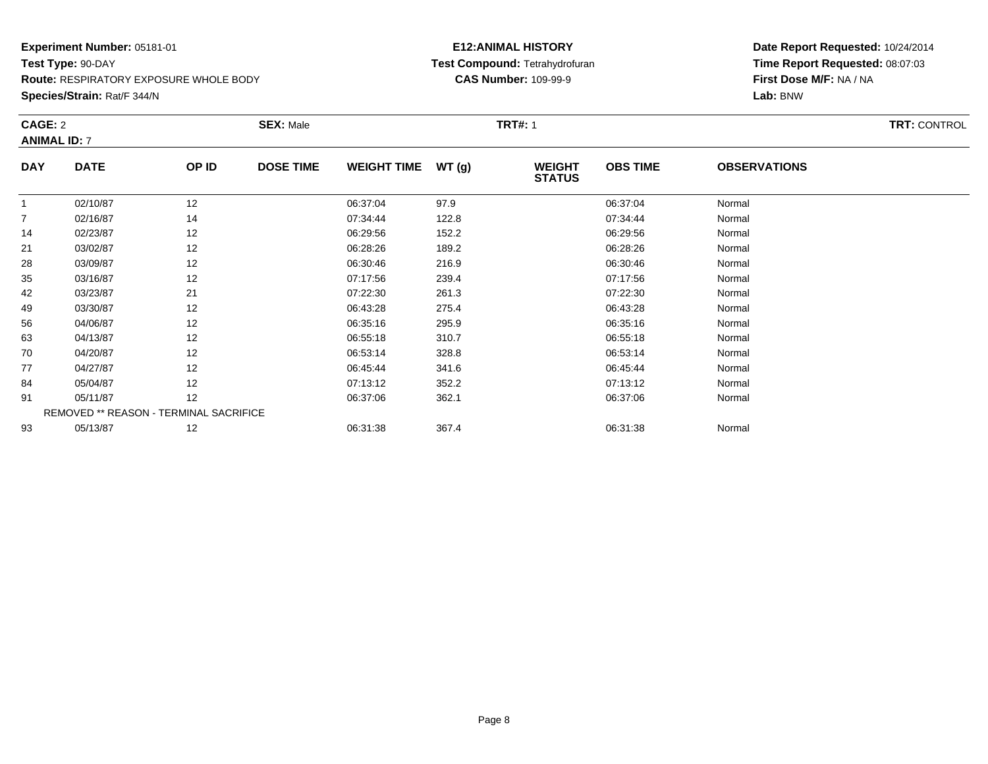**Route:** RESPIRATORY EXPOSURE WHOLE BODY

**Species/Strain:** Rat/F 344/N

# **E12:ANIMAL HISTORY Test Compound:** Tetrahydrofuran**CAS Number:** 109-99-9

|            | CAGE: 2<br><b>ANIMAL ID: 7</b> |                                        | <b>SEX: Male</b> |                    |       | <b>TRT#: 1</b>                 | <b>TRT: CONTROL</b> |                     |  |
|------------|--------------------------------|----------------------------------------|------------------|--------------------|-------|--------------------------------|---------------------|---------------------|--|
|            |                                |                                        |                  |                    |       |                                |                     |                     |  |
| <b>DAY</b> | <b>DATE</b>                    | OP ID                                  | <b>DOSE TIME</b> | <b>WEIGHT TIME</b> | WT(g) | <b>WEIGHT</b><br><b>STATUS</b> | <b>OBS TIME</b>     | <b>OBSERVATIONS</b> |  |
| -1         | 02/10/87                       | 12                                     |                  | 06:37:04           | 97.9  |                                | 06:37:04            | Normal              |  |
| 7          | 02/16/87                       | 14                                     |                  | 07:34:44           | 122.8 |                                | 07:34:44            | Normal              |  |
| 14         | 02/23/87                       | 12                                     |                  | 06:29:56           | 152.2 |                                | 06:29:56            | Normal              |  |
| 21         | 03/02/87                       | 12                                     |                  | 06:28:26           | 189.2 |                                | 06:28:26            | Normal              |  |
| 28         | 03/09/87                       | 12                                     |                  | 06:30:46           | 216.9 |                                | 06:30:46            | Normal              |  |
| 35         | 03/16/87                       | 12                                     |                  | 07:17:56           | 239.4 |                                | 07:17:56            | Normal              |  |
| 42         | 03/23/87                       | 21                                     |                  | 07:22:30           | 261.3 |                                | 07:22:30            | Normal              |  |
| 49         | 03/30/87                       | 12                                     |                  | 06:43:28           | 275.4 |                                | 06:43:28            | Normal              |  |
| 56         | 04/06/87                       | 12                                     |                  | 06:35:16           | 295.9 |                                | 06:35:16            | Normal              |  |
| 63         | 04/13/87                       | 12                                     |                  | 06:55:18           | 310.7 |                                | 06:55:18            | Normal              |  |
| 70         | 04/20/87                       | 12                                     |                  | 06:53:14           | 328.8 |                                | 06:53:14            | Normal              |  |
| 77         | 04/27/87                       | 12                                     |                  | 06:45:44           | 341.6 |                                | 06:45:44            | Normal              |  |
| 84         | 05/04/87                       | 12                                     |                  | 07:13:12           | 352.2 |                                | 07:13:12            | Normal              |  |
| 91         | 05/11/87                       | 12                                     |                  | 06:37:06           | 362.1 |                                | 06:37:06            | Normal              |  |
|            |                                | REMOVED ** REASON - TERMINAL SACRIFICE |                  |                    |       |                                |                     |                     |  |
| 93         | 05/13/87                       | 12                                     |                  | 06:31:38           | 367.4 |                                | 06:31:38            | Normal              |  |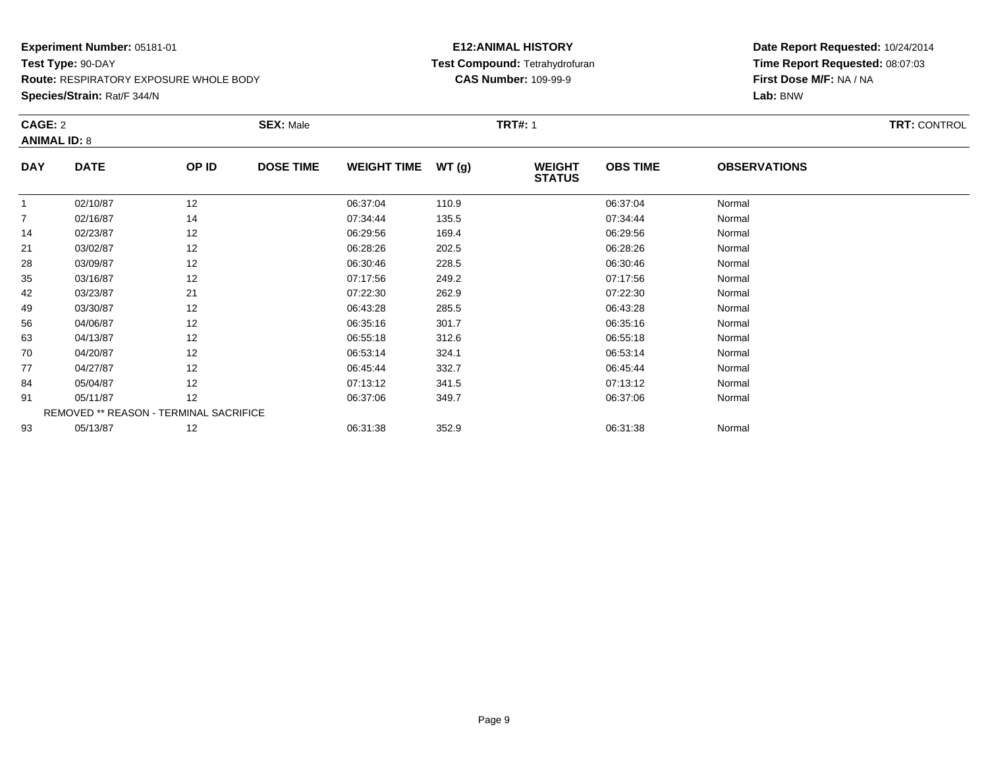**Route:** RESPIRATORY EXPOSURE WHOLE BODY

**Species/Strain:** Rat/F 344/N

# **E12:ANIMAL HISTORY Test Compound:** Tetrahydrofuran**CAS Number:** 109-99-9

|            | CAGE: 2             |                                        | <b>SEX: Male</b> |                    |       | <b>TRT#: 1</b>                 | <b>TRT: CONTROL</b> |                     |  |
|------------|---------------------|----------------------------------------|------------------|--------------------|-------|--------------------------------|---------------------|---------------------|--|
|            | <b>ANIMAL ID: 8</b> |                                        |                  |                    |       |                                |                     |                     |  |
| <b>DAY</b> | <b>DATE</b>         | OP ID                                  | <b>DOSE TIME</b> | <b>WEIGHT TIME</b> | WT(g) | <b>WEIGHT</b><br><b>STATUS</b> | <b>OBS TIME</b>     | <b>OBSERVATIONS</b> |  |
|            | 02/10/87            | 12                                     |                  | 06:37:04           | 110.9 |                                | 06:37:04            | Normal              |  |
| 7          | 02/16/87            | 14                                     |                  | 07:34:44           | 135.5 |                                | 07:34:44            | Normal              |  |
| 14         | 02/23/87            | 12                                     |                  | 06:29:56           | 169.4 |                                | 06:29:56            | Normal              |  |
| 21         | 03/02/87            | 12                                     |                  | 06:28:26           | 202.5 |                                | 06:28:26            | Normal              |  |
| 28         | 03/09/87            | 12                                     |                  | 06:30:46           | 228.5 |                                | 06:30:46            | Normal              |  |
| 35         | 03/16/87            | 12                                     |                  | 07:17:56           | 249.2 |                                | 07:17:56            | Normal              |  |
| 42         | 03/23/87            | 21                                     |                  | 07:22:30           | 262.9 |                                | 07:22:30            | Normal              |  |
| 49         | 03/30/87            | 12                                     |                  | 06:43:28           | 285.5 |                                | 06:43:28            | Normal              |  |
| 56         | 04/06/87            | 12                                     |                  | 06:35:16           | 301.7 |                                | 06:35:16            | Normal              |  |
| 63         | 04/13/87            | 12                                     |                  | 06:55:18           | 312.6 |                                | 06:55:18            | Normal              |  |
| 70         | 04/20/87            | 12                                     |                  | 06:53:14           | 324.1 |                                | 06:53:14            | Normal              |  |
| 77         | 04/27/87            | 12                                     |                  | 06:45:44           | 332.7 |                                | 06:45:44            | Normal              |  |
| 84         | 05/04/87            | 12                                     |                  | 07:13:12           | 341.5 |                                | 07:13:12            | Normal              |  |
| 91         | 05/11/87            | 12                                     |                  | 06:37:06           | 349.7 |                                | 06:37:06            | Normal              |  |
|            |                     | REMOVED ** REASON - TERMINAL SACRIFICE |                  |                    |       |                                |                     |                     |  |
| 93         | 05/13/87            | 12                                     |                  | 06:31:38           | 352.9 |                                | 06:31:38            | Normal              |  |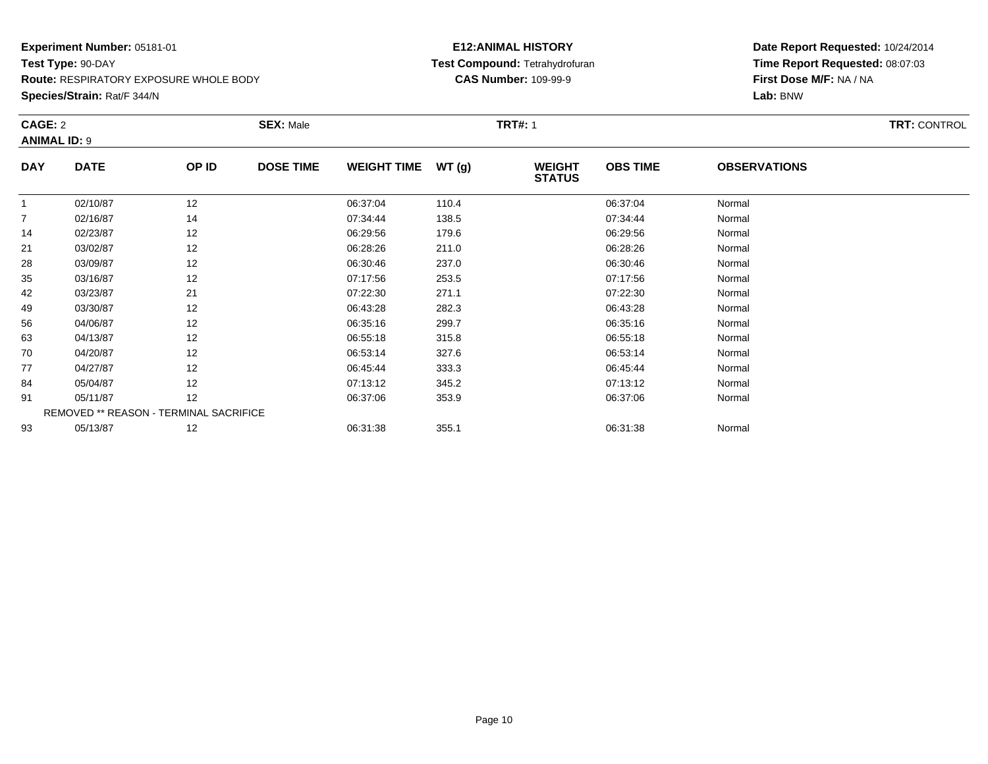**Route:** RESPIRATORY EXPOSURE WHOLE BODY

**Species/Strain:** Rat/F 344/N

# **E12:ANIMAL HISTORY Test Compound:** Tetrahydrofuran**CAS Number:** 109-99-9

|            | CAGE: 2<br><b>ANIMAL ID: 9</b>         |       | <b>SEX: Male</b> |                    |       | <b>TRT#: 1</b>                 |                 |                     |  |  |
|------------|----------------------------------------|-------|------------------|--------------------|-------|--------------------------------|-----------------|---------------------|--|--|
| <b>DAY</b> | <b>DATE</b>                            | OP ID | <b>DOSE TIME</b> | <b>WEIGHT TIME</b> | WT(g) | <b>WEIGHT</b><br><b>STATUS</b> | <b>OBS TIME</b> | <b>OBSERVATIONS</b> |  |  |
| -1         | 02/10/87                               | 12    |                  | 06:37:04           | 110.4 |                                | 06:37:04        | Normal              |  |  |
| 7          | 02/16/87                               | 14    |                  | 07:34:44           | 138.5 |                                | 07:34:44        | Normal              |  |  |
| 14         | 02/23/87                               | 12    |                  | 06:29:56           | 179.6 |                                | 06:29:56        | Normal              |  |  |
| 21         | 03/02/87                               | 12    |                  | 06:28:26           | 211.0 |                                | 06:28:26        | Normal              |  |  |
| 28         | 03/09/87                               | 12    |                  | 06:30:46           | 237.0 |                                | 06:30:46        | Normal              |  |  |
| 35         | 03/16/87                               | 12    |                  | 07:17:56           | 253.5 |                                | 07:17:56        | Normal              |  |  |
| 42         | 03/23/87                               | 21    |                  | 07:22:30           | 271.1 |                                | 07:22:30        | Normal              |  |  |
| 49         | 03/30/87                               | 12    |                  | 06:43:28           | 282.3 |                                | 06:43:28        | Normal              |  |  |
| 56         | 04/06/87                               | 12    |                  | 06:35:16           | 299.7 |                                | 06:35:16        | Normal              |  |  |
| 63         | 04/13/87                               | 12    |                  | 06:55:18           | 315.8 |                                | 06:55:18        | Normal              |  |  |
| 70         | 04/20/87                               | 12    |                  | 06:53:14           | 327.6 |                                | 06:53:14        | Normal              |  |  |
| 77         | 04/27/87                               | 12    |                  | 06:45:44           | 333.3 |                                | 06:45:44        | Normal              |  |  |
| 84         | 05/04/87                               | 12    |                  | 07:13:12           | 345.2 |                                | 07:13:12        | Normal              |  |  |
| 91         | 05/11/87                               | 12    |                  | 06:37:06           | 353.9 |                                | 06:37:06        | Normal              |  |  |
|            | REMOVED ** REASON - TERMINAL SACRIFICE |       |                  |                    |       |                                |                 |                     |  |  |
| 93         | 05/13/87                               | 12    |                  | 06:31:38           | 355.1 |                                | 06:31:38        | Normal              |  |  |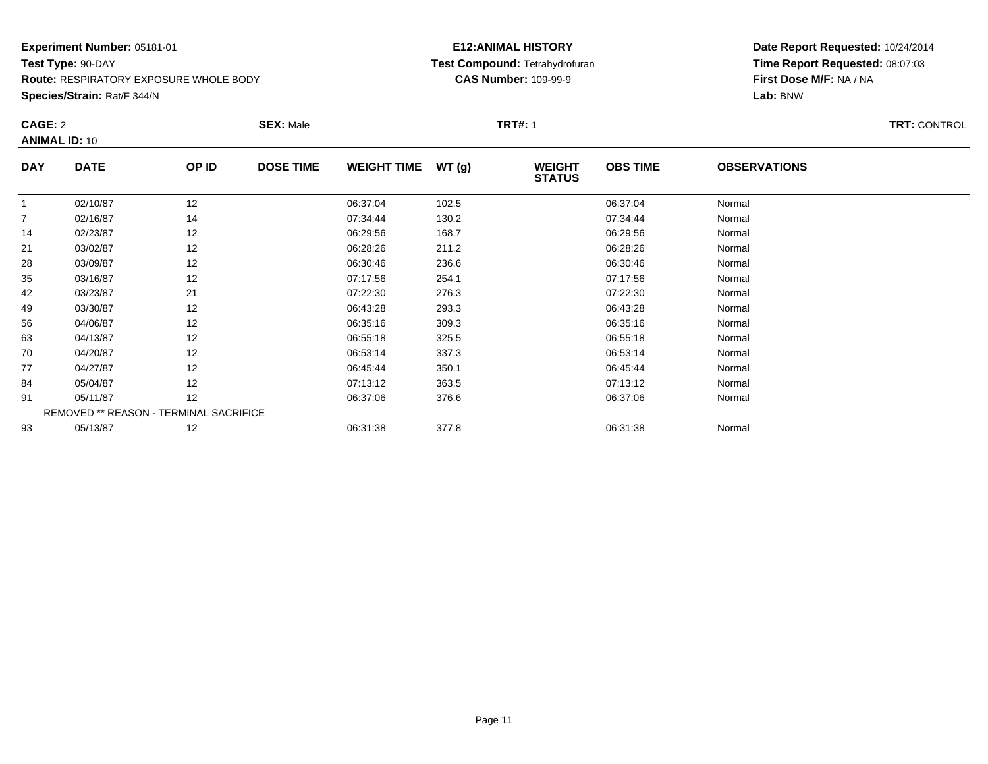**Route:** RESPIRATORY EXPOSURE WHOLE BODY

**Species/Strain:** Rat/F 344/N

### **E12:ANIMAL HISTORY Test Compound:** Tetrahydrofuran**CAS Number:** 109-99-9

|                | CAGE: 2<br><b>ANIMAL ID: 10</b>        |       | <b>SEX: Male</b> |                    |       | <b>TRT#:</b> 1                 |                 |                     |  |  |
|----------------|----------------------------------------|-------|------------------|--------------------|-------|--------------------------------|-----------------|---------------------|--|--|
| <b>DAY</b>     | <b>DATE</b>                            | OP ID | <b>DOSE TIME</b> | <b>WEIGHT TIME</b> | WT(g) | <b>WEIGHT</b><br><b>STATUS</b> | <b>OBS TIME</b> | <b>OBSERVATIONS</b> |  |  |
| 1              | 02/10/87                               | 12    |                  | 06:37:04           | 102.5 |                                | 06:37:04        | Normal              |  |  |
| $\overline{7}$ | 02/16/87                               | 14    |                  | 07:34:44           | 130.2 |                                | 07:34:44        | Normal              |  |  |
| 14             | 02/23/87                               | 12    |                  | 06:29:56           | 168.7 |                                | 06:29:56        | Normal              |  |  |
| 21             | 03/02/87                               | 12    |                  | 06:28:26           | 211.2 |                                | 06:28:26        | Normal              |  |  |
| 28             | 03/09/87                               | 12    |                  | 06:30:46           | 236.6 |                                | 06:30:46        | Normal              |  |  |
| 35             | 03/16/87                               | 12    |                  | 07:17:56           | 254.1 |                                | 07:17:56        | Normal              |  |  |
| 42             | 03/23/87                               | 21    |                  | 07:22:30           | 276.3 |                                | 07:22:30        | Normal              |  |  |
| 49             | 03/30/87                               | 12    |                  | 06:43:28           | 293.3 |                                | 06:43:28        | Normal              |  |  |
| 56             | 04/06/87                               | 12    |                  | 06:35:16           | 309.3 |                                | 06:35:16        | Normal              |  |  |
| 63             | 04/13/87                               | 12    |                  | 06:55:18           | 325.5 |                                | 06:55:18        | Normal              |  |  |
| 70             | 04/20/87                               | 12    |                  | 06:53:14           | 337.3 |                                | 06:53:14        | Normal              |  |  |
| 77             | 04/27/87                               | 12    |                  | 06:45:44           | 350.1 |                                | 06:45:44        | Normal              |  |  |
| 84             | 05/04/87                               | 12    |                  | 07:13:12           | 363.5 |                                | 07:13:12        | Normal              |  |  |
| 91             | 05/11/87                               | 12    |                  | 06:37:06           | 376.6 |                                | 06:37:06        | Normal              |  |  |
|                | REMOVED ** REASON - TERMINAL SACRIFICE |       |                  |                    |       |                                |                 |                     |  |  |
| 93             | 05/13/87                               | 12    |                  | 06:31:38           | 377.8 |                                | 06:31:38        | Normal              |  |  |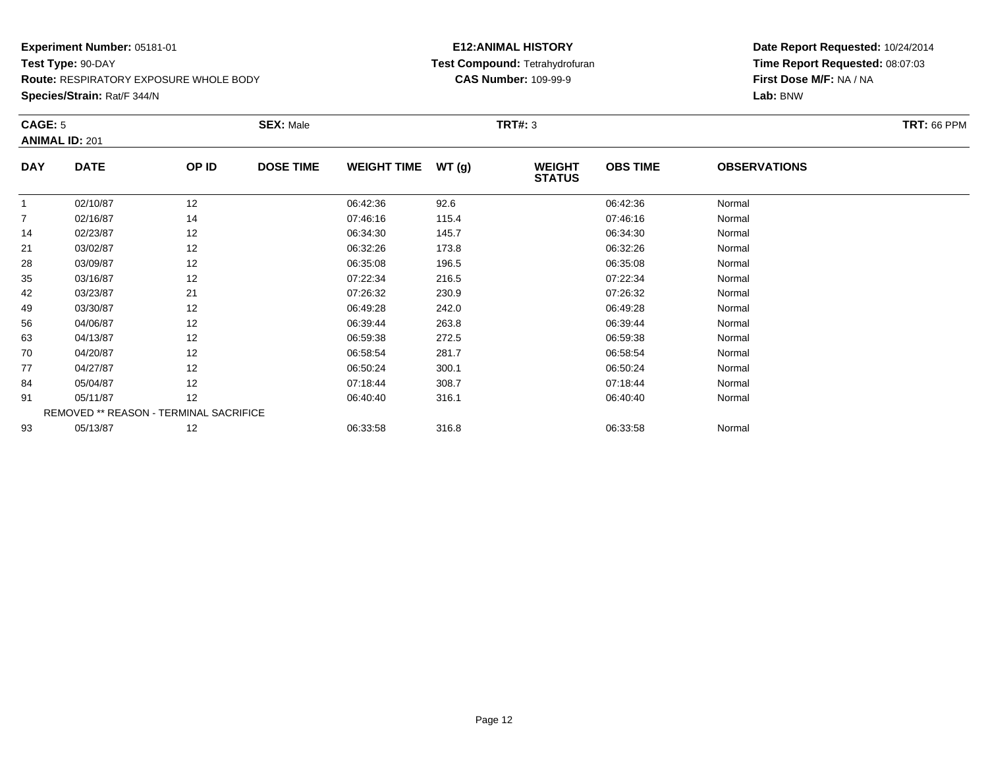**Route:** RESPIRATORY EXPOSURE WHOLE BODY

**Species/Strain:** Rat/F 344/N

# **E12:ANIMAL HISTORY Test Compound:** Tetrahydrofuran**CAS Number:** 109-99-9

|                | CAGE: 5<br><b>ANIMAL ID: 201</b> |                                        | <b>SEX: Male</b> |                    |       | <b>TRT#: 3</b>                 |                 | <b>TRT: 66 PPM</b>  |  |
|----------------|----------------------------------|----------------------------------------|------------------|--------------------|-------|--------------------------------|-----------------|---------------------|--|
| <b>DAY</b>     | <b>DATE</b>                      | OP ID                                  | <b>DOSE TIME</b> | <b>WEIGHT TIME</b> | WT(g) | <b>WEIGHT</b><br><b>STATUS</b> | <b>OBS TIME</b> | <b>OBSERVATIONS</b> |  |
|                | 02/10/87                         | 12                                     |                  | 06:42:36           | 92.6  |                                | 06:42:36        | Normal              |  |
| $\overline{7}$ | 02/16/87                         | 14                                     |                  | 07:46:16           | 115.4 |                                | 07:46:16        | Normal              |  |
| 14             | 02/23/87                         | 12                                     |                  | 06:34:30           | 145.7 |                                | 06:34:30        | Normal              |  |
| 21             | 03/02/87                         | 12                                     |                  | 06:32:26           | 173.8 |                                | 06:32:26        | Normal              |  |
| 28             | 03/09/87                         | 12                                     |                  | 06:35:08           | 196.5 |                                | 06:35:08        | Normal              |  |
| 35             | 03/16/87                         | 12                                     |                  | 07:22:34           | 216.5 |                                | 07:22:34        | Normal              |  |
| 42             | 03/23/87                         | 21                                     |                  | 07:26:32           | 230.9 |                                | 07:26:32        | Normal              |  |
| 49             | 03/30/87                         | 12                                     |                  | 06:49:28           | 242.0 |                                | 06:49:28        | Normal              |  |
| 56             | 04/06/87                         | 12                                     |                  | 06:39:44           | 263.8 |                                | 06:39:44        | Normal              |  |
| 63             | 04/13/87                         | 12                                     |                  | 06:59:38           | 272.5 |                                | 06:59:38        | Normal              |  |
| 70             | 04/20/87                         | 12                                     |                  | 06:58:54           | 281.7 |                                | 06:58:54        | Normal              |  |
| 77             | 04/27/87                         | 12                                     |                  | 06:50:24           | 300.1 |                                | 06:50:24        | Normal              |  |
| 84             | 05/04/87                         | 12                                     |                  | 07:18:44           | 308.7 |                                | 07:18:44        | Normal              |  |
| 91             | 05/11/87                         | 12                                     |                  | 06:40:40           | 316.1 |                                | 06:40:40        | Normal              |  |
|                |                                  | REMOVED ** REASON - TERMINAL SACRIFICE |                  |                    |       |                                |                 |                     |  |
| 93             | 05/13/87                         | 12                                     |                  | 06:33:58           | 316.8 |                                | 06:33:58        | Normal              |  |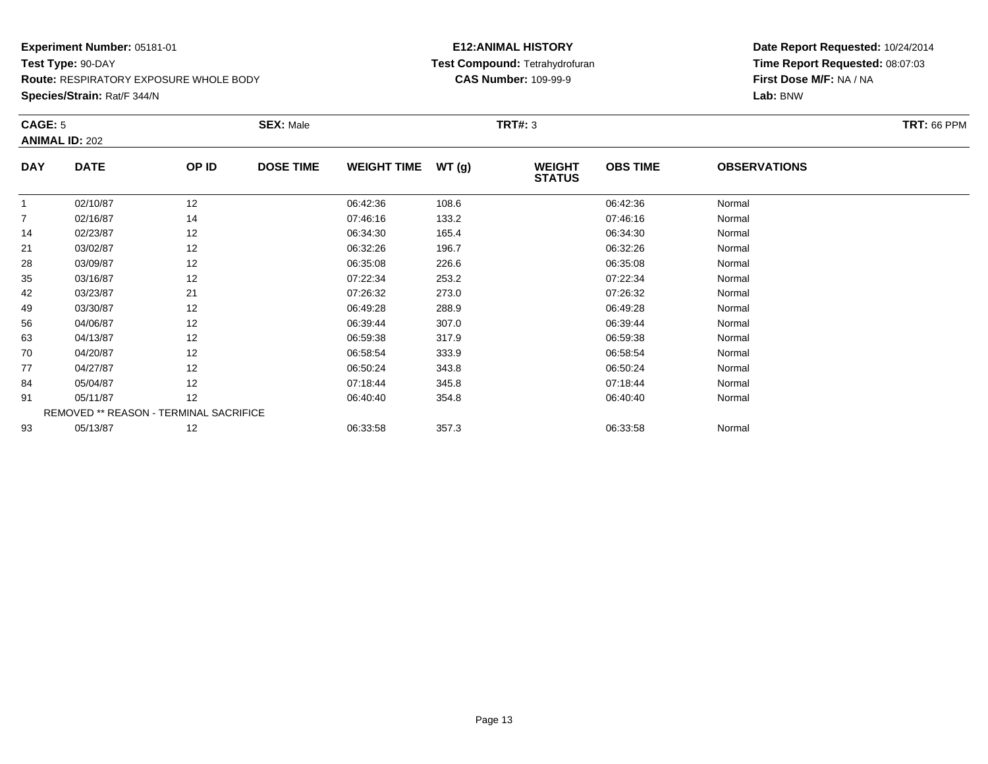**Route:** RESPIRATORY EXPOSURE WHOLE BODY

**Species/Strain:** Rat/F 344/N

# **E12:ANIMAL HISTORY Test Compound:** Tetrahydrofuran**CAS Number:** 109-99-9

| CAGE: 5    |                       |                                        | <b>SEX: Male</b> |                    |       | <b>TRT#: 3</b>                 |                 |                     | <b>TRT: 66 PPM</b> |
|------------|-----------------------|----------------------------------------|------------------|--------------------|-------|--------------------------------|-----------------|---------------------|--------------------|
|            | <b>ANIMAL ID: 202</b> |                                        |                  |                    |       |                                |                 |                     |                    |
| <b>DAY</b> | <b>DATE</b>           | OP ID                                  | <b>DOSE TIME</b> | <b>WEIGHT TIME</b> | WT(g) | <b>WEIGHT</b><br><b>STATUS</b> | <b>OBS TIME</b> | <b>OBSERVATIONS</b> |                    |
|            | 02/10/87              | 12                                     |                  | 06:42:36           | 108.6 |                                | 06:42:36        | Normal              |                    |
|            | 02/16/87              | 14                                     |                  | 07:46:16           | 133.2 |                                | 07:46:16        | Normal              |                    |
| 14         | 02/23/87              | 12                                     |                  | 06:34:30           | 165.4 |                                | 06:34:30        | Normal              |                    |
| 21         | 03/02/87              | 12                                     |                  | 06:32:26           | 196.7 |                                | 06:32:26        | Normal              |                    |
| 28         | 03/09/87              | 12                                     |                  | 06:35:08           | 226.6 |                                | 06:35:08        | Normal              |                    |
| 35         | 03/16/87              | 12                                     |                  | 07:22:34           | 253.2 |                                | 07:22:34        | Normal              |                    |
| 42         | 03/23/87              | 21                                     |                  | 07:26:32           | 273.0 |                                | 07:26:32        | Normal              |                    |
| 49         | 03/30/87              | 12                                     |                  | 06:49:28           | 288.9 |                                | 06:49:28        | Normal              |                    |
| 56         | 04/06/87              | 12                                     |                  | 06:39:44           | 307.0 |                                | 06:39:44        | Normal              |                    |
| 63         | 04/13/87              | 12                                     |                  | 06:59:38           | 317.9 |                                | 06:59:38        | Normal              |                    |
| 70         | 04/20/87              | 12                                     |                  | 06:58:54           | 333.9 |                                | 06:58:54        | Normal              |                    |
| 77         | 04/27/87              | 12                                     |                  | 06:50:24           | 343.8 |                                | 06:50:24        | Normal              |                    |
| 84         | 05/04/87              | 12                                     |                  | 07:18:44           | 345.8 |                                | 07:18:44        | Normal              |                    |
| 91         | 05/11/87              | 12                                     |                  | 06:40:40           | 354.8 |                                | 06:40:40        | Normal              |                    |
|            |                       | REMOVED ** REASON - TERMINAL SACRIFICE |                  |                    |       |                                |                 |                     |                    |
| 93         | 05/13/87              | 12                                     |                  | 06:33:58           | 357.3 |                                | 06:33:58        | Normal              |                    |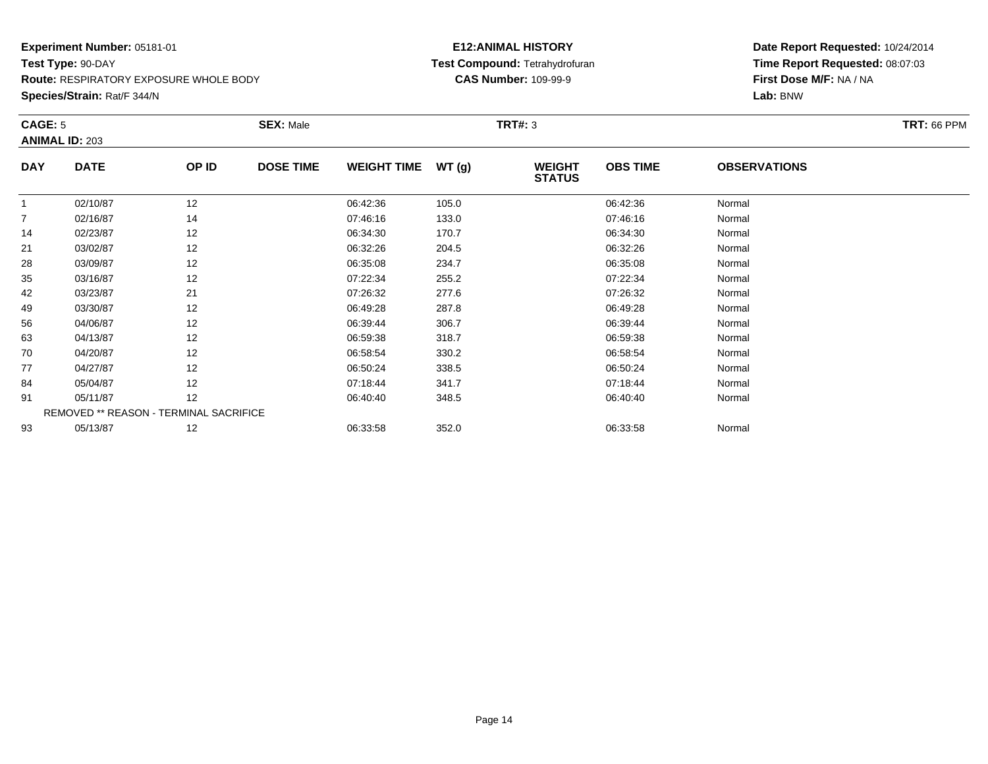**Route:** RESPIRATORY EXPOSURE WHOLE BODY

**Species/Strain:** Rat/F 344/N

# **E12:ANIMAL HISTORY Test Compound:** Tetrahydrofuran**CAS Number:** 109-99-9

| CAGE: 5        |                                        |       | <b>SEX: Male</b> |                    |       | <b>TRT#: 3</b>                 |                 |                     | <b>TRT: 66 PPM</b> |
|----------------|----------------------------------------|-------|------------------|--------------------|-------|--------------------------------|-----------------|---------------------|--------------------|
|                | <b>ANIMAL ID: 203</b>                  |       |                  |                    |       |                                |                 |                     |                    |
| <b>DAY</b>     | <b>DATE</b>                            | OP ID | <b>DOSE TIME</b> | <b>WEIGHT TIME</b> | WT(g) | <b>WEIGHT</b><br><b>STATUS</b> | <b>OBS TIME</b> | <b>OBSERVATIONS</b> |                    |
|                | 02/10/87                               | 12    |                  | 06:42:36           | 105.0 |                                | 06:42:36        | Normal              |                    |
| $\overline{7}$ | 02/16/87                               | 14    |                  | 07:46:16           | 133.0 |                                | 07:46:16        | Normal              |                    |
| 14             | 02/23/87                               | 12    |                  | 06:34:30           | 170.7 |                                | 06:34:30        | Normal              |                    |
| 21             | 03/02/87                               | 12    |                  | 06:32:26           | 204.5 |                                | 06:32:26        | Normal              |                    |
| 28             | 03/09/87                               | 12    |                  | 06:35:08           | 234.7 |                                | 06:35:08        | Normal              |                    |
| 35             | 03/16/87                               | 12    |                  | 07:22:34           | 255.2 |                                | 07:22:34        | Normal              |                    |
| 42             | 03/23/87                               | 21    |                  | 07:26:32           | 277.6 |                                | 07:26:32        | Normal              |                    |
| 49             | 03/30/87                               | 12    |                  | 06:49:28           | 287.8 |                                | 06:49:28        | Normal              |                    |
| 56             | 04/06/87                               | 12    |                  | 06:39:44           | 306.7 |                                | 06:39:44        | Normal              |                    |
| 63             | 04/13/87                               | 12    |                  | 06:59:38           | 318.7 |                                | 06:59:38        | Normal              |                    |
| 70             | 04/20/87                               | 12    |                  | 06:58:54           | 330.2 |                                | 06:58:54        | Normal              |                    |
| 77             | 04/27/87                               | 12    |                  | 06:50:24           | 338.5 |                                | 06:50:24        | Normal              |                    |
| 84             | 05/04/87                               | 12    |                  | 07:18:44           | 341.7 |                                | 07:18:44        | Normal              |                    |
| 91             | 05/11/87                               | 12    |                  | 06:40:40           | 348.5 |                                | 06:40:40        | Normal              |                    |
|                | REMOVED ** REASON - TERMINAL SACRIFICE |       |                  |                    |       |                                |                 |                     |                    |
| 93             | 05/13/87                               | 12    |                  | 06:33:58           | 352.0 |                                | 06:33:58        | Normal              |                    |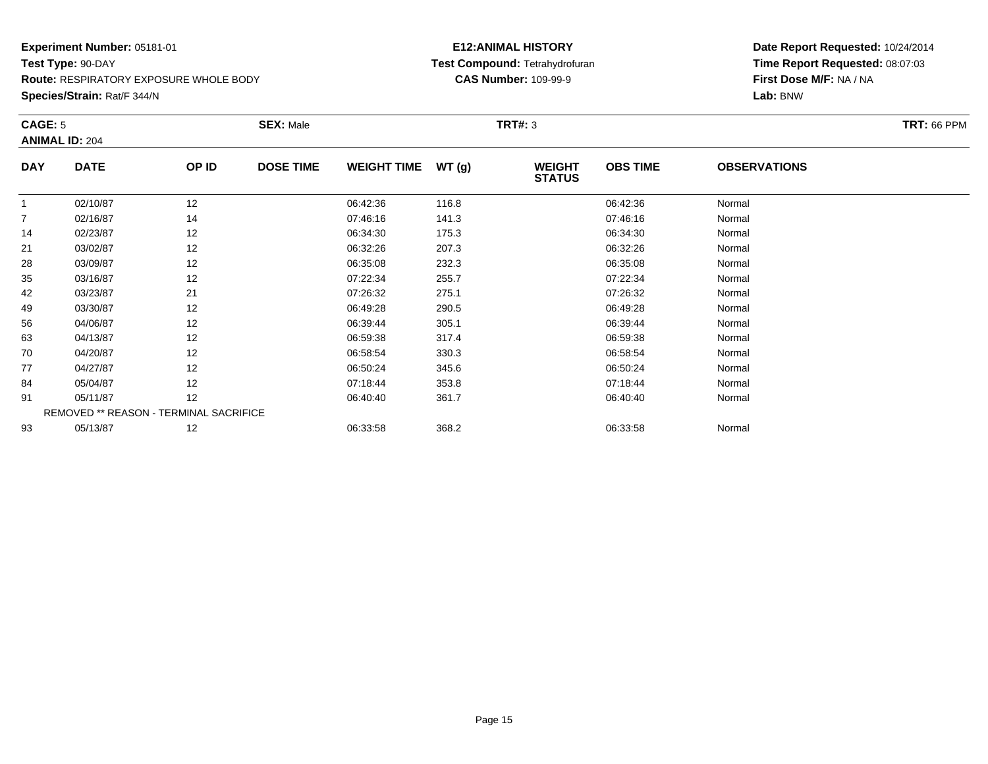**Route:** RESPIRATORY EXPOSURE WHOLE BODY

**Species/Strain:** Rat/F 344/N

# **E12:ANIMAL HISTORY Test Compound:** Tetrahydrofuran**CAS Number:** 109-99-9

| CAGE: 5        | <b>ANIMAL ID: 204</b>                  |       | <b>SEX: Male</b> |                    |       | <b>TRT#: 3</b>                 |                 |                     | <b>TRT: 66 PPM</b> |
|----------------|----------------------------------------|-------|------------------|--------------------|-------|--------------------------------|-----------------|---------------------|--------------------|
| <b>DAY</b>     | <b>DATE</b>                            | OP ID | <b>DOSE TIME</b> | <b>WEIGHT TIME</b> | WT(g) | <b>WEIGHT</b><br><b>STATUS</b> | <b>OBS TIME</b> | <b>OBSERVATIONS</b> |                    |
|                | 02/10/87                               | 12    |                  | 06:42:36           | 116.8 |                                | 06:42:36        | Normal              |                    |
| $\overline{7}$ | 02/16/87                               | 14    |                  | 07:46:16           | 141.3 |                                | 07:46:16        | Normal              |                    |
| 14             | 02/23/87                               | 12    |                  | 06:34:30           | 175.3 |                                | 06:34:30        | Normal              |                    |
| 21             | 03/02/87                               | 12    |                  | 06:32:26           | 207.3 |                                | 06:32:26        | Normal              |                    |
| 28             | 03/09/87                               | 12    |                  | 06:35:08           | 232.3 |                                | 06:35:08        | Normal              |                    |
| 35             | 03/16/87                               | 12    |                  | 07:22:34           | 255.7 |                                | 07:22:34        | Normal              |                    |
| 42             | 03/23/87                               | 21    |                  | 07:26:32           | 275.1 |                                | 07:26:32        | Normal              |                    |
| 49             | 03/30/87                               | 12    |                  | 06:49:28           | 290.5 |                                | 06:49:28        | Normal              |                    |
| 56             | 04/06/87                               | 12    |                  | 06:39:44           | 305.1 |                                | 06:39:44        | Normal              |                    |
| 63             | 04/13/87                               | 12    |                  | 06:59:38           | 317.4 |                                | 06:59:38        | Normal              |                    |
| 70             | 04/20/87                               | 12    |                  | 06:58:54           | 330.3 |                                | 06:58:54        | Normal              |                    |
| 77             | 04/27/87                               | 12    |                  | 06:50:24           | 345.6 |                                | 06:50:24        | Normal              |                    |
| 84             | 05/04/87                               | 12    |                  | 07:18:44           | 353.8 |                                | 07:18:44        | Normal              |                    |
| 91             | 05/11/87                               | 12    |                  | 06:40:40           | 361.7 |                                | 06:40:40        | Normal              |                    |
|                | REMOVED ** REASON - TERMINAL SACRIFICE |       |                  |                    |       |                                |                 |                     |                    |
| 93             | 05/13/87                               | 12    |                  | 06:33:58           | 368.2 |                                | 06:33:58        | Normal              |                    |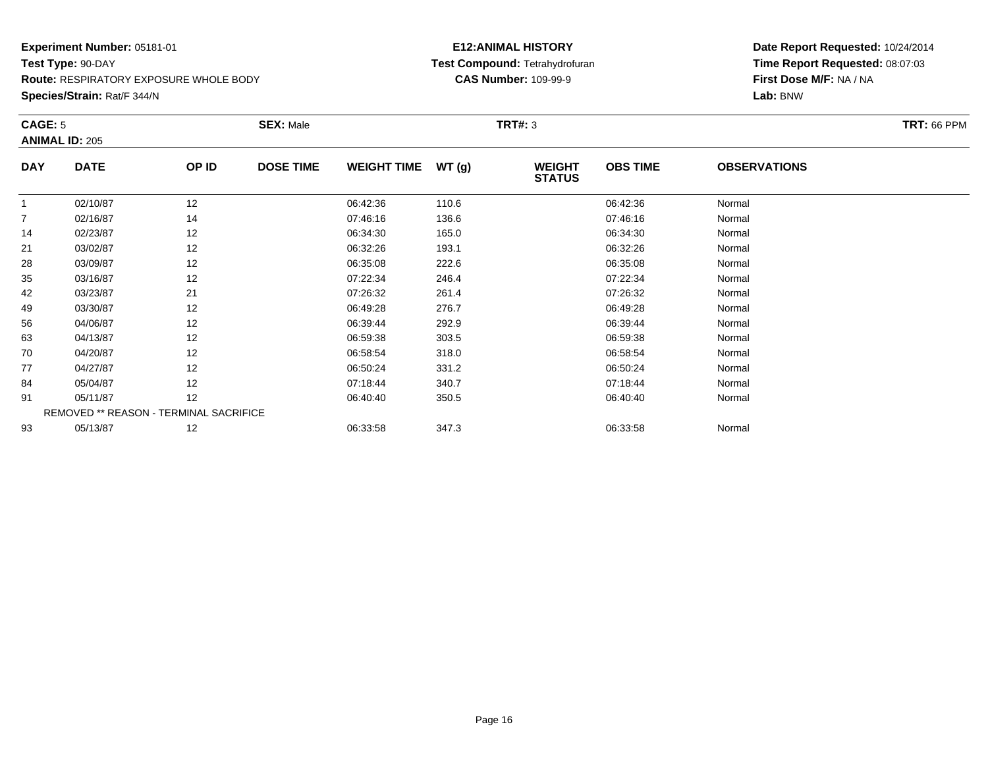**Route:** RESPIRATORY EXPOSURE WHOLE BODY

**Species/Strain:** Rat/F 344/N

# **E12:ANIMAL HISTORY Test Compound:** Tetrahydrofuran**CAS Number:** 109-99-9

| CAGE: 5    |                       |                                        | <b>SEX: Male</b> |                    |       | <b>TRT#: 3</b>                 |                 |                     | <b>TRT: 66 PPM</b> |
|------------|-----------------------|----------------------------------------|------------------|--------------------|-------|--------------------------------|-----------------|---------------------|--------------------|
|            | <b>ANIMAL ID: 205</b> |                                        |                  |                    |       |                                |                 |                     |                    |
| <b>DAY</b> | <b>DATE</b>           | OP ID                                  | <b>DOSE TIME</b> | <b>WEIGHT TIME</b> | WT(g) | <b>WEIGHT</b><br><b>STATUS</b> | <b>OBS TIME</b> | <b>OBSERVATIONS</b> |                    |
|            | 02/10/87              | 12                                     |                  | 06:42:36           | 110.6 |                                | 06:42:36        | Normal              |                    |
|            | 02/16/87              | 14                                     |                  | 07:46:16           | 136.6 |                                | 07:46:16        | Normal              |                    |
| 14         | 02/23/87              | 12                                     |                  | 06:34:30           | 165.0 |                                | 06:34:30        | Normal              |                    |
| 21         | 03/02/87              | 12                                     |                  | 06:32:26           | 193.1 |                                | 06:32:26        | Normal              |                    |
| 28         | 03/09/87              | 12                                     |                  | 06:35:08           | 222.6 |                                | 06:35:08        | Normal              |                    |
| 35         | 03/16/87              | 12                                     |                  | 07:22:34           | 246.4 |                                | 07:22:34        | Normal              |                    |
| 42         | 03/23/87              | 21                                     |                  | 07:26:32           | 261.4 |                                | 07:26:32        | Normal              |                    |
| 49         | 03/30/87              | 12                                     |                  | 06:49:28           | 276.7 |                                | 06:49:28        | Normal              |                    |
| 56         | 04/06/87              | 12                                     |                  | 06:39:44           | 292.9 |                                | 06:39:44        | Normal              |                    |
| 63         | 04/13/87              | 12                                     |                  | 06:59:38           | 303.5 |                                | 06:59:38        | Normal              |                    |
| 70         | 04/20/87              | 12                                     |                  | 06:58:54           | 318.0 |                                | 06:58:54        | Normal              |                    |
| 77         | 04/27/87              | 12                                     |                  | 06:50:24           | 331.2 |                                | 06:50:24        | Normal              |                    |
| 84         | 05/04/87              | 12                                     |                  | 07:18:44           | 340.7 |                                | 07:18:44        | Normal              |                    |
| 91         | 05/11/87              | 12                                     |                  | 06:40:40           | 350.5 |                                | 06:40:40        | Normal              |                    |
|            |                       | REMOVED ** REASON - TERMINAL SACRIFICE |                  |                    |       |                                |                 |                     |                    |
| 93         | 05/13/87              | 12                                     |                  | 06:33:58           | 347.3 |                                | 06:33:58        | Normal              |                    |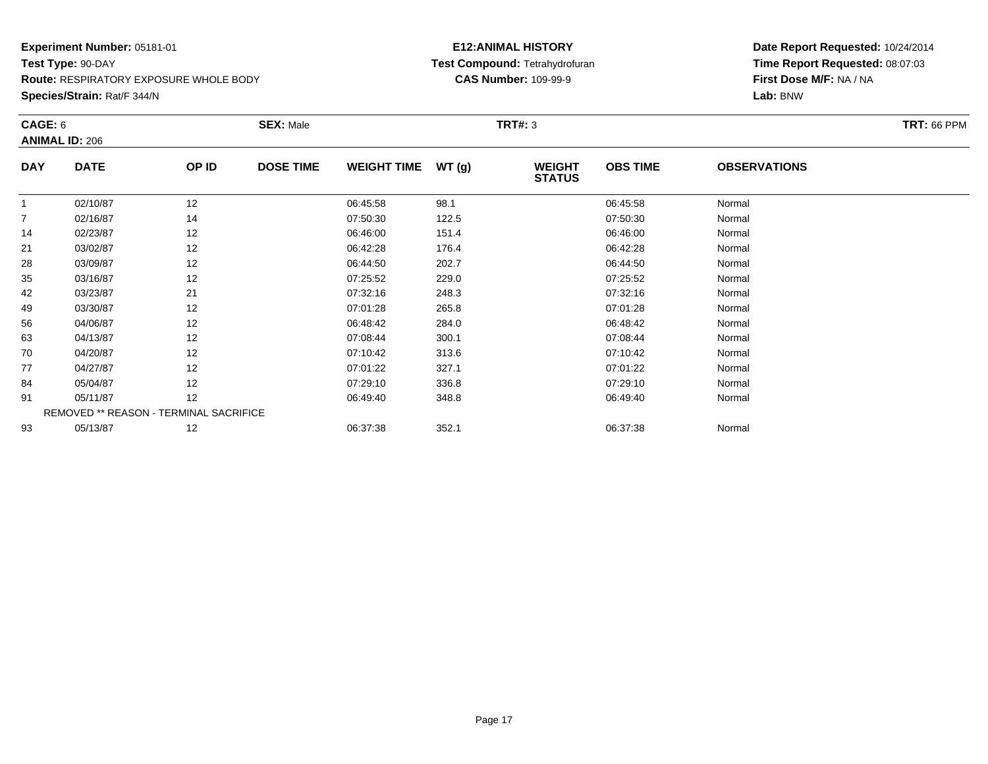**Species/Strain:** Rat/F 344/N

# **E12:ANIMAL HISTORY Test Compound:** Tetrahydrofuran**CAS Number:** 109-99-9

| CAGE: 6        | <b>ANIMAL ID: 206</b>                  |       | <b>SEX: Male</b> |                    |        | <b>TRT#: 3</b>                 |                 |                     | <b>TRT: 66 PPM</b> |
|----------------|----------------------------------------|-------|------------------|--------------------|--------|--------------------------------|-----------------|---------------------|--------------------|
| <b>DAY</b>     | <b>DATE</b>                            | OP ID | <b>DOSE TIME</b> | <b>WEIGHT TIME</b> | WT (g) | <b>WEIGHT</b><br><b>STATUS</b> | <b>OBS TIME</b> | <b>OBSERVATIONS</b> |                    |
|                | 02/10/87                               | 12    |                  | 06:45:58           | 98.1   |                                | 06:45:58        | Normal              |                    |
| $\overline{7}$ | 02/16/87                               | 14    |                  | 07:50:30           | 122.5  |                                | 07:50:30        | Normal              |                    |
| 14             | 02/23/87                               | 12    |                  | 06:46:00           | 151.4  |                                | 06:46:00        | Normal              |                    |
| 21             | 03/02/87                               | 12    |                  | 06:42:28           | 176.4  |                                | 06:42:28        | Normal              |                    |
| 28             | 03/09/87                               | 12    |                  | 06:44:50           | 202.7  |                                | 06:44:50        | Normal              |                    |
| 35             | 03/16/87                               | 12    |                  | 07:25:52           | 229.0  |                                | 07:25:52        | Normal              |                    |
| 42             | 03/23/87                               | 21    |                  | 07:32:16           | 248.3  |                                | 07:32:16        | Normal              |                    |
| 49             | 03/30/87                               | 12    |                  | 07:01:28           | 265.8  |                                | 07:01:28        | Normal              |                    |
| 56             | 04/06/87                               | 12    |                  | 06:48:42           | 284.0  |                                | 06:48:42        | Normal              |                    |
| 63             | 04/13/87                               | 12    |                  | 07:08:44           | 300.1  |                                | 07:08:44        | Normal              |                    |
| 70             | 04/20/87                               | 12    |                  | 07:10:42           | 313.6  |                                | 07:10:42        | Normal              |                    |
| 77             | 04/27/87                               | 12    |                  | 07:01:22           | 327.1  |                                | 07:01:22        | Normal              |                    |
| 84             | 05/04/87                               | 12    |                  | 07:29:10           | 336.8  |                                | 07:29:10        | Normal              |                    |
| 91             | 05/11/87                               | 12    |                  | 06:49:40           | 348.8  |                                | 06:49:40        | Normal              |                    |
|                | REMOVED ** REASON - TERMINAL SACRIFICE |       |                  |                    |        |                                |                 |                     |                    |
| 93             | 05/13/87                               | 12    |                  | 06:37:38           | 352.1  |                                | 06:37:38        | Normal              |                    |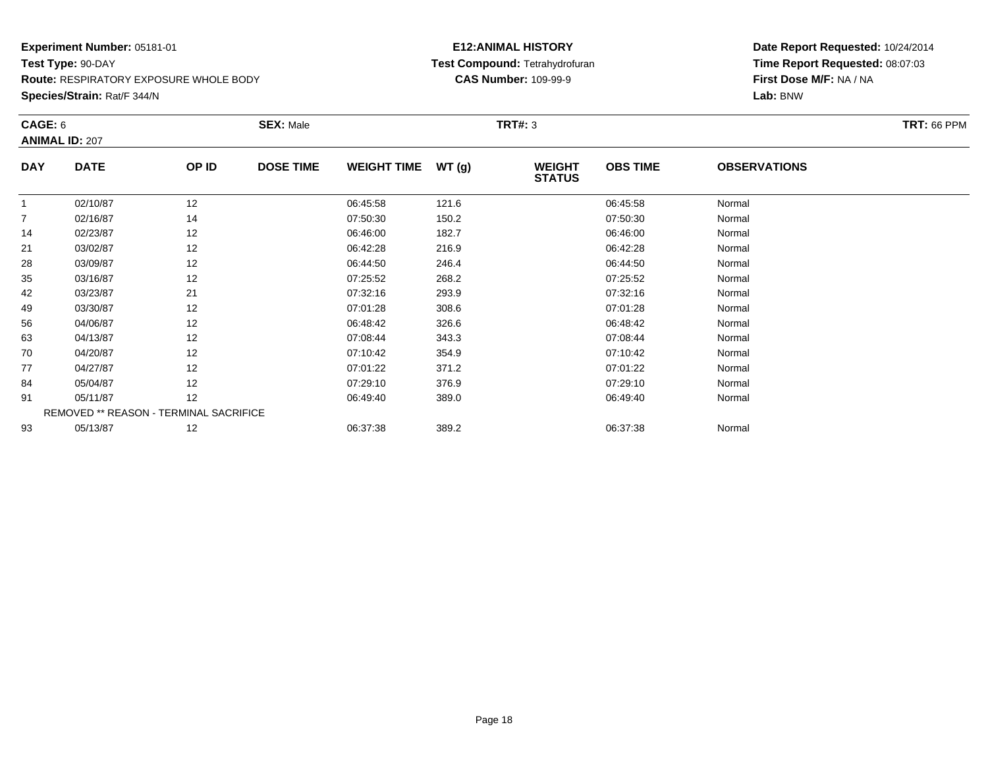**Species/Strain:** Rat/F 344/N

# **E12:ANIMAL HISTORY Test Compound:** Tetrahydrofuran**CAS Number:** 109-99-9

| CAGE: 6        | <b>ANIMAL ID: 207</b>                  |       | <b>SEX: Male</b> |                    |       | <b>TRT#: 3</b>                 |                 |                     | <b>TRT: 66 PPM</b> |
|----------------|----------------------------------------|-------|------------------|--------------------|-------|--------------------------------|-----------------|---------------------|--------------------|
| <b>DAY</b>     | <b>DATE</b>                            | OP ID | <b>DOSE TIME</b> | <b>WEIGHT TIME</b> | WT(g) | <b>WEIGHT</b><br><b>STATUS</b> | <b>OBS TIME</b> | <b>OBSERVATIONS</b> |                    |
|                | 02/10/87                               | 12    |                  | 06:45:58           | 121.6 |                                | 06:45:58        | Normal              |                    |
| $\overline{7}$ | 02/16/87                               | 14    |                  | 07:50:30           | 150.2 |                                | 07:50:30        | Normal              |                    |
| 14             | 02/23/87                               | 12    |                  | 06:46:00           | 182.7 |                                | 06:46:00        | Normal              |                    |
| 21             | 03/02/87                               | 12    |                  | 06:42:28           | 216.9 |                                | 06:42:28        | Normal              |                    |
| 28             | 03/09/87                               | 12    |                  | 06:44:50           | 246.4 |                                | 06:44:50        | Normal              |                    |
| 35             | 03/16/87                               | 12    |                  | 07:25:52           | 268.2 |                                | 07:25:52        | Normal              |                    |
| 42             | 03/23/87                               | 21    |                  | 07:32:16           | 293.9 |                                | 07:32:16        | Normal              |                    |
| 49             | 03/30/87                               | 12    |                  | 07:01:28           | 308.6 |                                | 07:01:28        | Normal              |                    |
| 56             | 04/06/87                               | 12    |                  | 06:48:42           | 326.6 |                                | 06:48:42        | Normal              |                    |
| 63             | 04/13/87                               | 12    |                  | 07:08:44           | 343.3 |                                | 07:08:44        | Normal              |                    |
| 70             | 04/20/87                               | 12    |                  | 07:10:42           | 354.9 |                                | 07:10:42        | Normal              |                    |
| 77             | 04/27/87                               | 12    |                  | 07:01:22           | 371.2 |                                | 07:01:22        | Normal              |                    |
| 84             | 05/04/87                               | 12    |                  | 07:29:10           | 376.9 |                                | 07:29:10        | Normal              |                    |
| 91             | 05/11/87                               | 12    |                  | 06:49:40           | 389.0 |                                | 06:49:40        | Normal              |                    |
|                | REMOVED ** REASON - TERMINAL SACRIFICE |       |                  |                    |       |                                |                 |                     |                    |
| 93             | 05/13/87                               | 12    |                  | 06:37:38           | 389.2 |                                | 06:37:38        | Normal              |                    |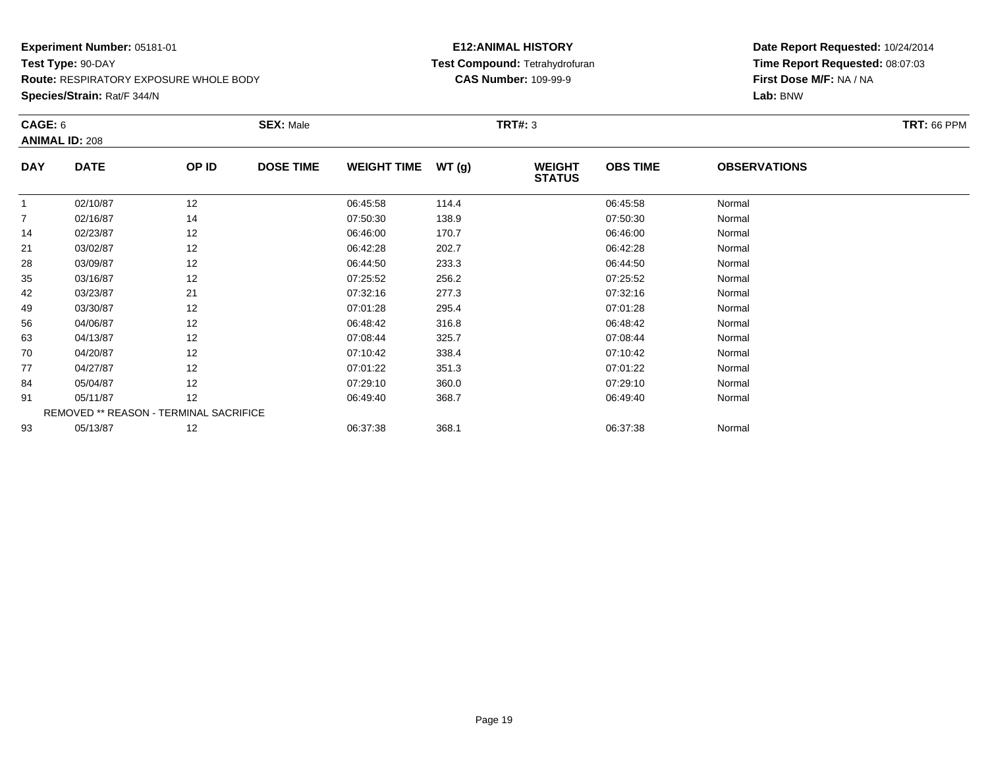**Species/Strain:** Rat/F 344/N

# **E12:ANIMAL HISTORY Test Compound:** Tetrahydrofuran**CAS Number:** 109-99-9

| CAGE: 6        | <b>ANIMAL ID: 208</b>                  |       | <b>SEX: Male</b> |                    |       | <b>TRT#: 3</b>                 |                 |                     | <b>TRT: 66 PPM</b> |
|----------------|----------------------------------------|-------|------------------|--------------------|-------|--------------------------------|-----------------|---------------------|--------------------|
| <b>DAY</b>     | <b>DATE</b>                            | OP ID | <b>DOSE TIME</b> | <b>WEIGHT TIME</b> | WT(g) | <b>WEIGHT</b><br><b>STATUS</b> | <b>OBS TIME</b> | <b>OBSERVATIONS</b> |                    |
|                | 02/10/87                               | 12    |                  | 06:45:58           | 114.4 |                                | 06:45:58        | Normal              |                    |
| $\overline{7}$ | 02/16/87                               | 14    |                  | 07:50:30           | 138.9 |                                | 07:50:30        | Normal              |                    |
| 14             | 02/23/87                               | 12    |                  | 06:46:00           | 170.7 |                                | 06:46:00        | Normal              |                    |
| 21             | 03/02/87                               | 12    |                  | 06:42:28           | 202.7 |                                | 06:42:28        | Normal              |                    |
| 28             | 03/09/87                               | 12    |                  | 06:44:50           | 233.3 |                                | 06:44:50        | Normal              |                    |
| 35             | 03/16/87                               | 12    |                  | 07:25:52           | 256.2 |                                | 07:25:52        | Normal              |                    |
| 42             | 03/23/87                               | 21    |                  | 07:32:16           | 277.3 |                                | 07:32:16        | Normal              |                    |
| 49             | 03/30/87                               | 12    |                  | 07:01:28           | 295.4 |                                | 07:01:28        | Normal              |                    |
| 56             | 04/06/87                               | 12    |                  | 06:48:42           | 316.8 |                                | 06:48:42        | Normal              |                    |
| 63             | 04/13/87                               | 12    |                  | 07:08:44           | 325.7 |                                | 07:08:44        | Normal              |                    |
| 70             | 04/20/87                               | 12    |                  | 07:10:42           | 338.4 |                                | 07:10:42        | Normal              |                    |
| 77             | 04/27/87                               | 12    |                  | 07:01:22           | 351.3 |                                | 07:01:22        | Normal              |                    |
| 84             | 05/04/87                               | 12    |                  | 07:29:10           | 360.0 |                                | 07:29:10        | Normal              |                    |
| 91             | 05/11/87                               | 12    |                  | 06:49:40           | 368.7 |                                | 06:49:40        | Normal              |                    |
|                | REMOVED ** REASON - TERMINAL SACRIFICE |       |                  |                    |       |                                |                 |                     |                    |
| 93             | 05/13/87                               | 12    |                  | 06:37:38           | 368.1 |                                | 06:37:38        | Normal              |                    |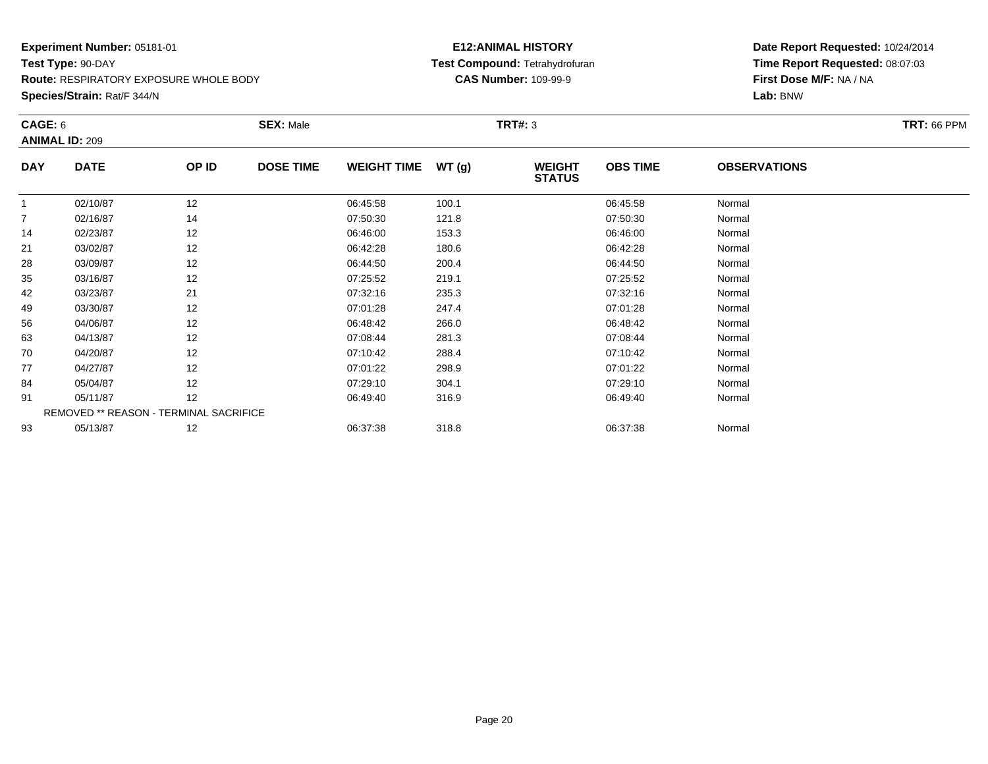**Species/Strain:** Rat/F 344/N

# **E12:ANIMAL HISTORY Test Compound:** Tetrahydrofuran**CAS Number:** 109-99-9

| CAGE: 6        |                                        |       | <b>SEX: Male</b> |                    |       | <b>TRT#: 3</b>                 |                 |                     | <b>TRT: 66 PPM</b> |
|----------------|----------------------------------------|-------|------------------|--------------------|-------|--------------------------------|-----------------|---------------------|--------------------|
|                | <b>ANIMAL ID: 209</b>                  |       |                  |                    |       |                                |                 |                     |                    |
| <b>DAY</b>     | <b>DATE</b>                            | OP ID | <b>DOSE TIME</b> | <b>WEIGHT TIME</b> | WT(g) | <b>WEIGHT</b><br><b>STATUS</b> | <b>OBS TIME</b> | <b>OBSERVATIONS</b> |                    |
| 1              | 02/10/87                               | 12    |                  | 06:45:58           | 100.1 |                                | 06:45:58        | Normal              |                    |
| $\overline{7}$ | 02/16/87                               | 14    |                  | 07:50:30           | 121.8 |                                | 07:50:30        | Normal              |                    |
| 14             | 02/23/87                               | 12    |                  | 06:46:00           | 153.3 |                                | 06:46:00        | Normal              |                    |
| 21             | 03/02/87                               | 12    |                  | 06:42:28           | 180.6 |                                | 06:42:28        | Normal              |                    |
| 28             | 03/09/87                               | 12    |                  | 06:44:50           | 200.4 |                                | 06:44:50        | Normal              |                    |
| 35             | 03/16/87                               | 12    |                  | 07:25:52           | 219.1 |                                | 07:25:52        | Normal              |                    |
| 42             | 03/23/87                               | 21    |                  | 07:32:16           | 235.3 |                                | 07:32:16        | Normal              |                    |
| 49             | 03/30/87                               | 12    |                  | 07:01:28           | 247.4 |                                | 07:01:28        | Normal              |                    |
| 56             | 04/06/87                               | 12    |                  | 06:48:42           | 266.0 |                                | 06:48:42        | Normal              |                    |
| 63             | 04/13/87                               | 12    |                  | 07:08:44           | 281.3 |                                | 07:08:44        | Normal              |                    |
| 70             | 04/20/87                               | 12    |                  | 07:10:42           | 288.4 |                                | 07:10:42        | Normal              |                    |
| 77             | 04/27/87                               | 12    |                  | 07:01:22           | 298.9 |                                | 07:01:22        | Normal              |                    |
| 84             | 05/04/87                               | 12    |                  | 07:29:10           | 304.1 |                                | 07:29:10        | Normal              |                    |
| 91             | 05/11/87                               | 12    |                  | 06:49:40           | 316.9 |                                | 06:49:40        | Normal              |                    |
|                | REMOVED ** REASON - TERMINAL SACRIFICE |       |                  |                    |       |                                |                 |                     |                    |
| 93             | 05/13/87                               | 12    |                  | 06:37:38           | 318.8 |                                | 06:37:38        | Normal              |                    |
|                |                                        |       |                  |                    |       |                                |                 |                     |                    |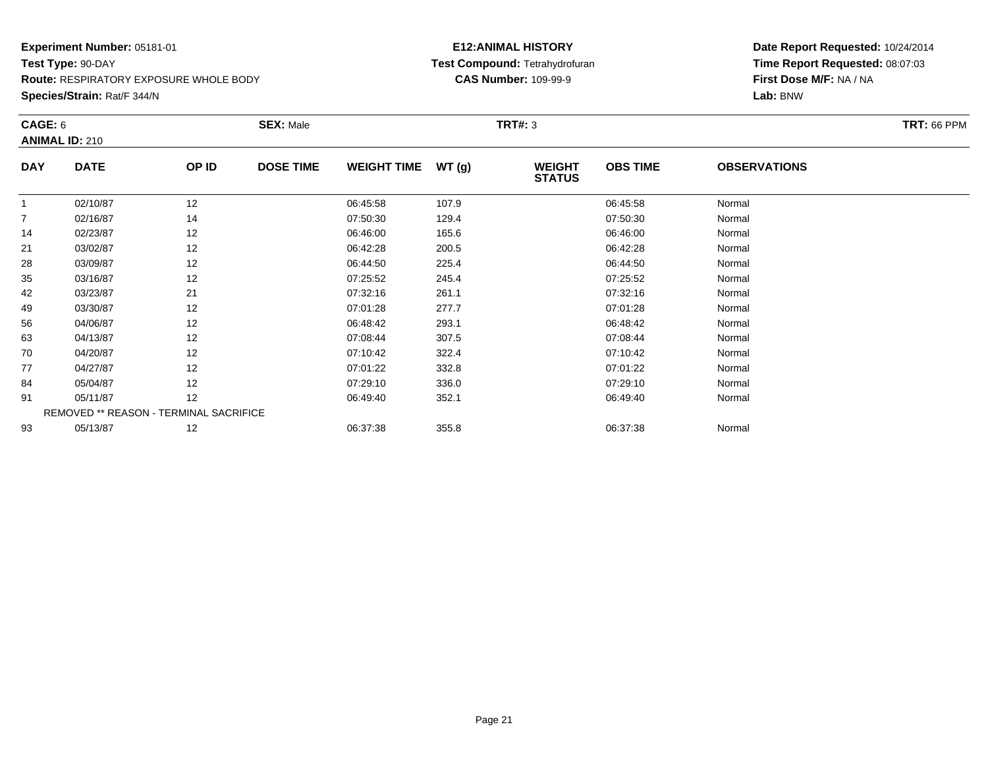**Species/Strain:** Rat/F 344/N

# **E12:ANIMAL HISTORY Test Compound:** Tetrahydrofuran**CAS Number:** 109-99-9

| CAGE: 6        |                                        |       | <b>SEX: Male</b> |                    |       | <b>TRT#: 3</b>                 |                 |                     | <b>TRT: 66 PPM</b> |
|----------------|----------------------------------------|-------|------------------|--------------------|-------|--------------------------------|-----------------|---------------------|--------------------|
|                | <b>ANIMAL ID: 210</b>                  |       |                  |                    |       |                                |                 |                     |                    |
| <b>DAY</b>     | <b>DATE</b>                            | OP ID | <b>DOSE TIME</b> | <b>WEIGHT TIME</b> | WT(g) | <b>WEIGHT</b><br><b>STATUS</b> | <b>OBS TIME</b> | <b>OBSERVATIONS</b> |                    |
| $\mathbf{1}$   | 02/10/87                               | 12    |                  | 06:45:58           | 107.9 |                                | 06:45:58        | Normal              |                    |
| $\overline{7}$ | 02/16/87                               | 14    |                  | 07:50:30           | 129.4 |                                | 07:50:30        | Normal              |                    |
| 14             | 02/23/87                               | 12    |                  | 06:46:00           | 165.6 |                                | 06:46:00        | Normal              |                    |
| 21             | 03/02/87                               | 12    |                  | 06:42:28           | 200.5 |                                | 06:42:28        | Normal              |                    |
| 28             | 03/09/87                               | 12    |                  | 06:44:50           | 225.4 |                                | 06:44:50        | Normal              |                    |
| 35             | 03/16/87                               | 12    |                  | 07:25:52           | 245.4 |                                | 07:25:52        | Normal              |                    |
| 42             | 03/23/87                               | 21    |                  | 07:32:16           | 261.1 |                                | 07:32:16        | Normal              |                    |
| 49             | 03/30/87                               | 12    |                  | 07:01:28           | 277.7 |                                | 07:01:28        | Normal              |                    |
| 56             | 04/06/87                               | 12    |                  | 06:48:42           | 293.1 |                                | 06:48:42        | Normal              |                    |
| 63             | 04/13/87                               | 12    |                  | 07:08:44           | 307.5 |                                | 07:08:44        | Normal              |                    |
| 70             | 04/20/87                               | 12    |                  | 07:10:42           | 322.4 |                                | 07:10:42        | Normal              |                    |
| 77             | 04/27/87                               | 12    |                  | 07:01:22           | 332.8 |                                | 07:01:22        | Normal              |                    |
| 84             | 05/04/87                               | 12    |                  | 07:29:10           | 336.0 |                                | 07:29:10        | Normal              |                    |
| 91             | 05/11/87                               | 12    |                  | 06:49:40           | 352.1 |                                | 06:49:40        | Normal              |                    |
|                | REMOVED ** REASON - TERMINAL SACRIFICE |       |                  |                    |       |                                |                 |                     |                    |
| 93             | 05/13/87                               | 12    |                  | 06:37:38           | 355.8 |                                | 06:37:38        | Normal              |                    |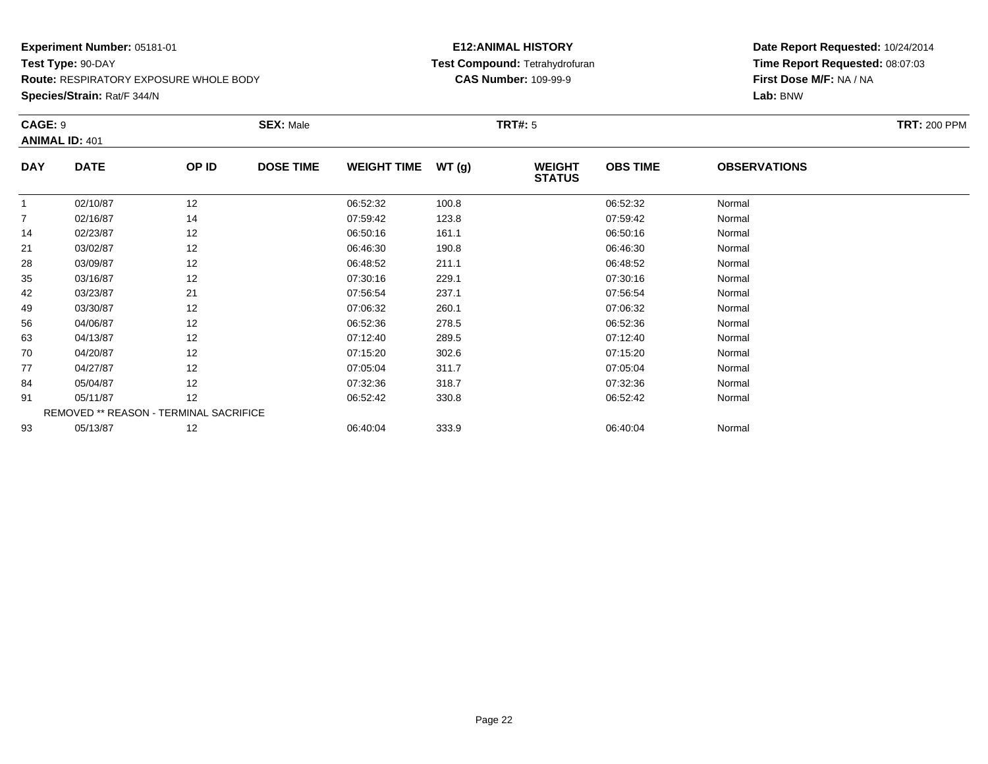**Species/Strain:** Rat/F 344/N

# **E12:ANIMAL HISTORY Test Compound:** Tetrahydrofuran**CAS Number:** 109-99-9

| CAGE: 9        | <b>ANIMAL ID: 401</b>                  |       | <b>SEX: Male</b> |                    |       | <b>TRT#:</b> 5                 |                 |                     | <b>TRT: 200 PPM</b> |
|----------------|----------------------------------------|-------|------------------|--------------------|-------|--------------------------------|-----------------|---------------------|---------------------|
| <b>DAY</b>     | <b>DATE</b>                            | OP ID | <b>DOSE TIME</b> | <b>WEIGHT TIME</b> | WT(g) | <b>WEIGHT</b><br><b>STATUS</b> | <b>OBS TIME</b> | <b>OBSERVATIONS</b> |                     |
| 1              | 02/10/87                               | 12    |                  | 06:52:32           | 100.8 |                                | 06:52:32        | Normal              |                     |
| $\overline{7}$ | 02/16/87                               | 14    |                  | 07:59:42           | 123.8 |                                | 07:59:42        | Normal              |                     |
| 14             | 02/23/87                               | 12    |                  | 06:50:16           | 161.1 |                                | 06:50:16        | Normal              |                     |
| 21             | 03/02/87                               | 12    |                  | 06:46:30           | 190.8 |                                | 06:46:30        | Normal              |                     |
| 28             | 03/09/87                               | 12    |                  | 06:48:52           | 211.1 |                                | 06:48:52        | Normal              |                     |
| 35             | 03/16/87                               | 12    |                  | 07:30:16           | 229.1 |                                | 07:30:16        | Normal              |                     |
| 42             | 03/23/87                               | 21    |                  | 07:56:54           | 237.1 |                                | 07:56:54        | Normal              |                     |
| 49             | 03/30/87                               | 12    |                  | 07:06:32           | 260.1 |                                | 07:06:32        | Normal              |                     |
| 56             | 04/06/87                               | 12    |                  | 06:52:36           | 278.5 |                                | 06:52:36        | Normal              |                     |
| 63             | 04/13/87                               | 12    |                  | 07:12:40           | 289.5 |                                | 07:12:40        | Normal              |                     |
| 70             | 04/20/87                               | 12    |                  | 07:15:20           | 302.6 |                                | 07:15:20        | Normal              |                     |
| 77             | 04/27/87                               | 12    |                  | 07:05:04           | 311.7 |                                | 07:05:04        | Normal              |                     |
| 84             | 05/04/87                               | 12    |                  | 07:32:36           | 318.7 |                                | 07:32:36        | Normal              |                     |
| 91             | 05/11/87                               | 12    |                  | 06:52:42           | 330.8 |                                | 06:52:42        | Normal              |                     |
|                | REMOVED ** REASON - TERMINAL SACRIFICE |       |                  |                    |       |                                |                 |                     |                     |
| 93             | 05/13/87                               | 12    |                  | 06:40:04           | 333.9 |                                | 06:40:04        | Normal              |                     |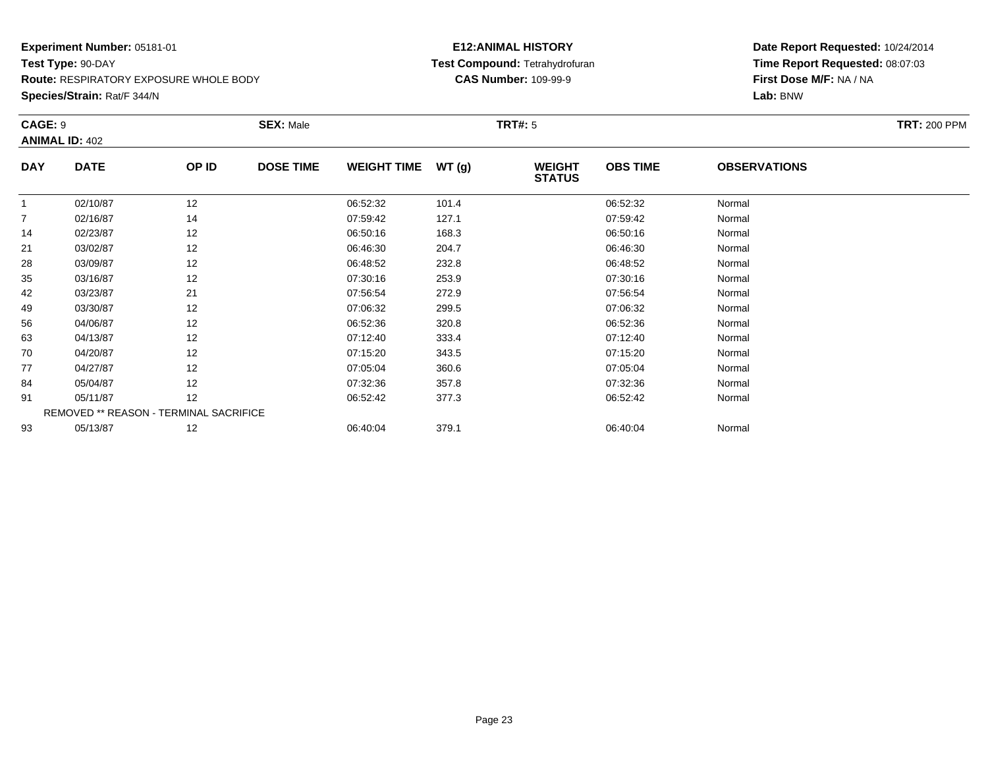**Species/Strain:** Rat/F 344/N

# **E12:ANIMAL HISTORY Test Compound:** Tetrahydrofuran**CAS Number:** 109-99-9

| CAGE: 9        | <b>ANIMAL ID: 402</b>                  |       | <b>SEX: Male</b> |                    |       | <b>TRT#:</b> 5                 |                 |                     | <b>TRT: 200 PPM</b> |
|----------------|----------------------------------------|-------|------------------|--------------------|-------|--------------------------------|-----------------|---------------------|---------------------|
| <b>DAY</b>     | <b>DATE</b>                            | OP ID | <b>DOSE TIME</b> | <b>WEIGHT TIME</b> | WT(g) | <b>WEIGHT</b><br><b>STATUS</b> | <b>OBS TIME</b> | <b>OBSERVATIONS</b> |                     |
|                | 02/10/87                               | 12    |                  | 06:52:32           | 101.4 |                                | 06:52:32        | Normal              |                     |
| $\overline{7}$ | 02/16/87                               | 14    |                  | 07:59:42           | 127.1 |                                | 07:59:42        | Normal              |                     |
| 14             | 02/23/87                               | 12    |                  | 06:50:16           | 168.3 |                                | 06:50:16        | Normal              |                     |
| 21             | 03/02/87                               | 12    |                  | 06:46:30           | 204.7 |                                | 06:46:30        | Normal              |                     |
| 28             | 03/09/87                               | 12    |                  | 06:48:52           | 232.8 |                                | 06:48:52        | Normal              |                     |
| 35             | 03/16/87                               | 12    |                  | 07:30:16           | 253.9 |                                | 07:30:16        | Normal              |                     |
| 42             | 03/23/87                               | 21    |                  | 07:56:54           | 272.9 |                                | 07:56:54        | Normal              |                     |
| 49             | 03/30/87                               | 12    |                  | 07:06:32           | 299.5 |                                | 07:06:32        | Normal              |                     |
| 56             | 04/06/87                               | 12    |                  | 06:52:36           | 320.8 |                                | 06:52:36        | Normal              |                     |
| 63             | 04/13/87                               | 12    |                  | 07:12:40           | 333.4 |                                | 07:12:40        | Normal              |                     |
| 70             | 04/20/87                               | 12    |                  | 07:15:20           | 343.5 |                                | 07:15:20        | Normal              |                     |
| 77             | 04/27/87                               | 12    |                  | 07:05:04           | 360.6 |                                | 07:05:04        | Normal              |                     |
| 84             | 05/04/87                               | 12    |                  | 07:32:36           | 357.8 |                                | 07:32:36        | Normal              |                     |
| 91             | 05/11/87                               | 12    |                  | 06:52:42           | 377.3 |                                | 06:52:42        | Normal              |                     |
|                | REMOVED ** REASON - TERMINAL SACRIFICE |       |                  |                    |       |                                |                 |                     |                     |
| 93             | 05/13/87                               | 12    |                  | 06:40:04           | 379.1 |                                | 06:40:04        | Normal              |                     |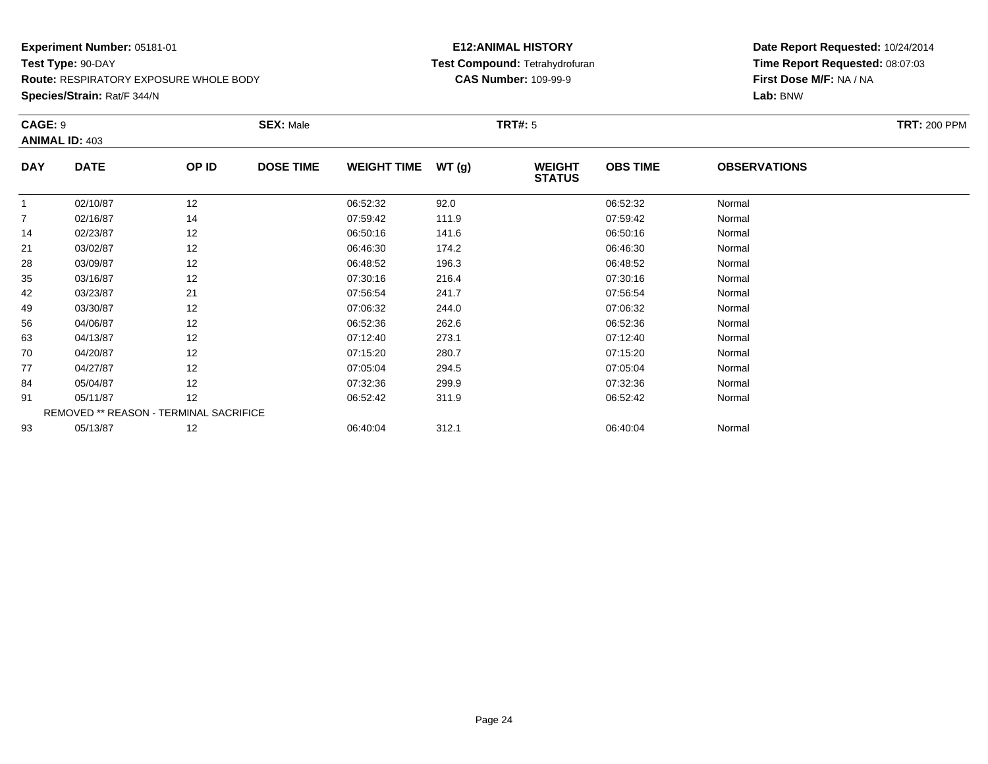**Species/Strain:** Rat/F 344/N

# **E12:ANIMAL HISTORY Test Compound:** Tetrahydrofuran**CAS Number:** 109-99-9

|                | <b>CAGE: 9</b><br><b>ANIMAL ID: 403</b> |       | <b>SEX: Male</b> |                    |       | <b>TRT#: 5</b>                 | <b>TRT: 200 PPM</b> |                     |  |
|----------------|-----------------------------------------|-------|------------------|--------------------|-------|--------------------------------|---------------------|---------------------|--|
| <b>DAY</b>     | <b>DATE</b>                             | OP ID | <b>DOSE TIME</b> | <b>WEIGHT TIME</b> | WT(g) | <b>WEIGHT</b><br><b>STATUS</b> | <b>OBS TIME</b>     | <b>OBSERVATIONS</b> |  |
| 1              | 02/10/87                                | 12    |                  | 06:52:32           | 92.0  |                                | 06:52:32            | Normal              |  |
| $\overline{7}$ | 02/16/87                                | 14    |                  | 07:59:42           | 111.9 |                                | 07:59:42            | Normal              |  |
| 14             | 02/23/87                                | 12    |                  | 06:50:16           | 141.6 |                                | 06:50:16            | Normal              |  |
| 21             | 03/02/87                                | 12    |                  | 06:46:30           | 174.2 |                                | 06:46:30            | Normal              |  |
| 28             | 03/09/87                                | 12    |                  | 06:48:52           | 196.3 |                                | 06:48:52            | Normal              |  |
| 35             | 03/16/87                                | 12    |                  | 07:30:16           | 216.4 |                                | 07:30:16            | Normal              |  |
| 42             | 03/23/87                                | 21    |                  | 07:56:54           | 241.7 |                                | 07:56:54            | Normal              |  |
| 49             | 03/30/87                                | 12    |                  | 07:06:32           | 244.0 |                                | 07:06:32            | Normal              |  |
| 56             | 04/06/87                                | 12    |                  | 06:52:36           | 262.6 |                                | 06:52:36            | Normal              |  |
| 63             | 04/13/87                                | 12    |                  | 07:12:40           | 273.1 |                                | 07:12:40            | Normal              |  |
| 70             | 04/20/87                                | 12    |                  | 07:15:20           | 280.7 |                                | 07:15:20            | Normal              |  |
| 77             | 04/27/87                                | 12    |                  | 07:05:04           | 294.5 |                                | 07:05:04            | Normal              |  |
| 84             | 05/04/87                                | 12    |                  | 07:32:36           | 299.9 |                                | 07:32:36            | Normal              |  |
| 91             | 05/11/87                                | 12    |                  | 06:52:42           | 311.9 |                                | 06:52:42            | Normal              |  |
|                | REMOVED ** REASON - TERMINAL SACRIFICE  |       |                  |                    |       |                                |                     |                     |  |
| 93             | 05/13/87                                | 12    |                  | 06:40:04           | 312.1 |                                | 06:40:04            | Normal              |  |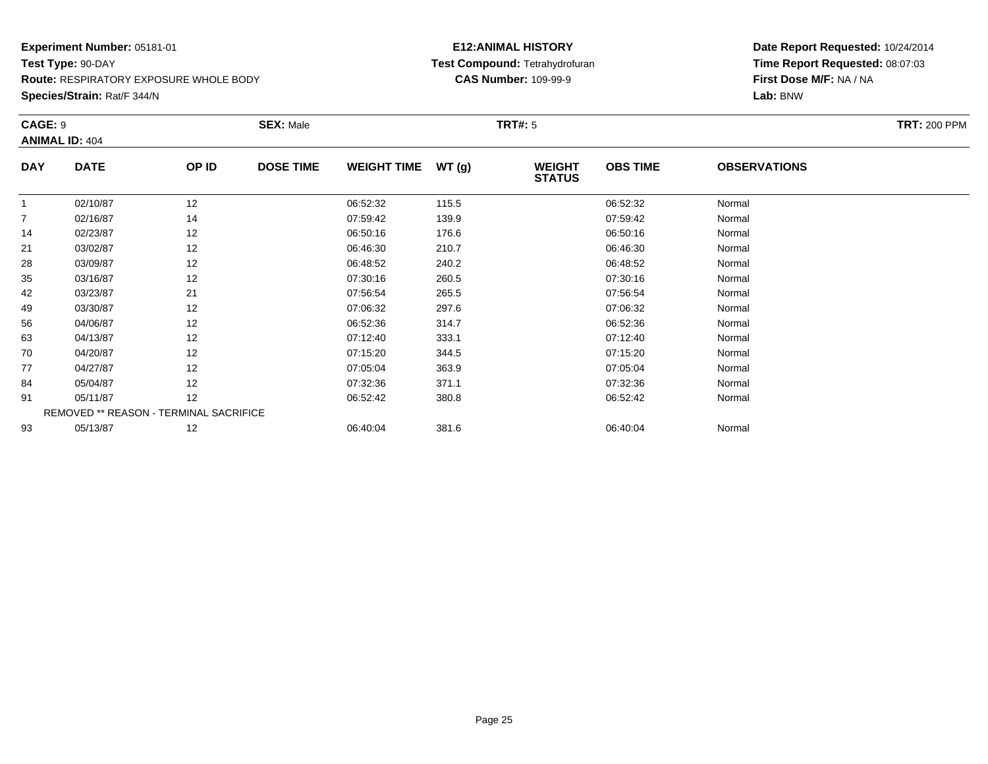**Species/Strain:** Rat/F 344/N

# **E12:ANIMAL HISTORY Test Compound:** Tetrahydrofuran**CAS Number:** 109-99-9

| CAGE: 9<br><b>ANIMAL ID: 404</b> |                                        |       | <b>SEX: Male</b> |                    |       | <b>TRT#:</b> 5                 |                 |                     | <b>TRT: 200 PPM</b> |
|----------------------------------|----------------------------------------|-------|------------------|--------------------|-------|--------------------------------|-----------------|---------------------|---------------------|
| <b>DAY</b>                       | <b>DATE</b>                            | OP ID | <b>DOSE TIME</b> | <b>WEIGHT TIME</b> | WT(g) | <b>WEIGHT</b><br><b>STATUS</b> | <b>OBS TIME</b> | <b>OBSERVATIONS</b> |                     |
|                                  | 02/10/87                               | 12    |                  | 06:52:32           | 115.5 |                                | 06:52:32        | Normal              |                     |
| $\overline{7}$                   | 02/16/87                               | 14    |                  | 07:59:42           | 139.9 |                                | 07:59:42        | Normal              |                     |
| 14                               | 02/23/87                               | 12    |                  | 06:50:16           | 176.6 |                                | 06:50:16        | Normal              |                     |
| 21                               | 03/02/87                               | 12    |                  | 06:46:30           | 210.7 |                                | 06:46:30        | Normal              |                     |
| 28                               | 03/09/87                               | 12    |                  | 06:48:52           | 240.2 |                                | 06:48:52        | Normal              |                     |
| 35                               | 03/16/87                               | 12    |                  | 07:30:16           | 260.5 |                                | 07:30:16        | Normal              |                     |
| 42                               | 03/23/87                               | 21    |                  | 07:56:54           | 265.5 |                                | 07:56:54        | Normal              |                     |
| 49                               | 03/30/87                               | 12    |                  | 07:06:32           | 297.6 |                                | 07:06:32        | Normal              |                     |
| 56                               | 04/06/87                               | 12    |                  | 06:52:36           | 314.7 |                                | 06:52:36        | Normal              |                     |
| 63                               | 04/13/87                               | 12    |                  | 07:12:40           | 333.1 |                                | 07:12:40        | Normal              |                     |
| 70                               | 04/20/87                               | 12    |                  | 07:15:20           | 344.5 |                                | 07:15:20        | Normal              |                     |
| 77                               | 04/27/87                               | 12    |                  | 07:05:04           | 363.9 |                                | 07:05:04        | Normal              |                     |
| 84                               | 05/04/87                               | 12    |                  | 07:32:36           | 371.1 |                                | 07:32:36        | Normal              |                     |
| 91                               | 05/11/87                               | 12    |                  | 06:52:42           | 380.8 |                                | 06:52:42        | Normal              |                     |
|                                  | REMOVED ** REASON - TERMINAL SACRIFICE |       |                  |                    |       |                                |                 |                     |                     |
| 93                               | 05/13/87                               | 12    |                  | 06:40:04           | 381.6 |                                | 06:40:04        | Normal              |                     |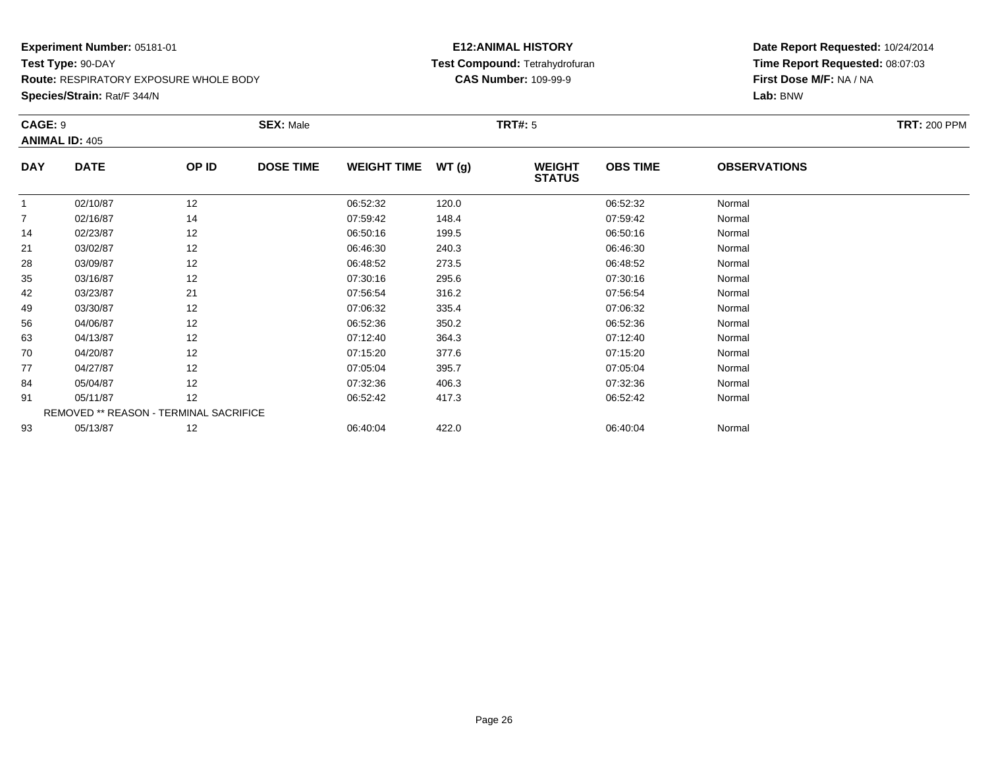**Species/Strain:** Rat/F 344/N

# **E12:ANIMAL HISTORY Test Compound:** Tetrahydrofuran**CAS Number:** 109-99-9

| <b>CAGE: 9</b><br><b>ANIMAL ID: 405</b> |                                        | <b>SEX: Male</b> |                  |                    | <b>TRT#: 5</b> | <b>TRT: 200 PPM</b>            |                 |                     |  |
|-----------------------------------------|----------------------------------------|------------------|------------------|--------------------|----------------|--------------------------------|-----------------|---------------------|--|
| <b>DAY</b>                              | <b>DATE</b>                            | OP ID            | <b>DOSE TIME</b> | <b>WEIGHT TIME</b> | WT(g)          | <b>WEIGHT</b><br><b>STATUS</b> | <b>OBS TIME</b> | <b>OBSERVATIONS</b> |  |
| 1                                       | 02/10/87                               | 12               |                  | 06:52:32           | 120.0          |                                | 06:52:32        | Normal              |  |
| $\overline{7}$                          | 02/16/87                               | 14               |                  | 07:59:42           | 148.4          |                                | 07:59:42        | Normal              |  |
| 14                                      | 02/23/87                               | 12               |                  | 06:50:16           | 199.5          |                                | 06:50:16        | Normal              |  |
| 21                                      | 03/02/87                               | 12               |                  | 06:46:30           | 240.3          |                                | 06:46:30        | Normal              |  |
| 28                                      | 03/09/87                               | 12               |                  | 06:48:52           | 273.5          |                                | 06:48:52        | Normal              |  |
| 35                                      | 03/16/87                               | 12               |                  | 07:30:16           | 295.6          |                                | 07:30:16        | Normal              |  |
| 42                                      | 03/23/87                               | 21               |                  | 07:56:54           | 316.2          |                                | 07:56:54        | Normal              |  |
| 49                                      | 03/30/87                               | 12               |                  | 07:06:32           | 335.4          |                                | 07:06:32        | Normal              |  |
| 56                                      | 04/06/87                               | 12               |                  | 06:52:36           | 350.2          |                                | 06:52:36        | Normal              |  |
| 63                                      | 04/13/87                               | 12               |                  | 07:12:40           | 364.3          |                                | 07:12:40        | Normal              |  |
| 70                                      | 04/20/87                               | 12               |                  | 07:15:20           | 377.6          |                                | 07:15:20        | Normal              |  |
| 77                                      | 04/27/87                               | 12               |                  | 07:05:04           | 395.7          |                                | 07:05:04        | Normal              |  |
| 84                                      | 05/04/87                               | 12               |                  | 07:32:36           | 406.3          |                                | 07:32:36        | Normal              |  |
| 91                                      | 05/11/87                               | 12               |                  | 06:52:42           | 417.3          |                                | 06:52:42        | Normal              |  |
|                                         | REMOVED ** REASON - TERMINAL SACRIFICE |                  |                  |                    |                |                                |                 |                     |  |
| 93                                      | 05/13/87                               | 12               |                  | 06:40:04           | 422.0          |                                | 06:40:04        | Normal              |  |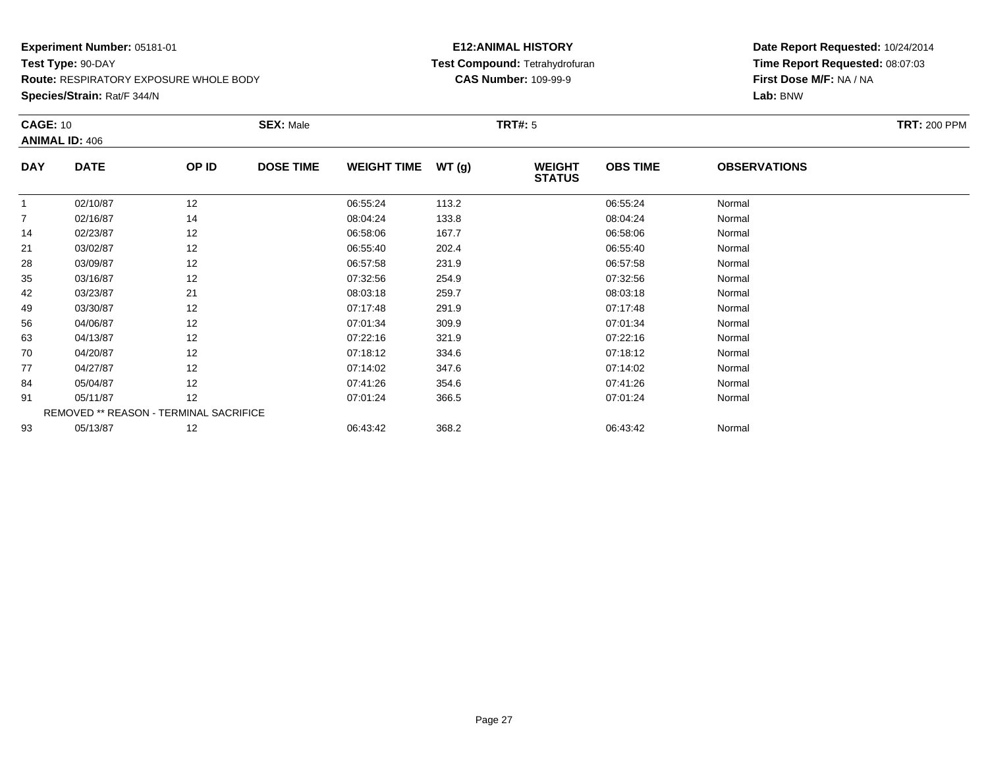**Route:** RESPIRATORY EXPOSURE WHOLE BODY

**Species/Strain:** Rat/F 344/N

# **E12:ANIMAL HISTORY Test Compound:** Tetrahydrofuran**CAS Number:** 109-99-9

|                | <b>CAGE: 10</b>                        |       | <b>SEX: Male</b> |                    |       | <b>TRT#:</b> 5                 | <b>TRT: 200 PPM</b> |                     |  |
|----------------|----------------------------------------|-------|------------------|--------------------|-------|--------------------------------|---------------------|---------------------|--|
|                | <b>ANIMAL ID: 406</b>                  |       |                  |                    |       |                                |                     |                     |  |
| <b>DAY</b>     | <b>DATE</b>                            | OP ID | <b>DOSE TIME</b> | <b>WEIGHT TIME</b> | WT(g) | <b>WEIGHT</b><br><b>STATUS</b> | <b>OBS TIME</b>     | <b>OBSERVATIONS</b> |  |
|                | 02/10/87                               | 12    |                  | 06:55:24           | 113.2 |                                | 06:55:24            | Normal              |  |
| $\overline{7}$ | 02/16/87                               | 14    |                  | 08:04:24           | 133.8 |                                | 08:04:24            | Normal              |  |
| 14             | 02/23/87                               | 12    |                  | 06:58:06           | 167.7 |                                | 06:58:06            | Normal              |  |
| 21             | 03/02/87                               | 12    |                  | 06:55:40           | 202.4 |                                | 06:55:40            | Normal              |  |
| 28             | 03/09/87                               | 12    |                  | 06:57:58           | 231.9 |                                | 06:57:58            | Normal              |  |
| 35             | 03/16/87                               | 12    |                  | 07:32:56           | 254.9 |                                | 07:32:56            | Normal              |  |
| 42             | 03/23/87                               | 21    |                  | 08:03:18           | 259.7 |                                | 08:03:18            | Normal              |  |
| 49             | 03/30/87                               | 12    |                  | 07:17:48           | 291.9 |                                | 07:17:48            | Normal              |  |
| 56             | 04/06/87                               | 12    |                  | 07:01:34           | 309.9 |                                | 07:01:34            | Normal              |  |
| 63             | 04/13/87                               | 12    |                  | 07:22:16           | 321.9 |                                | 07:22:16            | Normal              |  |
| 70             | 04/20/87                               | 12    |                  | 07:18:12           | 334.6 |                                | 07:18:12            | Normal              |  |
| 77             | 04/27/87                               | 12    |                  | 07:14:02           | 347.6 |                                | 07:14:02            | Normal              |  |
| 84             | 05/04/87                               | 12    |                  | 07:41:26           | 354.6 |                                | 07:41:26            | Normal              |  |
| 91             | 05/11/87                               | 12    |                  | 07:01:24           | 366.5 |                                | 07:01:24            | Normal              |  |
|                | REMOVED ** REASON - TERMINAL SACRIFICE |       |                  |                    |       |                                |                     |                     |  |
| 93             | 05/13/87                               | 12    |                  | 06:43:42           | 368.2 |                                | 06:43:42            | Normal              |  |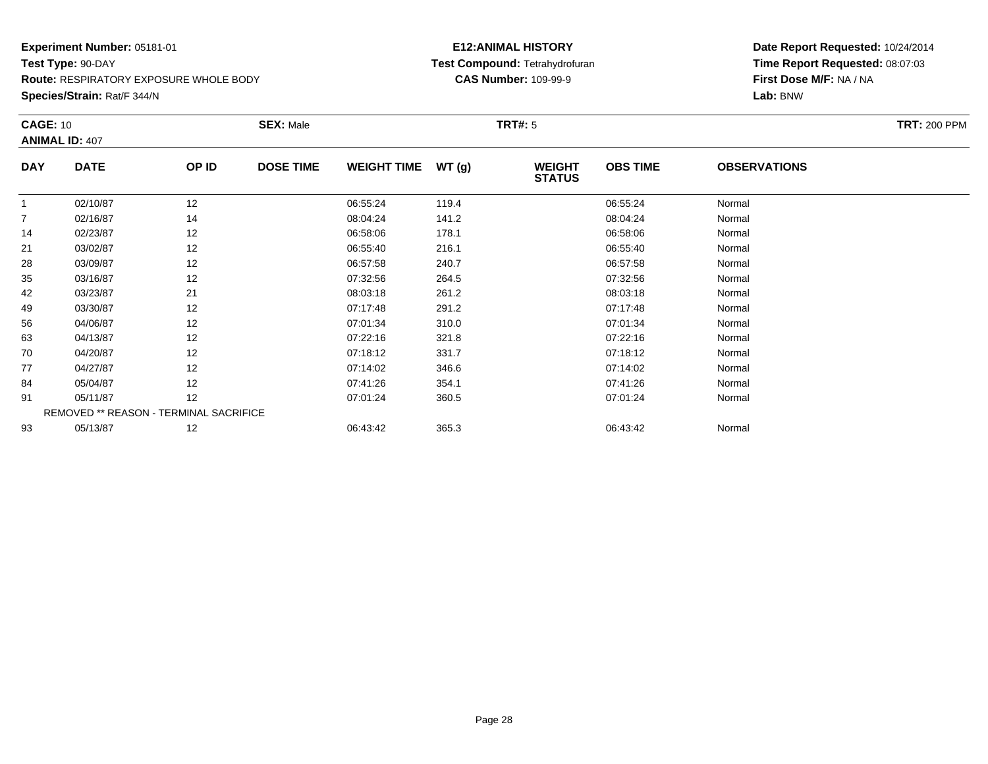**Route:** RESPIRATORY EXPOSURE WHOLE BODY

**Species/Strain:** Rat/F 344/N

# **E12:ANIMAL HISTORY Test Compound:** Tetrahydrofuran**CAS Number:** 109-99-9

| <b>TRT: 200 PPM</b> |
|---------------------|
|                     |
|                     |
|                     |
|                     |
|                     |
|                     |
|                     |
|                     |
|                     |
|                     |
|                     |
|                     |
|                     |
|                     |
|                     |
|                     |
|                     |
|                     |
|                     |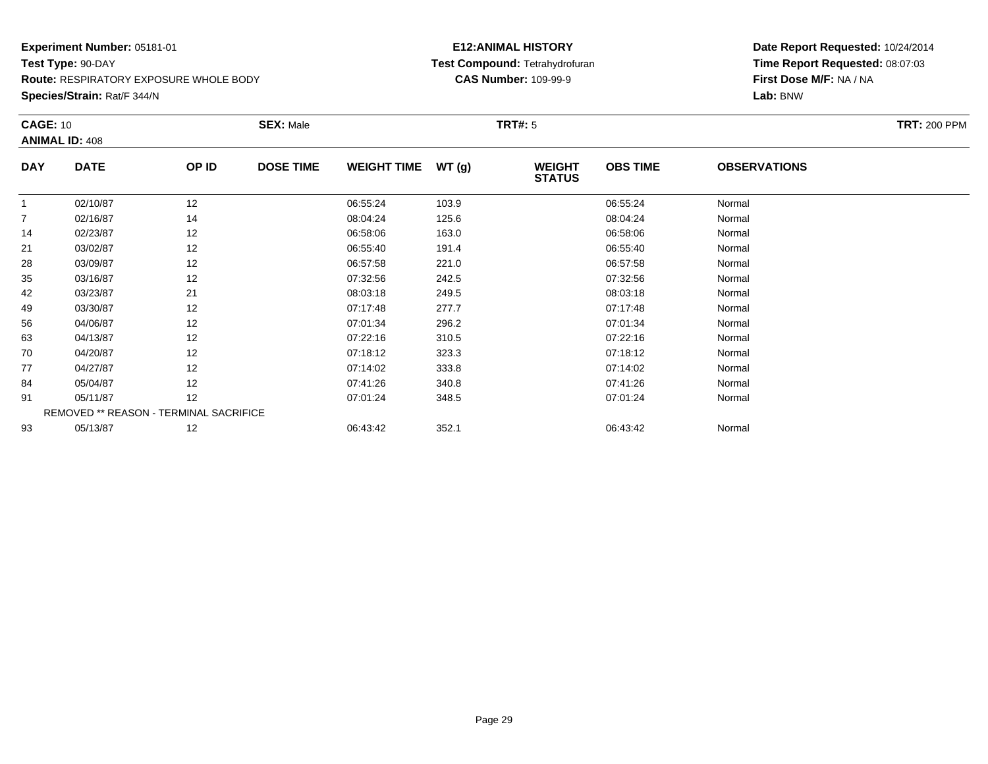**Route:** RESPIRATORY EXPOSURE WHOLE BODY

**Species/Strain:** Rat/F 344/N

# **E12:ANIMAL HISTORY Test Compound:** Tetrahydrofuran**CAS Number:** 109-99-9

|                | <b>CAGE: 10</b>       |                                        | <b>SEX: Male</b> |                    |       | <b>TRT#:</b> 5                 | <b>TRT: 200 PPM</b> |                     |  |
|----------------|-----------------------|----------------------------------------|------------------|--------------------|-------|--------------------------------|---------------------|---------------------|--|
|                | <b>ANIMAL ID: 408</b> |                                        |                  |                    |       |                                |                     |                     |  |
| <b>DAY</b>     | <b>DATE</b>           | OP ID                                  | <b>DOSE TIME</b> | <b>WEIGHT TIME</b> | WT(g) | <b>WEIGHT</b><br><b>STATUS</b> | <b>OBS TIME</b>     | <b>OBSERVATIONS</b> |  |
| $\overline{1}$ | 02/10/87              | 12                                     |                  | 06:55:24           | 103.9 |                                | 06:55:24            | Normal              |  |
| 7              | 02/16/87              | 14                                     |                  | 08:04:24           | 125.6 |                                | 08:04:24            | Normal              |  |
| 14             | 02/23/87              | 12                                     |                  | 06:58:06           | 163.0 |                                | 06:58:06            | Normal              |  |
| 21             | 03/02/87              | 12                                     |                  | 06:55:40           | 191.4 |                                | 06:55:40            | Normal              |  |
| 28             | 03/09/87              | 12                                     |                  | 06:57:58           | 221.0 |                                | 06:57:58            | Normal              |  |
| 35             | 03/16/87              | 12                                     |                  | 07:32:56           | 242.5 |                                | 07:32:56            | Normal              |  |
| 42             | 03/23/87              | 21                                     |                  | 08:03:18           | 249.5 |                                | 08:03:18            | Normal              |  |
| 49             | 03/30/87              | 12                                     |                  | 07:17:48           | 277.7 |                                | 07:17:48            | Normal              |  |
| 56             | 04/06/87              | 12                                     |                  | 07:01:34           | 296.2 |                                | 07:01:34            | Normal              |  |
| 63             | 04/13/87              | 12                                     |                  | 07:22:16           | 310.5 |                                | 07:22:16            | Normal              |  |
| 70             | 04/20/87              | 12                                     |                  | 07:18:12           | 323.3 |                                | 07:18:12            | Normal              |  |
| 77             | 04/27/87              | 12                                     |                  | 07:14:02           | 333.8 |                                | 07:14:02            | Normal              |  |
| 84             | 05/04/87              | 12                                     |                  | 07:41:26           | 340.8 |                                | 07:41:26            | Normal              |  |
| 91             | 05/11/87              | 12                                     |                  | 07:01:24           | 348.5 |                                | 07:01:24            | Normal              |  |
|                |                       | REMOVED ** REASON - TERMINAL SACRIFICE |                  |                    |       |                                |                     |                     |  |
| 93             | 05/13/87              | 12                                     |                  | 06:43:42           | 352.1 |                                | 06:43:42            | Normal              |  |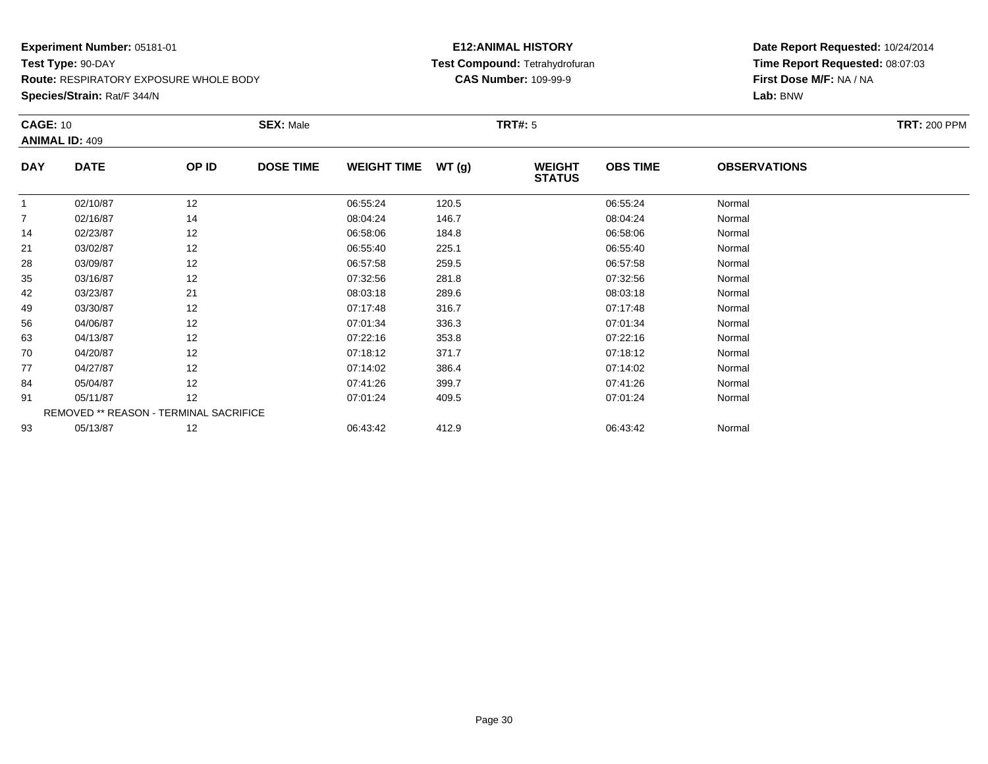**Route:** RESPIRATORY EXPOSURE WHOLE BODY

**Species/Strain:** Rat/F 344/N

# **E12:ANIMAL HISTORY Test Compound:** Tetrahydrofuran**CAS Number:** 109-99-9

|            | <b>CAGE: 10</b>       |                                        | <b>SEX: Male</b> |                    |       |                                | <b>TRT#:</b> 5  |                     |  |  |  |
|------------|-----------------------|----------------------------------------|------------------|--------------------|-------|--------------------------------|-----------------|---------------------|--|--|--|
|            | <b>ANIMAL ID: 409</b> |                                        |                  |                    |       |                                |                 |                     |  |  |  |
| <b>DAY</b> | <b>DATE</b>           | OP ID                                  | <b>DOSE TIME</b> | <b>WEIGHT TIME</b> | WT(g) | <b>WEIGHT</b><br><b>STATUS</b> | <b>OBS TIME</b> | <b>OBSERVATIONS</b> |  |  |  |
|            | 02/10/87              | 12                                     |                  | 06:55:24           | 120.5 |                                | 06:55:24        | Normal              |  |  |  |
|            | 02/16/87              | 14                                     |                  | 08:04:24           | 146.7 |                                | 08:04:24        | Normal              |  |  |  |
| 14         | 02/23/87              | 12                                     |                  | 06:58:06           | 184.8 |                                | 06:58:06        | Normal              |  |  |  |
| 21         | 03/02/87              | 12                                     |                  | 06:55:40           | 225.1 |                                | 06:55:40        | Normal              |  |  |  |
| 28         | 03/09/87              | 12                                     |                  | 06:57:58           | 259.5 |                                | 06:57:58        | Normal              |  |  |  |
| 35         | 03/16/87              | 12                                     |                  | 07:32:56           | 281.8 |                                | 07:32:56        | Normal              |  |  |  |
| 42         | 03/23/87              | 21                                     |                  | 08:03:18           | 289.6 |                                | 08:03:18        | Normal              |  |  |  |
| 49         | 03/30/87              | 12                                     |                  | 07:17:48           | 316.7 |                                | 07:17:48        | Normal              |  |  |  |
| 56         | 04/06/87              | 12                                     |                  | 07:01:34           | 336.3 |                                | 07:01:34        | Normal              |  |  |  |
| 63         | 04/13/87              | 12                                     |                  | 07:22:16           | 353.8 |                                | 07:22:16        | Normal              |  |  |  |
| 70         | 04/20/87              | 12                                     |                  | 07:18:12           | 371.7 |                                | 07:18:12        | Normal              |  |  |  |
| 77         | 04/27/87              | 12                                     |                  | 07:14:02           | 386.4 |                                | 07:14:02        | Normal              |  |  |  |
| 84         | 05/04/87              | 12                                     |                  | 07:41:26           | 399.7 |                                | 07:41:26        | Normal              |  |  |  |
| 91         | 05/11/87              | 12                                     |                  | 07:01:24           | 409.5 |                                | 07:01:24        | Normal              |  |  |  |
|            |                       | REMOVED ** REASON - TERMINAL SACRIFICE |                  |                    |       |                                |                 |                     |  |  |  |
| 93         | 05/13/87              | 12                                     |                  | 06:43:42           | 412.9 |                                | 06:43:42        | Normal              |  |  |  |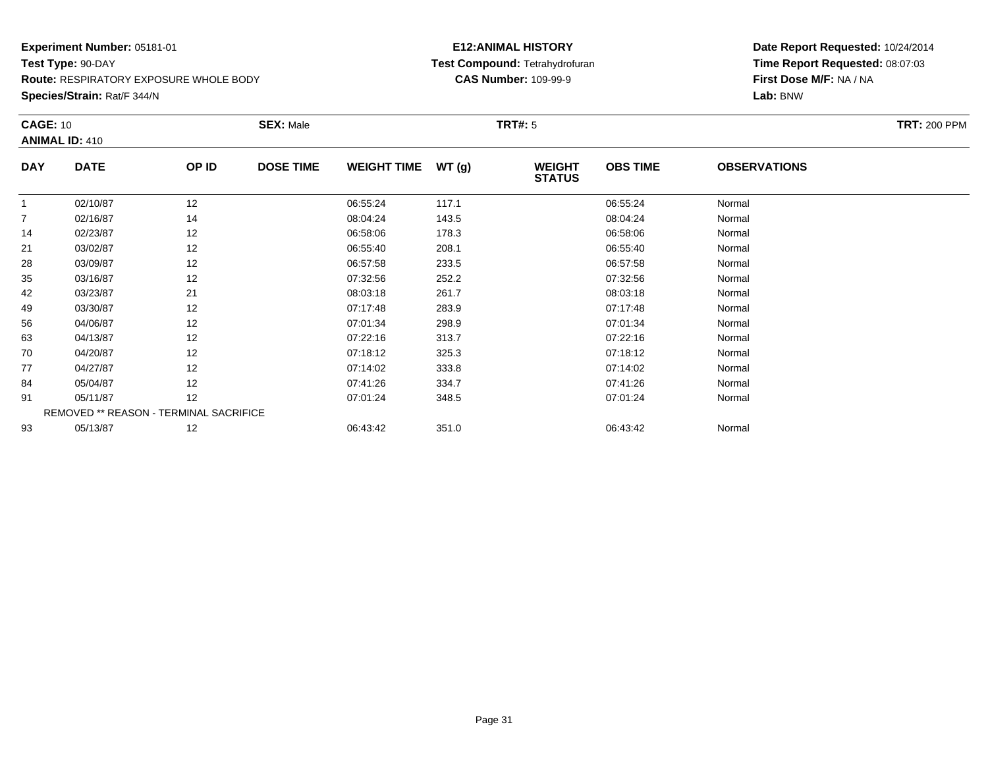**Route:** RESPIRATORY EXPOSURE WHOLE BODY

**Species/Strain:** Rat/F 344/N

# **E12:ANIMAL HISTORY Test Compound:** Tetrahydrofuran**CAS Number:** 109-99-9

|            | <b>CAGE: 10</b>                        |       | <b>SEX: Male</b> |                    |       | <b>TRT#:</b> 5                 | <b>TRT: 200 PPM</b> |                     |  |
|------------|----------------------------------------|-------|------------------|--------------------|-------|--------------------------------|---------------------|---------------------|--|
|            | <b>ANIMAL ID: 410</b>                  |       |                  |                    |       |                                |                     |                     |  |
| <b>DAY</b> | <b>DATE</b>                            | OP ID | <b>DOSE TIME</b> | <b>WEIGHT TIME</b> | WT(g) | <b>WEIGHT</b><br><b>STATUS</b> | <b>OBS TIME</b>     | <b>OBSERVATIONS</b> |  |
| -1         | 02/10/87                               | 12    |                  | 06:55:24           | 117.1 |                                | 06:55:24            | Normal              |  |
| 7          | 02/16/87                               | 14    |                  | 08:04:24           | 143.5 |                                | 08:04:24            | Normal              |  |
| 14         | 02/23/87                               | 12    |                  | 06:58:06           | 178.3 |                                | 06:58:06            | Normal              |  |
| 21         | 03/02/87                               | 12    |                  | 06:55:40           | 208.1 |                                | 06:55:40            | Normal              |  |
| 28         | 03/09/87                               | 12    |                  | 06:57:58           | 233.5 |                                | 06:57:58            | Normal              |  |
| 35         | 03/16/87                               | 12    |                  | 07:32:56           | 252.2 |                                | 07:32:56            | Normal              |  |
| 42         | 03/23/87                               | 21    |                  | 08:03:18           | 261.7 |                                | 08:03:18            | Normal              |  |
| 49         | 03/30/87                               | 12    |                  | 07:17:48           | 283.9 |                                | 07:17:48            | Normal              |  |
| 56         | 04/06/87                               | 12    |                  | 07:01:34           | 298.9 |                                | 07:01:34            | Normal              |  |
| 63         | 04/13/87                               | 12    |                  | 07:22:16           | 313.7 |                                | 07:22:16            | Normal              |  |
| 70         | 04/20/87                               | 12    |                  | 07:18:12           | 325.3 |                                | 07:18:12            | Normal              |  |
| 77         | 04/27/87                               | 12    |                  | 07:14:02           | 333.8 |                                | 07:14:02            | Normal              |  |
| 84         | 05/04/87                               | 12    |                  | 07:41:26           | 334.7 |                                | 07:41:26            | Normal              |  |
| 91         | 05/11/87                               | 12    |                  | 07:01:24           | 348.5 |                                | 07:01:24            | Normal              |  |
|            | REMOVED ** REASON - TERMINAL SACRIFICE |       |                  |                    |       |                                |                     |                     |  |
| 93         | 05/13/87                               | 12    |                  | 06:43:42           | 351.0 |                                | 06:43:42            | Normal              |  |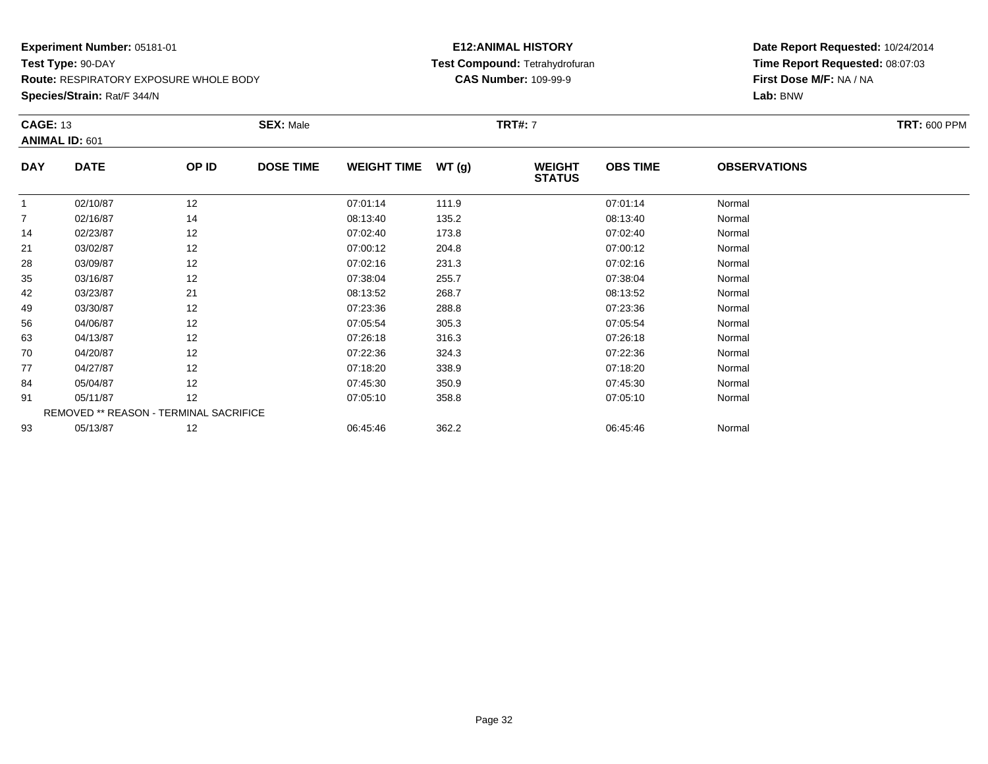**Route:** RESPIRATORY EXPOSURE WHOLE BODY

**Species/Strain:** Rat/F 344/N

# **E12:ANIMAL HISTORY Test Compound:** Tetrahydrofuran**CAS Number:** 109-99-9

| <b>CAGE: 13</b><br><b>ANIMAL ID: 601</b> |                                        |       | <b>SEX: Male</b> |                    |       | <b>TRT#:</b> 7                 |                 |                     |  |  |
|------------------------------------------|----------------------------------------|-------|------------------|--------------------|-------|--------------------------------|-----------------|---------------------|--|--|
| <b>DAY</b>                               | <b>DATE</b>                            | OP ID | <b>DOSE TIME</b> | <b>WEIGHT TIME</b> | WT(g) | <b>WEIGHT</b><br><b>STATUS</b> | <b>OBS TIME</b> | <b>OBSERVATIONS</b> |  |  |
|                                          | 02/10/87                               | 12    |                  | 07:01:14           | 111.9 |                                | 07:01:14        | Normal              |  |  |
| $\overline{7}$                           | 02/16/87                               | 14    |                  | 08:13:40           | 135.2 |                                | 08:13:40        | Normal              |  |  |
| 14                                       | 02/23/87                               | 12    |                  | 07:02:40           | 173.8 |                                | 07:02:40        | Normal              |  |  |
| 21                                       | 03/02/87                               | 12    |                  | 07:00:12           | 204.8 |                                | 07:00:12        | Normal              |  |  |
| 28                                       | 03/09/87                               | 12    |                  | 07:02:16           | 231.3 |                                | 07:02:16        | Normal              |  |  |
| 35                                       | 03/16/87                               | 12    |                  | 07:38:04           | 255.7 |                                | 07:38:04        | Normal              |  |  |
| 42                                       | 03/23/87                               | 21    |                  | 08:13:52           | 268.7 |                                | 08:13:52        | Normal              |  |  |
| 49                                       | 03/30/87                               | 12    |                  | 07:23:36           | 288.8 |                                | 07:23:36        | Normal              |  |  |
| 56                                       | 04/06/87                               | 12    |                  | 07:05:54           | 305.3 |                                | 07:05:54        | Normal              |  |  |
| 63                                       | 04/13/87                               | 12    |                  | 07:26:18           | 316.3 |                                | 07:26:18        | Normal              |  |  |
| 70                                       | 04/20/87                               | 12    |                  | 07:22:36           | 324.3 |                                | 07:22:36        | Normal              |  |  |
| 77                                       | 04/27/87                               | 12    |                  | 07:18:20           | 338.9 |                                | 07:18:20        | Normal              |  |  |
| 84                                       | 05/04/87                               | 12    |                  | 07:45:30           | 350.9 |                                | 07:45:30        | Normal              |  |  |
| 91                                       | 05/11/87                               | 12    |                  | 07:05:10           | 358.8 |                                | 07:05:10        | Normal              |  |  |
|                                          | REMOVED ** REASON - TERMINAL SACRIFICE |       |                  |                    |       |                                |                 |                     |  |  |
| 93                                       | 05/13/87                               | 12    |                  | 06:45:46           | 362.2 |                                | 06:45:46        | Normal              |  |  |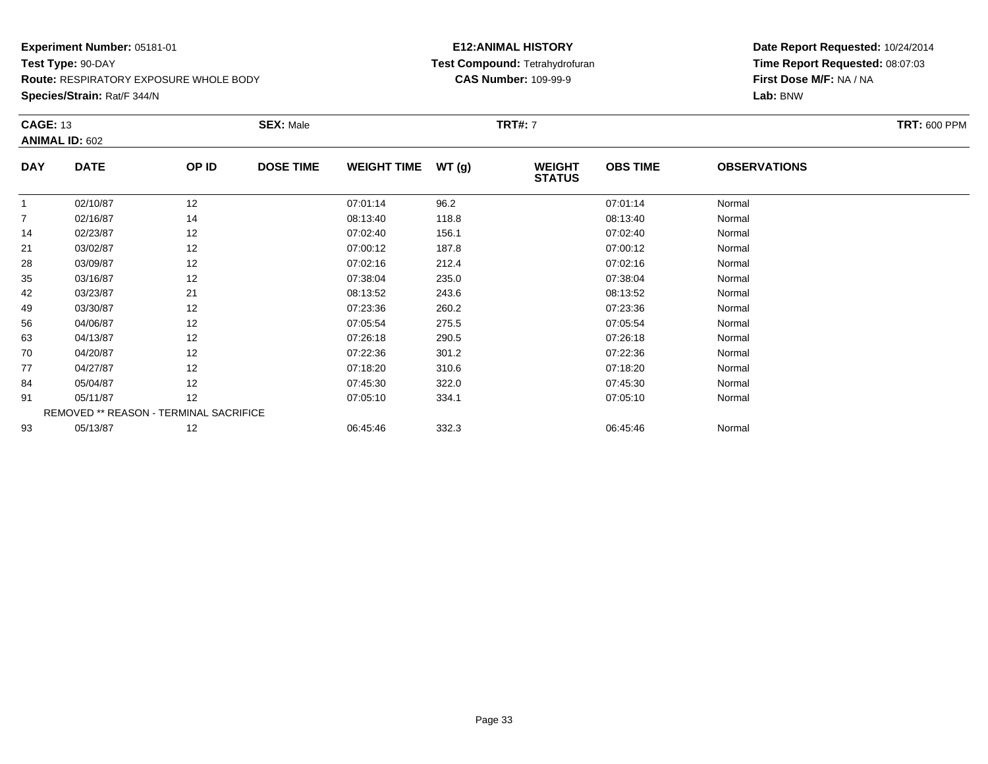**Route:** RESPIRATORY EXPOSURE WHOLE BODY

**Species/Strain:** Rat/F 344/N

# **E12:ANIMAL HISTORY Test Compound:** Tetrahydrofuran**CAS Number:** 109-99-9

|            | <b>CAGE: 13</b><br><b>ANIMAL ID: 602</b> |                                        | <b>SEX: Male</b> |                    |       | <b>TRT#:</b> 7                 |                 |                     |  |  |
|------------|------------------------------------------|----------------------------------------|------------------|--------------------|-------|--------------------------------|-----------------|---------------------|--|--|
|            |                                          |                                        |                  |                    |       |                                |                 |                     |  |  |
| <b>DAY</b> | <b>DATE</b>                              | OP ID                                  | <b>DOSE TIME</b> | <b>WEIGHT TIME</b> | WT(g) | <b>WEIGHT</b><br><b>STATUS</b> | <b>OBS TIME</b> | <b>OBSERVATIONS</b> |  |  |
| -1         | 02/10/87                                 | 12                                     |                  | 07:01:14           | 96.2  |                                | 07:01:14        | Normal              |  |  |
| 7          | 02/16/87                                 | 14                                     |                  | 08:13:40           | 118.8 |                                | 08:13:40        | Normal              |  |  |
| 14         | 02/23/87                                 | 12                                     |                  | 07:02:40           | 156.1 |                                | 07:02:40        | Normal              |  |  |
| 21         | 03/02/87                                 | 12                                     |                  | 07:00:12           | 187.8 |                                | 07:00:12        | Normal              |  |  |
| 28         | 03/09/87                                 | 12                                     |                  | 07:02:16           | 212.4 |                                | 07:02:16        | Normal              |  |  |
| 35         | 03/16/87                                 | 12                                     |                  | 07:38:04           | 235.0 |                                | 07:38:04        | Normal              |  |  |
| 42         | 03/23/87                                 | 21                                     |                  | 08:13:52           | 243.6 |                                | 08:13:52        | Normal              |  |  |
| 49         | 03/30/87                                 | 12                                     |                  | 07:23:36           | 260.2 |                                | 07:23:36        | Normal              |  |  |
| 56         | 04/06/87                                 | 12                                     |                  | 07:05:54           | 275.5 |                                | 07:05:54        | Normal              |  |  |
| 63         | 04/13/87                                 | 12                                     |                  | 07:26:18           | 290.5 |                                | 07:26:18        | Normal              |  |  |
| 70         | 04/20/87                                 | 12                                     |                  | 07:22:36           | 301.2 |                                | 07:22:36        | Normal              |  |  |
| 77         | 04/27/87                                 | 12                                     |                  | 07:18:20           | 310.6 |                                | 07:18:20        | Normal              |  |  |
| 84         | 05/04/87                                 | 12                                     |                  | 07:45:30           | 322.0 |                                | 07:45:30        | Normal              |  |  |
| 91         | 05/11/87                                 | 12                                     |                  | 07:05:10           | 334.1 |                                | 07:05:10        | Normal              |  |  |
|            |                                          | REMOVED ** REASON - TERMINAL SACRIFICE |                  |                    |       |                                |                 |                     |  |  |
| 93         | 05/13/87                                 | 12                                     |                  | 06:45:46           | 332.3 |                                | 06:45:46        | Normal              |  |  |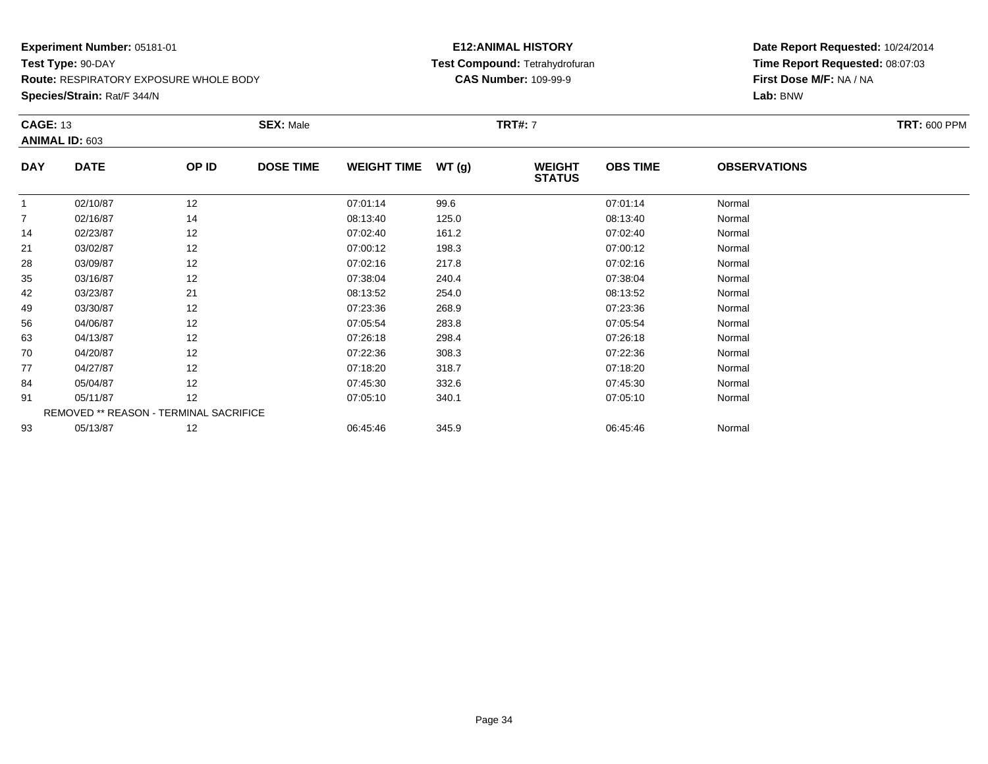**Route:** RESPIRATORY EXPOSURE WHOLE BODY

**Species/Strain:** Rat/F 344/N

# **E12:ANIMAL HISTORY Test Compound:** Tetrahydrofuran**CAS Number:** 109-99-9

| <b>CAGE: 13</b><br><b>ANIMAL ID: 603</b> |             | <b>SEX: Male</b>                       |                  |                    | <b>TRT#:</b> 7 | <b>TRT: 600 PPM</b>            |                 |                     |  |
|------------------------------------------|-------------|----------------------------------------|------------------|--------------------|----------------|--------------------------------|-----------------|---------------------|--|
|                                          |             |                                        |                  |                    |                |                                |                 |                     |  |
| <b>DAY</b>                               | <b>DATE</b> | OP ID                                  | <b>DOSE TIME</b> | <b>WEIGHT TIME</b> | WT(g)          | <b>WEIGHT</b><br><b>STATUS</b> | <b>OBS TIME</b> | <b>OBSERVATIONS</b> |  |
| $\overline{1}$                           | 02/10/87    | 12                                     |                  | 07:01:14           | 99.6           |                                | 07:01:14        | Normal              |  |
| 7                                        | 02/16/87    | 14                                     |                  | 08:13:40           | 125.0          |                                | 08:13:40        | Normal              |  |
| 14                                       | 02/23/87    | 12                                     |                  | 07:02:40           | 161.2          |                                | 07:02:40        | Normal              |  |
| 21                                       | 03/02/87    | 12                                     |                  | 07:00:12           | 198.3          |                                | 07:00:12        | Normal              |  |
| 28                                       | 03/09/87    | 12                                     |                  | 07:02:16           | 217.8          |                                | 07:02:16        | Normal              |  |
| 35                                       | 03/16/87    | 12                                     |                  | 07:38:04           | 240.4          |                                | 07:38:04        | Normal              |  |
| 42                                       | 03/23/87    | 21                                     |                  | 08:13:52           | 254.0          |                                | 08:13:52        | Normal              |  |
| 49                                       | 03/30/87    | 12                                     |                  | 07:23:36           | 268.9          |                                | 07:23:36        | Normal              |  |
| 56                                       | 04/06/87    | 12                                     |                  | 07:05:54           | 283.8          |                                | 07:05:54        | Normal              |  |
| 63                                       | 04/13/87    | 12                                     |                  | 07:26:18           | 298.4          |                                | 07:26:18        | Normal              |  |
| 70                                       | 04/20/87    | 12                                     |                  | 07:22:36           | 308.3          |                                | 07:22:36        | Normal              |  |
| 77                                       | 04/27/87    | 12                                     |                  | 07:18:20           | 318.7          |                                | 07:18:20        | Normal              |  |
| 84                                       | 05/04/87    | 12                                     |                  | 07:45:30           | 332.6          |                                | 07:45:30        | Normal              |  |
| 91                                       | 05/11/87    | 12                                     |                  | 07:05:10           | 340.1          |                                | 07:05:10        | Normal              |  |
|                                          |             | REMOVED ** REASON - TERMINAL SACRIFICE |                  |                    |                |                                |                 |                     |  |
| 93                                       | 05/13/87    | 12                                     |                  | 06:45:46           | 345.9          |                                | 06:45:46        | Normal              |  |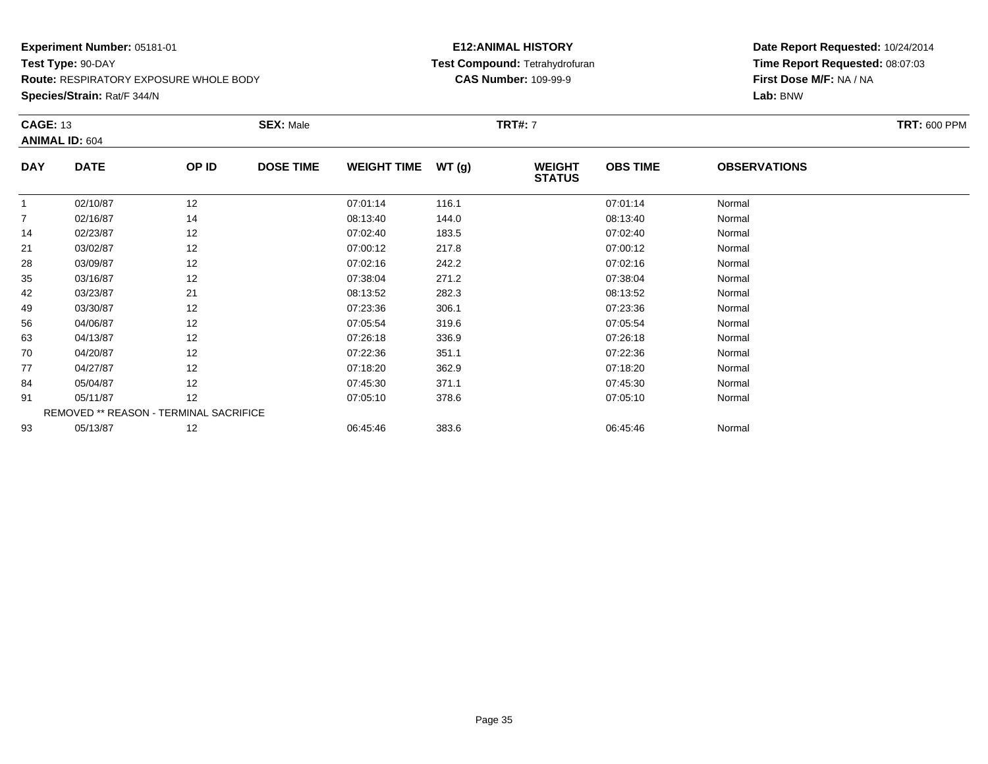**Route:** RESPIRATORY EXPOSURE WHOLE BODY

**Species/Strain:** Rat/F 344/N

# **E12:ANIMAL HISTORY Test Compound:** Tetrahydrofuran**CAS Number:** 109-99-9

|            | <b>CAGE: 13</b>                        |       | <b>SEX: Male</b> |                    |       | <b>TRT#:</b> 7                 |                 |                     |  |  |
|------------|----------------------------------------|-------|------------------|--------------------|-------|--------------------------------|-----------------|---------------------|--|--|
|            | <b>ANIMAL ID: 604</b>                  |       |                  |                    |       |                                |                 |                     |  |  |
| <b>DAY</b> | <b>DATE</b>                            | OP ID | <b>DOSE TIME</b> | <b>WEIGHT TIME</b> | WT(g) | <b>WEIGHT</b><br><b>STATUS</b> | <b>OBS TIME</b> | <b>OBSERVATIONS</b> |  |  |
| -1         | 02/10/87                               | 12    |                  | 07:01:14           | 116.1 |                                | 07:01:14        | Normal              |  |  |
| 7          | 02/16/87                               | 14    |                  | 08:13:40           | 144.0 |                                | 08:13:40        | Normal              |  |  |
| 14         | 02/23/87                               | 12    |                  | 07:02:40           | 183.5 |                                | 07:02:40        | Normal              |  |  |
| 21         | 03/02/87                               | 12    |                  | 07:00:12           | 217.8 |                                | 07:00:12        | Normal              |  |  |
| 28         | 03/09/87                               | 12    |                  | 07:02:16           | 242.2 |                                | 07:02:16        | Normal              |  |  |
| 35         | 03/16/87                               | 12    |                  | 07:38:04           | 271.2 |                                | 07:38:04        | Normal              |  |  |
| 42         | 03/23/87                               | 21    |                  | 08:13:52           | 282.3 |                                | 08:13:52        | Normal              |  |  |
| 49         | 03/30/87                               | 12    |                  | 07:23:36           | 306.1 |                                | 07:23:36        | Normal              |  |  |
| 56         | 04/06/87                               | 12    |                  | 07:05:54           | 319.6 |                                | 07:05:54        | Normal              |  |  |
| 63         | 04/13/87                               | 12    |                  | 07:26:18           | 336.9 |                                | 07:26:18        | Normal              |  |  |
| 70         | 04/20/87                               | 12    |                  | 07:22:36           | 351.1 |                                | 07:22:36        | Normal              |  |  |
| 77         | 04/27/87                               | 12    |                  | 07:18:20           | 362.9 |                                | 07:18:20        | Normal              |  |  |
| 84         | 05/04/87                               | 12    |                  | 07:45:30           | 371.1 |                                | 07:45:30        | Normal              |  |  |
| 91         | 05/11/87                               | 12    |                  | 07:05:10           | 378.6 |                                | 07:05:10        | Normal              |  |  |
|            | REMOVED ** REASON - TERMINAL SACRIFICE |       |                  |                    |       |                                |                 |                     |  |  |
| 93         | 05/13/87                               | 12    |                  | 06:45:46           | 383.6 |                                | 06:45:46        | Normal              |  |  |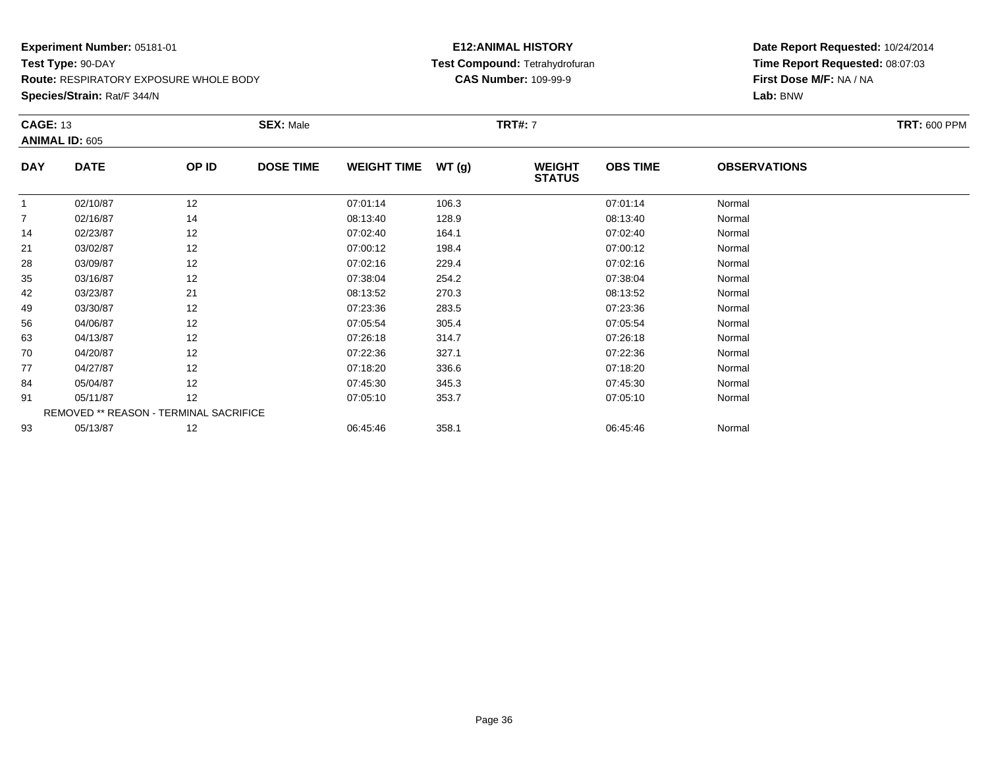**Route:** RESPIRATORY EXPOSURE WHOLE BODY

**Species/Strain:** Rat/F 344/N

# **E12:ANIMAL HISTORY Test Compound:** Tetrahydrofuran**CAS Number:** 109-99-9

|                | <b>CAGE: 13</b>                        |       | <b>SEX: Male</b> |                    |       | <b>TRT#: 7</b>                 | <b>TRT: 600 PPM</b> |                     |  |
|----------------|----------------------------------------|-------|------------------|--------------------|-------|--------------------------------|---------------------|---------------------|--|
|                | <b>ANIMAL ID: 605</b>                  |       |                  |                    |       |                                |                     |                     |  |
| <b>DAY</b>     | <b>DATE</b>                            | OP ID | <b>DOSE TIME</b> | <b>WEIGHT TIME</b> | WT(g) | <b>WEIGHT</b><br><b>STATUS</b> | <b>OBS TIME</b>     | <b>OBSERVATIONS</b> |  |
| -1             | 02/10/87                               | 12    |                  | 07:01:14           | 106.3 |                                | 07:01:14            | Normal              |  |
| $\overline{7}$ | 02/16/87                               | 14    |                  | 08:13:40           | 128.9 |                                | 08:13:40            | Normal              |  |
| 14             | 02/23/87                               | 12    |                  | 07:02:40           | 164.1 |                                | 07:02:40            | Normal              |  |
| 21             | 03/02/87                               | 12    |                  | 07:00:12           | 198.4 |                                | 07:00:12            | Normal              |  |
| 28             | 03/09/87                               | 12    |                  | 07:02:16           | 229.4 |                                | 07:02:16            | Normal              |  |
| 35             | 03/16/87                               | 12    |                  | 07:38:04           | 254.2 |                                | 07:38:04            | Normal              |  |
| 42             | 03/23/87                               | 21    |                  | 08:13:52           | 270.3 |                                | 08:13:52            | Normal              |  |
| 49             | 03/30/87                               | 12    |                  | 07:23:36           | 283.5 |                                | 07:23:36            | Normal              |  |
| 56             | 04/06/87                               | 12    |                  | 07:05:54           | 305.4 |                                | 07:05:54            | Normal              |  |
| 63             | 04/13/87                               | 12    |                  | 07:26:18           | 314.7 |                                | 07:26:18            | Normal              |  |
| 70             | 04/20/87                               | 12    |                  | 07:22:36           | 327.1 |                                | 07:22:36            | Normal              |  |
| 77             | 04/27/87                               | 12    |                  | 07:18:20           | 336.6 |                                | 07:18:20            | Normal              |  |
| 84             | 05/04/87                               | 12    |                  | 07:45:30           | 345.3 |                                | 07:45:30            | Normal              |  |
| 91             | 05/11/87                               | 12    |                  | 07:05:10           | 353.7 |                                | 07:05:10            | Normal              |  |
|                | REMOVED ** REASON - TERMINAL SACRIFICE |       |                  |                    |       |                                |                     |                     |  |
| 93             | 05/13/87                               | 12    |                  | 06:45:46           | 358.1 |                                | 06:45:46            | Normal              |  |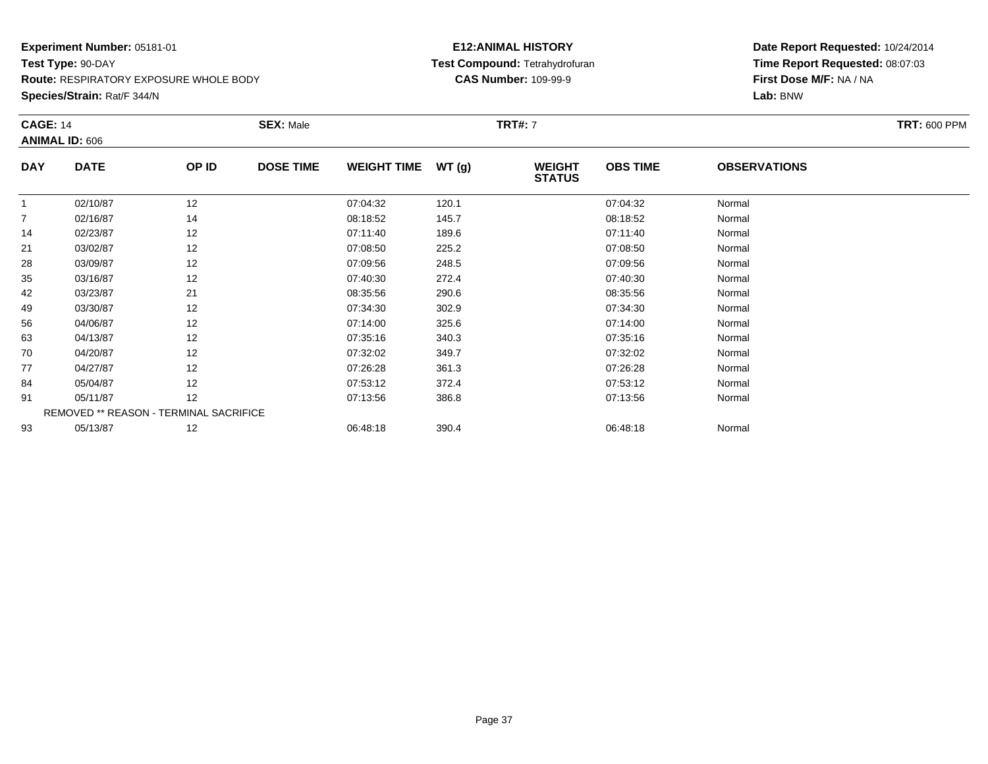**Route:** RESPIRATORY EXPOSURE WHOLE BODY

**Species/Strain:** Rat/F 344/N

## **E12:ANIMAL HISTORY Test Compound:** Tetrahydrofuran**CAS Number:** 109-99-9

| <b>CAGE: 14</b> |                       |                                        | <b>SEX: Male</b> |                    |       | <b>TRT#:</b> 7                 |                 |                     | <b>TRT: 600 PPM</b> |
|-----------------|-----------------------|----------------------------------------|------------------|--------------------|-------|--------------------------------|-----------------|---------------------|---------------------|
|                 | <b>ANIMAL ID: 606</b> |                                        |                  |                    |       |                                |                 |                     |                     |
| <b>DAY</b>      | <b>DATE</b>           | OP ID                                  | <b>DOSE TIME</b> | <b>WEIGHT TIME</b> | WT(g) | <b>WEIGHT</b><br><b>STATUS</b> | <b>OBS TIME</b> | <b>OBSERVATIONS</b> |                     |
| $\overline{1}$  | 02/10/87              | 12                                     |                  | 07:04:32           | 120.1 |                                | 07:04:32        | Normal              |                     |
| 7               | 02/16/87              | 14                                     |                  | 08:18:52           | 145.7 |                                | 08:18:52        | Normal              |                     |
| 14              | 02/23/87              | 12                                     |                  | 07:11:40           | 189.6 |                                | 07:11:40        | Normal              |                     |
| 21              | 03/02/87              | 12                                     |                  | 07:08:50           | 225.2 |                                | 07:08:50        | Normal              |                     |
| 28              | 03/09/87              | 12                                     |                  | 07:09:56           | 248.5 |                                | 07:09:56        | Normal              |                     |
| 35              | 03/16/87              | 12                                     |                  | 07:40:30           | 272.4 |                                | 07:40:30        | Normal              |                     |
| 42              | 03/23/87              | 21                                     |                  | 08:35:56           | 290.6 |                                | 08:35:56        | Normal              |                     |
| 49              | 03/30/87              | 12                                     |                  | 07:34:30           | 302.9 |                                | 07:34:30        | Normal              |                     |
| 56              | 04/06/87              | 12                                     |                  | 07:14:00           | 325.6 |                                | 07:14:00        | Normal              |                     |
| 63              | 04/13/87              | 12                                     |                  | 07:35:16           | 340.3 |                                | 07:35:16        | Normal              |                     |
| 70              | 04/20/87              | 12                                     |                  | 07:32:02           | 349.7 |                                | 07:32:02        | Normal              |                     |
| 77              | 04/27/87              | 12                                     |                  | 07:26:28           | 361.3 |                                | 07:26:28        | Normal              |                     |
| 84              | 05/04/87              | 12                                     |                  | 07:53:12           | 372.4 |                                | 07:53:12        | Normal              |                     |
| 91              | 05/11/87              | 12                                     |                  | 07:13:56           | 386.8 |                                | 07:13:56        | Normal              |                     |
|                 |                       | REMOVED ** REASON - TERMINAL SACRIFICE |                  |                    |       |                                |                 |                     |                     |
| 93              | 05/13/87              | 12                                     |                  | 06:48:18           | 390.4 |                                | 06:48:18        | Normal              |                     |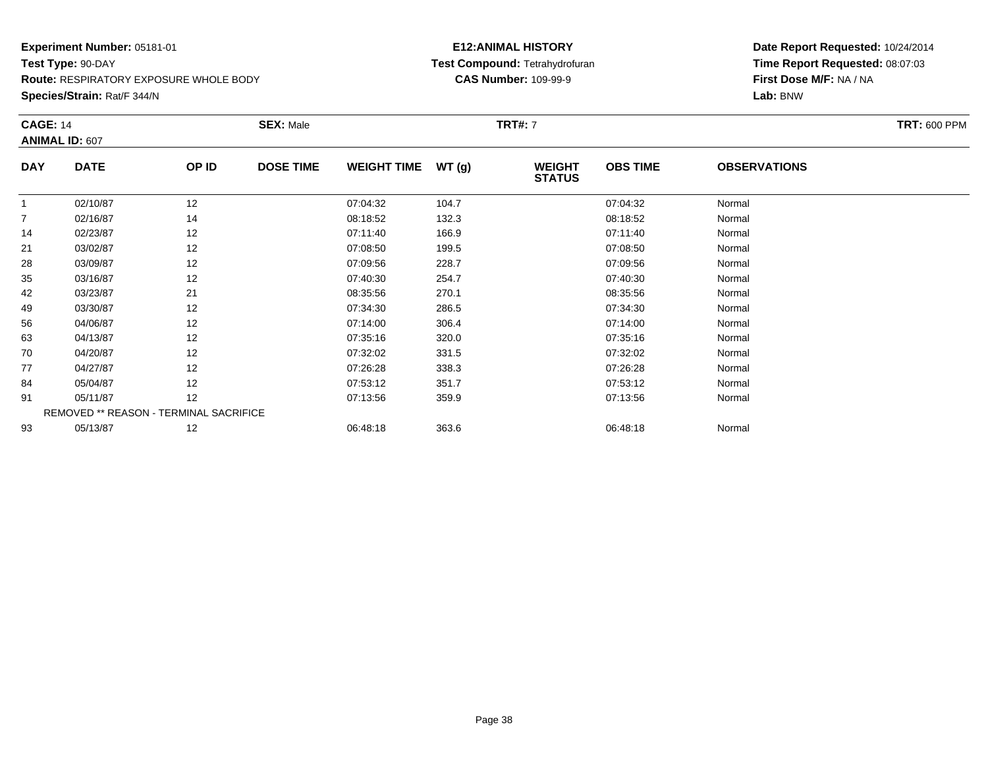**Route:** RESPIRATORY EXPOSURE WHOLE BODY

**Species/Strain:** Rat/F 344/N

## **E12:ANIMAL HISTORY Test Compound:** Tetrahydrofuran**CAS Number:** 109-99-9

| <b>CAGE: 14</b> | <b>ANIMAL ID: 607</b>                  |       | <b>SEX: Male</b> |                    |       | <b>TRT#:</b> 7                 |                 |                     | <b>TRT: 600 PPM</b> |
|-----------------|----------------------------------------|-------|------------------|--------------------|-------|--------------------------------|-----------------|---------------------|---------------------|
| <b>DAY</b>      | <b>DATE</b>                            | OP ID | <b>DOSE TIME</b> | <b>WEIGHT TIME</b> | WT(g) | <b>WEIGHT</b><br><b>STATUS</b> | <b>OBS TIME</b> | <b>OBSERVATIONS</b> |                     |
| $\overline{1}$  | 02/10/87                               | 12    |                  | 07:04:32           | 104.7 |                                | 07:04:32        | Normal              |                     |
| 7               | 02/16/87                               | 14    |                  | 08:18:52           | 132.3 |                                | 08:18:52        | Normal              |                     |
| 14              | 02/23/87                               | 12    |                  | 07:11:40           | 166.9 |                                | 07:11:40        | Normal              |                     |
| 21              | 03/02/87                               | 12    |                  | 07:08:50           | 199.5 |                                | 07:08:50        | Normal              |                     |
| 28              | 03/09/87                               | 12    |                  | 07:09:56           | 228.7 |                                | 07:09:56        | Normal              |                     |
| 35              | 03/16/87                               | 12    |                  | 07:40:30           | 254.7 |                                | 07:40:30        | Normal              |                     |
| 42              | 03/23/87                               | 21    |                  | 08:35:56           | 270.1 |                                | 08:35:56        | Normal              |                     |
| 49              | 03/30/87                               | 12    |                  | 07:34:30           | 286.5 |                                | 07:34:30        | Normal              |                     |
| 56              | 04/06/87                               | 12    |                  | 07:14:00           | 306.4 |                                | 07:14:00        | Normal              |                     |
| 63              | 04/13/87                               | 12    |                  | 07:35:16           | 320.0 |                                | 07:35:16        | Normal              |                     |
| 70              | 04/20/87                               | 12    |                  | 07:32:02           | 331.5 |                                | 07:32:02        | Normal              |                     |
| 77              | 04/27/87                               | 12    |                  | 07:26:28           | 338.3 |                                | 07:26:28        | Normal              |                     |
| 84              | 05/04/87                               | 12    |                  | 07:53:12           | 351.7 |                                | 07:53:12        | Normal              |                     |
| 91              | 05/11/87                               | 12    |                  | 07:13:56           | 359.9 |                                | 07:13:56        | Normal              |                     |
|                 | REMOVED ** REASON - TERMINAL SACRIFICE |       |                  |                    |       |                                |                 |                     |                     |
| 93              | 05/13/87                               | 12    |                  | 06:48:18           | 363.6 |                                | 06:48:18        | Normal              |                     |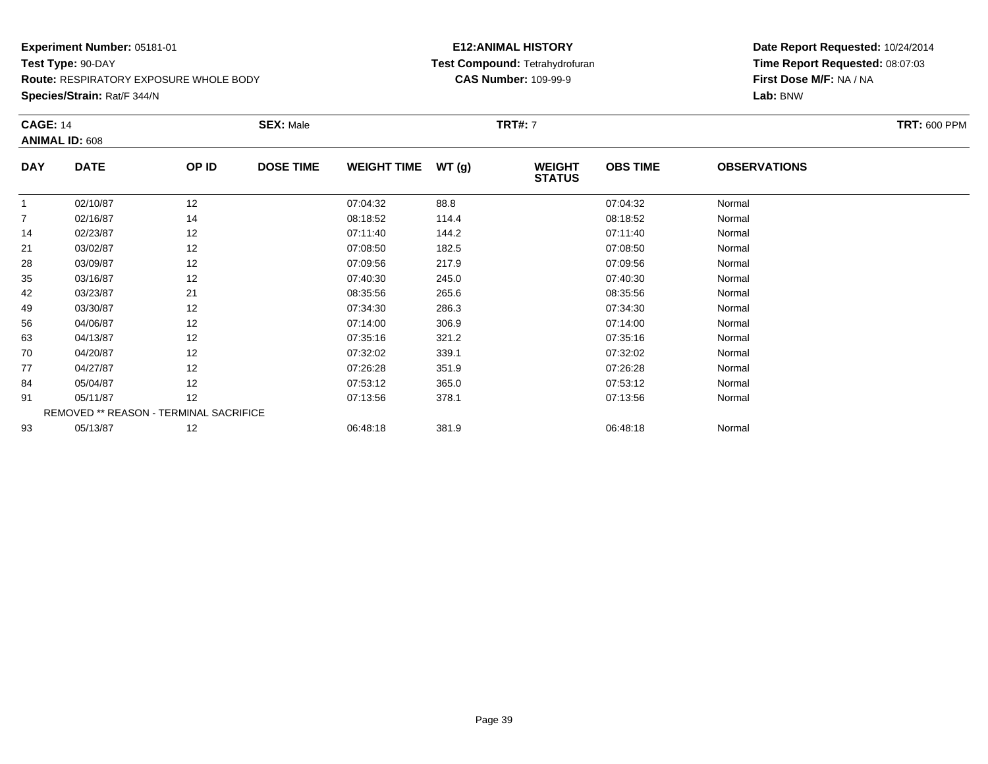**Route:** RESPIRATORY EXPOSURE WHOLE BODY

**Species/Strain:** Rat/F 344/N

## **E12:ANIMAL HISTORY Test Compound:** Tetrahydrofuran**CAS Number:** 109-99-9

| <b>CAGE: 14</b> |                                        |       | <b>SEX: Male</b> |                    |       | <b>TRT#:</b> 7                 |                 |                     | <b>TRT: 600 PPM</b> |
|-----------------|----------------------------------------|-------|------------------|--------------------|-------|--------------------------------|-----------------|---------------------|---------------------|
|                 | <b>ANIMAL ID: 608</b>                  |       |                  |                    |       |                                |                 |                     |                     |
| <b>DAY</b>      | <b>DATE</b>                            | OP ID | <b>DOSE TIME</b> | <b>WEIGHT TIME</b> | WT(g) | <b>WEIGHT</b><br><b>STATUS</b> | <b>OBS TIME</b> | <b>OBSERVATIONS</b> |                     |
| $\overline{1}$  | 02/10/87                               | 12    |                  | 07:04:32           | 88.8  |                                | 07:04:32        | Normal              |                     |
| 7               | 02/16/87                               | 14    |                  | 08:18:52           | 114.4 |                                | 08:18:52        | Normal              |                     |
| 14              | 02/23/87                               | 12    |                  | 07:11:40           | 144.2 |                                | 07:11:40        | Normal              |                     |
| 21              | 03/02/87                               | 12    |                  | 07:08:50           | 182.5 |                                | 07:08:50        | Normal              |                     |
| 28              | 03/09/87                               | 12    |                  | 07:09:56           | 217.9 |                                | 07:09:56        | Normal              |                     |
| 35              | 03/16/87                               | 12    |                  | 07:40:30           | 245.0 |                                | 07:40:30        | Normal              |                     |
| 42              | 03/23/87                               | 21    |                  | 08:35:56           | 265.6 |                                | 08:35:56        | Normal              |                     |
| 49              | 03/30/87                               | 12    |                  | 07:34:30           | 286.3 |                                | 07:34:30        | Normal              |                     |
| 56              | 04/06/87                               | 12    |                  | 07:14:00           | 306.9 |                                | 07:14:00        | Normal              |                     |
| 63              | 04/13/87                               | 12    |                  | 07:35:16           | 321.2 |                                | 07:35:16        | Normal              |                     |
| 70              | 04/20/87                               | 12    |                  | 07:32:02           | 339.1 |                                | 07:32:02        | Normal              |                     |
| 77              | 04/27/87                               | 12    |                  | 07:26:28           | 351.9 |                                | 07:26:28        | Normal              |                     |
| 84              | 05/04/87                               | 12    |                  | 07:53:12           | 365.0 |                                | 07:53:12        | Normal              |                     |
| 91              | 05/11/87                               | 12    |                  | 07:13:56           | 378.1 |                                | 07:13:56        | Normal              |                     |
|                 | REMOVED ** REASON - TERMINAL SACRIFICE |       |                  |                    |       |                                |                 |                     |                     |
| 93              | 05/13/87                               | 12    |                  | 06:48:18           | 381.9 |                                | 06:48:18        | Normal              |                     |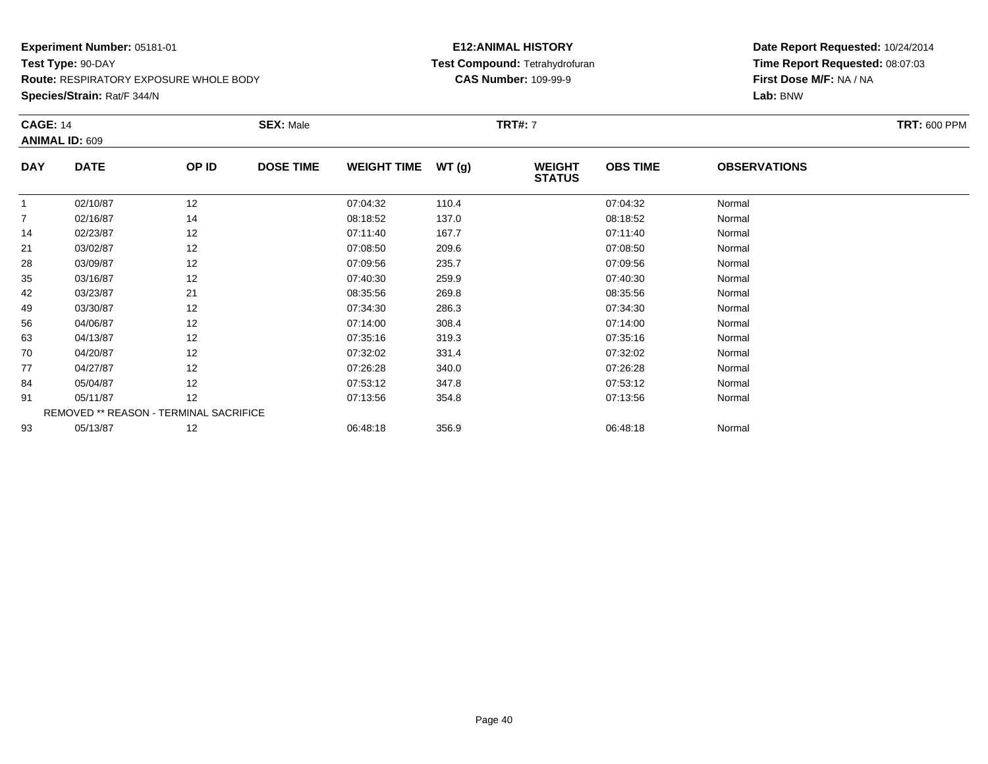**Route:** RESPIRATORY EXPOSURE WHOLE BODY

**Species/Strain:** Rat/F 344/N

## **E12:ANIMAL HISTORY Test Compound:** Tetrahydrofuran**CAS Number:** 109-99-9

| <b>CAGE: 14</b> |                                        |       | <b>SEX: Male</b> |                    |       | <b>TRT#:</b> 7                 |                 |                     | <b>TRT: 600 PPM</b> |
|-----------------|----------------------------------------|-------|------------------|--------------------|-------|--------------------------------|-----------------|---------------------|---------------------|
|                 | <b>ANIMAL ID: 609</b>                  |       |                  |                    |       |                                |                 |                     |                     |
| <b>DAY</b>      | <b>DATE</b>                            | OP ID | <b>DOSE TIME</b> | <b>WEIGHT TIME</b> | WT(g) | <b>WEIGHT</b><br><b>STATUS</b> | <b>OBS TIME</b> | <b>OBSERVATIONS</b> |                     |
| -1              | 02/10/87                               | 12    |                  | 07:04:32           | 110.4 |                                | 07:04:32        | Normal              |                     |
| 7               | 02/16/87                               | 14    |                  | 08:18:52           | 137.0 |                                | 08:18:52        | Normal              |                     |
| 14              | 02/23/87                               | 12    |                  | 07:11:40           | 167.7 |                                | 07:11:40        | Normal              |                     |
| 21              | 03/02/87                               | 12    |                  | 07:08:50           | 209.6 |                                | 07:08:50        | Normal              |                     |
| 28              | 03/09/87                               | 12    |                  | 07:09:56           | 235.7 |                                | 07:09:56        | Normal              |                     |
| 35              | 03/16/87                               | 12    |                  | 07:40:30           | 259.9 |                                | 07:40:30        | Normal              |                     |
| 42              | 03/23/87                               | 21    |                  | 08:35:56           | 269.8 |                                | 08:35:56        | Normal              |                     |
| 49              | 03/30/87                               | 12    |                  | 07:34:30           | 286.3 |                                | 07:34:30        | Normal              |                     |
| 56              | 04/06/87                               | 12    |                  | 07:14:00           | 308.4 |                                | 07:14:00        | Normal              |                     |
| 63              | 04/13/87                               | 12    |                  | 07:35:16           | 319.3 |                                | 07:35:16        | Normal              |                     |
| 70              | 04/20/87                               | 12    |                  | 07:32:02           | 331.4 |                                | 07:32:02        | Normal              |                     |
| 77              | 04/27/87                               | 12    |                  | 07:26:28           | 340.0 |                                | 07:26:28        | Normal              |                     |
| 84              | 05/04/87                               | 12    |                  | 07:53:12           | 347.8 |                                | 07:53:12        | Normal              |                     |
| 91              | 05/11/87                               | 12    |                  | 07:13:56           | 354.8 |                                | 07:13:56        | Normal              |                     |
|                 | REMOVED ** REASON - TERMINAL SACRIFICE |       |                  |                    |       |                                |                 |                     |                     |
| 93              | 05/13/87                               | 12    |                  | 06:48:18           | 356.9 |                                | 06:48:18        | Normal              |                     |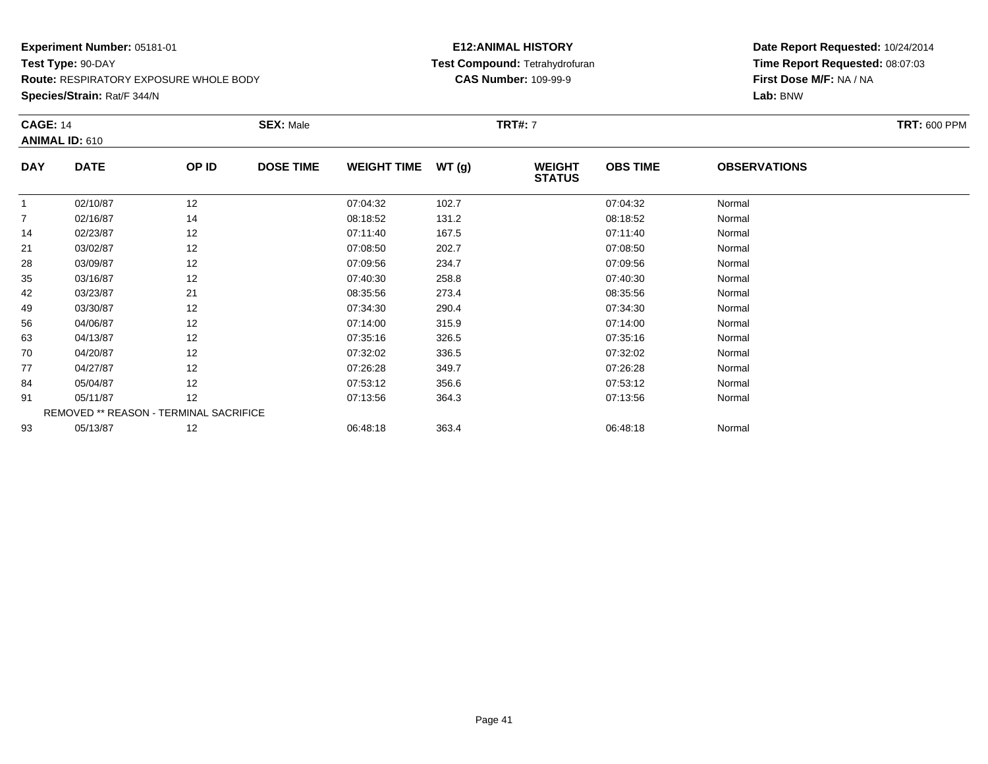**Route:** RESPIRATORY EXPOSURE WHOLE BODY

**Species/Strain:** Rat/F 344/N

## **E12:ANIMAL HISTORY Test Compound:** Tetrahydrofuran**CAS Number:** 109-99-9

| <b>CAGE: 14</b> |                       |                                        | <b>SEX: Male</b> |                    |       | <b>TRT#:</b> 7                 |                 |                     | <b>TRT: 600 PPM</b> |
|-----------------|-----------------------|----------------------------------------|------------------|--------------------|-------|--------------------------------|-----------------|---------------------|---------------------|
|                 | <b>ANIMAL ID: 610</b> |                                        |                  |                    |       |                                |                 |                     |                     |
| <b>DAY</b>      | <b>DATE</b>           | OP ID                                  | <b>DOSE TIME</b> | <b>WEIGHT TIME</b> | WT(g) | <b>WEIGHT</b><br><b>STATUS</b> | <b>OBS TIME</b> | <b>OBSERVATIONS</b> |                     |
| $\overline{1}$  | 02/10/87              | 12                                     |                  | 07:04:32           | 102.7 |                                | 07:04:32        | Normal              |                     |
| 7               | 02/16/87              | 14                                     |                  | 08:18:52           | 131.2 |                                | 08:18:52        | Normal              |                     |
| 14              | 02/23/87              | 12                                     |                  | 07:11:40           | 167.5 |                                | 07:11:40        | Normal              |                     |
| 21              | 03/02/87              | 12                                     |                  | 07:08:50           | 202.7 |                                | 07:08:50        | Normal              |                     |
| 28              | 03/09/87              | 12                                     |                  | 07:09:56           | 234.7 |                                | 07:09:56        | Normal              |                     |
| 35              | 03/16/87              | 12                                     |                  | 07:40:30           | 258.8 |                                | 07:40:30        | Normal              |                     |
| 42              | 03/23/87              | 21                                     |                  | 08:35:56           | 273.4 |                                | 08:35:56        | Normal              |                     |
| 49              | 03/30/87              | 12                                     |                  | 07:34:30           | 290.4 |                                | 07:34:30        | Normal              |                     |
| 56              | 04/06/87              | 12                                     |                  | 07:14:00           | 315.9 |                                | 07:14:00        | Normal              |                     |
| 63              | 04/13/87              | 12                                     |                  | 07:35:16           | 326.5 |                                | 07:35:16        | Normal              |                     |
| 70              | 04/20/87              | 12                                     |                  | 07:32:02           | 336.5 |                                | 07:32:02        | Normal              |                     |
| 77              | 04/27/87              | 12                                     |                  | 07:26:28           | 349.7 |                                | 07:26:28        | Normal              |                     |
| 84              | 05/04/87              | 12                                     |                  | 07:53:12           | 356.6 |                                | 07:53:12        | Normal              |                     |
| 91              | 05/11/87              | 12                                     |                  | 07:13:56           | 364.3 |                                | 07:13:56        | Normal              |                     |
|                 |                       | REMOVED ** REASON - TERMINAL SACRIFICE |                  |                    |       |                                |                 |                     |                     |
| 93              | 05/13/87              | 12                                     |                  | 06:48:18           | 363.4 |                                | 06:48:18        | Normal              |                     |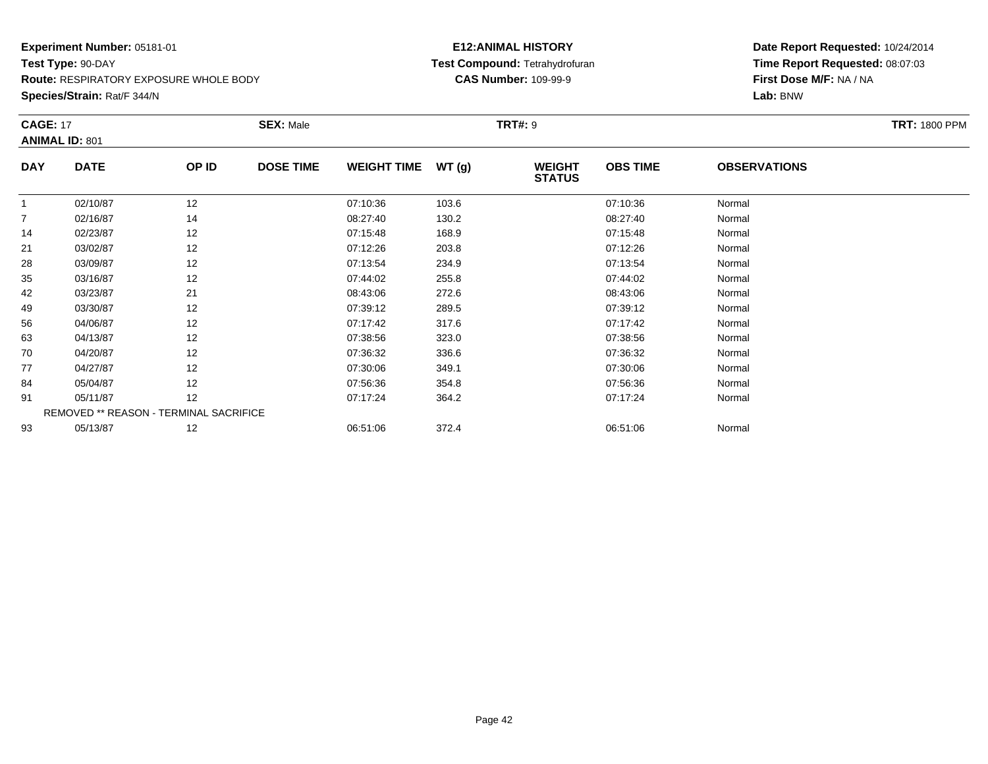**Route:** RESPIRATORY EXPOSURE WHOLE BODY

**Species/Strain:** Rat/F 344/N

## **E12:ANIMAL HISTORY Test Compound:** Tetrahydrofuran**CAS Number:** 109-99-9

| <b>CAGE: 17</b> | <b>ANIMAL ID: 801</b>                  |       | <b>SEX: Male</b> |                    |       | <b>TRT#: 9</b>                 |                 |                     | <b>TRT: 1800 PPM</b> |
|-----------------|----------------------------------------|-------|------------------|--------------------|-------|--------------------------------|-----------------|---------------------|----------------------|
| <b>DAY</b>      | <b>DATE</b>                            | OP ID | <b>DOSE TIME</b> | <b>WEIGHT TIME</b> | WT(g) | <b>WEIGHT</b><br><b>STATUS</b> | <b>OBS TIME</b> | <b>OBSERVATIONS</b> |                      |
| $\mathbf{1}$    | 02/10/87                               | 12    |                  | 07:10:36           | 103.6 |                                | 07:10:36        | Normal              |                      |
| 7               | 02/16/87                               | 14    |                  | 08:27:40           | 130.2 |                                | 08:27:40        | Normal              |                      |
| 14              | 02/23/87                               | 12    |                  | 07:15:48           | 168.9 |                                | 07:15:48        | Normal              |                      |
| 21              | 03/02/87                               | 12    |                  | 07:12:26           | 203.8 |                                | 07:12:26        | Normal              |                      |
| 28              | 03/09/87                               | 12    |                  | 07:13:54           | 234.9 |                                | 07:13:54        | Normal              |                      |
| 35              | 03/16/87                               | 12    |                  | 07:44:02           | 255.8 |                                | 07:44:02        | Normal              |                      |
| 42              | 03/23/87                               | 21    |                  | 08:43:06           | 272.6 |                                | 08:43:06        | Normal              |                      |
| 49              | 03/30/87                               | 12    |                  | 07:39:12           | 289.5 |                                | 07:39:12        | Normal              |                      |
| 56              | 04/06/87                               | 12    |                  | 07:17:42           | 317.6 |                                | 07:17:42        | Normal              |                      |
| 63              | 04/13/87                               | 12    |                  | 07:38:56           | 323.0 |                                | 07:38:56        | Normal              |                      |
| 70              | 04/20/87                               | 12    |                  | 07:36:32           | 336.6 |                                | 07:36:32        | Normal              |                      |
| 77              | 04/27/87                               | 12    |                  | 07:30:06           | 349.1 |                                | 07:30:06        | Normal              |                      |
| 84              | 05/04/87                               | 12    |                  | 07:56:36           | 354.8 |                                | 07:56:36        | Normal              |                      |
| 91              | 05/11/87                               | 12    |                  | 07:17:24           | 364.2 |                                | 07:17:24        | Normal              |                      |
|                 | REMOVED ** REASON - TERMINAL SACRIFICE |       |                  |                    |       |                                |                 |                     |                      |
| 93              | 05/13/87                               | 12    |                  | 06:51:06           | 372.4 |                                | 06:51:06        | Normal              |                      |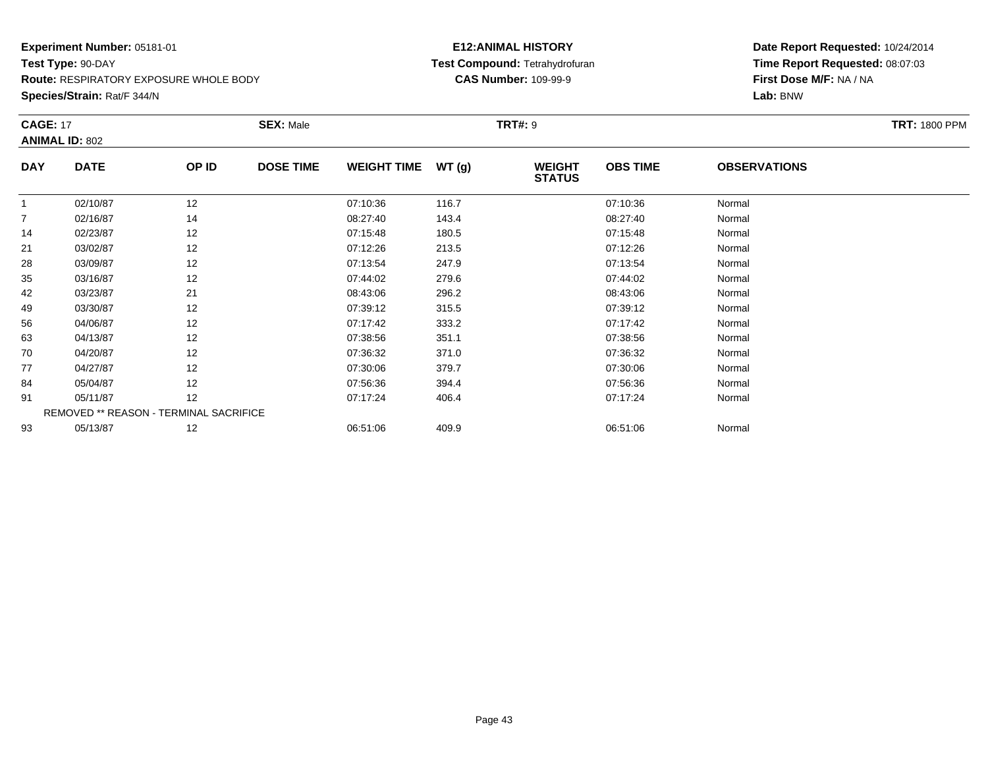**Route:** RESPIRATORY EXPOSURE WHOLE BODY

**Species/Strain:** Rat/F 344/N

## **E12:ANIMAL HISTORY Test Compound:** Tetrahydrofuran**CAS Number:** 109-99-9

| <b>CAGE: 17</b> | <b>ANIMAL ID: 802</b>                  |       | <b>SEX: Male</b> |                    |       | <b>TRT#: 9</b>                 |                 |                     | <b>TRT: 1800 PPM</b> |
|-----------------|----------------------------------------|-------|------------------|--------------------|-------|--------------------------------|-----------------|---------------------|----------------------|
| <b>DAY</b>      | <b>DATE</b>                            | OP ID | <b>DOSE TIME</b> | <b>WEIGHT TIME</b> | WT(g) | <b>WEIGHT</b><br><b>STATUS</b> | <b>OBS TIME</b> | <b>OBSERVATIONS</b> |                      |
| $\mathbf{1}$    | 02/10/87                               | 12    |                  | 07:10:36           | 116.7 |                                | 07:10:36        | Normal              |                      |
| $\overline{7}$  | 02/16/87                               | 14    |                  | 08:27:40           | 143.4 |                                | 08:27:40        | Normal              |                      |
| 14              | 02/23/87                               | 12    |                  | 07:15:48           | 180.5 |                                | 07:15:48        | Normal              |                      |
| 21              | 03/02/87                               | 12    |                  | 07:12:26           | 213.5 |                                | 07:12:26        | Normal              |                      |
| 28              | 03/09/87                               | 12    |                  | 07:13:54           | 247.9 |                                | 07:13:54        | Normal              |                      |
| 35              | 03/16/87                               | 12    |                  | 07:44:02           | 279.6 |                                | 07:44:02        | Normal              |                      |
| 42              | 03/23/87                               | 21    |                  | 08:43:06           | 296.2 |                                | 08:43:06        | Normal              |                      |
| 49              | 03/30/87                               | 12    |                  | 07:39:12           | 315.5 |                                | 07:39:12        | Normal              |                      |
| 56              | 04/06/87                               | 12    |                  | 07:17:42           | 333.2 |                                | 07:17:42        | Normal              |                      |
| 63              | 04/13/87                               | 12    |                  | 07:38:56           | 351.1 |                                | 07:38:56        | Normal              |                      |
| 70              | 04/20/87                               | 12    |                  | 07:36:32           | 371.0 |                                | 07:36:32        | Normal              |                      |
| 77              | 04/27/87                               | 12    |                  | 07:30:06           | 379.7 |                                | 07:30:06        | Normal              |                      |
| 84              | 05/04/87                               | 12    |                  | 07:56:36           | 394.4 |                                | 07:56:36        | Normal              |                      |
| 91              | 05/11/87                               | 12    |                  | 07:17:24           | 406.4 |                                | 07:17:24        | Normal              |                      |
|                 | REMOVED ** REASON - TERMINAL SACRIFICE |       |                  |                    |       |                                |                 |                     |                      |
| 93              | 05/13/87                               | 12    |                  | 06:51:06           | 409.9 |                                | 06:51:06        | Normal              |                      |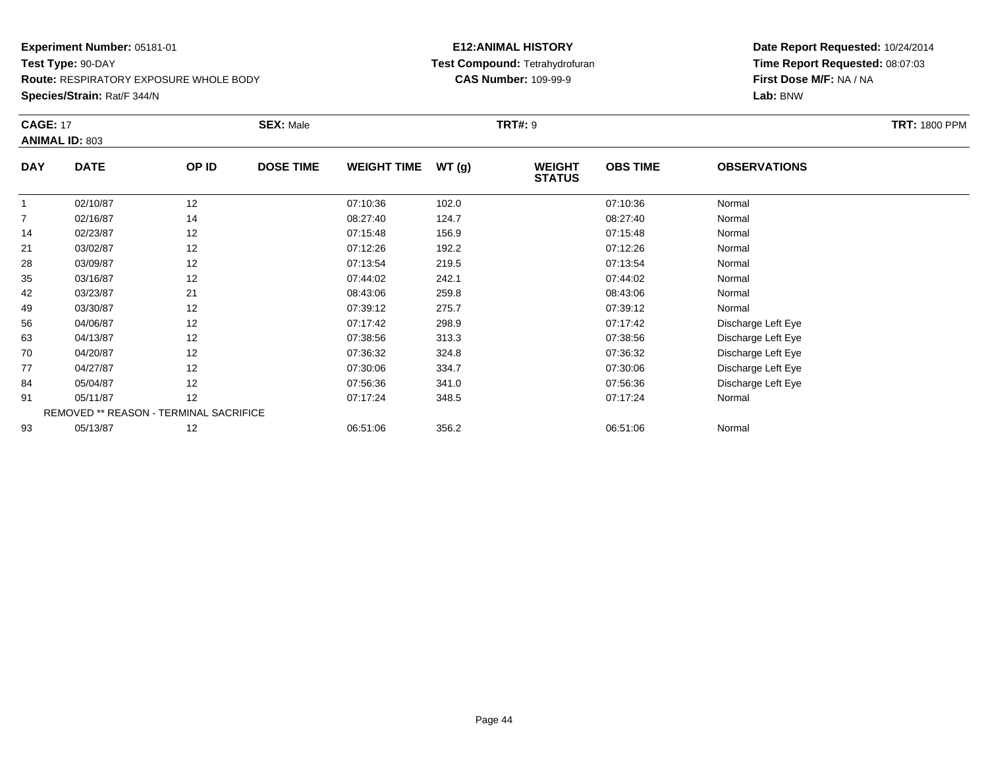**Route:** RESPIRATORY EXPOSURE WHOLE BODY

**Species/Strain:** Rat/F 344/N

## **E12:ANIMAL HISTORY Test Compound:** Tetrahydrofuran**CAS Number:** 109-99-9

| <b>CAGE: 17</b> | <b>ANIMAL ID: 803</b>                  |       | <b>SEX: Male</b> |                    |       | <b>TRT#: 9</b>                 |                 |                     | <b>TRT: 1800 PPM</b> |
|-----------------|----------------------------------------|-------|------------------|--------------------|-------|--------------------------------|-----------------|---------------------|----------------------|
|                 |                                        |       |                  |                    |       |                                |                 |                     |                      |
| <b>DAY</b>      | <b>DATE</b>                            | OP ID | <b>DOSE TIME</b> | <b>WEIGHT TIME</b> | WT(g) | <b>WEIGHT</b><br><b>STATUS</b> | <b>OBS TIME</b> | <b>OBSERVATIONS</b> |                      |
| $\overline{1}$  | 02/10/87                               | 12    |                  | 07:10:36           | 102.0 |                                | 07:10:36        | Normal              |                      |
| 7               | 02/16/87                               | 14    |                  | 08:27:40           | 124.7 |                                | 08:27:40        | Normal              |                      |
| 14              | 02/23/87                               | 12    |                  | 07:15:48           | 156.9 |                                | 07:15:48        | Normal              |                      |
| 21              | 03/02/87                               | 12    |                  | 07:12:26           | 192.2 |                                | 07:12:26        | Normal              |                      |
| 28              | 03/09/87                               | 12    |                  | 07:13:54           | 219.5 |                                | 07:13:54        | Normal              |                      |
| 35              | 03/16/87                               | 12    |                  | 07:44:02           | 242.1 |                                | 07:44:02        | Normal              |                      |
| 42              | 03/23/87                               | 21    |                  | 08:43:06           | 259.8 |                                | 08:43:06        | Normal              |                      |
| 49              | 03/30/87                               | 12    |                  | 07:39:12           | 275.7 |                                | 07:39:12        | Normal              |                      |
| 56              | 04/06/87                               | 12    |                  | 07:17:42           | 298.9 |                                | 07:17:42        | Discharge Left Eye  |                      |
| 63              | 04/13/87                               | 12    |                  | 07:38:56           | 313.3 |                                | 07:38:56        | Discharge Left Eye  |                      |
| 70              | 04/20/87                               | 12    |                  | 07:36:32           | 324.8 |                                | 07:36:32        | Discharge Left Eye  |                      |
| 77              | 04/27/87                               | 12    |                  | 07:30:06           | 334.7 |                                | 07:30:06        | Discharge Left Eye  |                      |
| 84              | 05/04/87                               | 12    |                  | 07:56:36           | 341.0 |                                | 07:56:36        | Discharge Left Eye  |                      |
| 91              | 05/11/87                               | 12    |                  | 07:17:24           | 348.5 |                                | 07:17:24        | Normal              |                      |
|                 | REMOVED ** REASON - TERMINAL SACRIFICE |       |                  |                    |       |                                |                 |                     |                      |
| 93              | 05/13/87                               | 12    |                  | 06:51:06           | 356.2 |                                | 06:51:06        | Normal              |                      |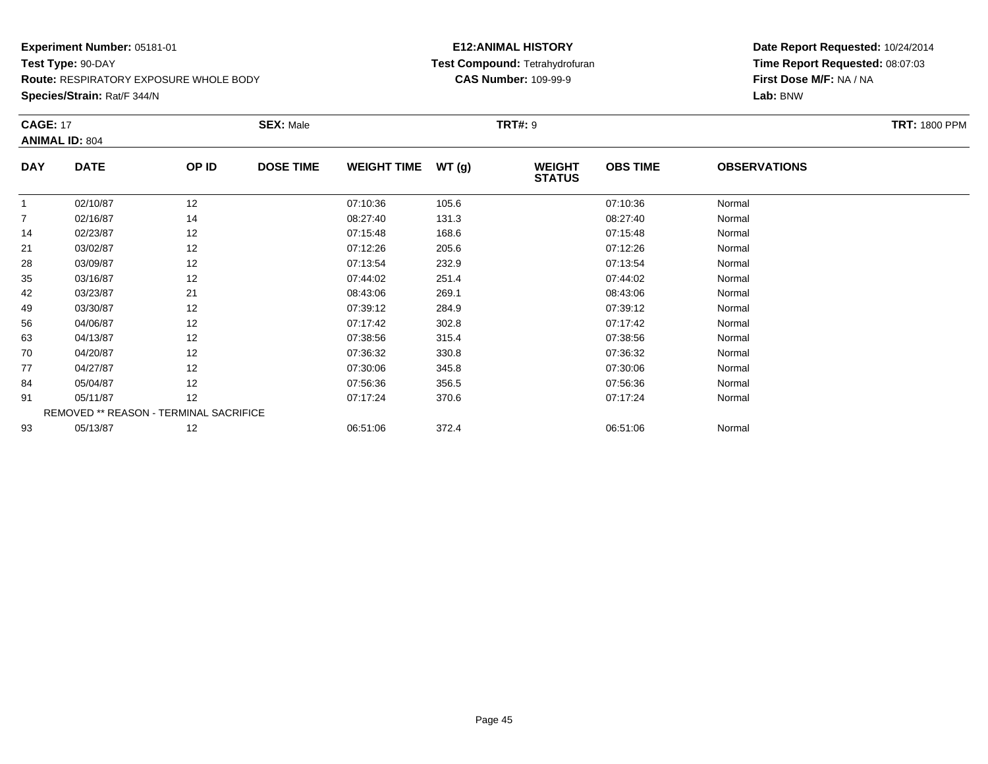**Route:** RESPIRATORY EXPOSURE WHOLE BODY

**Species/Strain:** Rat/F 344/N

## **E12:ANIMAL HISTORY Test Compound:** Tetrahydrofuran**CAS Number:** 109-99-9

| <b>CAGE: 17</b> | <b>ANIMAL ID: 804</b>                  |       | <b>SEX: Male</b> |                    |       | <b>TRT#: 9</b>                 |                 |                     | <b>TRT: 1800 PPM</b> |
|-----------------|----------------------------------------|-------|------------------|--------------------|-------|--------------------------------|-----------------|---------------------|----------------------|
| <b>DAY</b>      | <b>DATE</b>                            | OP ID | <b>DOSE TIME</b> | <b>WEIGHT TIME</b> | WT(g) | <b>WEIGHT</b><br><b>STATUS</b> | <b>OBS TIME</b> | <b>OBSERVATIONS</b> |                      |
| $\mathbf{1}$    | 02/10/87                               | 12    |                  | 07:10:36           | 105.6 |                                | 07:10:36        | Normal              |                      |
| $\overline{7}$  | 02/16/87                               | 14    |                  | 08:27:40           | 131.3 |                                | 08:27:40        | Normal              |                      |
| 14              | 02/23/87                               | 12    |                  | 07:15:48           | 168.6 |                                | 07:15:48        | Normal              |                      |
| 21              | 03/02/87                               | 12    |                  | 07:12:26           | 205.6 |                                | 07:12:26        | Normal              |                      |
| 28              | 03/09/87                               | 12    |                  | 07:13:54           | 232.9 |                                | 07:13:54        | Normal              |                      |
| 35              | 03/16/87                               | 12    |                  | 07:44:02           | 251.4 |                                | 07:44:02        | Normal              |                      |
| 42              | 03/23/87                               | 21    |                  | 08:43:06           | 269.1 |                                | 08:43:06        | Normal              |                      |
| 49              | 03/30/87                               | 12    |                  | 07:39:12           | 284.9 |                                | 07:39:12        | Normal              |                      |
| 56              | 04/06/87                               | 12    |                  | 07:17:42           | 302.8 |                                | 07:17:42        | Normal              |                      |
| 63              | 04/13/87                               | 12    |                  | 07:38:56           | 315.4 |                                | 07:38:56        | Normal              |                      |
| 70              | 04/20/87                               | 12    |                  | 07:36:32           | 330.8 |                                | 07:36:32        | Normal              |                      |
| 77              | 04/27/87                               | 12    |                  | 07:30:06           | 345.8 |                                | 07:30:06        | Normal              |                      |
| 84              | 05/04/87                               | 12    |                  | 07:56:36           | 356.5 |                                | 07:56:36        | Normal              |                      |
| 91              | 05/11/87                               | 12    |                  | 07:17:24           | 370.6 |                                | 07:17:24        | Normal              |                      |
|                 | REMOVED ** REASON - TERMINAL SACRIFICE |       |                  |                    |       |                                |                 |                     |                      |
| 93              | 05/13/87                               | 12    |                  | 06:51:06           | 372.4 |                                | 06:51:06        | Normal              |                      |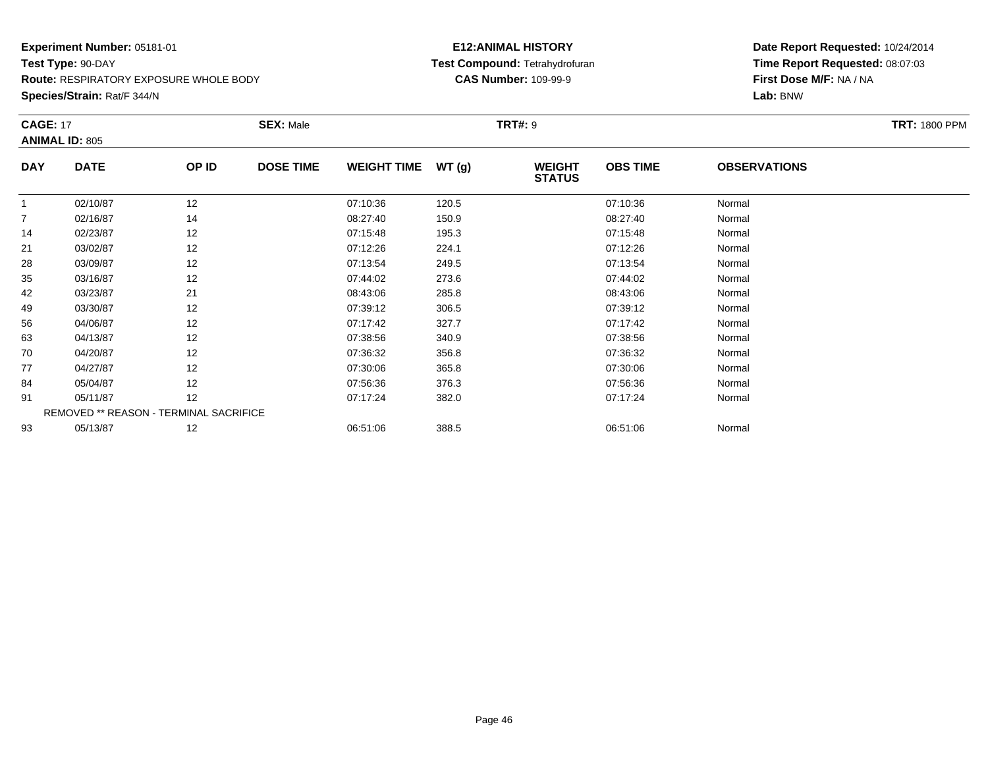**Route:** RESPIRATORY EXPOSURE WHOLE BODY

**Species/Strain:** Rat/F 344/N

## **E12:ANIMAL HISTORY Test Compound:** Tetrahydrofuran**CAS Number:** 109-99-9

| <b>CAGE: 17</b> |                       |                                        | <b>SEX: Male</b> |                    |        | <b>TRT#: 9</b>                 |                 |                     | <b>TRT: 1800 PPM</b> |
|-----------------|-----------------------|----------------------------------------|------------------|--------------------|--------|--------------------------------|-----------------|---------------------|----------------------|
|                 | <b>ANIMAL ID: 805</b> |                                        |                  |                    |        |                                |                 |                     |                      |
| <b>DAY</b>      | <b>DATE</b>           | OP ID                                  | <b>DOSE TIME</b> | <b>WEIGHT TIME</b> | WT (g) | <b>WEIGHT</b><br><b>STATUS</b> | <b>OBS TIME</b> | <b>OBSERVATIONS</b> |                      |
| $\mathbf{1}$    | 02/10/87              | 12                                     |                  | 07:10:36           | 120.5  |                                | 07:10:36        | Normal              |                      |
| 7               | 02/16/87              | 14                                     |                  | 08:27:40           | 150.9  |                                | 08:27:40        | Normal              |                      |
| 14              | 02/23/87              | 12                                     |                  | 07:15:48           | 195.3  |                                | 07:15:48        | Normal              |                      |
| 21              | 03/02/87              | 12                                     |                  | 07:12:26           | 224.1  |                                | 07:12:26        | Normal              |                      |
| 28              | 03/09/87              | 12                                     |                  | 07:13:54           | 249.5  |                                | 07:13:54        | Normal              |                      |
| 35              | 03/16/87              | 12                                     |                  | 07:44:02           | 273.6  |                                | 07:44:02        | Normal              |                      |
| 42              | 03/23/87              | 21                                     |                  | 08:43:06           | 285.8  |                                | 08:43:06        | Normal              |                      |
| 49              | 03/30/87              | 12                                     |                  | 07:39:12           | 306.5  |                                | 07:39:12        | Normal              |                      |
| 56              | 04/06/87              | 12                                     |                  | 07:17:42           | 327.7  |                                | 07:17:42        | Normal              |                      |
| 63              | 04/13/87              | 12                                     |                  | 07:38:56           | 340.9  |                                | 07:38:56        | Normal              |                      |
| 70              | 04/20/87              | 12                                     |                  | 07:36:32           | 356.8  |                                | 07:36:32        | Normal              |                      |
| 77              | 04/27/87              | 12                                     |                  | 07:30:06           | 365.8  |                                | 07:30:06        | Normal              |                      |
| 84              | 05/04/87              | 12                                     |                  | 07:56:36           | 376.3  |                                | 07:56:36        | Normal              |                      |
| 91              | 05/11/87              | 12                                     |                  | 07:17:24           | 382.0  |                                | 07:17:24        | Normal              |                      |
|                 |                       | REMOVED ** REASON - TERMINAL SACRIFICE |                  |                    |        |                                |                 |                     |                      |
| 93              | 05/13/87              | 12                                     |                  | 06:51:06           | 388.5  |                                | 06:51:06        | Normal              |                      |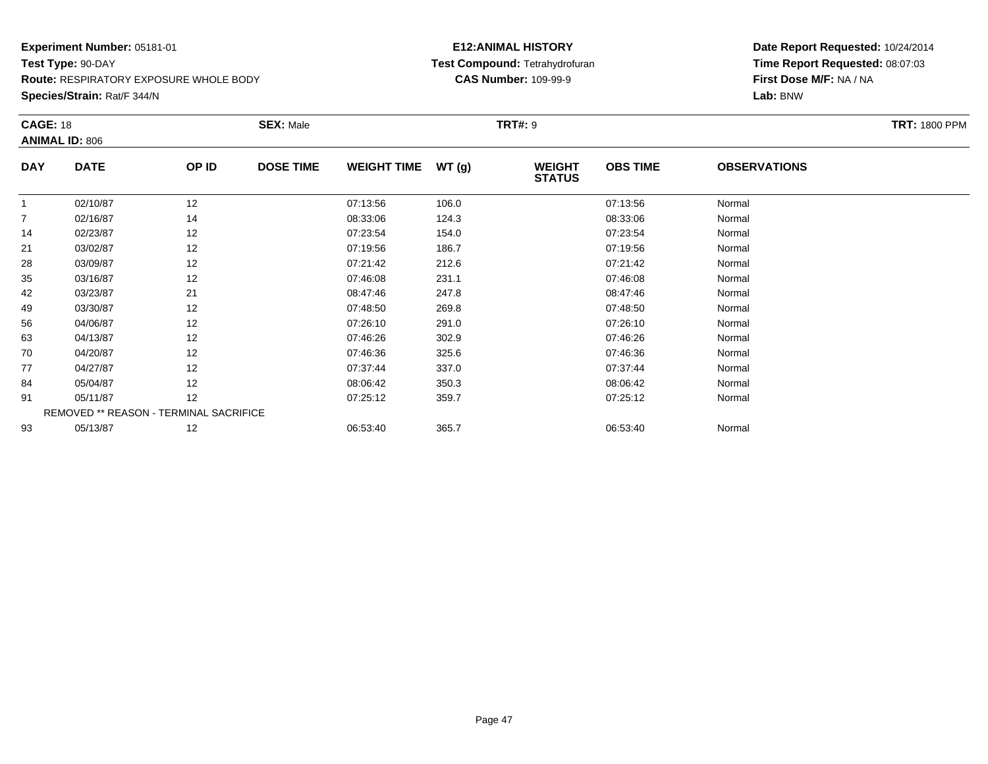**Route:** RESPIRATORY EXPOSURE WHOLE BODY

**Species/Strain:** Rat/F 344/N

## **E12:ANIMAL HISTORY Test Compound:** Tetrahydrofuran**CAS Number:** 109-99-9

| <b>CAGE: 18</b> | <b>ANIMAL ID: 806</b>                  |       | <b>SEX: Male</b> |                    |       | <b>TRT#: 9</b>                 |                 |                     | <b>TRT: 1800 PPM</b> |
|-----------------|----------------------------------------|-------|------------------|--------------------|-------|--------------------------------|-----------------|---------------------|----------------------|
| <b>DAY</b>      | <b>DATE</b>                            | OP ID | <b>DOSE TIME</b> | <b>WEIGHT TIME</b> | WT(g) | <b>WEIGHT</b><br><b>STATUS</b> | <b>OBS TIME</b> | <b>OBSERVATIONS</b> |                      |
| $\mathbf{1}$    | 02/10/87                               | 12    |                  | 07:13:56           | 106.0 |                                | 07:13:56        | Normal              |                      |
| $\overline{7}$  | 02/16/87                               | 14    |                  | 08:33:06           | 124.3 |                                | 08:33:06        | Normal              |                      |
| 14              | 02/23/87                               | 12    |                  | 07:23:54           | 154.0 |                                | 07:23:54        | Normal              |                      |
| 21              | 03/02/87                               | 12    |                  | 07:19:56           | 186.7 |                                | 07:19:56        | Normal              |                      |
| 28              | 03/09/87                               | 12    |                  | 07:21:42           | 212.6 |                                | 07:21:42        | Normal              |                      |
| 35              | 03/16/87                               | 12    |                  | 07:46:08           | 231.1 |                                | 07:46:08        | Normal              |                      |
| 42              | 03/23/87                               | 21    |                  | 08:47:46           | 247.8 |                                | 08:47:46        | Normal              |                      |
| 49              | 03/30/87                               | 12    |                  | 07:48:50           | 269.8 |                                | 07:48:50        | Normal              |                      |
| 56              | 04/06/87                               | 12    |                  | 07:26:10           | 291.0 |                                | 07:26:10        | Normal              |                      |
| 63              | 04/13/87                               | 12    |                  | 07:46:26           | 302.9 |                                | 07:46:26        | Normal              |                      |
| 70              | 04/20/87                               | 12    |                  | 07:46:36           | 325.6 |                                | 07:46:36        | Normal              |                      |
| 77              | 04/27/87                               | 12    |                  | 07:37:44           | 337.0 |                                | 07:37:44        | Normal              |                      |
| 84              | 05/04/87                               | 12    |                  | 08:06:42           | 350.3 |                                | 08:06:42        | Normal              |                      |
| 91              | 05/11/87                               | 12    |                  | 07:25:12           | 359.7 |                                | 07:25:12        | Normal              |                      |
|                 | REMOVED ** REASON - TERMINAL SACRIFICE |       |                  |                    |       |                                |                 |                     |                      |
| 93              | 05/13/87                               | 12    |                  | 06:53:40           | 365.7 |                                | 06:53:40        | Normal              |                      |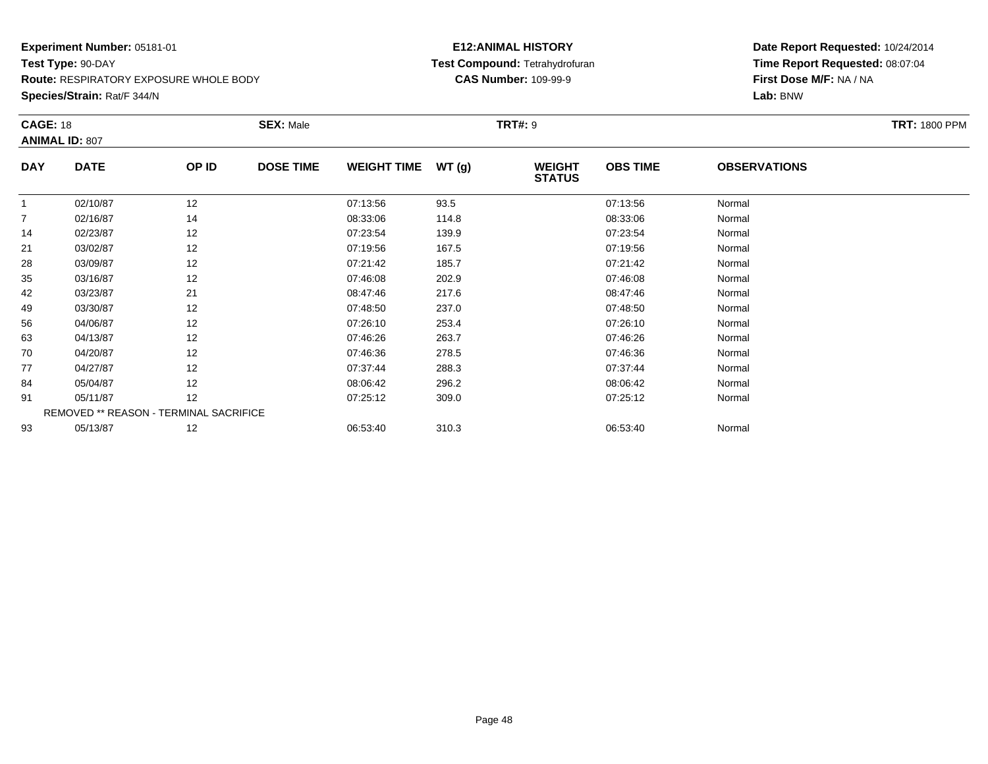**Route:** RESPIRATORY EXPOSURE WHOLE BODY

**Species/Strain:** Rat/F 344/N

## **E12:ANIMAL HISTORY Test Compound:** Tetrahydrofuran**CAS Number:** 109-99-9

| <b>CAGE: 18</b> | <b>ANIMAL ID: 807</b> |                                        | <b>SEX: Male</b> |                    |       | <b>TRT#: 9</b>                 |                 |                     | <b>TRT: 1800 PPM</b> |
|-----------------|-----------------------|----------------------------------------|------------------|--------------------|-------|--------------------------------|-----------------|---------------------|----------------------|
|                 |                       |                                        |                  |                    |       |                                |                 |                     |                      |
| <b>DAY</b>      | <b>DATE</b>           | OP ID                                  | <b>DOSE TIME</b> | <b>WEIGHT TIME</b> | WT(g) | <b>WEIGHT</b><br><b>STATUS</b> | <b>OBS TIME</b> | <b>OBSERVATIONS</b> |                      |
| $\overline{1}$  | 02/10/87              | 12                                     |                  | 07:13:56           | 93.5  |                                | 07:13:56        | Normal              |                      |
| 7               | 02/16/87              | 14                                     |                  | 08:33:06           | 114.8 |                                | 08:33:06        | Normal              |                      |
| 14              | 02/23/87              | 12                                     |                  | 07:23:54           | 139.9 |                                | 07:23:54        | Normal              |                      |
| 21              | 03/02/87              | 12                                     |                  | 07:19:56           | 167.5 |                                | 07:19:56        | Normal              |                      |
| 28              | 03/09/87              | 12                                     |                  | 07:21:42           | 185.7 |                                | 07:21:42        | Normal              |                      |
| 35              | 03/16/87              | 12                                     |                  | 07:46:08           | 202.9 |                                | 07:46:08        | Normal              |                      |
| 42              | 03/23/87              | 21                                     |                  | 08:47:46           | 217.6 |                                | 08:47:46        | Normal              |                      |
| 49              | 03/30/87              | 12                                     |                  | 07:48:50           | 237.0 |                                | 07:48:50        | Normal              |                      |
| 56              | 04/06/87              | 12                                     |                  | 07:26:10           | 253.4 |                                | 07:26:10        | Normal              |                      |
| 63              | 04/13/87              | 12                                     |                  | 07:46:26           | 263.7 |                                | 07:46:26        | Normal              |                      |
| 70              | 04/20/87              | 12                                     |                  | 07:46:36           | 278.5 |                                | 07:46:36        | Normal              |                      |
| 77              | 04/27/87              | 12                                     |                  | 07:37:44           | 288.3 |                                | 07:37:44        | Normal              |                      |
| 84              | 05/04/87              | 12                                     |                  | 08:06:42           | 296.2 |                                | 08:06:42        | Normal              |                      |
| 91              | 05/11/87              | 12                                     |                  | 07:25:12           | 309.0 |                                | 07:25:12        | Normal              |                      |
|                 |                       | REMOVED ** REASON - TERMINAL SACRIFICE |                  |                    |       |                                |                 |                     |                      |
| 93              | 05/13/87              | 12                                     |                  | 06:53:40           | 310.3 |                                | 06:53:40        | Normal              |                      |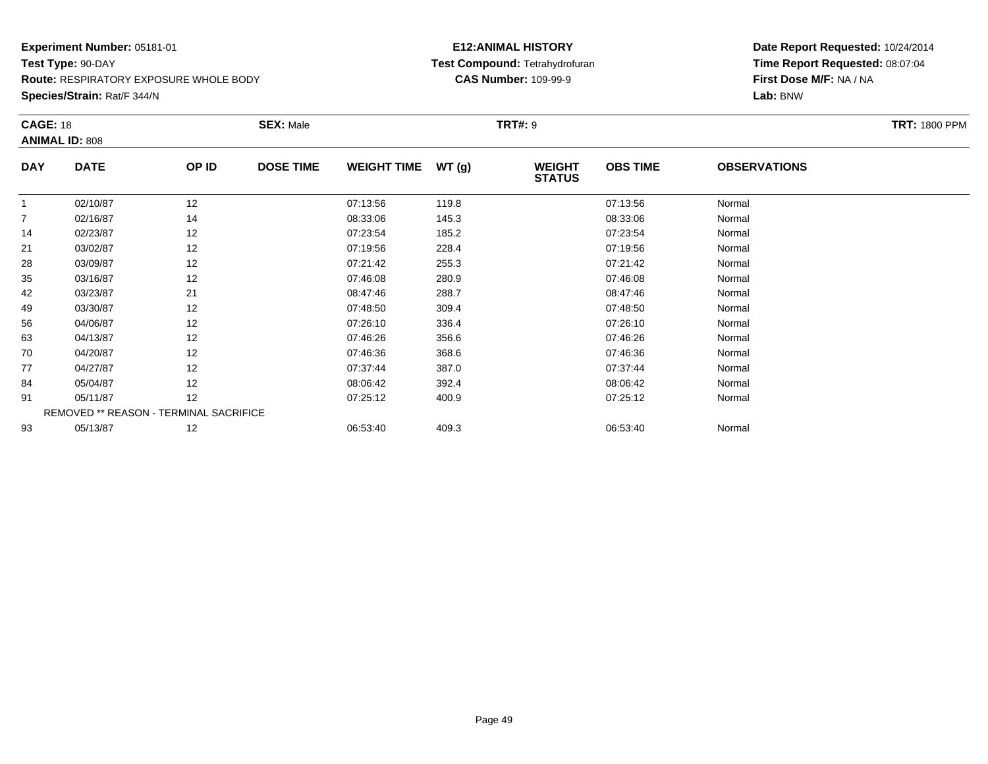**Route:** RESPIRATORY EXPOSURE WHOLE BODY

**Species/Strain:** Rat/F 344/N

## **E12:ANIMAL HISTORY Test Compound:** Tetrahydrofuran**CAS Number:** 109-99-9

| <b>CAGE: 18</b> |                                        |       | <b>SEX: Male</b> |                    |        | <b>TRT#: 9</b>                 |                 |                     | <b>TRT: 1800 PPM</b> |
|-----------------|----------------------------------------|-------|------------------|--------------------|--------|--------------------------------|-----------------|---------------------|----------------------|
|                 | <b>ANIMAL ID: 808</b>                  |       |                  |                    |        |                                |                 |                     |                      |
| <b>DAY</b>      | <b>DATE</b>                            | OP ID | <b>DOSE TIME</b> | <b>WEIGHT TIME</b> | WT (g) | <b>WEIGHT</b><br><b>STATUS</b> | <b>OBS TIME</b> | <b>OBSERVATIONS</b> |                      |
| $\mathbf{1}$    | 02/10/87                               | 12    |                  | 07:13:56           | 119.8  |                                | 07:13:56        | Normal              |                      |
| 7               | 02/16/87                               | 14    |                  | 08:33:06           | 145.3  |                                | 08:33:06        | Normal              |                      |
| 14              | 02/23/87                               | 12    |                  | 07:23:54           | 185.2  |                                | 07:23:54        | Normal              |                      |
| 21              | 03/02/87                               | 12    |                  | 07:19:56           | 228.4  |                                | 07:19:56        | Normal              |                      |
| 28              | 03/09/87                               | 12    |                  | 07:21:42           | 255.3  |                                | 07:21:42        | Normal              |                      |
| 35              | 03/16/87                               | 12    |                  | 07:46:08           | 280.9  |                                | 07:46:08        | Normal              |                      |
| 42              | 03/23/87                               | 21    |                  | 08:47:46           | 288.7  |                                | 08:47:46        | Normal              |                      |
| 49              | 03/30/87                               | 12    |                  | 07:48:50           | 309.4  |                                | 07:48:50        | Normal              |                      |
| 56              | 04/06/87                               | 12    |                  | 07:26:10           | 336.4  |                                | 07:26:10        | Normal              |                      |
| 63              | 04/13/87                               | 12    |                  | 07:46:26           | 356.6  |                                | 07:46:26        | Normal              |                      |
| 70              | 04/20/87                               | 12    |                  | 07:46:36           | 368.6  |                                | 07:46:36        | Normal              |                      |
| 77              | 04/27/87                               | 12    |                  | 07:37:44           | 387.0  |                                | 07:37:44        | Normal              |                      |
| 84              | 05/04/87                               | 12    |                  | 08:06:42           | 392.4  |                                | 08:06:42        | Normal              |                      |
| 91              | 05/11/87                               | 12    |                  | 07:25:12           | 400.9  |                                | 07:25:12        | Normal              |                      |
|                 | REMOVED ** REASON - TERMINAL SACRIFICE |       |                  |                    |        |                                |                 |                     |                      |
| 93              | 05/13/87                               | 12    |                  | 06:53:40           | 409.3  |                                | 06:53:40        | Normal              |                      |
|                 |                                        |       |                  |                    |        |                                |                 |                     |                      |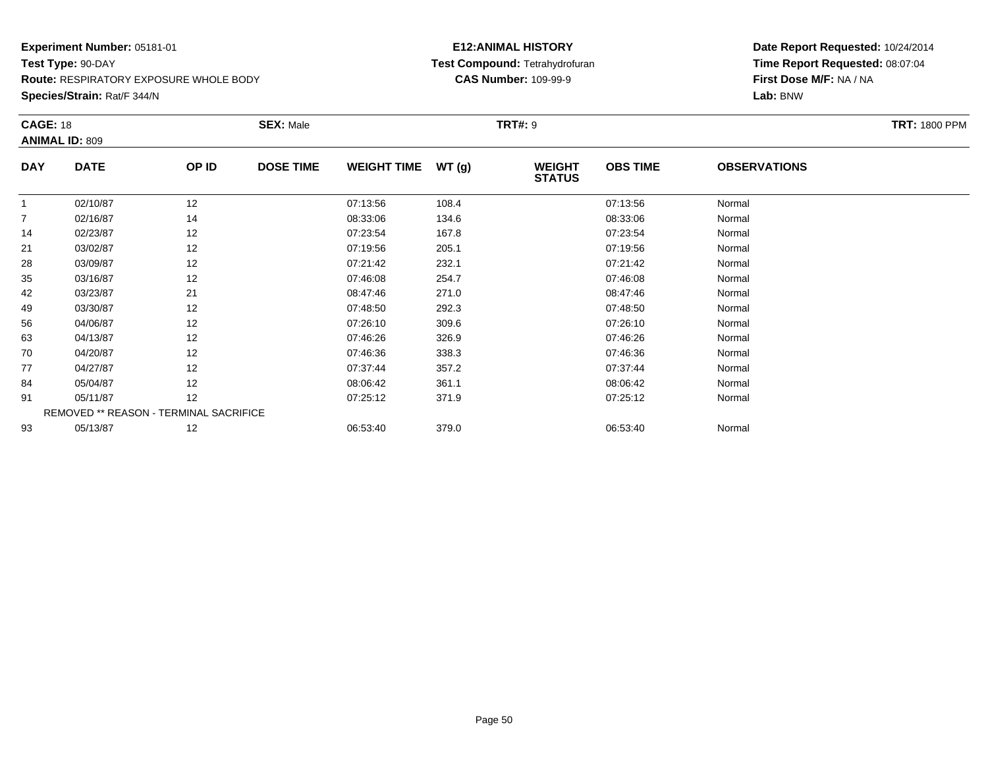**Route:** RESPIRATORY EXPOSURE WHOLE BODY

**Species/Strain:** Rat/F 344/N

## **E12:ANIMAL HISTORY Test Compound:** Tetrahydrofuran**CAS Number:** 109-99-9

| <b>CAGE: 18</b> |                                        |       | <b>SEX: Male</b> |                    |        | <b>TRT#: 9</b>                 |                 |                     | <b>TRT: 1800 PPM</b> |
|-----------------|----------------------------------------|-------|------------------|--------------------|--------|--------------------------------|-----------------|---------------------|----------------------|
|                 | <b>ANIMAL ID: 809</b>                  |       |                  |                    |        |                                |                 |                     |                      |
| <b>DAY</b>      | <b>DATE</b>                            | OP ID | <b>DOSE TIME</b> | <b>WEIGHT TIME</b> | WT (g) | <b>WEIGHT</b><br><b>STATUS</b> | <b>OBS TIME</b> | <b>OBSERVATIONS</b> |                      |
| $\mathbf{1}$    | 02/10/87                               | 12    |                  | 07:13:56           | 108.4  |                                | 07:13:56        | Normal              |                      |
| 7               | 02/16/87                               | 14    |                  | 08:33:06           | 134.6  |                                | 08:33:06        | Normal              |                      |
| 14              | 02/23/87                               | 12    |                  | 07:23:54           | 167.8  |                                | 07:23:54        | Normal              |                      |
| 21              | 03/02/87                               | 12    |                  | 07:19:56           | 205.1  |                                | 07:19:56        | Normal              |                      |
| 28              | 03/09/87                               | 12    |                  | 07:21:42           | 232.1  |                                | 07:21:42        | Normal              |                      |
| 35              | 03/16/87                               | 12    |                  | 07:46:08           | 254.7  |                                | 07:46:08        | Normal              |                      |
| 42              | 03/23/87                               | 21    |                  | 08:47:46           | 271.0  |                                | 08:47:46        | Normal              |                      |
| 49              | 03/30/87                               | 12    |                  | 07:48:50           | 292.3  |                                | 07:48:50        | Normal              |                      |
| 56              | 04/06/87                               | 12    |                  | 07:26:10           | 309.6  |                                | 07:26:10        | Normal              |                      |
| 63              | 04/13/87                               | 12    |                  | 07:46:26           | 326.9  |                                | 07:46:26        | Normal              |                      |
| 70              | 04/20/87                               | 12    |                  | 07:46:36           | 338.3  |                                | 07:46:36        | Normal              |                      |
| 77              | 04/27/87                               | 12    |                  | 07:37:44           | 357.2  |                                | 07:37:44        | Normal              |                      |
| 84              | 05/04/87                               | 12    |                  | 08:06:42           | 361.1  |                                | 08:06:42        | Normal              |                      |
| 91              | 05/11/87                               | 12    |                  | 07:25:12           | 371.9  |                                | 07:25:12        | Normal              |                      |
|                 | REMOVED ** REASON - TERMINAL SACRIFICE |       |                  |                    |        |                                |                 |                     |                      |
| 93              | 05/13/87                               | 12    |                  | 06:53:40           | 379.0  |                                | 06:53:40        | Normal              |                      |
|                 |                                        |       |                  |                    |        |                                |                 |                     |                      |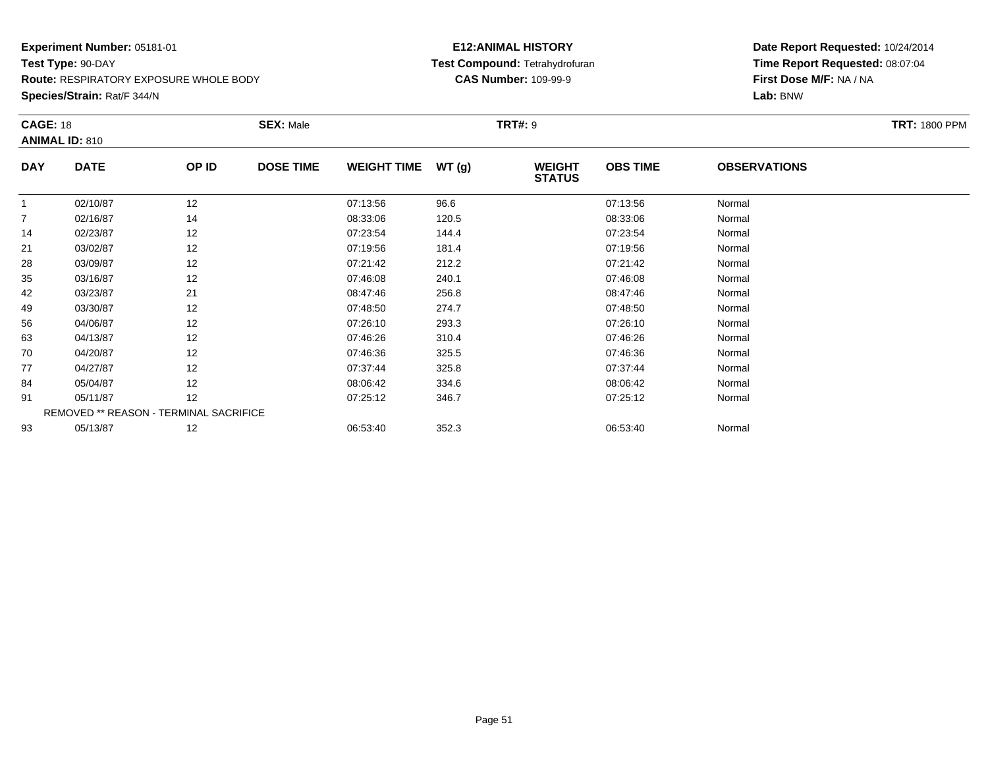**Route:** RESPIRATORY EXPOSURE WHOLE BODY

**Species/Strain:** Rat/F 344/N

## **E12:ANIMAL HISTORY Test Compound:** Tetrahydrofuran**CAS Number:** 109-99-9

| <b>CAGE: 18</b> |                       |                                        | <b>SEX: Male</b> |                    |       | <b>TRT#: 9</b>                 |                 |                     | <b>TRT: 1800 PPM</b> |
|-----------------|-----------------------|----------------------------------------|------------------|--------------------|-------|--------------------------------|-----------------|---------------------|----------------------|
|                 | <b>ANIMAL ID: 810</b> |                                        |                  |                    |       |                                |                 |                     |                      |
| <b>DAY</b>      | <b>DATE</b>           | OP ID                                  | <b>DOSE TIME</b> | <b>WEIGHT TIME</b> | WT(g) | <b>WEIGHT</b><br><b>STATUS</b> | <b>OBS TIME</b> | <b>OBSERVATIONS</b> |                      |
|                 | 02/10/87              | 12                                     |                  | 07:13:56           | 96.6  |                                | 07:13:56        | Normal              |                      |
|                 | 02/16/87              | 14                                     |                  | 08:33:06           | 120.5 |                                | 08:33:06        | Normal              |                      |
| 14              | 02/23/87              | 12                                     |                  | 07:23:54           | 144.4 |                                | 07:23:54        | Normal              |                      |
| 21              | 03/02/87              | 12                                     |                  | 07:19:56           | 181.4 |                                | 07:19:56        | Normal              |                      |
| 28              | 03/09/87              | 12                                     |                  | 07:21:42           | 212.2 |                                | 07:21:42        | Normal              |                      |
| 35              | 03/16/87              | 12                                     |                  | 07:46:08           | 240.1 |                                | 07:46:08        | Normal              |                      |
| 42              | 03/23/87              | 21                                     |                  | 08:47:46           | 256.8 |                                | 08:47:46        | Normal              |                      |
| 49              | 03/30/87              | 12                                     |                  | 07:48:50           | 274.7 |                                | 07:48:50        | Normal              |                      |
| 56              | 04/06/87              | 12                                     |                  | 07:26:10           | 293.3 |                                | 07:26:10        | Normal              |                      |
| 63              | 04/13/87              | 12                                     |                  | 07:46:26           | 310.4 |                                | 07:46:26        | Normal              |                      |
| 70              | 04/20/87              | 12                                     |                  | 07:46:36           | 325.5 |                                | 07:46:36        | Normal              |                      |
| 77              | 04/27/87              | 12                                     |                  | 07:37:44           | 325.8 |                                | 07:37:44        | Normal              |                      |
| 84              | 05/04/87              | 12                                     |                  | 08:06:42           | 334.6 |                                | 08:06:42        | Normal              |                      |
| 91              | 05/11/87              | 12                                     |                  | 07:25:12           | 346.7 |                                | 07:25:12        | Normal              |                      |
|                 |                       | REMOVED ** REASON - TERMINAL SACRIFICE |                  |                    |       |                                |                 |                     |                      |
| 93              | 05/13/87              | 12                                     |                  | 06:53:40           | 352.3 |                                | 06:53:40        | Normal              |                      |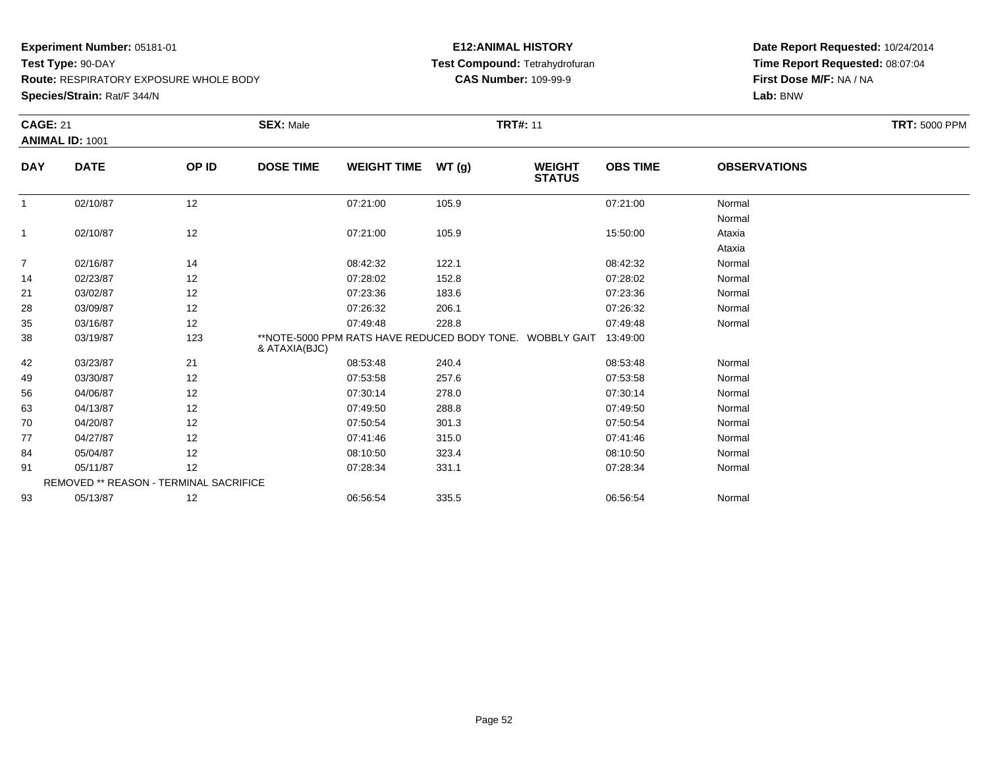**Test Type:** 90-DAY

**Route:** RESPIRATORY EXPOSURE WHOLE BODY

**Species/Strain:** Rat/F 344/N

## **E12:ANIMAL HISTORY Test Compound:** Tetrahydrofuran**CAS Number:** 109-99-9

| <b>CAGE: 21</b> |                                        |       | <b>SEX: Male</b> |                    |                                                          | <b>TRT#: 11</b>                |                 |                     | <b>TRT: 5000 PPM</b> |
|-----------------|----------------------------------------|-------|------------------|--------------------|----------------------------------------------------------|--------------------------------|-----------------|---------------------|----------------------|
|                 | ANIMAL ID: 1001                        |       |                  |                    |                                                          |                                |                 |                     |                      |
| <b>DAY</b>      | <b>DATE</b>                            | OP ID | <b>DOSE TIME</b> | <b>WEIGHT TIME</b> | WT(g)                                                    | <b>WEIGHT</b><br><b>STATUS</b> | <b>OBS TIME</b> | <b>OBSERVATIONS</b> |                      |
| $\mathbf{1}$    | 02/10/87                               | 12    |                  | 07:21:00           | 105.9                                                    |                                | 07:21:00        | Normal              |                      |
|                 |                                        |       |                  |                    |                                                          |                                |                 | Normal              |                      |
| $\mathbf{1}$    | 02/10/87                               | 12    |                  | 07:21:00           | 105.9                                                    |                                | 15:50:00        | Ataxia              |                      |
|                 |                                        |       |                  |                    |                                                          |                                |                 | Ataxia              |                      |
| $\overline{7}$  | 02/16/87                               | 14    |                  | 08:42:32           | 122.1                                                    |                                | 08:42:32        | Normal              |                      |
| 14              | 02/23/87                               | 12    |                  | 07:28:02           | 152.8                                                    |                                | 07:28:02        | Normal              |                      |
| 21              | 03/02/87                               | 12    |                  | 07:23:36           | 183.6                                                    |                                | 07:23:36        | Normal              |                      |
| 28              | 03/09/87                               | 12    |                  | 07:26:32           | 206.1                                                    |                                | 07:26:32        | Normal              |                      |
| 35              | 03/16/87                               | 12    |                  | 07:49:48           | 228.8                                                    |                                | 07:49:48        | Normal              |                      |
| 38              | 03/19/87                               | 123   | & ATAXIA(BJC)    |                    | **NOTE-5000 PPM RATS HAVE REDUCED BODY TONE. WOBBLY GAIT |                                | 13:49:00        |                     |                      |
| 42              | 03/23/87                               | 21    |                  | 08:53:48           | 240.4                                                    |                                | 08:53:48        | Normal              |                      |
| 49              | 03/30/87                               | 12    |                  | 07:53:58           | 257.6                                                    |                                | 07:53:58        | Normal              |                      |
| 56              | 04/06/87                               | 12    |                  | 07:30:14           | 278.0                                                    |                                | 07:30:14        | Normal              |                      |
| 63              | 04/13/87                               | 12    |                  | 07:49:50           | 288.8                                                    |                                | 07:49:50        | Normal              |                      |
| 70              | 04/20/87                               | 12    |                  | 07:50:54           | 301.3                                                    |                                | 07:50:54        | Normal              |                      |
| 77              | 04/27/87                               | 12    |                  | 07:41:46           | 315.0                                                    |                                | 07:41:46        | Normal              |                      |
| 84              | 05/04/87                               | 12    |                  | 08:10:50           | 323.4                                                    |                                | 08:10:50        | Normal              |                      |
| 91              | 05/11/87                               | 12    |                  | 07:28:34           | 331.1                                                    |                                | 07:28:34        | Normal              |                      |
|                 | REMOVED ** REASON - TERMINAL SACRIFICE |       |                  |                    |                                                          |                                |                 |                     |                      |
| 93              | 05/13/87                               | 12    |                  | 06:56:54           | 335.5                                                    |                                | 06:56:54        | Normal              |                      |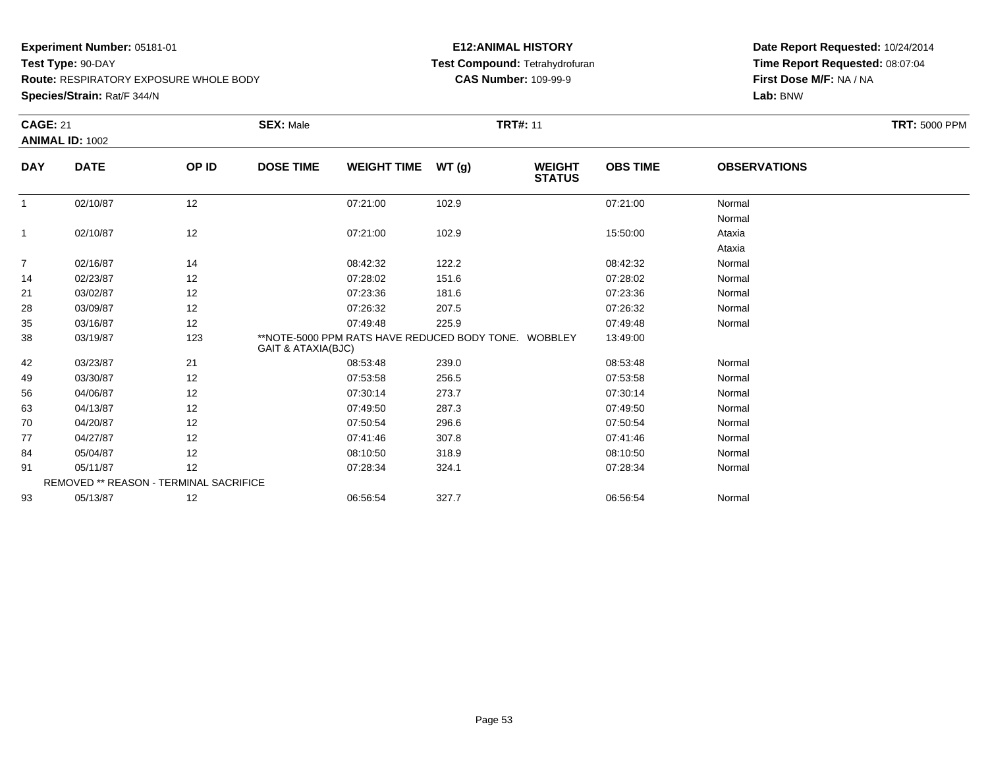**Test Type:** 90-DAY

**Route:** RESPIRATORY EXPOSURE WHOLE BODY

**Species/Strain:** Rat/F 344/N

## **E12:ANIMAL HISTORY Test Compound:** Tetrahydrofuran**CAS Number:** 109-99-9

| <b>CAGE: 21</b> | <b>ANIMAL ID: 1002</b>                        |       | <b>SEX: Male</b>   |                                                      |       | <b>TRT#: 11</b>                |                 |                     | <b>TRT: 5000 PPM</b> |
|-----------------|-----------------------------------------------|-------|--------------------|------------------------------------------------------|-------|--------------------------------|-----------------|---------------------|----------------------|
| <b>DAY</b>      | <b>DATE</b>                                   | OP ID | <b>DOSE TIME</b>   | <b>WEIGHT TIME</b>                                   | WT(g) | <b>WEIGHT</b><br><b>STATUS</b> | <b>OBS TIME</b> | <b>OBSERVATIONS</b> |                      |
|                 | 02/10/87                                      | 12    |                    | 07:21:00                                             | 102.9 |                                | 07:21:00        | Normal              |                      |
|                 |                                               |       |                    |                                                      |       |                                |                 | Normal              |                      |
| $\mathbf{1}$    | 02/10/87                                      | 12    |                    | 07:21:00                                             | 102.9 |                                | 15:50:00        | Ataxia              |                      |
|                 |                                               |       |                    |                                                      |       |                                |                 | Ataxia              |                      |
| $\overline{7}$  | 02/16/87                                      | 14    |                    | 08:42:32                                             | 122.2 |                                | 08:42:32        | Normal              |                      |
| 14              | 02/23/87                                      | 12    |                    | 07:28:02                                             | 151.6 |                                | 07:28:02        | Normal              |                      |
| 21              | 03/02/87                                      | 12    |                    | 07:23:36                                             | 181.6 |                                | 07:23:36        | Normal              |                      |
| 28              | 03/09/87                                      | 12    |                    | 07:26:32                                             | 207.5 |                                | 07:26:32        | Normal              |                      |
| 35              | 03/16/87                                      | 12    |                    | 07:49:48                                             | 225.9 |                                | 07:49:48        | Normal              |                      |
| 38              | 03/19/87                                      | 123   | GAIT & ATAXIA(BJC) | **NOTE-5000 PPM RATS HAVE REDUCED BODY TONE. WOBBLEY |       |                                | 13:49:00        |                     |                      |
| 42              | 03/23/87                                      | 21    |                    | 08:53:48                                             | 239.0 |                                | 08:53:48        | Normal              |                      |
| 49              | 03/30/87                                      | 12    |                    | 07:53:58                                             | 256.5 |                                | 07:53:58        | Normal              |                      |
| 56              | 04/06/87                                      | 12    |                    | 07:30:14                                             | 273.7 |                                | 07:30:14        | Normal              |                      |
| 63              | 04/13/87                                      | 12    |                    | 07:49:50                                             | 287.3 |                                | 07:49:50        | Normal              |                      |
| 70              | 04/20/87                                      | 12    |                    | 07:50:54                                             | 296.6 |                                | 07:50:54        | Normal              |                      |
| 77              | 04/27/87                                      | 12    |                    | 07:41:46                                             | 307.8 |                                | 07:41:46        | Normal              |                      |
| 84              | 05/04/87                                      | 12    |                    | 08:10:50                                             | 318.9 |                                | 08:10:50        | Normal              |                      |
| 91              | 05/11/87                                      | 12    |                    | 07:28:34                                             | 324.1 |                                | 07:28:34        | Normal              |                      |
|                 | <b>REMOVED ** REASON - TERMINAL SACRIFICE</b> |       |                    |                                                      |       |                                |                 |                     |                      |
| 93              | 05/13/87                                      | 12    |                    | 06:56:54                                             | 327.7 |                                | 06:56:54        | Normal              |                      |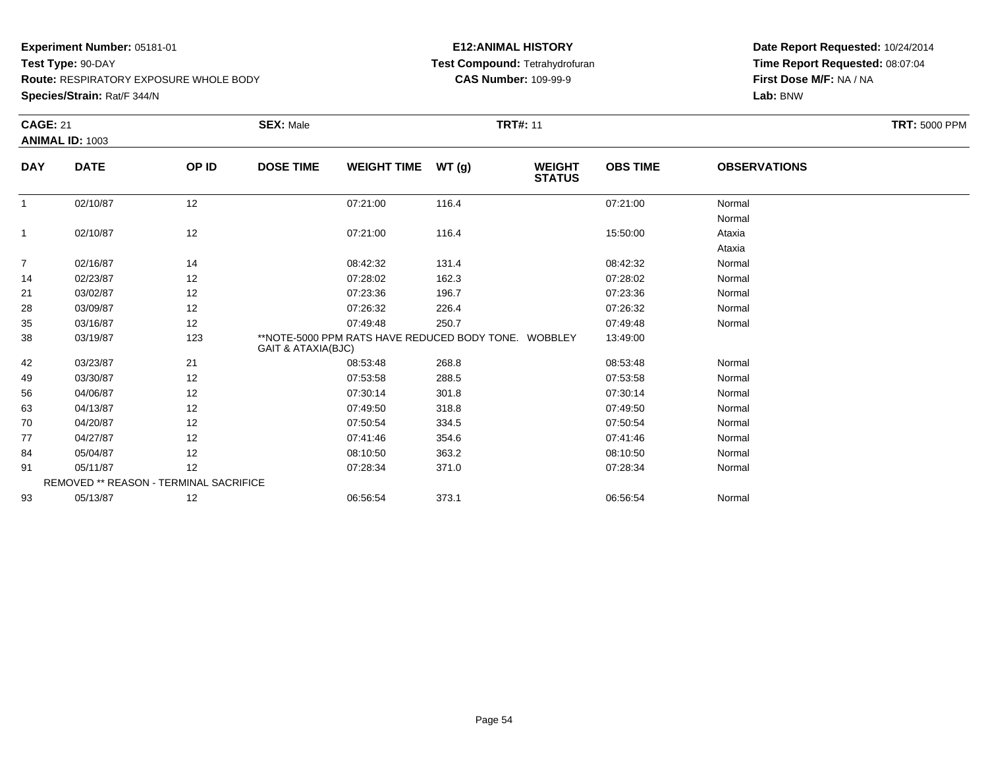**Test Type:** 90-DAY

**Route:** RESPIRATORY EXPOSURE WHOLE BODY

**Species/Strain:** Rat/F 344/N

## **E12:ANIMAL HISTORY Test Compound:** Tetrahydrofuran**CAS Number:** 109-99-9

| <b>CAGE: 21</b> | ANIMAL ID: 1003                        |       | <b>SEX: Male</b>              |                                                      |       | <b>TRT#: 11</b>                |                 |                     | <b>TRT: 5000 PPM</b> |
|-----------------|----------------------------------------|-------|-------------------------------|------------------------------------------------------|-------|--------------------------------|-----------------|---------------------|----------------------|
| <b>DAY</b>      | <b>DATE</b>                            | OP ID | <b>DOSE TIME</b>              | <b>WEIGHT TIME</b>                                   | WT(g) | <b>WEIGHT</b><br><b>STATUS</b> | <b>OBS TIME</b> | <b>OBSERVATIONS</b> |                      |
|                 | 02/10/87                               | 12    |                               | 07:21:00                                             | 116.4 |                                | 07:21:00        | Normal              |                      |
|                 |                                        |       |                               |                                                      |       |                                |                 | Normal              |                      |
| $\mathbf{1}$    | 02/10/87                               | 12    |                               | 07:21:00                                             | 116.4 |                                | 15:50:00        | Ataxia              |                      |
|                 |                                        |       |                               |                                                      |       |                                |                 | Ataxia              |                      |
| $\overline{7}$  | 02/16/87                               | 14    |                               | 08:42:32                                             | 131.4 |                                | 08:42:32        | Normal              |                      |
| 14              | 02/23/87                               | 12    |                               | 07:28:02                                             | 162.3 |                                | 07:28:02        | Normal              |                      |
| 21              | 03/02/87                               | 12    |                               | 07:23:36                                             | 196.7 |                                | 07:23:36        | Normal              |                      |
| 28              | 03/09/87                               | 12    |                               | 07:26:32                                             | 226.4 |                                | 07:26:32        | Normal              |                      |
| 35              | 03/16/87                               | 12    |                               | 07:49:48                                             | 250.7 |                                | 07:49:48        | Normal              |                      |
| 38              | 03/19/87                               | 123   | <b>GAIT &amp; ATAXIA(BJC)</b> | **NOTE-5000 PPM RATS HAVE REDUCED BODY TONE. WOBBLEY |       |                                | 13:49:00        |                     |                      |
| 42              | 03/23/87                               | 21    |                               | 08:53:48                                             | 268.8 |                                | 08:53:48        | Normal              |                      |
| 49              | 03/30/87                               | 12    |                               | 07:53:58                                             | 288.5 |                                | 07:53:58        | Normal              |                      |
| 56              | 04/06/87                               | 12    |                               | 07:30:14                                             | 301.8 |                                | 07:30:14        | Normal              |                      |
| 63              | 04/13/87                               | 12    |                               | 07:49:50                                             | 318.8 |                                | 07:49:50        | Normal              |                      |
| 70              | 04/20/87                               | 12    |                               | 07:50:54                                             | 334.5 |                                | 07:50:54        | Normal              |                      |
| 77              | 04/27/87                               | 12    |                               | 07:41:46                                             | 354.6 |                                | 07:41:46        | Normal              |                      |
| 84              | 05/04/87                               | 12    |                               | 08:10:50                                             | 363.2 |                                | 08:10:50        | Normal              |                      |
| 91              | 05/11/87                               | 12    |                               | 07:28:34                                             | 371.0 |                                | 07:28:34        | Normal              |                      |
|                 | REMOVED ** REASON - TERMINAL SACRIFICE |       |                               |                                                      |       |                                |                 |                     |                      |
| 93              | 05/13/87                               | 12    |                               | 06:56:54                                             | 373.1 |                                | 06:56:54        | Normal              |                      |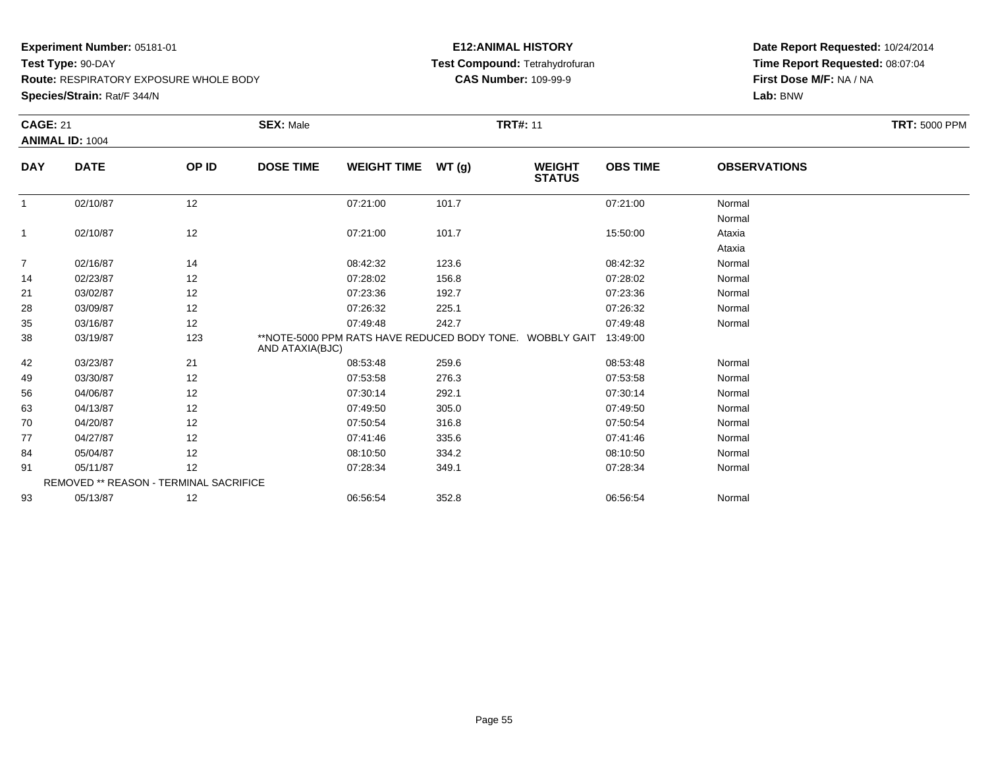**Test Type:** 90-DAY

**Route:** RESPIRATORY EXPOSURE WHOLE BODY

**Species/Strain:** Rat/F 344/N

## **E12:ANIMAL HISTORY Test Compound:** Tetrahydrofuran**CAS Number:** 109-99-9

|                | <b>CAGE: 21</b><br><b>ANIMAL ID: 1004</b> |       | <b>SEX: Male</b><br><b>TRT#: 11</b> |                    |                                                          |                                |                 | <b>TRT: 5000 PPM</b> |  |
|----------------|-------------------------------------------|-------|-------------------------------------|--------------------|----------------------------------------------------------|--------------------------------|-----------------|----------------------|--|
| <b>DAY</b>     | <b>DATE</b>                               | OP ID | <b>DOSE TIME</b>                    | <b>WEIGHT TIME</b> | WT(g)                                                    | <b>WEIGHT</b><br><b>STATUS</b> | <b>OBS TIME</b> | <b>OBSERVATIONS</b>  |  |
| $\overline{1}$ | 02/10/87                                  | 12    |                                     | 07:21:00           | 101.7                                                    |                                | 07:21:00        | Normal               |  |
|                |                                           |       |                                     |                    |                                                          |                                |                 | Normal               |  |
| $\mathbf{1}$   | 02/10/87                                  | 12    |                                     | 07:21:00           | 101.7                                                    |                                | 15:50:00        | Ataxia               |  |
|                |                                           |       |                                     |                    |                                                          |                                |                 | Ataxia               |  |
| $\overline{7}$ | 02/16/87                                  | 14    |                                     | 08:42:32           | 123.6                                                    |                                | 08:42:32        | Normal               |  |
| 14             | 02/23/87                                  | 12    |                                     | 07:28:02           | 156.8                                                    |                                | 07:28:02        | Normal               |  |
| 21             | 03/02/87                                  | 12    |                                     | 07:23:36           | 192.7                                                    |                                | 07:23:36        | Normal               |  |
| 28             | 03/09/87                                  | 12    |                                     | 07:26:32           | 225.1                                                    |                                | 07:26:32        | Normal               |  |
| 35             | 03/16/87                                  | 12    |                                     | 07:49:48           | 242.7                                                    |                                | 07:49:48        | Normal               |  |
| 38             | 03/19/87                                  | 123   | AND ATAXIA(BJC)                     |                    | **NOTE-5000 PPM RATS HAVE REDUCED BODY TONE. WOBBLY GAIT |                                | 13:49:00        |                      |  |
| 42             | 03/23/87                                  | 21    |                                     | 08:53:48           | 259.6                                                    |                                | 08:53:48        | Normal               |  |
| 49             | 03/30/87                                  | 12    |                                     | 07:53:58           | 276.3                                                    |                                | 07:53:58        | Normal               |  |
| 56             | 04/06/87                                  | 12    |                                     | 07:30:14           | 292.1                                                    |                                | 07:30:14        | Normal               |  |
| 63             | 04/13/87                                  | 12    |                                     | 07:49:50           | 305.0                                                    |                                | 07:49:50        | Normal               |  |
| 70             | 04/20/87                                  | 12    |                                     | 07:50:54           | 316.8                                                    |                                | 07:50:54        | Normal               |  |
| 77             | 04/27/87                                  | 12    |                                     | 07:41:46           | 335.6                                                    |                                | 07:41:46        | Normal               |  |
| 84             | 05/04/87                                  | 12    |                                     | 08:10:50           | 334.2                                                    |                                | 08:10:50        | Normal               |  |
| 91             | 05/11/87                                  | 12    |                                     | 07:28:34           | 349.1                                                    |                                | 07:28:34        | Normal               |  |
|                | REMOVED ** REASON - TERMINAL SACRIFICE    |       |                                     |                    |                                                          |                                |                 |                      |  |
| 93             | 05/13/87                                  | 12    |                                     | 06:56:54           | 352.8                                                    |                                | 06:56:54        | Normal               |  |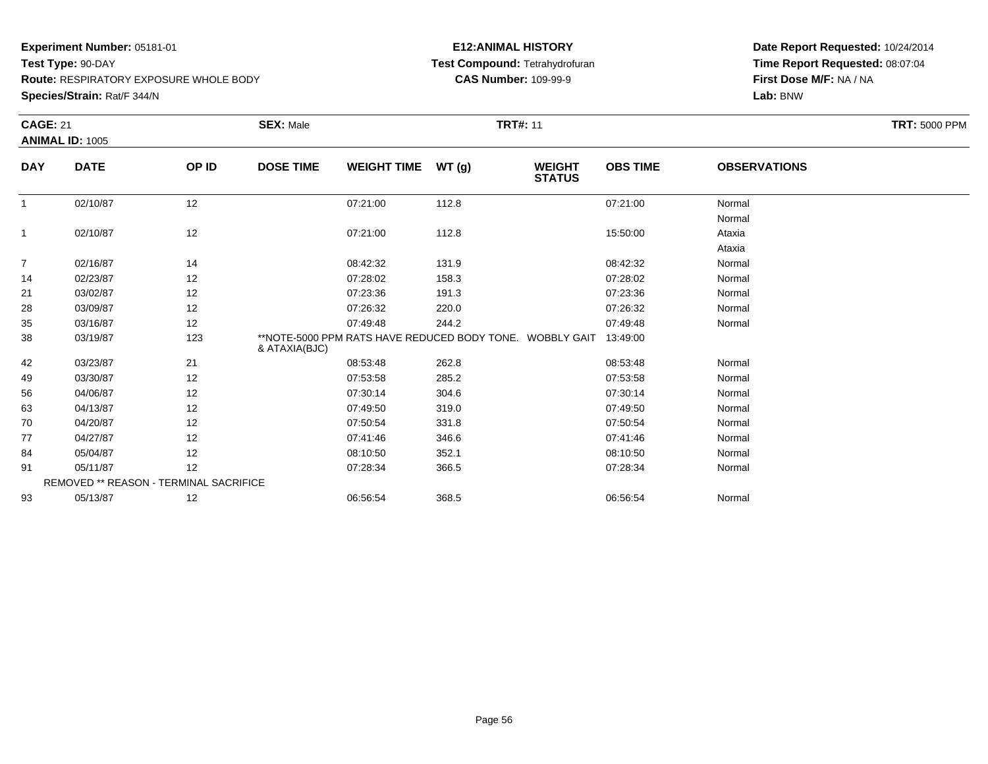**Test Type:** 90-DAY

**Route:** RESPIRATORY EXPOSURE WHOLE BODY

**Species/Strain:** Rat/F 344/N

## **E12:ANIMAL HISTORY Test Compound:** Tetrahydrofuran**CAS Number:** 109-99-9

| <b>CAGE: 21</b> |                                        |       | <b>SEX: Male</b>                                                          |                    | <b>TRT#: 11</b> |                                |                 |                     | <b>TRT: 5000 PPM</b> |  |
|-----------------|----------------------------------------|-------|---------------------------------------------------------------------------|--------------------|-----------------|--------------------------------|-----------------|---------------------|----------------------|--|
|                 | <b>ANIMAL ID: 1005</b>                 |       |                                                                           |                    |                 |                                |                 |                     |                      |  |
| <b>DAY</b>      | <b>DATE</b>                            | OP ID | <b>DOSE TIME</b>                                                          | <b>WEIGHT TIME</b> | WT(g)           | <b>WEIGHT</b><br><b>STATUS</b> | <b>OBS TIME</b> | <b>OBSERVATIONS</b> |                      |  |
| $\mathbf{1}$    | 02/10/87                               | 12    |                                                                           | 07:21:00           | 112.8           |                                | 07:21:00        | Normal              |                      |  |
|                 |                                        |       |                                                                           |                    |                 |                                |                 | Normal              |                      |  |
| $\mathbf{1}$    | 02/10/87                               | 12    |                                                                           | 07:21:00           | 112.8           |                                | 15:50:00        | Ataxia              |                      |  |
|                 |                                        |       |                                                                           |                    |                 |                                |                 | Ataxia              |                      |  |
| $\overline{7}$  | 02/16/87                               | 14    |                                                                           | 08:42:32           | 131.9           |                                | 08:42:32        | Normal              |                      |  |
| 14              | 02/23/87                               | 12    |                                                                           | 07:28:02           | 158.3           |                                | 07:28:02        | Normal              |                      |  |
| 21              | 03/02/87                               | 12    |                                                                           | 07:23:36           | 191.3           |                                | 07:23:36        | Normal              |                      |  |
| 28              | 03/09/87                               | 12    |                                                                           | 07:26:32           | 220.0           |                                | 07:26:32        | Normal              |                      |  |
| 35              | 03/16/87                               | 12    |                                                                           | 07:49:48           | 244.2           |                                | 07:49:48        | Normal              |                      |  |
| 38              | 03/19/87                               | 123   | **NOTE-5000 PPM RATS HAVE REDUCED BODY TONE. WOBBLY GAIT<br>& ATAXIA(BJC) |                    |                 |                                | 13:49:00        |                     |                      |  |
| 42              | 03/23/87                               | 21    |                                                                           | 08:53:48           | 262.8           |                                | 08:53:48        | Normal              |                      |  |
| 49              | 03/30/87                               | 12    |                                                                           | 07:53:58           | 285.2           |                                | 07:53:58        | Normal              |                      |  |
| 56              | 04/06/87                               | 12    |                                                                           | 07:30:14           | 304.6           |                                | 07:30:14        | Normal              |                      |  |
| 63              | 04/13/87                               | 12    |                                                                           | 07:49:50           | 319.0           |                                | 07:49:50        | Normal              |                      |  |
| 70              | 04/20/87                               | 12    |                                                                           | 07:50:54           | 331.8           |                                | 07:50:54        | Normal              |                      |  |
| 77              | 04/27/87                               | 12    |                                                                           | 07:41:46           | 346.6           |                                | 07:41:46        | Normal              |                      |  |
| 84              | 05/04/87                               | 12    |                                                                           | 08:10:50           | 352.1           |                                | 08:10:50        | Normal              |                      |  |
| 91              | 05/11/87                               | 12    |                                                                           | 07:28:34           | 366.5           |                                | 07:28:34        | Normal              |                      |  |
|                 | REMOVED ** REASON - TERMINAL SACRIFICE |       |                                                                           |                    |                 |                                |                 |                     |                      |  |
| 93              | 05/13/87                               | 12    |                                                                           | 06:56:54           | 368.5           |                                | 06:56:54        | Normal              |                      |  |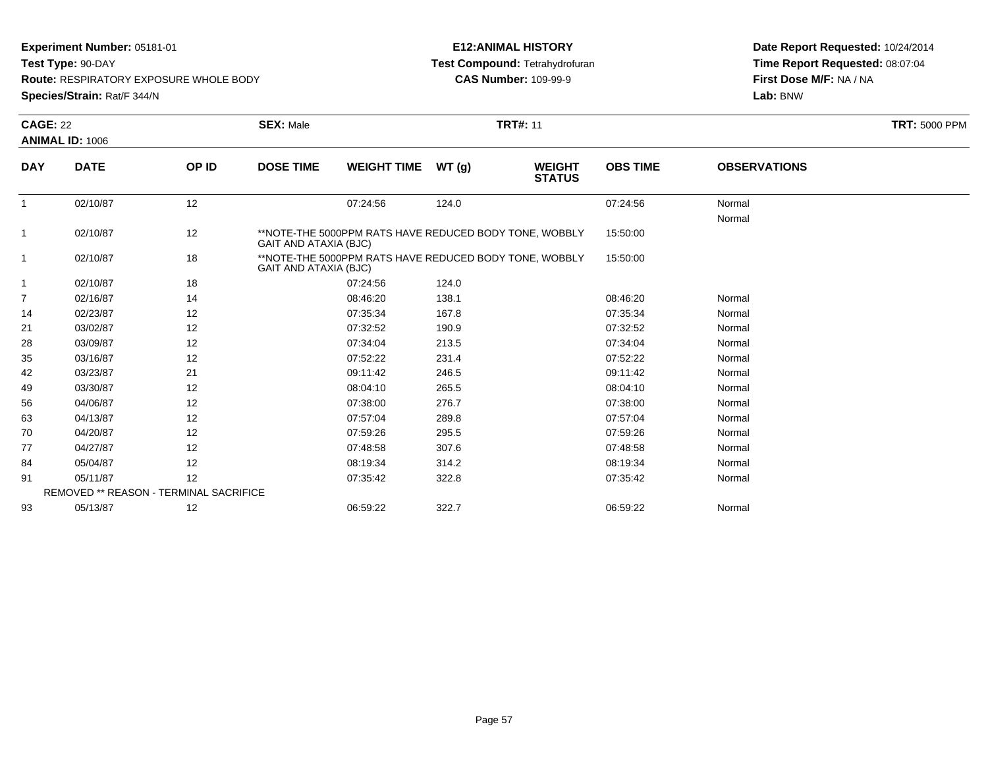**Test Type:** 90-DAY

**Route:** RESPIRATORY EXPOSURE WHOLE BODY

**Species/Strain:** Rat/F 344/N

## **E12:ANIMAL HISTORY Test Compound:** Tetrahydrofuran**CAS Number:** 109-99-9

| <b>CAGE: 22</b> |                                               |       | <b>SEX: Male</b>      |                                                        |       | <b>TRT#: 11</b>                |                 |                     | <b>TRT: 5000 PPM</b> |
|-----------------|-----------------------------------------------|-------|-----------------------|--------------------------------------------------------|-------|--------------------------------|-----------------|---------------------|----------------------|
|                 | <b>ANIMAL ID: 1006</b>                        |       |                       |                                                        |       |                                |                 |                     |                      |
| <b>DAY</b>      | <b>DATE</b>                                   | OP ID | <b>DOSE TIME</b>      | <b>WEIGHT TIME</b>                                     | WT(g) | <b>WEIGHT</b><br><b>STATUS</b> | <b>OBS TIME</b> | <b>OBSERVATIONS</b> |                      |
| $\mathbf{1}$    | 02/10/87                                      | 12    |                       | 07:24:56                                               | 124.0 |                                | 07:24:56        | Normal              |                      |
|                 |                                               |       |                       |                                                        |       |                                |                 | Normal              |                      |
| 1               | 02/10/87                                      | 12    | GAIT AND ATAXIA (BJC) | **NOTE-THE 5000PPM RATS HAVE REDUCED BODY TONE, WOBBLY |       |                                | 15:50:00        |                     |                      |
| $\overline{1}$  | 02/10/87                                      | 18    | GAIT AND ATAXIA (BJC) | **NOTE-THE 5000PPM RATS HAVE REDUCED BODY TONE, WOBBLY |       |                                | 15:50:00        |                     |                      |
| 1               | 02/10/87                                      | 18    |                       | 07:24:56                                               | 124.0 |                                |                 |                     |                      |
| $\overline{7}$  | 02/16/87                                      | 14    |                       | 08:46:20                                               | 138.1 |                                | 08:46:20        | Normal              |                      |
| 14              | 02/23/87                                      | 12    |                       | 07:35:34                                               | 167.8 |                                | 07:35:34        | Normal              |                      |
| 21              | 03/02/87                                      | 12    |                       | 07:32:52                                               | 190.9 |                                | 07:32:52        | Normal              |                      |
| 28              | 03/09/87                                      | 12    |                       | 07:34:04                                               | 213.5 |                                | 07:34:04        | Normal              |                      |
| 35              | 03/16/87                                      | 12    |                       | 07:52:22                                               | 231.4 |                                | 07:52:22        | Normal              |                      |
| 42              | 03/23/87                                      | 21    |                       | 09:11:42                                               | 246.5 |                                | 09:11:42        | Normal              |                      |
| 49              | 03/30/87                                      | 12    |                       | 08:04:10                                               | 265.5 |                                | 08:04:10        | Normal              |                      |
| 56              | 04/06/87                                      | 12    |                       | 07:38:00                                               | 276.7 |                                | 07:38:00        | Normal              |                      |
| 63              | 04/13/87                                      | 12    |                       | 07:57:04                                               | 289.8 |                                | 07:57:04        | Normal              |                      |
| 70              | 04/20/87                                      | 12    |                       | 07:59:26                                               | 295.5 |                                | 07:59:26        | Normal              |                      |
| 77              | 04/27/87                                      | 12    |                       | 07:48:58                                               | 307.6 |                                | 07:48:58        | Normal              |                      |
| 84              | 05/04/87                                      | 12    |                       | 08:19:34                                               | 314.2 |                                | 08:19:34        | Normal              |                      |
| 91              | 05/11/87                                      | 12    |                       | 07:35:42                                               | 322.8 |                                | 07:35:42        | Normal              |                      |
|                 | <b>REMOVED ** REASON - TERMINAL SACRIFICE</b> |       |                       |                                                        |       |                                |                 |                     |                      |
| 93              | 05/13/87                                      | 12    |                       | 06:59:22                                               | 322.7 |                                | 06:59:22        | Normal              |                      |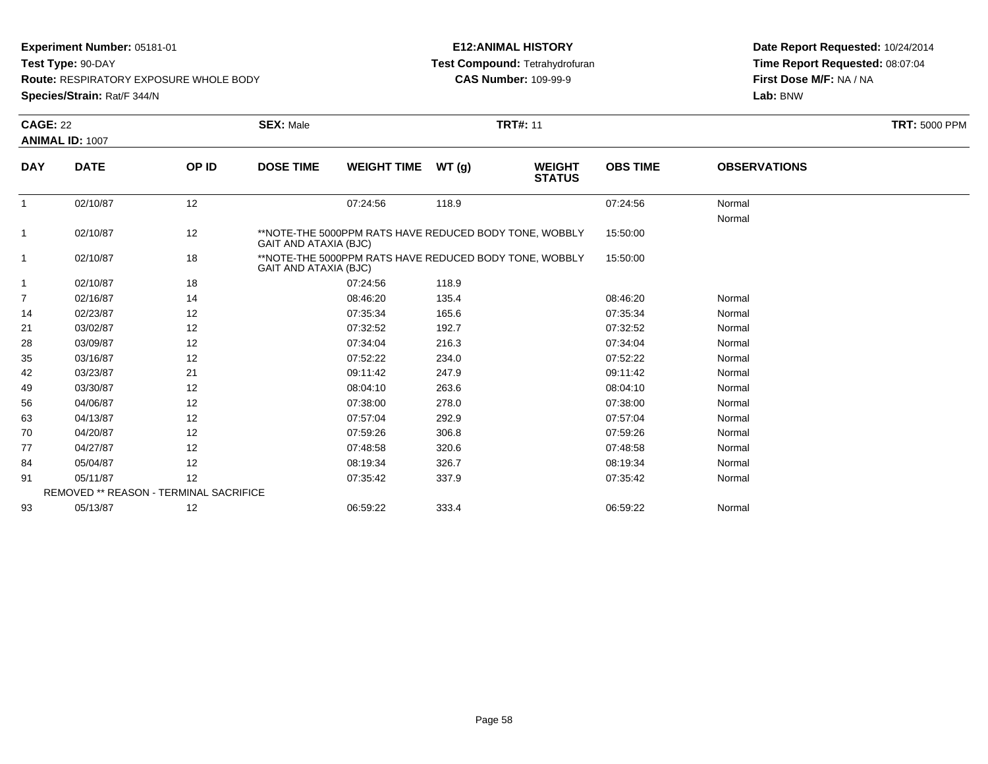**Test Type:** 90-DAY

**Route:** RESPIRATORY EXPOSURE WHOLE BODY

**Species/Strain:** Rat/F 344/N

## **E12:ANIMAL HISTORY Test Compound:** Tetrahydrofuran**CAS Number:** 109-99-9

| <b>CAGE: 22</b> |                                               |       | <b>SEX: Male</b>      |                                                        |       | <b>TRT#: 11</b>                |                 |                     | <b>TRT: 5000 PPM</b> |
|-----------------|-----------------------------------------------|-------|-----------------------|--------------------------------------------------------|-------|--------------------------------|-----------------|---------------------|----------------------|
|                 | <b>ANIMAL ID: 1007</b>                        |       |                       |                                                        |       |                                |                 |                     |                      |
| <b>DAY</b>      | <b>DATE</b>                                   | OP ID | <b>DOSE TIME</b>      | <b>WEIGHT TIME</b>                                     | WT(g) | <b>WEIGHT</b><br><b>STATUS</b> | <b>OBS TIME</b> | <b>OBSERVATIONS</b> |                      |
| $\mathbf{1}$    | 02/10/87                                      | 12    |                       | 07:24:56                                               | 118.9 |                                | 07:24:56        | Normal              |                      |
|                 |                                               |       |                       |                                                        |       |                                |                 | Normal              |                      |
| 1               | 02/10/87                                      | 12    | GAIT AND ATAXIA (BJC) | **NOTE-THE 5000PPM RATS HAVE REDUCED BODY TONE, WOBBLY |       |                                | 15:50:00        |                     |                      |
| $\overline{1}$  | 02/10/87                                      | 18    | GAIT AND ATAXIA (BJC) | **NOTE-THE 5000PPM RATS HAVE REDUCED BODY TONE, WOBBLY |       |                                | 15:50:00        |                     |                      |
| 1               | 02/10/87                                      | 18    |                       | 07:24:56                                               | 118.9 |                                |                 |                     |                      |
| $\overline{7}$  | 02/16/87                                      | 14    |                       | 08:46:20                                               | 135.4 |                                | 08:46:20        | Normal              |                      |
| 14              | 02/23/87                                      | 12    |                       | 07:35:34                                               | 165.6 |                                | 07:35:34        | Normal              |                      |
| 21              | 03/02/87                                      | 12    |                       | 07:32:52                                               | 192.7 |                                | 07:32:52        | Normal              |                      |
| 28              | 03/09/87                                      | 12    |                       | 07:34:04                                               | 216.3 |                                | 07:34:04        | Normal              |                      |
| 35              | 03/16/87                                      | 12    |                       | 07:52:22                                               | 234.0 |                                | 07:52:22        | Normal              |                      |
| 42              | 03/23/87                                      | 21    |                       | 09:11:42                                               | 247.9 |                                | 09:11:42        | Normal              |                      |
| 49              | 03/30/87                                      | 12    |                       | 08:04:10                                               | 263.6 |                                | 08:04:10        | Normal              |                      |
| 56              | 04/06/87                                      | 12    |                       | 07:38:00                                               | 278.0 |                                | 07:38:00        | Normal              |                      |
| 63              | 04/13/87                                      | 12    |                       | 07:57:04                                               | 292.9 |                                | 07:57:04        | Normal              |                      |
| 70              | 04/20/87                                      | 12    |                       | 07:59:26                                               | 306.8 |                                | 07:59:26        | Normal              |                      |
| 77              | 04/27/87                                      | 12    |                       | 07:48:58                                               | 320.6 |                                | 07:48:58        | Normal              |                      |
| 84              | 05/04/87                                      | 12    |                       | 08:19:34                                               | 326.7 |                                | 08:19:34        | Normal              |                      |
| 91              | 05/11/87                                      | 12    |                       | 07:35:42                                               | 337.9 |                                | 07:35:42        | Normal              |                      |
|                 | <b>REMOVED ** REASON - TERMINAL SACRIFICE</b> |       |                       |                                                        |       |                                |                 |                     |                      |
| 93              | 05/13/87                                      | 12    |                       | 06:59:22                                               | 333.4 |                                | 06:59:22        | Normal              |                      |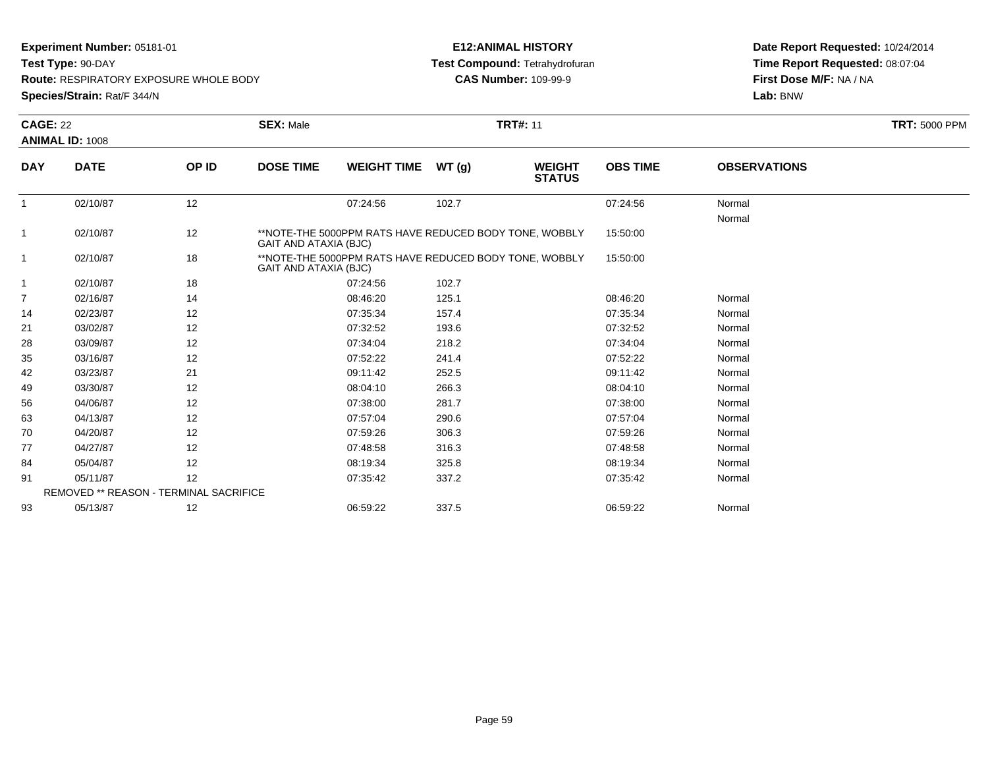**Test Type:** 90-DAY

**Route:** RESPIRATORY EXPOSURE WHOLE BODY

**Species/Strain:** Rat/F 344/N

## **E12:ANIMAL HISTORY Test Compound:** Tetrahydrofuran**CAS Number:** 109-99-9

|              | <b>CAGE: 22</b><br><b>ANIMAL ID: 1008</b> |       | <b>SEX: Male</b>             | <b>TRT#: 11</b>                                        |        |                                |                 |                     |  |
|--------------|-------------------------------------------|-------|------------------------------|--------------------------------------------------------|--------|--------------------------------|-----------------|---------------------|--|
|              |                                           |       |                              |                                                        |        |                                |                 |                     |  |
| <b>DAY</b>   | <b>DATE</b>                               | OP ID | <b>DOSE TIME</b>             | <b>WEIGHT TIME</b>                                     | WT (g) | <b>WEIGHT</b><br><b>STATUS</b> | <b>OBS TIME</b> | <b>OBSERVATIONS</b> |  |
| $\mathbf{1}$ | 02/10/87                                  | 12    |                              | 07:24:56                                               | 102.7  |                                | 07:24:56        | Normal<br>Normal    |  |
| $\mathbf{1}$ | 02/10/87                                  | 12    | GAIT AND ATAXIA (BJC)        | **NOTE-THE 5000PPM RATS HAVE REDUCED BODY TONE, WOBBLY |        |                                | 15:50:00        |                     |  |
|              | 02/10/87                                  | 18    | <b>GAIT AND ATAXIA (BJC)</b> | **NOTE-THE 5000PPM RATS HAVE REDUCED BODY TONE, WOBBLY |        |                                | 15:50:00        |                     |  |
| $\mathbf{1}$ | 02/10/87                                  | 18    |                              | 07:24:56                                               | 102.7  |                                |                 |                     |  |
| 7            | 02/16/87                                  | 14    |                              | 08:46:20                                               | 125.1  |                                | 08:46:20        | Normal              |  |
| 14           | 02/23/87                                  | 12    |                              | 07:35:34                                               | 157.4  |                                | 07:35:34        | Normal              |  |
| 21           | 03/02/87                                  | 12    |                              | 07:32:52                                               | 193.6  |                                | 07:32:52        | Normal              |  |
| 28           | 03/09/87                                  | 12    |                              | 07:34:04                                               | 218.2  |                                | 07:34:04        | Normal              |  |
| 35           | 03/16/87                                  | 12    |                              | 07:52:22                                               | 241.4  |                                | 07:52:22        | Normal              |  |
| 42           | 03/23/87                                  | 21    |                              | 09:11:42                                               | 252.5  |                                | 09:11:42        | Normal              |  |
| 49           | 03/30/87                                  | 12    |                              | 08:04:10                                               | 266.3  |                                | 08:04:10        | Normal              |  |
| 56           | 04/06/87                                  | 12    |                              | 07:38:00                                               | 281.7  |                                | 07:38:00        | Normal              |  |
| 63           | 04/13/87                                  | 12    |                              | 07:57:04                                               | 290.6  |                                | 07:57:04        | Normal              |  |
| 70           | 04/20/87                                  | 12    |                              | 07:59:26                                               | 306.3  |                                | 07:59:26        | Normal              |  |
| 77           | 04/27/87                                  | 12    |                              | 07:48:58                                               | 316.3  |                                | 07:48:58        | Normal              |  |
| 84           | 05/04/87                                  | 12    |                              | 08:19:34                                               | 325.8  |                                | 08:19:34        | Normal              |  |
| 91           | 05/11/87                                  | 12    |                              | 07:35:42                                               | 337.2  |                                | 07:35:42        | Normal              |  |
|              | REMOVED ** REASON - TERMINAL SACRIFICE    |       |                              |                                                        |        |                                |                 |                     |  |
| 93           | 05/13/87                                  | 12    |                              | 06:59:22                                               | 337.5  |                                | 06:59:22        | Normal              |  |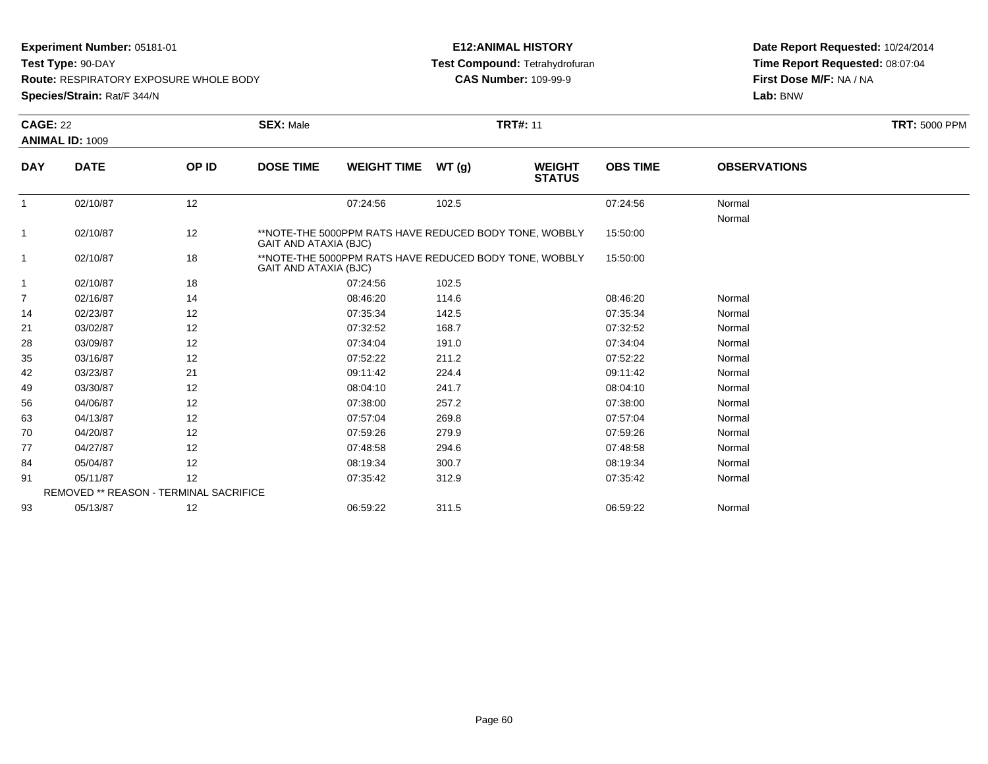**Test Type:** 90-DAY

**Route:** RESPIRATORY EXPOSURE WHOLE BODY

**Species/Strain:** Rat/F 344/N

## **E12:ANIMAL HISTORY Test Compound:** Tetrahydrofuran**CAS Number:** 109-99-9

|                | <b>CAGE: 22</b>                               |       | <b>SEX: Male</b><br><b>TRT#: 11</b> |                                                        |       |                                |                 |                     | <b>TRT: 5000 PPM</b> |
|----------------|-----------------------------------------------|-------|-------------------------------------|--------------------------------------------------------|-------|--------------------------------|-----------------|---------------------|----------------------|
|                | <b>ANIMAL ID: 1009</b>                        |       |                                     |                                                        |       |                                |                 |                     |                      |
| <b>DAY</b>     | <b>DATE</b>                                   | OP ID | <b>DOSE TIME</b>                    | <b>WEIGHT TIME</b>                                     | WT(g) | <b>WEIGHT</b><br><b>STATUS</b> | <b>OBS TIME</b> | <b>OBSERVATIONS</b> |                      |
| $\mathbf{1}$   | 02/10/87                                      | 12    |                                     | 07:24:56                                               | 102.5 |                                | 07:24:56        | Normal              |                      |
|                |                                               |       |                                     |                                                        |       |                                |                 | Normal              |                      |
| 1              | 02/10/87                                      | 12    | GAIT AND ATAXIA (BJC)               | **NOTE-THE 5000PPM RATS HAVE REDUCED BODY TONE, WOBBLY |       |                                | 15:50:00        |                     |                      |
| $\overline{1}$ | 02/10/87                                      | 18    | GAIT AND ATAXIA (BJC)               | **NOTE-THE 5000PPM RATS HAVE REDUCED BODY TONE, WOBBLY |       |                                | 15:50:00        |                     |                      |
| 1              | 02/10/87                                      | 18    |                                     | 07:24:56                                               | 102.5 |                                |                 |                     |                      |
| $\overline{7}$ | 02/16/87                                      | 14    |                                     | 08:46:20                                               | 114.6 |                                | 08:46:20        | Normal              |                      |
| 14             | 02/23/87                                      | 12    |                                     | 07:35:34                                               | 142.5 |                                | 07:35:34        | Normal              |                      |
| 21             | 03/02/87                                      | 12    |                                     | 07:32:52                                               | 168.7 |                                | 07:32:52        | Normal              |                      |
| 28             | 03/09/87                                      | 12    |                                     | 07:34:04                                               | 191.0 |                                | 07:34:04        | Normal              |                      |
| 35             | 03/16/87                                      | 12    |                                     | 07:52:22                                               | 211.2 |                                | 07:52:22        | Normal              |                      |
| 42             | 03/23/87                                      | 21    |                                     | 09:11:42                                               | 224.4 |                                | 09:11:42        | Normal              |                      |
| 49             | 03/30/87                                      | 12    |                                     | 08:04:10                                               | 241.7 |                                | 08:04:10        | Normal              |                      |
| 56             | 04/06/87                                      | 12    |                                     | 07:38:00                                               | 257.2 |                                | 07:38:00        | Normal              |                      |
| 63             | 04/13/87                                      | 12    |                                     | 07:57:04                                               | 269.8 |                                | 07:57:04        | Normal              |                      |
| 70             | 04/20/87                                      | 12    |                                     | 07:59:26                                               | 279.9 |                                | 07:59:26        | Normal              |                      |
| 77             | 04/27/87                                      | 12    |                                     | 07:48:58                                               | 294.6 |                                | 07:48:58        | Normal              |                      |
| 84             | 05/04/87                                      | 12    |                                     | 08:19:34                                               | 300.7 |                                | 08:19:34        | Normal              |                      |
| 91             | 05/11/87                                      | 12    |                                     | 07:35:42                                               | 312.9 |                                | 07:35:42        | Normal              |                      |
|                | <b>REMOVED ** REASON - TERMINAL SACRIFICE</b> |       |                                     |                                                        |       |                                |                 |                     |                      |
| 93             | 05/13/87                                      | 12    |                                     | 06:59:22                                               | 311.5 |                                | 06:59:22        | Normal              |                      |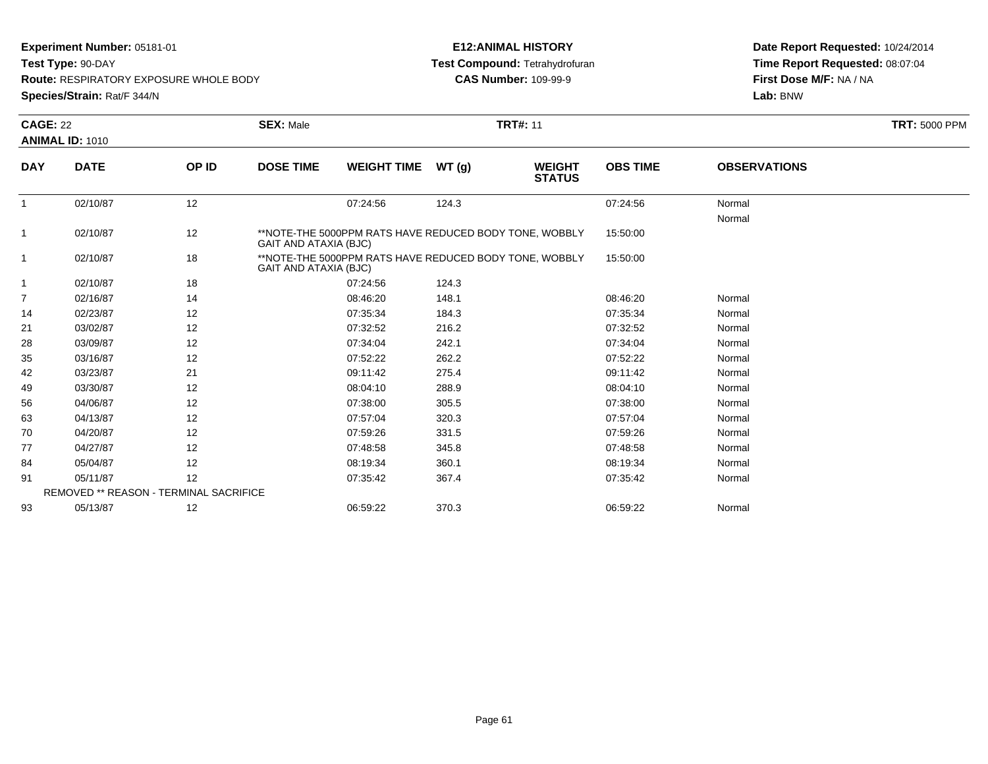**Test Type:** 90-DAY

**Route:** RESPIRATORY EXPOSURE WHOLE BODY

**Species/Strain:** Rat/F 344/N

## **E12:ANIMAL HISTORY Test Compound:** Tetrahydrofuran**CAS Number:** 109-99-9

| <b>CAGE: 22</b> |                                        | <b>SEX: Male</b><br><b>TRT#: 11</b> |                              |                                                        |       |                                |                 | <b>TRT: 5000 PPM</b> |  |
|-----------------|----------------------------------------|-------------------------------------|------------------------------|--------------------------------------------------------|-------|--------------------------------|-----------------|----------------------|--|
|                 | <b>ANIMAL ID: 1010</b>                 |                                     |                              |                                                        |       |                                |                 |                      |  |
| <b>DAY</b>      | <b>DATE</b>                            | OP ID                               | <b>DOSE TIME</b>             | <b>WEIGHT TIME</b>                                     | WT(g) | <b>WEIGHT</b><br><b>STATUS</b> | <b>OBS TIME</b> | <b>OBSERVATIONS</b>  |  |
| $\mathbf{1}$    | 02/10/87                               | 12                                  |                              | 07:24:56                                               | 124.3 |                                | 07:24:56        | Normal               |  |
| 1               | 02/10/87                               | 12                                  | <b>GAIT AND ATAXIA (BJC)</b> | **NOTE-THE 5000PPM RATS HAVE REDUCED BODY TONE, WOBBLY |       |                                | 15:50:00        | Normal               |  |
| 1               | 02/10/87                               | 18                                  | GAIT AND ATAXIA (BJC)        | **NOTE-THE 5000PPM RATS HAVE REDUCED BODY TONE, WOBBLY |       |                                | 15:50:00        |                      |  |
| 1               | 02/10/87                               | 18                                  |                              | 07:24:56                                               | 124.3 |                                |                 |                      |  |
| 7               | 02/16/87                               | 14                                  |                              | 08:46:20                                               | 148.1 |                                | 08:46:20        | Normal               |  |
| 14              | 02/23/87                               | 12                                  |                              | 07:35:34                                               | 184.3 |                                | 07:35:34        | Normal               |  |
| 21              | 03/02/87                               | 12                                  |                              | 07:32:52                                               | 216.2 |                                | 07:32:52        | Normal               |  |
| 28              | 03/09/87                               | 12                                  |                              | 07:34:04                                               | 242.1 |                                | 07:34:04        | Normal               |  |
| 35              | 03/16/87                               | 12                                  |                              | 07:52:22                                               | 262.2 |                                | 07:52:22        | Normal               |  |
| 42              | 03/23/87                               | 21                                  |                              | 09:11:42                                               | 275.4 |                                | 09:11:42        | Normal               |  |
| 49              | 03/30/87                               | 12                                  |                              | 08:04:10                                               | 288.9 |                                | 08:04:10        | Normal               |  |
| 56              | 04/06/87                               | 12                                  |                              | 07:38:00                                               | 305.5 |                                | 07:38:00        | Normal               |  |
| 63              | 04/13/87                               | 12                                  |                              | 07:57:04                                               | 320.3 |                                | 07:57:04        | Normal               |  |
| 70              | 04/20/87                               | 12                                  |                              | 07:59:26                                               | 331.5 |                                | 07:59:26        | Normal               |  |
| 77              | 04/27/87                               | 12                                  |                              | 07:48:58                                               | 345.8 |                                | 07:48:58        | Normal               |  |
| 84              | 05/04/87                               | 12                                  |                              | 08:19:34                                               | 360.1 |                                | 08:19:34        | Normal               |  |
| 91              | 05/11/87                               | 12                                  |                              | 07:35:42                                               | 367.4 |                                | 07:35:42        | Normal               |  |
|                 | REMOVED ** REASON - TERMINAL SACRIFICE |                                     |                              |                                                        |       |                                |                 |                      |  |
| 93              | 05/13/87                               | 12                                  |                              | 06:59:22                                               | 370.3 |                                | 06:59:22        | Normal               |  |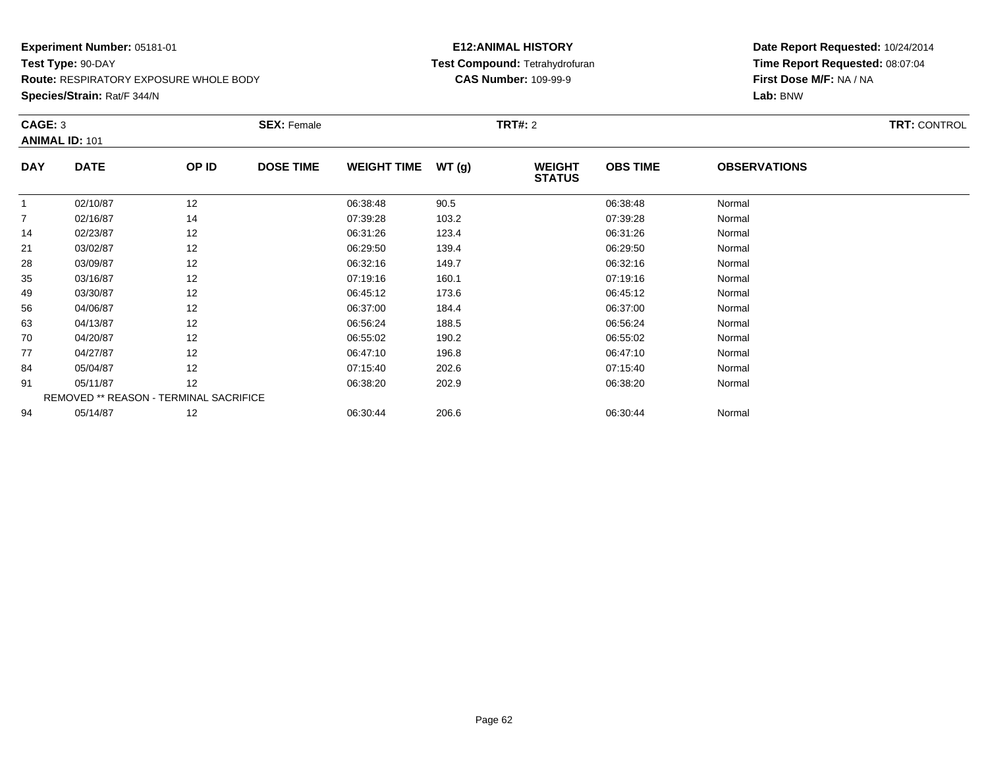**Species/Strain:** Rat/F 344/N

## **E12:ANIMAL HISTORY Test Compound:** Tetrahydrofuran**CAS Number:** 109-99-9

| CAGE: 3        | <b>ANIMAL ID: 101</b> |                                               | <b>SEX: Female</b> |                    |       | <b>TRT#: 2</b>                 |                 |                     | <b>TRT: CONTROL</b> |
|----------------|-----------------------|-----------------------------------------------|--------------------|--------------------|-------|--------------------------------|-----------------|---------------------|---------------------|
| <b>DAY</b>     | <b>DATE</b>           | OP ID                                         | <b>DOSE TIME</b>   | <b>WEIGHT TIME</b> | WT(g) | <b>WEIGHT</b><br><b>STATUS</b> | <b>OBS TIME</b> | <b>OBSERVATIONS</b> |                     |
| -1             | 02/10/87              | 12                                            |                    | 06:38:48           | 90.5  |                                | 06:38:48        | Normal              |                     |
| $\overline{7}$ | 02/16/87              | 14                                            |                    | 07:39:28           | 103.2 |                                | 07:39:28        | Normal              |                     |
| 14             | 02/23/87              | 12                                            |                    | 06:31:26           | 123.4 |                                | 06:31:26        | Normal              |                     |
| 21             | 03/02/87              | 12                                            |                    | 06:29:50           | 139.4 |                                | 06:29:50        | Normal              |                     |
| 28             | 03/09/87              | 12                                            |                    | 06:32:16           | 149.7 |                                | 06:32:16        | Normal              |                     |
| 35             | 03/16/87              | 12                                            |                    | 07:19:16           | 160.1 |                                | 07:19:16        | Normal              |                     |
| 49             | 03/30/87              | 12                                            |                    | 06:45:12           | 173.6 |                                | 06:45:12        | Normal              |                     |
| 56             | 04/06/87              | 12                                            |                    | 06:37:00           | 184.4 |                                | 06:37:00        | Normal              |                     |
| 63             | 04/13/87              | 12                                            |                    | 06:56:24           | 188.5 |                                | 06:56:24        | Normal              |                     |
| 70             | 04/20/87              | 12                                            |                    | 06:55:02           | 190.2 |                                | 06:55:02        | Normal              |                     |
| 77             | 04/27/87              | 12                                            |                    | 06:47:10           | 196.8 |                                | 06:47:10        | Normal              |                     |
| 84             | 05/04/87              | 12                                            |                    | 07:15:40           | 202.6 |                                | 07:15:40        | Normal              |                     |
| 91             | 05/11/87              | 12                                            |                    | 06:38:20           | 202.9 |                                | 06:38:20        | Normal              |                     |
|                |                       | <b>REMOVED ** REASON - TERMINAL SACRIFICE</b> |                    |                    |       |                                |                 |                     |                     |
| 94             | 05/14/87              | 12                                            |                    | 06:30:44           | 206.6 |                                | 06:30:44        | Normal              |                     |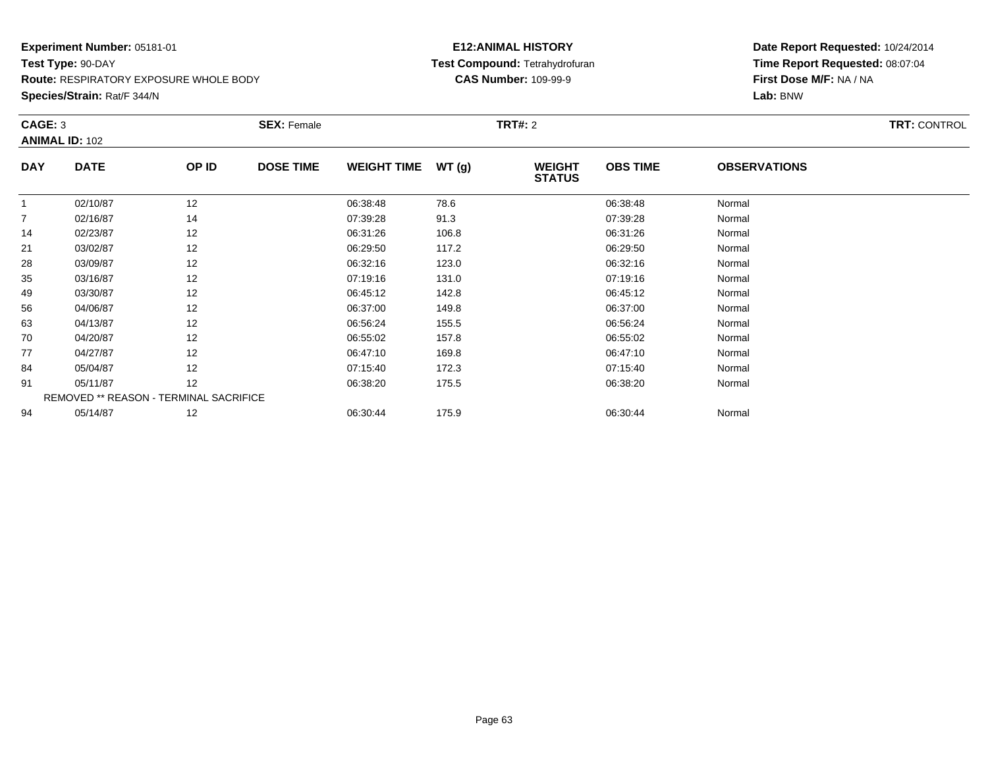**Species/Strain:** Rat/F 344/N

## **E12:ANIMAL HISTORY Test Compound:** Tetrahydrofuran**CAS Number:** 109-99-9

| CAGE: 3        | <b>ANIMAL ID: 102</b> |                                               | <b>SEX: Female</b> |                    |       | <b>TRT#: 2</b>                 |                 |                     | <b>TRT: CONTROL</b> |
|----------------|-----------------------|-----------------------------------------------|--------------------|--------------------|-------|--------------------------------|-----------------|---------------------|---------------------|
| <b>DAY</b>     | <b>DATE</b>           | OP ID                                         | <b>DOSE TIME</b>   | <b>WEIGHT TIME</b> | WT(g) | <b>WEIGHT</b><br><b>STATUS</b> | <b>OBS TIME</b> | <b>OBSERVATIONS</b> |                     |
| -1             | 02/10/87              | 12                                            |                    | 06:38:48           | 78.6  |                                | 06:38:48        | Normal              |                     |
| $\overline{7}$ | 02/16/87              | 14                                            |                    | 07:39:28           | 91.3  |                                | 07:39:28        | Normal              |                     |
| 14             | 02/23/87              | 12                                            |                    | 06:31:26           | 106.8 |                                | 06:31:26        | Normal              |                     |
| 21             | 03/02/87              | 12                                            |                    | 06:29:50           | 117.2 |                                | 06:29:50        | Normal              |                     |
| 28             | 03/09/87              | 12                                            |                    | 06:32:16           | 123.0 |                                | 06:32:16        | Normal              |                     |
| 35             | 03/16/87              | 12                                            |                    | 07:19:16           | 131.0 |                                | 07:19:16        | Normal              |                     |
| 49             | 03/30/87              | 12                                            |                    | 06:45:12           | 142.8 |                                | 06:45:12        | Normal              |                     |
| 56             | 04/06/87              | 12                                            |                    | 06:37:00           | 149.8 |                                | 06:37:00        | Normal              |                     |
| 63             | 04/13/87              | 12                                            |                    | 06:56:24           | 155.5 |                                | 06:56:24        | Normal              |                     |
| 70             | 04/20/87              | 12                                            |                    | 06:55:02           | 157.8 |                                | 06:55:02        | Normal              |                     |
| 77             | 04/27/87              | 12                                            |                    | 06:47:10           | 169.8 |                                | 06:47:10        | Normal              |                     |
| 84             | 05/04/87              | 12                                            |                    | 07:15:40           | 172.3 |                                | 07:15:40        | Normal              |                     |
| 91             | 05/11/87              | 12                                            |                    | 06:38:20           | 175.5 |                                | 06:38:20        | Normal              |                     |
|                |                       | <b>REMOVED ** REASON - TERMINAL SACRIFICE</b> |                    |                    |       |                                |                 |                     |                     |
| 94             | 05/14/87              | 12                                            |                    | 06:30:44           | 175.9 |                                | 06:30:44        | Normal              |                     |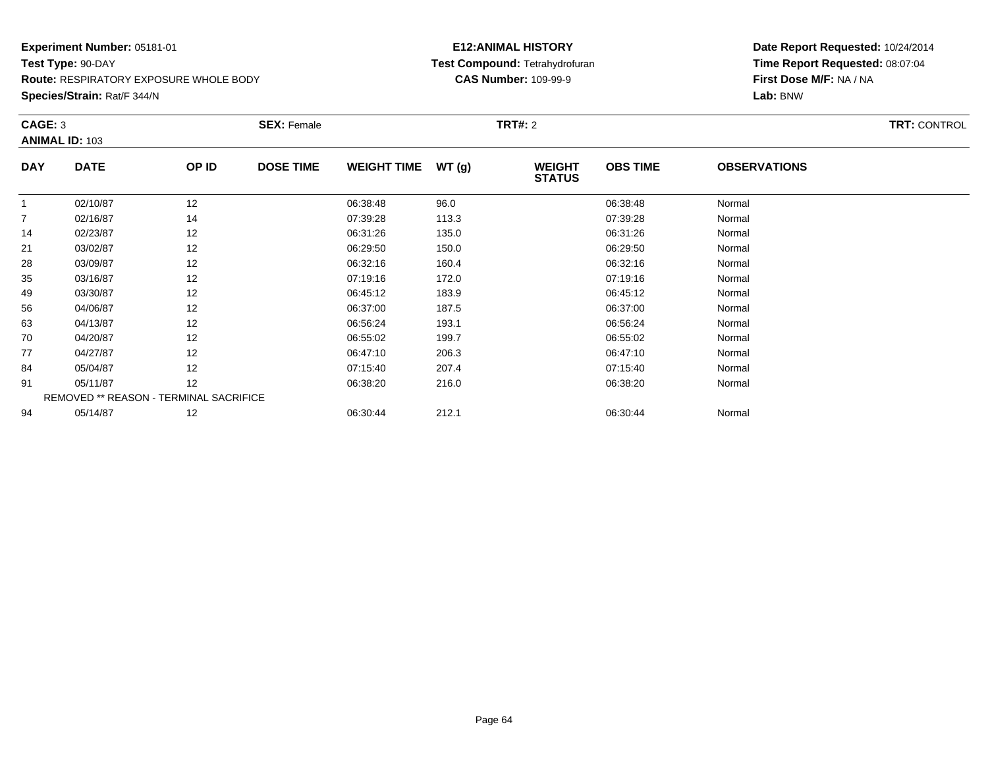**Species/Strain:** Rat/F 344/N

## **E12:ANIMAL HISTORY Test Compound:** Tetrahydrofuran**CAS Number:** 109-99-9

| CAGE: 3        | <b>ANIMAL ID: 103</b>                  |       | <b>SEX: Female</b> |                    |       | <b>TRT#: 2</b>                 |                 |                     | <b>TRT: CONTROL</b> |
|----------------|----------------------------------------|-------|--------------------|--------------------|-------|--------------------------------|-----------------|---------------------|---------------------|
| <b>DAY</b>     | <b>DATE</b>                            | OP ID | <b>DOSE TIME</b>   | <b>WEIGHT TIME</b> | WT(g) | <b>WEIGHT</b><br><b>STATUS</b> | <b>OBS TIME</b> | <b>OBSERVATIONS</b> |                     |
|                | 02/10/87                               | 12    |                    | 06:38:48           | 96.0  |                                | 06:38:48        | Normal              |                     |
| $\overline{7}$ | 02/16/87                               | 14    |                    | 07:39:28           | 113.3 |                                | 07:39:28        | Normal              |                     |
| 14             | 02/23/87                               | 12    |                    | 06:31:26           | 135.0 |                                | 06:31:26        | Normal              |                     |
| 21             | 03/02/87                               | 12    |                    | 06:29:50           | 150.0 |                                | 06:29:50        | Normal              |                     |
| 28             | 03/09/87                               | 12    |                    | 06:32:16           | 160.4 |                                | 06:32:16        | Normal              |                     |
| 35             | 03/16/87                               | 12    |                    | 07:19:16           | 172.0 |                                | 07:19:16        | Normal              |                     |
| 49             | 03/30/87                               | 12    |                    | 06:45:12           | 183.9 |                                | 06:45:12        | Normal              |                     |
| 56             | 04/06/87                               | 12    |                    | 06:37:00           | 187.5 |                                | 06:37:00        | Normal              |                     |
| 63             | 04/13/87                               | 12    |                    | 06:56:24           | 193.1 |                                | 06:56:24        | Normal              |                     |
| 70             | 04/20/87                               | 12    |                    | 06:55:02           | 199.7 |                                | 06:55:02        | Normal              |                     |
| 77             | 04/27/87                               | 12    |                    | 06:47:10           | 206.3 |                                | 06:47:10        | Normal              |                     |
| 84             | 05/04/87                               | 12    |                    | 07:15:40           | 207.4 |                                | 07:15:40        | Normal              |                     |
| 91             | 05/11/87                               | 12    |                    | 06:38:20           | 216.0 |                                | 06:38:20        | Normal              |                     |
|                | REMOVED ** REASON - TERMINAL SACRIFICE |       |                    |                    |       |                                |                 |                     |                     |
| 94             | 05/14/87                               | 12    |                    | 06:30:44           | 212.1 |                                | 06:30:44        | Normal              |                     |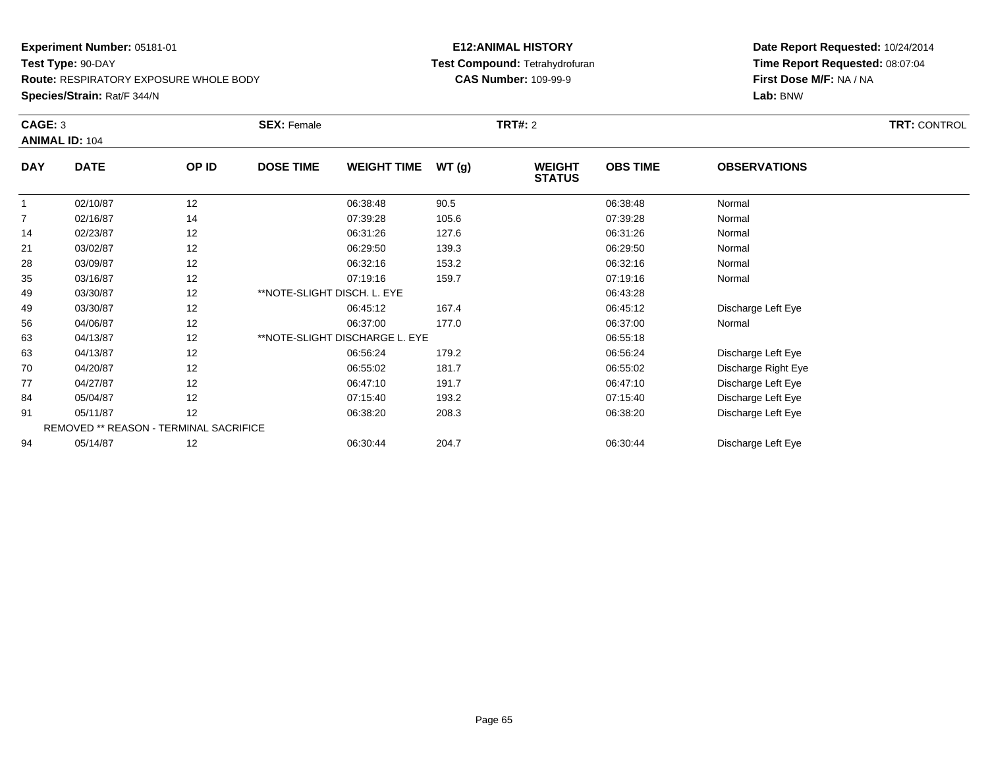**Species/Strain:** Rat/F 344/N

### **E12:ANIMAL HISTORY Test Compound:** Tetrahydrofuran**CAS Number:** 109-99-9

| CAGE: 3        | <b>ANIMAL ID: 104</b>                  |       | <b>SEX: Female</b>          |                                | <b>TRT#:</b> 2 |                                |                 | <b>TRT: CONTROL</b> |  |
|----------------|----------------------------------------|-------|-----------------------------|--------------------------------|----------------|--------------------------------|-----------------|---------------------|--|
| <b>DAY</b>     | <b>DATE</b>                            | OP ID | <b>DOSE TIME</b>            | <b>WEIGHT TIME</b>             | WT(g)          | <b>WEIGHT</b><br><b>STATUS</b> | <b>OBS TIME</b> | <b>OBSERVATIONS</b> |  |
| $\mathbf{1}$   | 02/10/87                               | 12    |                             | 06:38:48                       | 90.5           |                                | 06:38:48        | Normal              |  |
| $\overline{7}$ | 02/16/87                               | 14    |                             | 07:39:28                       | 105.6          |                                | 07:39:28        | Normal              |  |
| 14             | 02/23/87                               | 12    |                             | 06:31:26                       | 127.6          |                                | 06:31:26        | Normal              |  |
| 21             | 03/02/87                               | 12    |                             | 06:29:50                       | 139.3          |                                | 06:29:50        | Normal              |  |
| 28             | 03/09/87                               | 12    |                             | 06:32:16                       | 153.2          |                                | 06:32:16        | Normal              |  |
| 35             | 03/16/87                               | 12    |                             | 07:19:16                       | 159.7          |                                | 07:19:16        | Normal              |  |
| 49             | 03/30/87                               | 12    | **NOTE-SLIGHT DISCH. L. EYE |                                |                |                                | 06:43:28        |                     |  |
| 49             | 03/30/87                               | 12    |                             | 06:45:12                       | 167.4          |                                | 06:45:12        | Discharge Left Eye  |  |
| 56             | 04/06/87                               | 12    |                             | 06:37:00                       | 177.0          |                                | 06:37:00        | Normal              |  |
| 63             | 04/13/87                               | 12    |                             | **NOTE-SLIGHT DISCHARGE L. EYE |                |                                | 06:55:18        |                     |  |
| 63             | 04/13/87                               | 12    |                             | 06:56:24                       | 179.2          |                                | 06:56:24        | Discharge Left Eye  |  |
| 70             | 04/20/87                               | 12    |                             | 06:55:02                       | 181.7          |                                | 06:55:02        | Discharge Right Eye |  |
| 77             | 04/27/87                               | 12    |                             | 06:47:10                       | 191.7          |                                | 06:47:10        | Discharge Left Eye  |  |
| 84             | 05/04/87                               | 12    |                             | 07:15:40                       | 193.2          |                                | 07:15:40        | Discharge Left Eye  |  |
| 91             | 05/11/87                               | 12    |                             | 06:38:20                       | 208.3          |                                | 06:38:20        | Discharge Left Eye  |  |
|                | REMOVED ** REASON - TERMINAL SACRIFICE |       |                             |                                |                |                                |                 |                     |  |
| 94             | 05/14/87                               | 12    |                             | 06:30:44                       | 204.7          |                                | 06:30:44        | Discharge Left Eye  |  |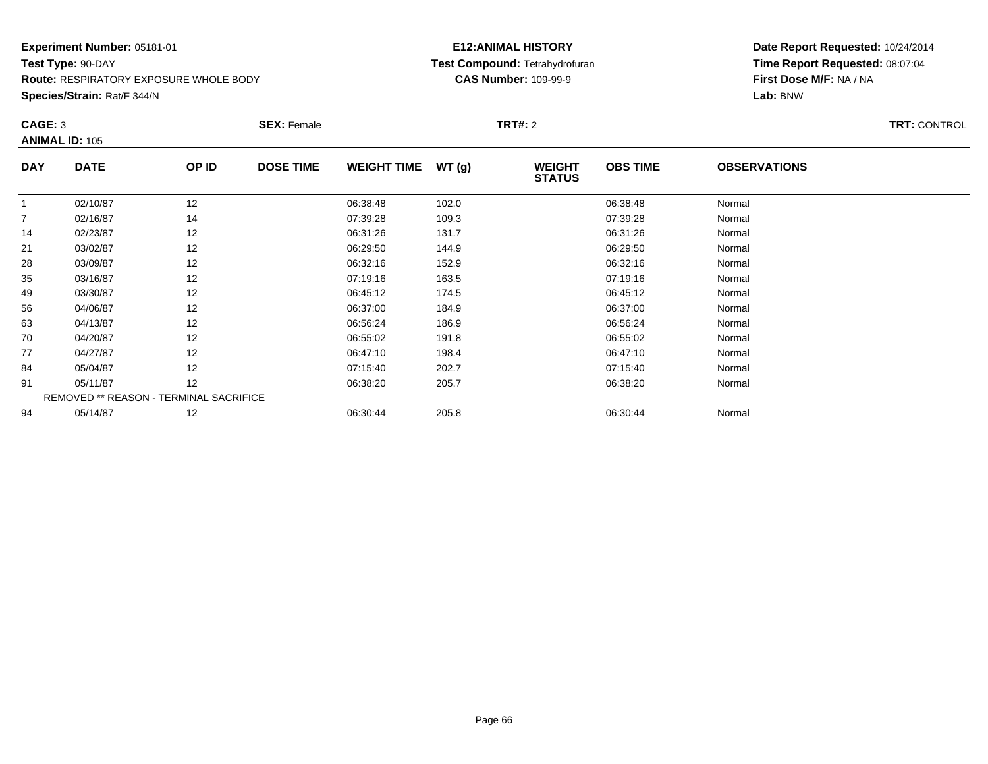**Species/Strain:** Rat/F 344/N

## **E12:ANIMAL HISTORY Test Compound:** Tetrahydrofuran**CAS Number:** 109-99-9

|             |                                  |                  |                                                              |       |                                |                 |                     | <b>TRT: CONTROL</b> |
|-------------|----------------------------------|------------------|--------------------------------------------------------------|-------|--------------------------------|-----------------|---------------------|---------------------|
|             |                                  |                  |                                                              |       |                                |                 |                     |                     |
| <b>DATE</b> | OP ID                            | <b>DOSE TIME</b> | <b>WEIGHT TIME</b>                                           | WT(g) | <b>WEIGHT</b><br><b>STATUS</b> | <b>OBS TIME</b> | <b>OBSERVATIONS</b> |                     |
| 02/10/87    | 12                               |                  | 06:38:48                                                     | 102.0 |                                | 06:38:48        | Normal              |                     |
| 02/16/87    | 14                               |                  | 07:39:28                                                     | 109.3 |                                | 07:39:28        | Normal              |                     |
| 02/23/87    | 12                               |                  | 06:31:26                                                     | 131.7 |                                | 06:31:26        | Normal              |                     |
| 03/02/87    | 12                               |                  | 06:29:50                                                     | 144.9 |                                | 06:29:50        | Normal              |                     |
| 03/09/87    | 12                               |                  | 06:32:16                                                     | 152.9 |                                | 06:32:16        | Normal              |                     |
| 03/16/87    | 12                               |                  | 07:19:16                                                     | 163.5 |                                | 07:19:16        | Normal              |                     |
| 03/30/87    | 12                               |                  | 06:45:12                                                     | 174.5 |                                | 06:45:12        | Normal              |                     |
| 04/06/87    | 12                               |                  | 06:37:00                                                     | 184.9 |                                | 06:37:00        | Normal              |                     |
| 04/13/87    | 12                               |                  | 06:56:24                                                     | 186.9 |                                | 06:56:24        | Normal              |                     |
| 04/20/87    | 12                               |                  | 06:55:02                                                     | 191.8 |                                | 06:55:02        | Normal              |                     |
| 04/27/87    | 12                               |                  | 06:47:10                                                     | 198.4 |                                | 06:47:10        | Normal              |                     |
| 05/04/87    | 12                               |                  | 07:15:40                                                     | 202.7 |                                | 07:15:40        | Normal              |                     |
| 05/11/87    | 12                               |                  | 06:38:20                                                     | 205.7 |                                | 06:38:20        | Normal              |                     |
|             |                                  |                  |                                                              |       |                                |                 |                     |                     |
| 05/14/87    | 12                               |                  | 06:30:44                                                     | 205.8 |                                | 06:30:44        | Normal              |                     |
|             | CAGE: 3<br><b>ANIMAL ID: 105</b> |                  | <b>SEX: Female</b><br>REMOVED ** REASON - TERMINAL SACRIFICE |       |                                | <b>TRT#:</b> 2  |                     |                     |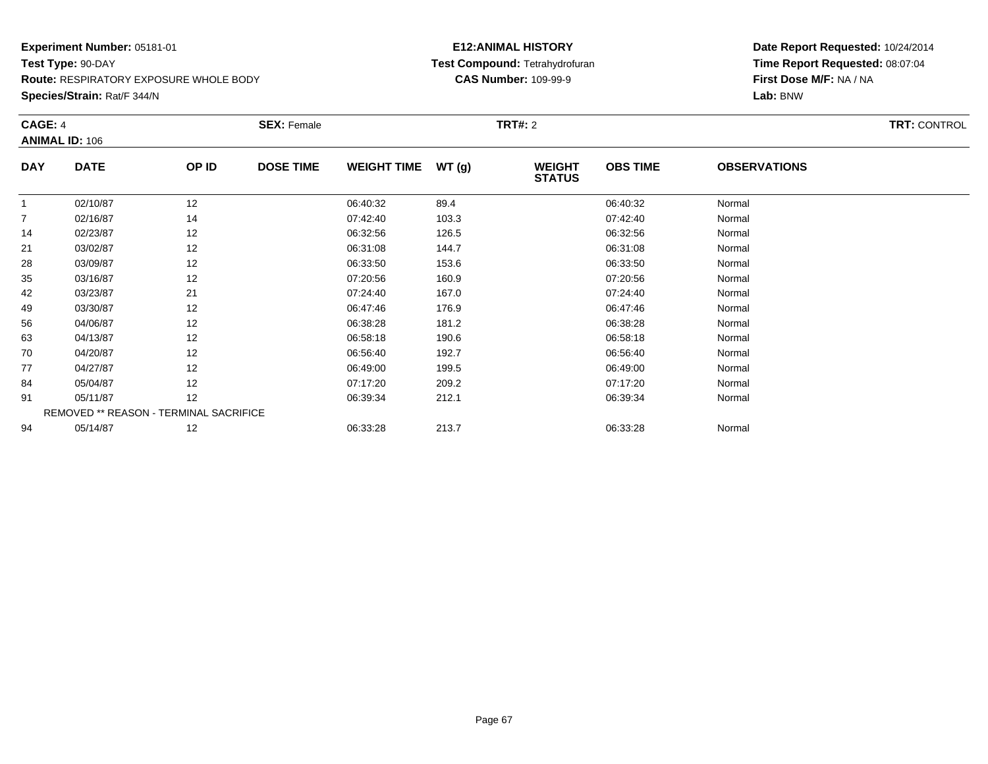**Species/Strain:** Rat/F 344/N

## **E12:ANIMAL HISTORY Test Compound:** Tetrahydrofuran**CAS Number:** 109-99-9

|                | CAGE: 4<br><b>ANIMAL ID: 106</b>       |       | <b>SEX: Female</b> |                    |       | <b>TRT#: 2</b>                 | <b>TRT: CONTROL</b> |                     |  |
|----------------|----------------------------------------|-------|--------------------|--------------------|-------|--------------------------------|---------------------|---------------------|--|
| <b>DAY</b>     | <b>DATE</b>                            | OP ID | <b>DOSE TIME</b>   | <b>WEIGHT TIME</b> | WT(g) | <b>WEIGHT</b><br><b>STATUS</b> | <b>OBS TIME</b>     | <b>OBSERVATIONS</b> |  |
| 1              | 02/10/87                               | 12    |                    | 06:40:32           | 89.4  |                                | 06:40:32            | Normal              |  |
| $\overline{7}$ | 02/16/87                               | 14    |                    | 07:42:40           | 103.3 |                                | 07:42:40            | Normal              |  |
| 14             | 02/23/87                               | 12    |                    | 06:32:56           | 126.5 |                                | 06:32:56            | Normal              |  |
| 21             | 03/02/87                               | 12    |                    | 06:31:08           | 144.7 |                                | 06:31:08            | Normal              |  |
| 28             | 03/09/87                               | 12    |                    | 06:33:50           | 153.6 |                                | 06:33:50            | Normal              |  |
| 35             | 03/16/87                               | 12    |                    | 07:20:56           | 160.9 |                                | 07:20:56            | Normal              |  |
| 42             | 03/23/87                               | 21    |                    | 07:24:40           | 167.0 |                                | 07:24:40            | Normal              |  |
| 49             | 03/30/87                               | 12    |                    | 06:47:46           | 176.9 |                                | 06:47:46            | Normal              |  |
| 56             | 04/06/87                               | 12    |                    | 06:38:28           | 181.2 |                                | 06:38:28            | Normal              |  |
| 63             | 04/13/87                               | 12    |                    | 06:58:18           | 190.6 |                                | 06:58:18            | Normal              |  |
| 70             | 04/20/87                               | 12    |                    | 06:56:40           | 192.7 |                                | 06:56:40            | Normal              |  |
| 77             | 04/27/87                               | 12    |                    | 06:49:00           | 199.5 |                                | 06:49:00            | Normal              |  |
| 84             | 05/04/87                               | 12    |                    | 07:17:20           | 209.2 |                                | 07:17:20            | Normal              |  |
| 91             | 05/11/87                               | 12    |                    | 06:39:34           | 212.1 |                                | 06:39:34            | Normal              |  |
|                | REMOVED ** REASON - TERMINAL SACRIFICE |       |                    |                    |       |                                |                     |                     |  |
| 94             | 05/14/87                               | 12    |                    | 06:33:28           | 213.7 |                                | 06:33:28            | Normal              |  |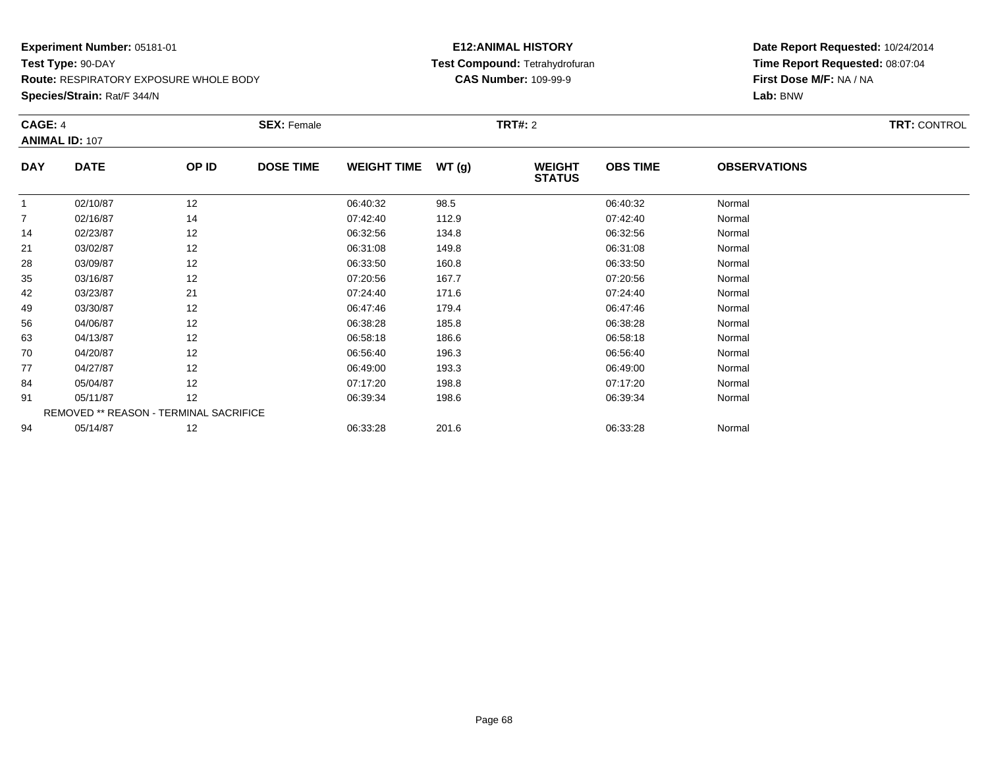**Species/Strain:** Rat/F 344/N

## **E12:ANIMAL HISTORY Test Compound:** Tetrahydrofuran**CAS Number:** 109-99-9

|                | CAGE: 4<br><b>ANIMAL ID: 107</b> |                                        | <b>SEX: Female</b> |                    |       | <b>TRT#: 2</b>                 | <b>TRT: CONTROL</b> |                     |  |
|----------------|----------------------------------|----------------------------------------|--------------------|--------------------|-------|--------------------------------|---------------------|---------------------|--|
| <b>DAY</b>     | <b>DATE</b>                      | OP ID                                  | <b>DOSE TIME</b>   | <b>WEIGHT TIME</b> | WT(g) | <b>WEIGHT</b><br><b>STATUS</b> | <b>OBS TIME</b>     | <b>OBSERVATIONS</b> |  |
| 1              | 02/10/87                         | 12                                     |                    | 06:40:32           | 98.5  |                                | 06:40:32            | Normal              |  |
| $\overline{7}$ | 02/16/87                         | 14                                     |                    | 07:42:40           | 112.9 |                                | 07:42:40            | Normal              |  |
| 14             | 02/23/87                         | 12                                     |                    | 06:32:56           | 134.8 |                                | 06:32:56            | Normal              |  |
| 21             | 03/02/87                         | 12                                     |                    | 06:31:08           | 149.8 |                                | 06:31:08            | Normal              |  |
| 28             | 03/09/87                         | 12                                     |                    | 06:33:50           | 160.8 |                                | 06:33:50            | Normal              |  |
| 35             | 03/16/87                         | 12                                     |                    | 07:20:56           | 167.7 |                                | 07:20:56            | Normal              |  |
| 42             | 03/23/87                         | 21                                     |                    | 07:24:40           | 171.6 |                                | 07:24:40            | Normal              |  |
| 49             | 03/30/87                         | 12                                     |                    | 06:47:46           | 179.4 |                                | 06:47:46            | Normal              |  |
| 56             | 04/06/87                         | 12                                     |                    | 06:38:28           | 185.8 |                                | 06:38:28            | Normal              |  |
| 63             | 04/13/87                         | 12                                     |                    | 06:58:18           | 186.6 |                                | 06:58:18            | Normal              |  |
| 70             | 04/20/87                         | 12                                     |                    | 06:56:40           | 196.3 |                                | 06:56:40            | Normal              |  |
| 77             | 04/27/87                         | 12                                     |                    | 06:49:00           | 193.3 |                                | 06:49:00            | Normal              |  |
| 84             | 05/04/87                         | 12                                     |                    | 07:17:20           | 198.8 |                                | 07:17:20            | Normal              |  |
| 91             | 05/11/87                         | 12                                     |                    | 06:39:34           | 198.6 |                                | 06:39:34            | Normal              |  |
|                |                                  | REMOVED ** REASON - TERMINAL SACRIFICE |                    |                    |       |                                |                     |                     |  |
| 94             | 05/14/87                         | 12                                     |                    | 06:33:28           | 201.6 |                                | 06:33:28            | Normal              |  |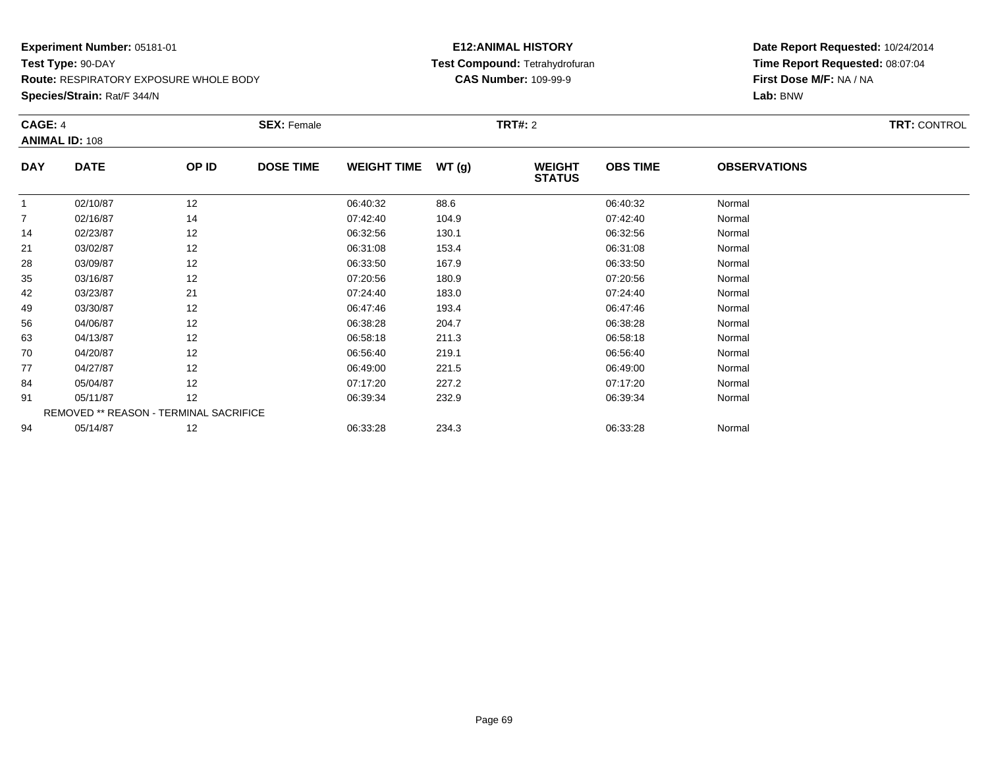**Species/Strain:** Rat/F 344/N

## **E12:ANIMAL HISTORY Test Compound:** Tetrahydrofuran**CAS Number:** 109-99-9

| CAGE: 4        | <b>ANIMAL ID: 108</b>                  |       | <b>SEX: Female</b> |                    |       | <b>TRT#:</b> 2                 |                 |                     | <b>TRT: CONTROL</b> |
|----------------|----------------------------------------|-------|--------------------|--------------------|-------|--------------------------------|-----------------|---------------------|---------------------|
| <b>DAY</b>     | <b>DATE</b>                            | OP ID | <b>DOSE TIME</b>   | <b>WEIGHT TIME</b> | WT(g) | <b>WEIGHT</b><br><b>STATUS</b> | <b>OBS TIME</b> | <b>OBSERVATIONS</b> |                     |
|                | 02/10/87                               | 12    |                    | 06:40:32           | 88.6  |                                | 06:40:32        | Normal              |                     |
| $\overline{7}$ | 02/16/87                               | 14    |                    | 07:42:40           | 104.9 |                                | 07:42:40        | Normal              |                     |
| 14             | 02/23/87                               | 12    |                    | 06:32:56           | 130.1 |                                | 06:32:56        | Normal              |                     |
| 21             | 03/02/87                               | 12    |                    | 06:31:08           | 153.4 |                                | 06:31:08        | Normal              |                     |
| 28             | 03/09/87                               | 12    |                    | 06:33:50           | 167.9 |                                | 06:33:50        | Normal              |                     |
| 35             | 03/16/87                               | 12    |                    | 07:20:56           | 180.9 |                                | 07:20:56        | Normal              |                     |
| 42             | 03/23/87                               | 21    |                    | 07:24:40           | 183.0 |                                | 07:24:40        | Normal              |                     |
| 49             | 03/30/87                               | 12    |                    | 06:47:46           | 193.4 |                                | 06:47:46        | Normal              |                     |
| 56             | 04/06/87                               | 12    |                    | 06:38:28           | 204.7 |                                | 06:38:28        | Normal              |                     |
| 63             | 04/13/87                               | 12    |                    | 06:58:18           | 211.3 |                                | 06:58:18        | Normal              |                     |
| 70             | 04/20/87                               | 12    |                    | 06:56:40           | 219.1 |                                | 06:56:40        | Normal              |                     |
| 77             | 04/27/87                               | 12    |                    | 06:49:00           | 221.5 |                                | 06:49:00        | Normal              |                     |
| 84             | 05/04/87                               | 12    |                    | 07:17:20           | 227.2 |                                | 07:17:20        | Normal              |                     |
| 91             | 05/11/87                               | 12    |                    | 06:39:34           | 232.9 |                                | 06:39:34        | Normal              |                     |
|                | REMOVED ** REASON - TERMINAL SACRIFICE |       |                    |                    |       |                                |                 |                     |                     |
| 94             | 05/14/87                               | 12    |                    | 06:33:28           | 234.3 |                                | 06:33:28        | Normal              |                     |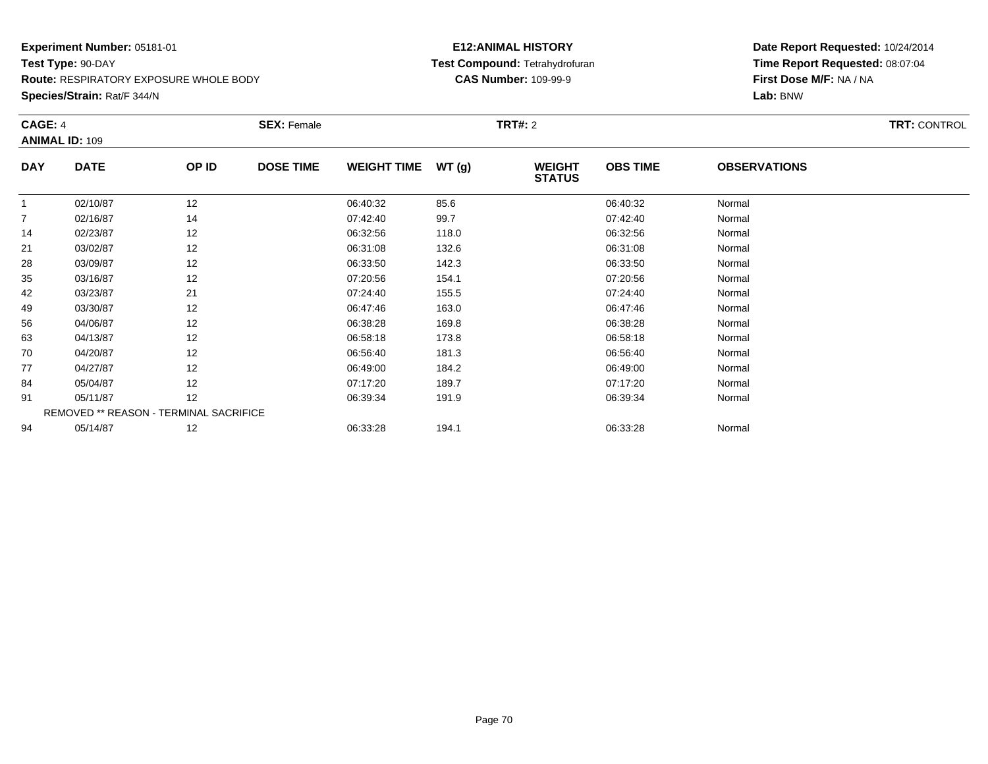**Species/Strain:** Rat/F 344/N

## **E12:ANIMAL HISTORY Test Compound:** Tetrahydrofuran**CAS Number:** 109-99-9

| CAGE: 4        | <b>ANIMAL ID: 109</b> |                                        | <b>SEX: Female</b> |                    |       | <b>TRT#: 2</b>                 |                 |                     |  |  |
|----------------|-----------------------|----------------------------------------|--------------------|--------------------|-------|--------------------------------|-----------------|---------------------|--|--|
| <b>DAY</b>     | <b>DATE</b>           | OP ID                                  | <b>DOSE TIME</b>   | <b>WEIGHT TIME</b> | WT(g) | <b>WEIGHT</b><br><b>STATUS</b> | <b>OBS TIME</b> | <b>OBSERVATIONS</b> |  |  |
| $\overline{1}$ | 02/10/87              | 12                                     |                    | 06:40:32           | 85.6  |                                | 06:40:32        | Normal              |  |  |
| $\overline{7}$ | 02/16/87              | 14                                     |                    | 07:42:40           | 99.7  |                                | 07:42:40        | Normal              |  |  |
| 14             | 02/23/87              | 12                                     |                    | 06:32:56           | 118.0 |                                | 06:32:56        | Normal              |  |  |
| 21             | 03/02/87              | 12                                     |                    | 06:31:08           | 132.6 |                                | 06:31:08        | Normal              |  |  |
| 28             | 03/09/87              | 12                                     |                    | 06:33:50           | 142.3 |                                | 06:33:50        | Normal              |  |  |
| 35             | 03/16/87              | 12                                     |                    | 07:20:56           | 154.1 |                                | 07:20:56        | Normal              |  |  |
| 42             | 03/23/87              | 21                                     |                    | 07:24:40           | 155.5 |                                | 07:24:40        | Normal              |  |  |
| 49             | 03/30/87              | 12                                     |                    | 06:47:46           | 163.0 |                                | 06:47:46        | Normal              |  |  |
| 56             | 04/06/87              | 12                                     |                    | 06:38:28           | 169.8 |                                | 06:38:28        | Normal              |  |  |
| 63             | 04/13/87              | 12                                     |                    | 06:58:18           | 173.8 |                                | 06:58:18        | Normal              |  |  |
| 70             | 04/20/87              | 12                                     |                    | 06:56:40           | 181.3 |                                | 06:56:40        | Normal              |  |  |
| 77             | 04/27/87              | 12                                     |                    | 06:49:00           | 184.2 |                                | 06:49:00        | Normal              |  |  |
| 84             | 05/04/87              | 12                                     |                    | 07:17:20           | 189.7 |                                | 07:17:20        | Normal              |  |  |
| 91             | 05/11/87              | 12                                     |                    | 06:39:34           | 191.9 |                                | 06:39:34        | Normal              |  |  |
|                |                       | REMOVED ** REASON - TERMINAL SACRIFICE |                    |                    |       |                                |                 |                     |  |  |
| 94             | 05/14/87              | 12                                     |                    | 06:33:28           | 194.1 |                                | 06:33:28        | Normal              |  |  |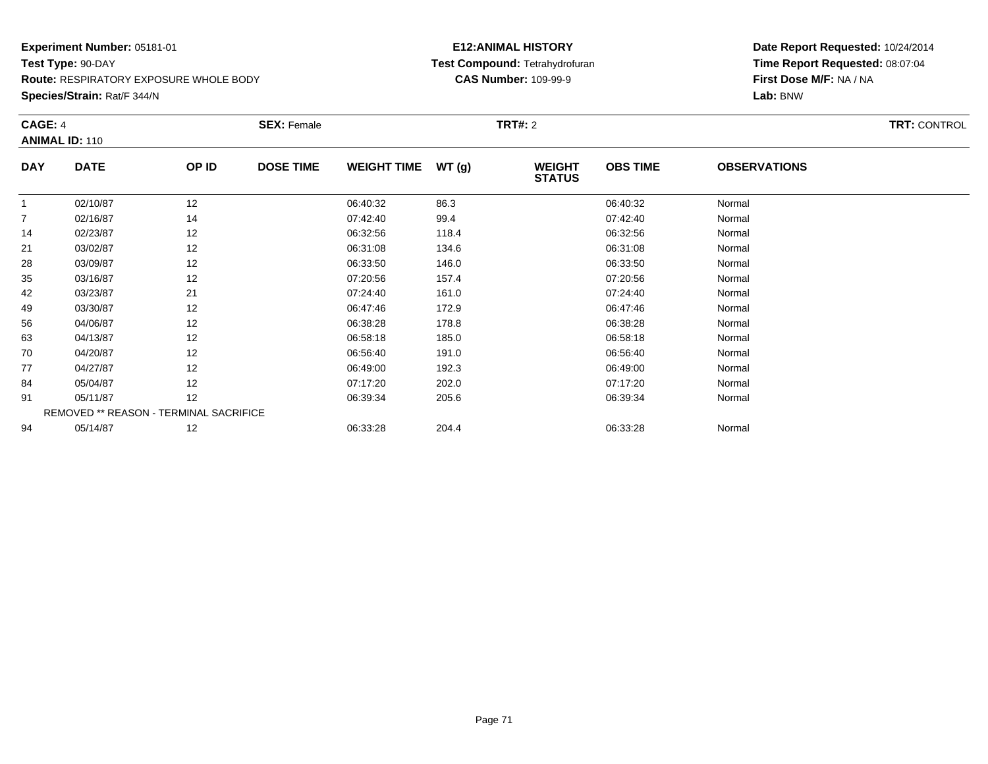**Species/Strain:** Rat/F 344/N

## **E12:ANIMAL HISTORY Test Compound:** Tetrahydrofuran**CAS Number:** 109-99-9

| CAGE: 4        | <b>ANIMAL ID: 110</b>                  |       | <b>SEX: Female</b> |                    |       | <b>TRT#: 2</b>                 |                 |                     | <b>TRT: CONTROL</b> |
|----------------|----------------------------------------|-------|--------------------|--------------------|-------|--------------------------------|-----------------|---------------------|---------------------|
| <b>DAY</b>     | <b>DATE</b>                            | OP ID | <b>DOSE TIME</b>   | <b>WEIGHT TIME</b> | WT(g) | <b>WEIGHT</b><br><b>STATUS</b> | <b>OBS TIME</b> | <b>OBSERVATIONS</b> |                     |
|                | 02/10/87                               | 12    |                    | 06:40:32           | 86.3  |                                | 06:40:32        | Normal              |                     |
| $\overline{7}$ | 02/16/87                               | 14    |                    | 07:42:40           | 99.4  |                                | 07:42:40        | Normal              |                     |
| 14             | 02/23/87                               | 12    |                    | 06:32:56           | 118.4 |                                | 06:32:56        | Normal              |                     |
| 21             | 03/02/87                               | 12    |                    | 06:31:08           | 134.6 |                                | 06:31:08        | Normal              |                     |
| 28             | 03/09/87                               | 12    |                    | 06:33:50           | 146.0 |                                | 06:33:50        | Normal              |                     |
| 35             | 03/16/87                               | 12    |                    | 07:20:56           | 157.4 |                                | 07:20:56        | Normal              |                     |
| 42             | 03/23/87                               | 21    |                    | 07:24:40           | 161.0 |                                | 07:24:40        | Normal              |                     |
| 49             | 03/30/87                               | 12    |                    | 06:47:46           | 172.9 |                                | 06:47:46        | Normal              |                     |
| 56             | 04/06/87                               | 12    |                    | 06:38:28           | 178.8 |                                | 06:38:28        | Normal              |                     |
| 63             | 04/13/87                               | 12    |                    | 06:58:18           | 185.0 |                                | 06:58:18        | Normal              |                     |
| 70             | 04/20/87                               | 12    |                    | 06:56:40           | 191.0 |                                | 06:56:40        | Normal              |                     |
| 77             | 04/27/87                               | 12    |                    | 06:49:00           | 192.3 |                                | 06:49:00        | Normal              |                     |
| 84             | 05/04/87                               | 12    |                    | 07:17:20           | 202.0 |                                | 07:17:20        | Normal              |                     |
| 91             | 05/11/87                               | 12    |                    | 06:39:34           | 205.6 |                                | 06:39:34        | Normal              |                     |
|                | REMOVED ** REASON - TERMINAL SACRIFICE |       |                    |                    |       |                                |                 |                     |                     |
| 94             | 05/14/87                               | 12    |                    | 06:33:28           | 204.4 |                                | 06:33:28        | Normal              |                     |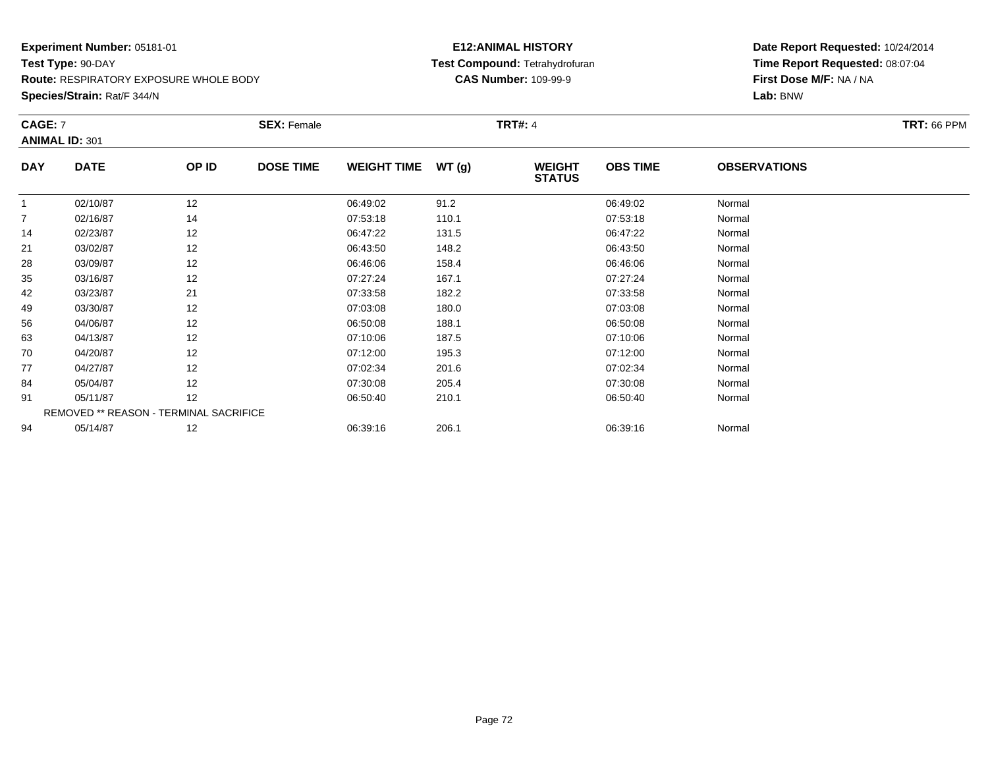**Species/Strain:** Rat/F 344/N

## **E12:ANIMAL HISTORY Test Compound:** Tetrahydrofuran**CAS Number:** 109-99-9

| <b>CAGE: 7</b> | <b>ANIMAL ID: 301</b>                  |       | <b>SEX: Female</b> |                    |       | <b>TRT#: 4</b>                 |                 |                     | <b>TRT: 66 PPM</b> |
|----------------|----------------------------------------|-------|--------------------|--------------------|-------|--------------------------------|-----------------|---------------------|--------------------|
| <b>DAY</b>     | <b>DATE</b>                            | OP ID | <b>DOSE TIME</b>   | <b>WEIGHT TIME</b> | WT(g) | <b>WEIGHT</b><br><b>STATUS</b> | <b>OBS TIME</b> | <b>OBSERVATIONS</b> |                    |
| 1              | 02/10/87                               | 12    |                    | 06:49:02           | 91.2  |                                | 06:49:02        | Normal              |                    |
| $\overline{7}$ | 02/16/87                               | 14    |                    | 07:53:18           | 110.1 |                                | 07:53:18        | Normal              |                    |
| 14             | 02/23/87                               | 12    |                    | 06:47:22           | 131.5 |                                | 06:47:22        | Normal              |                    |
| 21             | 03/02/87                               | 12    |                    | 06:43:50           | 148.2 |                                | 06:43:50        | Normal              |                    |
| 28             | 03/09/87                               | 12    |                    | 06:46:06           | 158.4 |                                | 06:46:06        | Normal              |                    |
| 35             | 03/16/87                               | 12    |                    | 07:27:24           | 167.1 |                                | 07:27:24        | Normal              |                    |
| 42             | 03/23/87                               | 21    |                    | 07:33:58           | 182.2 |                                | 07:33:58        | Normal              |                    |
| 49             | 03/30/87                               | 12    |                    | 07:03:08           | 180.0 |                                | 07:03:08        | Normal              |                    |
| 56             | 04/06/87                               | 12    |                    | 06:50:08           | 188.1 |                                | 06:50:08        | Normal              |                    |
| 63             | 04/13/87                               | 12    |                    | 07:10:06           | 187.5 |                                | 07:10:06        | Normal              |                    |
| 70             | 04/20/87                               | 12    |                    | 07:12:00           | 195.3 |                                | 07:12:00        | Normal              |                    |
| 77             | 04/27/87                               | 12    |                    | 07:02:34           | 201.6 |                                | 07:02:34        | Normal              |                    |
| 84             | 05/04/87                               | 12    |                    | 07:30:08           | 205.4 |                                | 07:30:08        | Normal              |                    |
| 91             | 05/11/87                               | 12    |                    | 06:50:40           | 210.1 |                                | 06:50:40        | Normal              |                    |
|                | REMOVED ** REASON - TERMINAL SACRIFICE |       |                    |                    |       |                                |                 |                     |                    |
| 94             | 05/14/87                               | 12    |                    | 06:39:16           | 206.1 |                                | 06:39:16        | Normal              |                    |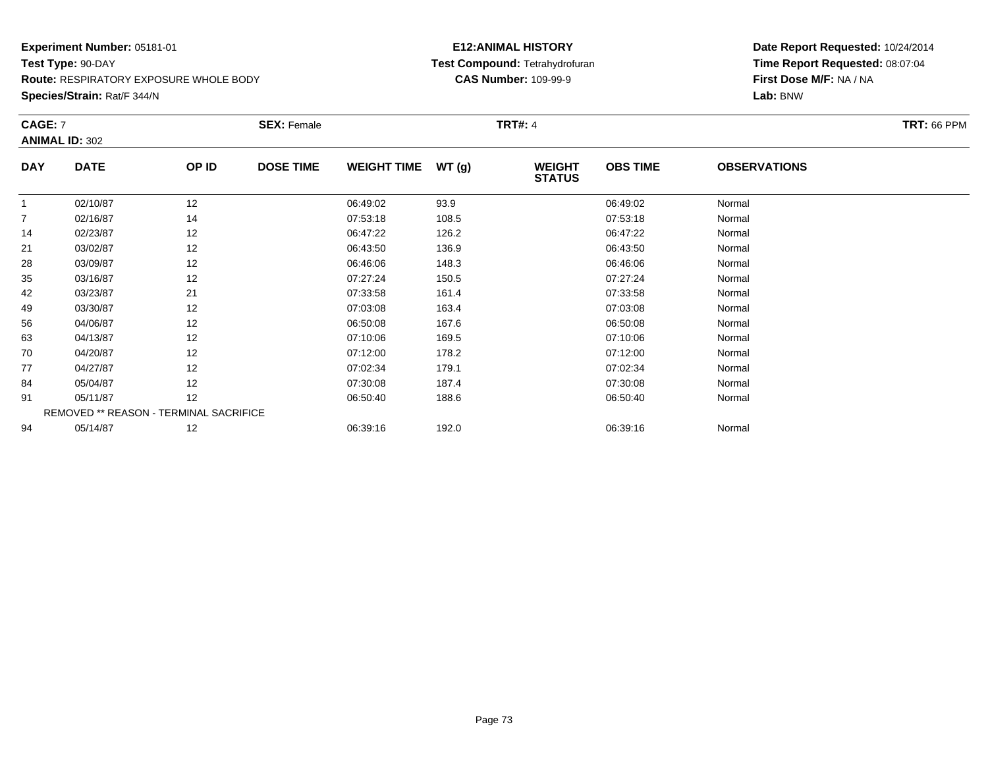**Species/Strain:** Rat/F 344/N

#### **E12:ANIMAL HISTORY Test Compound:** Tetrahydrofuran**CAS Number:** 109-99-9

| <b>CAGE: 7</b> | <b>ANIMAL ID: 302</b> |                                        | <b>SEX: Female</b> |                    |       | <b>TRT#: 4</b>                 |                 |                     | <b>TRT: 66 PPM</b> |
|----------------|-----------------------|----------------------------------------|--------------------|--------------------|-------|--------------------------------|-----------------|---------------------|--------------------|
| <b>DAY</b>     | <b>DATE</b>           | OP ID                                  | <b>DOSE TIME</b>   | <b>WEIGHT TIME</b> | WT(g) | <b>WEIGHT</b><br><b>STATUS</b> | <b>OBS TIME</b> | <b>OBSERVATIONS</b> |                    |
| 1              | 02/10/87              | 12                                     |                    | 06:49:02           | 93.9  |                                | 06:49:02        | Normal              |                    |
| $\overline{7}$ | 02/16/87              | 14                                     |                    | 07:53:18           | 108.5 |                                | 07:53:18        | Normal              |                    |
| 14             | 02/23/87              | 12                                     |                    | 06:47:22           | 126.2 |                                | 06:47:22        | Normal              |                    |
| 21             | 03/02/87              | 12                                     |                    | 06:43:50           | 136.9 |                                | 06:43:50        | Normal              |                    |
| 28             | 03/09/87              | 12                                     |                    | 06:46:06           | 148.3 |                                | 06:46:06        | Normal              |                    |
| 35             | 03/16/87              | 12                                     |                    | 07:27:24           | 150.5 |                                | 07:27:24        | Normal              |                    |
| 42             | 03/23/87              | 21                                     |                    | 07:33:58           | 161.4 |                                | 07:33:58        | Normal              |                    |
| 49             | 03/30/87              | 12                                     |                    | 07:03:08           | 163.4 |                                | 07:03:08        | Normal              |                    |
| 56             | 04/06/87              | 12                                     |                    | 06:50:08           | 167.6 |                                | 06:50:08        | Normal              |                    |
| 63             | 04/13/87              | 12                                     |                    | 07:10:06           | 169.5 |                                | 07:10:06        | Normal              |                    |
| 70             | 04/20/87              | 12                                     |                    | 07:12:00           | 178.2 |                                | 07:12:00        | Normal              |                    |
| 77             | 04/27/87              | 12                                     |                    | 07:02:34           | 179.1 |                                | 07:02:34        | Normal              |                    |
| 84             | 05/04/87              | 12                                     |                    | 07:30:08           | 187.4 |                                | 07:30:08        | Normal              |                    |
| 91             | 05/11/87              | 12                                     |                    | 06:50:40           | 188.6 |                                | 06:50:40        | Normal              |                    |
|                |                       | REMOVED ** REASON - TERMINAL SACRIFICE |                    |                    |       |                                |                 |                     |                    |
| 94             | 05/14/87              | 12                                     |                    | 06:39:16           | 192.0 |                                | 06:39:16        | Normal              |                    |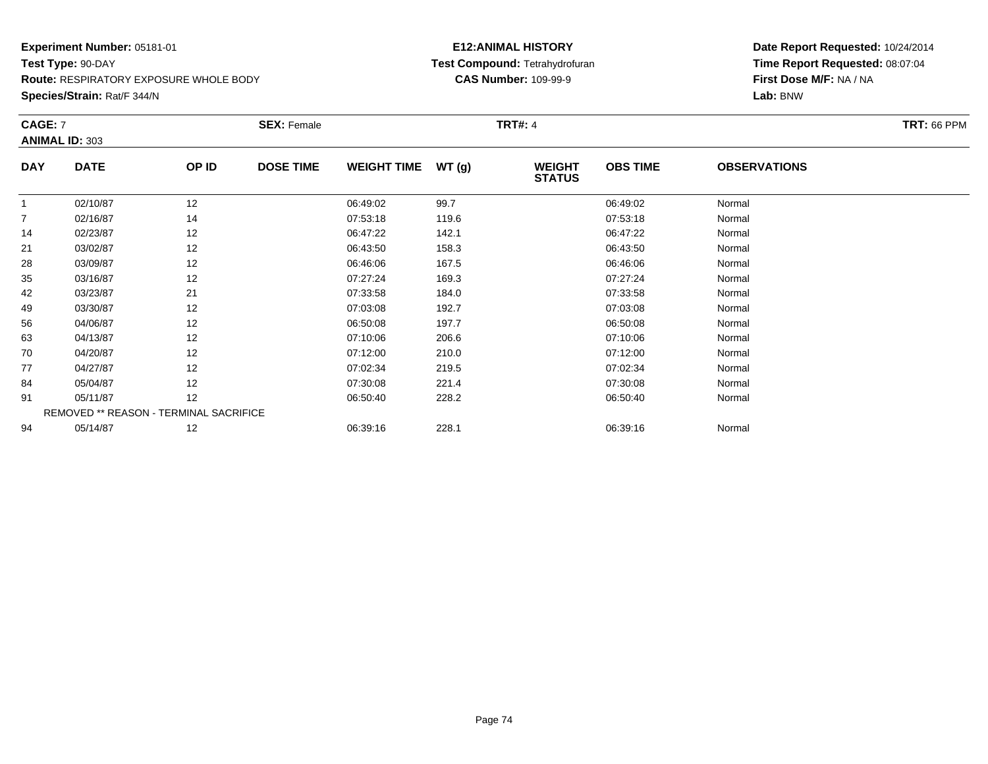**Species/Strain:** Rat/F 344/N

#### **E12:ANIMAL HISTORY Test Compound:** Tetrahydrofuran**CAS Number:** 109-99-9

| <b>CAGE: 7</b> | <b>ANIMAL ID: 303</b> |                                        | <b>SEX: Female</b> |                    |       | <b>TRT#: 4</b>                 |                 |                     | <b>TRT: 66 PPM</b> |
|----------------|-----------------------|----------------------------------------|--------------------|--------------------|-------|--------------------------------|-----------------|---------------------|--------------------|
| <b>DAY</b>     | <b>DATE</b>           | OP ID                                  | <b>DOSE TIME</b>   | <b>WEIGHT TIME</b> | WT(g) | <b>WEIGHT</b><br><b>STATUS</b> | <b>OBS TIME</b> | <b>OBSERVATIONS</b> |                    |
| 1              | 02/10/87              | 12                                     |                    | 06:49:02           | 99.7  |                                | 06:49:02        | Normal              |                    |
| $\overline{7}$ | 02/16/87              | 14                                     |                    | 07:53:18           | 119.6 |                                | 07:53:18        | Normal              |                    |
| 14             | 02/23/87              | 12                                     |                    | 06:47:22           | 142.1 |                                | 06:47:22        | Normal              |                    |
| 21             | 03/02/87              | 12                                     |                    | 06:43:50           | 158.3 |                                | 06:43:50        | Normal              |                    |
| 28             | 03/09/87              | 12                                     |                    | 06:46:06           | 167.5 |                                | 06:46:06        | Normal              |                    |
| 35             | 03/16/87              | 12                                     |                    | 07:27:24           | 169.3 |                                | 07:27:24        | Normal              |                    |
| 42             | 03/23/87              | 21                                     |                    | 07:33:58           | 184.0 |                                | 07:33:58        | Normal              |                    |
| 49             | 03/30/87              | 12                                     |                    | 07:03:08           | 192.7 |                                | 07:03:08        | Normal              |                    |
| 56             | 04/06/87              | 12                                     |                    | 06:50:08           | 197.7 |                                | 06:50:08        | Normal              |                    |
| 63             | 04/13/87              | 12                                     |                    | 07:10:06           | 206.6 |                                | 07:10:06        | Normal              |                    |
| 70             | 04/20/87              | 12                                     |                    | 07:12:00           | 210.0 |                                | 07:12:00        | Normal              |                    |
| 77             | 04/27/87              | 12                                     |                    | 07:02:34           | 219.5 |                                | 07:02:34        | Normal              |                    |
| 84             | 05/04/87              | 12                                     |                    | 07:30:08           | 221.4 |                                | 07:30:08        | Normal              |                    |
| 91             | 05/11/87              | 12                                     |                    | 06:50:40           | 228.2 |                                | 06:50:40        | Normal              |                    |
|                |                       | REMOVED ** REASON - TERMINAL SACRIFICE |                    |                    |       |                                |                 |                     |                    |
| 94             | 05/14/87              | 12                                     |                    | 06:39:16           | 228.1 |                                | 06:39:16        | Normal              |                    |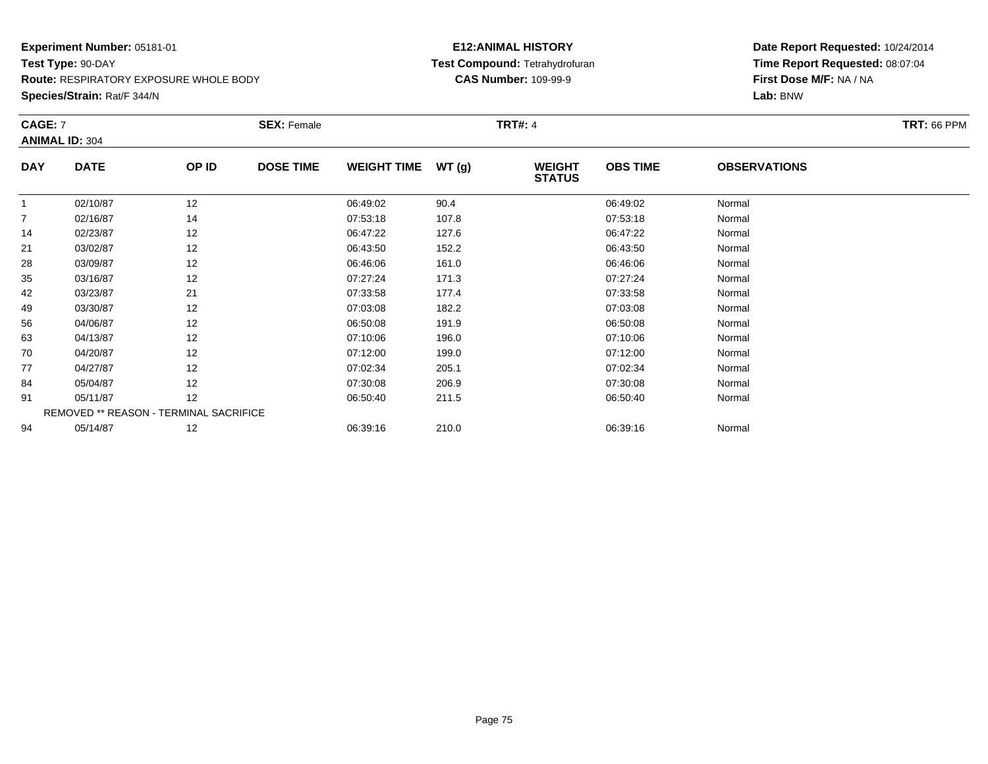**Species/Strain:** Rat/F 344/N

#### **E12:ANIMAL HISTORY Test Compound:** Tetrahydrofuran**CAS Number:** 109-99-9

| CAGE: 7    |                                        |       | <b>SEX: Female</b> |                    |       | <b>TRT#: 4</b>                 |                 |                     | <b>TRT: 66 PPM</b> |
|------------|----------------------------------------|-------|--------------------|--------------------|-------|--------------------------------|-----------------|---------------------|--------------------|
|            | <b>ANIMAL ID: 304</b>                  |       |                    |                    |       |                                |                 |                     |                    |
| <b>DAY</b> | <b>DATE</b>                            | OP ID | <b>DOSE TIME</b>   | <b>WEIGHT TIME</b> | WT(g) | <b>WEIGHT</b><br><b>STATUS</b> | <b>OBS TIME</b> | <b>OBSERVATIONS</b> |                    |
| 1          | 02/10/87                               | 12    |                    | 06:49:02           | 90.4  |                                | 06:49:02        | Normal              |                    |
| 7          | 02/16/87                               | 14    |                    | 07:53:18           | 107.8 |                                | 07:53:18        | Normal              |                    |
| 14         | 02/23/87                               | 12    |                    | 06:47:22           | 127.6 |                                | 06:47:22        | Normal              |                    |
| 21         | 03/02/87                               | 12    |                    | 06:43:50           | 152.2 |                                | 06:43:50        | Normal              |                    |
| 28         | 03/09/87                               | 12    |                    | 06:46:06           | 161.0 |                                | 06:46:06        | Normal              |                    |
| 35         | 03/16/87                               | 12    |                    | 07:27:24           | 171.3 |                                | 07:27:24        | Normal              |                    |
| 42         | 03/23/87                               | 21    |                    | 07:33:58           | 177.4 |                                | 07:33:58        | Normal              |                    |
| 49         | 03/30/87                               | 12    |                    | 07:03:08           | 182.2 |                                | 07:03:08        | Normal              |                    |
| 56         | 04/06/87                               | 12    |                    | 06:50:08           | 191.9 |                                | 06:50:08        | Normal              |                    |
| 63         | 04/13/87                               | 12    |                    | 07:10:06           | 196.0 |                                | 07:10:06        | Normal              |                    |
| 70         | 04/20/87                               | 12    |                    | 07:12:00           | 199.0 |                                | 07:12:00        | Normal              |                    |
| 77         | 04/27/87                               | 12    |                    | 07:02:34           | 205.1 |                                | 07:02:34        | Normal              |                    |
| 84         | 05/04/87                               | 12    |                    | 07:30:08           | 206.9 |                                | 07:30:08        | Normal              |                    |
| 91         | 05/11/87                               | 12    |                    | 06:50:40           | 211.5 |                                | 06:50:40        | Normal              |                    |
|            | REMOVED ** REASON - TERMINAL SACRIFICE |       |                    |                    |       |                                |                 |                     |                    |
| 94         | 05/14/87                               | 12    |                    | 06:39:16           | 210.0 |                                | 06:39:16        | Normal              |                    |
|            |                                        |       |                    |                    |       |                                |                 |                     |                    |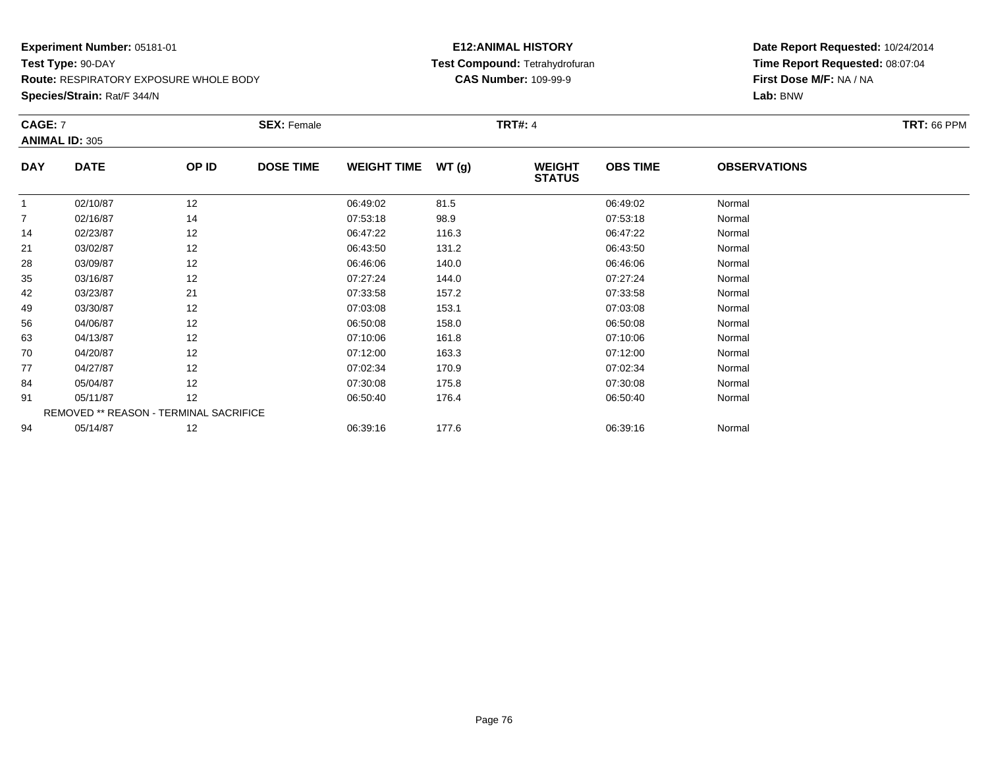**Species/Strain:** Rat/F 344/N

#### **E12:ANIMAL HISTORY Test Compound:** Tetrahydrofuran**CAS Number:** 109-99-9

| <b>CAGE: 7</b> | <b>ANIMAL ID: 305</b>                  |       | <b>SEX: Female</b> |                    |       | <b>TRT#: 4</b>                 |                 |                     | <b>TRT: 66 PPM</b> |
|----------------|----------------------------------------|-------|--------------------|--------------------|-------|--------------------------------|-----------------|---------------------|--------------------|
| <b>DAY</b>     | <b>DATE</b>                            | OP ID | <b>DOSE TIME</b>   | <b>WEIGHT TIME</b> | WT(g) | <b>WEIGHT</b><br><b>STATUS</b> | <b>OBS TIME</b> | <b>OBSERVATIONS</b> |                    |
| 1              | 02/10/87                               | 12    |                    | 06:49:02           | 81.5  |                                | 06:49:02        | Normal              |                    |
| $\overline{7}$ | 02/16/87                               | 14    |                    | 07:53:18           | 98.9  |                                | 07:53:18        | Normal              |                    |
| 14             | 02/23/87                               | 12    |                    | 06:47:22           | 116.3 |                                | 06:47:22        | Normal              |                    |
| 21             | 03/02/87                               | 12    |                    | 06:43:50           | 131.2 |                                | 06:43:50        | Normal              |                    |
| 28             | 03/09/87                               | 12    |                    | 06:46:06           | 140.0 |                                | 06:46:06        | Normal              |                    |
| 35             | 03/16/87                               | 12    |                    | 07:27:24           | 144.0 |                                | 07:27:24        | Normal              |                    |
| 42             | 03/23/87                               | 21    |                    | 07:33:58           | 157.2 |                                | 07:33:58        | Normal              |                    |
| 49             | 03/30/87                               | 12    |                    | 07:03:08           | 153.1 |                                | 07:03:08        | Normal              |                    |
| 56             | 04/06/87                               | 12    |                    | 06:50:08           | 158.0 |                                | 06:50:08        | Normal              |                    |
| 63             | 04/13/87                               | 12    |                    | 07:10:06           | 161.8 |                                | 07:10:06        | Normal              |                    |
| 70             | 04/20/87                               | 12    |                    | 07:12:00           | 163.3 |                                | 07:12:00        | Normal              |                    |
| 77             | 04/27/87                               | 12    |                    | 07:02:34           | 170.9 |                                | 07:02:34        | Normal              |                    |
| 84             | 05/04/87                               | 12    |                    | 07:30:08           | 175.8 |                                | 07:30:08        | Normal              |                    |
| 91             | 05/11/87                               | 12    |                    | 06:50:40           | 176.4 |                                | 06:50:40        | Normal              |                    |
|                | REMOVED ** REASON - TERMINAL SACRIFICE |       |                    |                    |       |                                |                 |                     |                    |
| 94             | 05/14/87                               | 12    |                    | 06:39:16           | 177.6 |                                | 06:39:16        | Normal              |                    |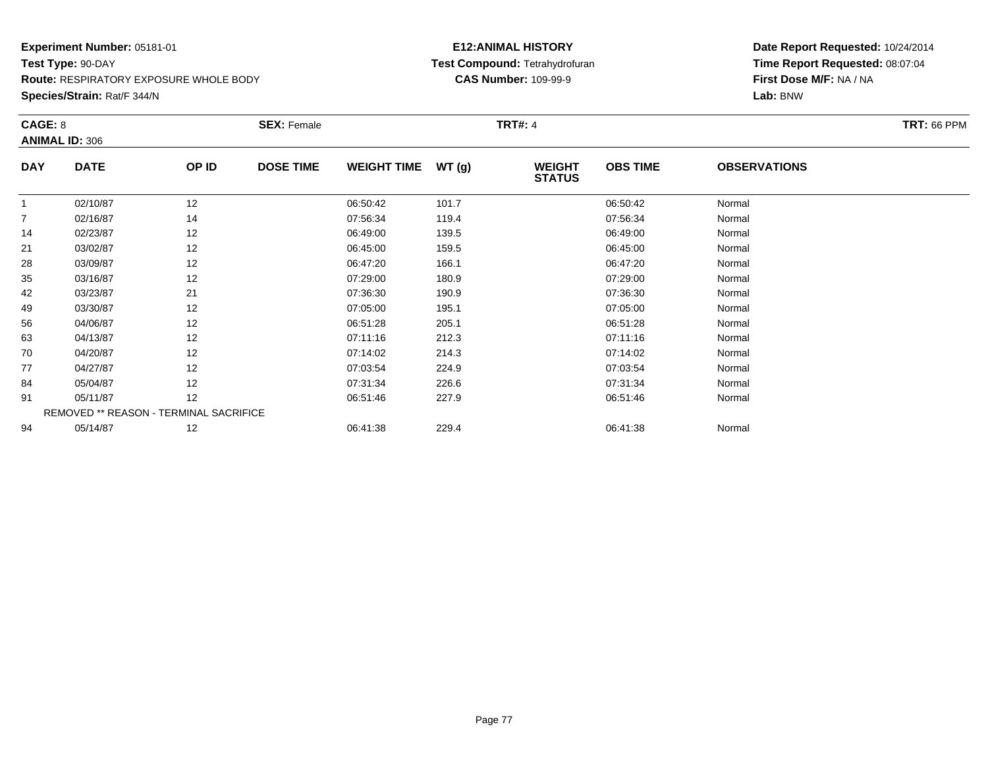**Species/Strain:** Rat/F 344/N

#### **E12:ANIMAL HISTORY Test Compound:** Tetrahydrofuran**CAS Number:** 109-99-9

| CAGE: 8        | <b>ANIMAL ID: 306</b>                  |       | <b>SEX: Female</b> |                    |       | <b>TRT#: 4</b>                 |                 |                     | <b>TRT: 66 PPM</b> |
|----------------|----------------------------------------|-------|--------------------|--------------------|-------|--------------------------------|-----------------|---------------------|--------------------|
| <b>DAY</b>     | <b>DATE</b>                            | OP ID | <b>DOSE TIME</b>   | <b>WEIGHT TIME</b> | WT(g) | <b>WEIGHT</b><br><b>STATUS</b> | <b>OBS TIME</b> | <b>OBSERVATIONS</b> |                    |
| 1              | 02/10/87                               | 12    |                    | 06:50:42           | 101.7 |                                | 06:50:42        | Normal              |                    |
| $\overline{7}$ | 02/16/87                               | 14    |                    | 07:56:34           | 119.4 |                                | 07:56:34        | Normal              |                    |
| 14             | 02/23/87                               | 12    |                    | 06:49:00           | 139.5 |                                | 06:49:00        | Normal              |                    |
| 21             | 03/02/87                               | 12    |                    | 06:45:00           | 159.5 |                                | 06:45:00        | Normal              |                    |
| 28             | 03/09/87                               | 12    |                    | 06:47:20           | 166.1 |                                | 06:47:20        | Normal              |                    |
| 35             | 03/16/87                               | 12    |                    | 07:29:00           | 180.9 |                                | 07:29:00        | Normal              |                    |
| 42             | 03/23/87                               | 21    |                    | 07:36:30           | 190.9 |                                | 07:36:30        | Normal              |                    |
| 49             | 03/30/87                               | 12    |                    | 07:05:00           | 195.1 |                                | 07:05:00        | Normal              |                    |
| 56             | 04/06/87                               | 12    |                    | 06:51:28           | 205.1 |                                | 06:51:28        | Normal              |                    |
| 63             | 04/13/87                               | 12    |                    | 07:11:16           | 212.3 |                                | 07:11:16        | Normal              |                    |
| 70             | 04/20/87                               | 12    |                    | 07:14:02           | 214.3 |                                | 07:14:02        | Normal              |                    |
| 77             | 04/27/87                               | 12    |                    | 07:03:54           | 224.9 |                                | 07:03:54        | Normal              |                    |
| 84             | 05/04/87                               | 12    |                    | 07:31:34           | 226.6 |                                | 07:31:34        | Normal              |                    |
| 91             | 05/11/87                               | 12    |                    | 06:51:46           | 227.9 |                                | 06:51:46        | Normal              |                    |
|                | REMOVED ** REASON - TERMINAL SACRIFICE |       |                    |                    |       |                                |                 |                     |                    |
| 94             | 05/14/87                               | 12    |                    | 06:41:38           | 229.4 |                                | 06:41:38        | Normal              |                    |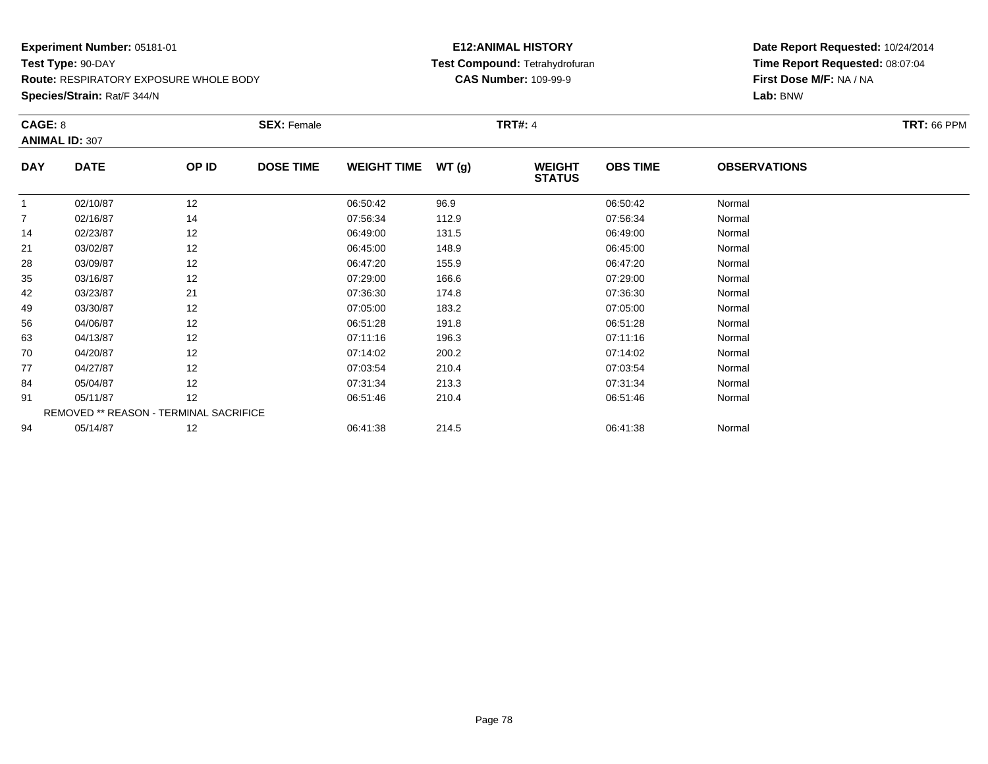**Species/Strain:** Rat/F 344/N

#### **E12:ANIMAL HISTORY Test Compound:** Tetrahydrofuran**CAS Number:** 109-99-9

| CAGE: 8        | <b>ANIMAL ID: 307</b>                  |       | <b>SEX: Female</b> |                    |       | <b>TRT#: 4</b>                 |                 |                     | <b>TRT: 66 PPM</b> |
|----------------|----------------------------------------|-------|--------------------|--------------------|-------|--------------------------------|-----------------|---------------------|--------------------|
| <b>DAY</b>     | <b>DATE</b>                            | OP ID | <b>DOSE TIME</b>   | <b>WEIGHT TIME</b> | WT(g) | <b>WEIGHT</b><br><b>STATUS</b> | <b>OBS TIME</b> | <b>OBSERVATIONS</b> |                    |
| 1              | 02/10/87                               | 12    |                    | 06:50:42           | 96.9  |                                | 06:50:42        | Normal              |                    |
| $\overline{7}$ | 02/16/87                               | 14    |                    | 07:56:34           | 112.9 |                                | 07:56:34        | Normal              |                    |
| 14             | 02/23/87                               | 12    |                    | 06:49:00           | 131.5 |                                | 06:49:00        | Normal              |                    |
| 21             | 03/02/87                               | 12    |                    | 06:45:00           | 148.9 |                                | 06:45:00        | Normal              |                    |
| 28             | 03/09/87                               | 12    |                    | 06:47:20           | 155.9 |                                | 06:47:20        | Normal              |                    |
| 35             | 03/16/87                               | 12    |                    | 07:29:00           | 166.6 |                                | 07:29:00        | Normal              |                    |
| 42             | 03/23/87                               | 21    |                    | 07:36:30           | 174.8 |                                | 07:36:30        | Normal              |                    |
| 49             | 03/30/87                               | 12    |                    | 07:05:00           | 183.2 |                                | 07:05:00        | Normal              |                    |
| 56             | 04/06/87                               | 12    |                    | 06:51:28           | 191.8 |                                | 06:51:28        | Normal              |                    |
| 63             | 04/13/87                               | 12    |                    | 07:11:16           | 196.3 |                                | 07:11:16        | Normal              |                    |
| 70             | 04/20/87                               | 12    |                    | 07:14:02           | 200.2 |                                | 07:14:02        | Normal              |                    |
| 77             | 04/27/87                               | 12    |                    | 07:03:54           | 210.4 |                                | 07:03:54        | Normal              |                    |
| 84             | 05/04/87                               | 12    |                    | 07:31:34           | 213.3 |                                | 07:31:34        | Normal              |                    |
| 91             | 05/11/87                               | 12    |                    | 06:51:46           | 210.4 |                                | 06:51:46        | Normal              |                    |
|                | REMOVED ** REASON - TERMINAL SACRIFICE |       |                    |                    |       |                                |                 |                     |                    |
| 94             | 05/14/87                               | 12    |                    | 06:41:38           | 214.5 |                                | 06:41:38        | Normal              |                    |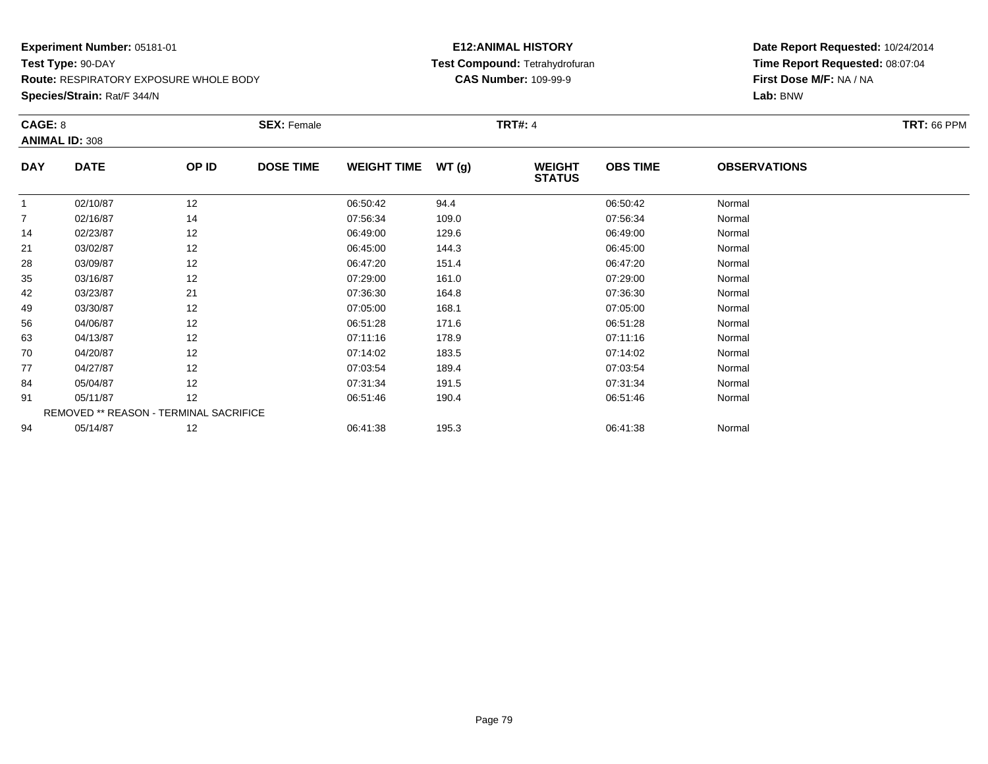**Species/Strain:** Rat/F 344/N

#### **E12:ANIMAL HISTORY Test Compound:** Tetrahydrofuran**CAS Number:** 109-99-9

| CAGE: 8        | <b>ANIMAL ID: 308</b>                  |       | <b>SEX: Female</b> |                    |       | <b>TRT#: 4</b>                 |                 |                     | <b>TRT: 66 PPM</b> |
|----------------|----------------------------------------|-------|--------------------|--------------------|-------|--------------------------------|-----------------|---------------------|--------------------|
| <b>DAY</b>     | <b>DATE</b>                            | OP ID | <b>DOSE TIME</b>   | <b>WEIGHT TIME</b> | WT(g) | <b>WEIGHT</b><br><b>STATUS</b> | <b>OBS TIME</b> | <b>OBSERVATIONS</b> |                    |
|                | 02/10/87                               | 12    |                    | 06:50:42           | 94.4  |                                | 06:50:42        | Normal              |                    |
| $\overline{7}$ | 02/16/87                               | 14    |                    | 07:56:34           | 109.0 |                                | 07:56:34        | Normal              |                    |
| 14             | 02/23/87                               | 12    |                    | 06:49:00           | 129.6 |                                | 06:49:00        | Normal              |                    |
| 21             | 03/02/87                               | 12    |                    | 06:45:00           | 144.3 |                                | 06:45:00        | Normal              |                    |
| 28             | 03/09/87                               | 12    |                    | 06:47:20           | 151.4 |                                | 06:47:20        | Normal              |                    |
| 35             | 03/16/87                               | 12    |                    | 07:29:00           | 161.0 |                                | 07:29:00        | Normal              |                    |
| 42             | 03/23/87                               | 21    |                    | 07:36:30           | 164.8 |                                | 07:36:30        | Normal              |                    |
| 49             | 03/30/87                               | 12    |                    | 07:05:00           | 168.1 |                                | 07:05:00        | Normal              |                    |
| 56             | 04/06/87                               | 12    |                    | 06:51:28           | 171.6 |                                | 06:51:28        | Normal              |                    |
| 63             | 04/13/87                               | 12    |                    | 07:11:16           | 178.9 |                                | 07:11:16        | Normal              |                    |
| 70             | 04/20/87                               | 12    |                    | 07:14:02           | 183.5 |                                | 07:14:02        | Normal              |                    |
| 77             | 04/27/87                               | 12    |                    | 07:03:54           | 189.4 |                                | 07:03:54        | Normal              |                    |
| 84             | 05/04/87                               | 12    |                    | 07:31:34           | 191.5 |                                | 07:31:34        | Normal              |                    |
| 91             | 05/11/87                               | 12    |                    | 06:51:46           | 190.4 |                                | 06:51:46        | Normal              |                    |
|                | REMOVED ** REASON - TERMINAL SACRIFICE |       |                    |                    |       |                                |                 |                     |                    |
| 94             | 05/14/87                               | 12    |                    | 06:41:38           | 195.3 |                                | 06:41:38        | Normal              |                    |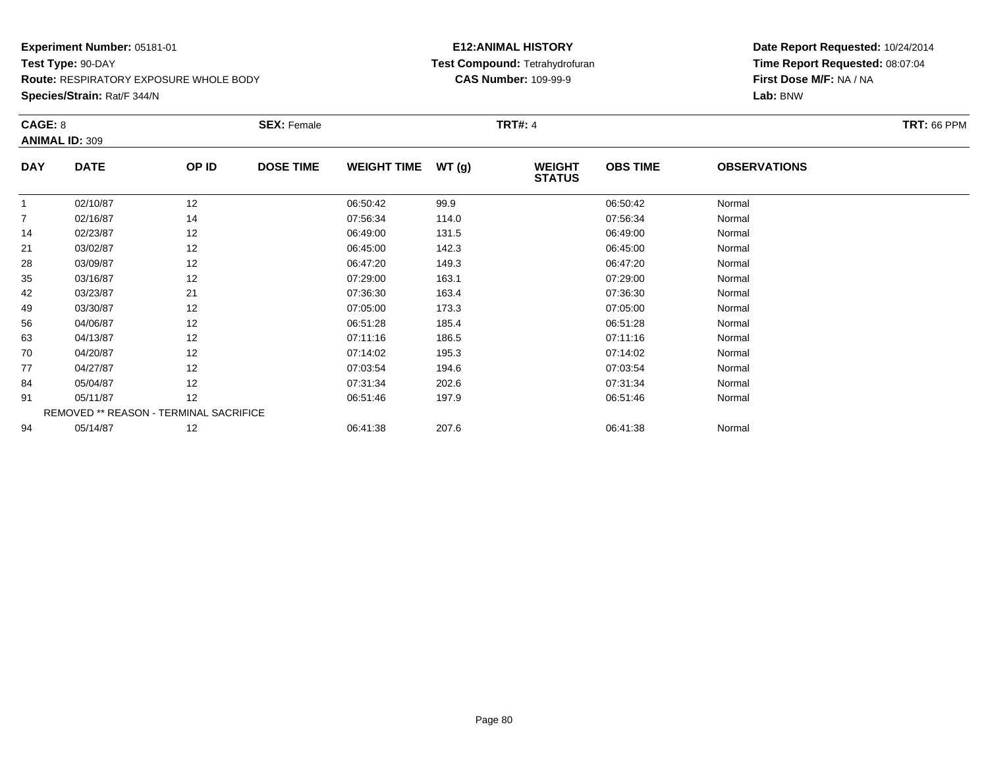**Species/Strain:** Rat/F 344/N

#### **E12:ANIMAL HISTORY Test Compound:** Tetrahydrofuran**CAS Number:** 109-99-9

| CAGE: 8        | <b>ANIMAL ID: 309</b>                  |       | <b>SEX: Female</b> |                    |       | <b>TRT#: 4</b>                 |                 |                     | <b>TRT: 66 PPM</b> |
|----------------|----------------------------------------|-------|--------------------|--------------------|-------|--------------------------------|-----------------|---------------------|--------------------|
| <b>DAY</b>     | <b>DATE</b>                            | OP ID | <b>DOSE TIME</b>   | <b>WEIGHT TIME</b> | WT(g) | <b>WEIGHT</b><br><b>STATUS</b> | <b>OBS TIME</b> | <b>OBSERVATIONS</b> |                    |
|                | 02/10/87                               | 12    |                    | 06:50:42           | 99.9  |                                | 06:50:42        | Normal              |                    |
| $\overline{7}$ | 02/16/87                               | 14    |                    | 07:56:34           | 114.0 |                                | 07:56:34        | Normal              |                    |
| 14             | 02/23/87                               | 12    |                    | 06:49:00           | 131.5 |                                | 06:49:00        | Normal              |                    |
| 21             | 03/02/87                               | 12    |                    | 06:45:00           | 142.3 |                                | 06:45:00        | Normal              |                    |
| 28             | 03/09/87                               | 12    |                    | 06:47:20           | 149.3 |                                | 06:47:20        | Normal              |                    |
| 35             | 03/16/87                               | 12    |                    | 07:29:00           | 163.1 |                                | 07:29:00        | Normal              |                    |
| 42             | 03/23/87                               | 21    |                    | 07:36:30           | 163.4 |                                | 07:36:30        | Normal              |                    |
| 49             | 03/30/87                               | 12    |                    | 07:05:00           | 173.3 |                                | 07:05:00        | Normal              |                    |
| 56             | 04/06/87                               | 12    |                    | 06:51:28           | 185.4 |                                | 06:51:28        | Normal              |                    |
| 63             | 04/13/87                               | 12    |                    | 07:11:16           | 186.5 |                                | 07:11:16        | Normal              |                    |
| 70             | 04/20/87                               | 12    |                    | 07:14:02           | 195.3 |                                | 07:14:02        | Normal              |                    |
| 77             | 04/27/87                               | 12    |                    | 07:03:54           | 194.6 |                                | 07:03:54        | Normal              |                    |
| 84             | 05/04/87                               | 12    |                    | 07:31:34           | 202.6 |                                | 07:31:34        | Normal              |                    |
| 91             | 05/11/87                               | 12    |                    | 06:51:46           | 197.9 |                                | 06:51:46        | Normal              |                    |
|                | REMOVED ** REASON - TERMINAL SACRIFICE |       |                    |                    |       |                                |                 |                     |                    |
| 94             | 05/14/87                               | 12    |                    | 06:41:38           | 207.6 |                                | 06:41:38        | Normal              |                    |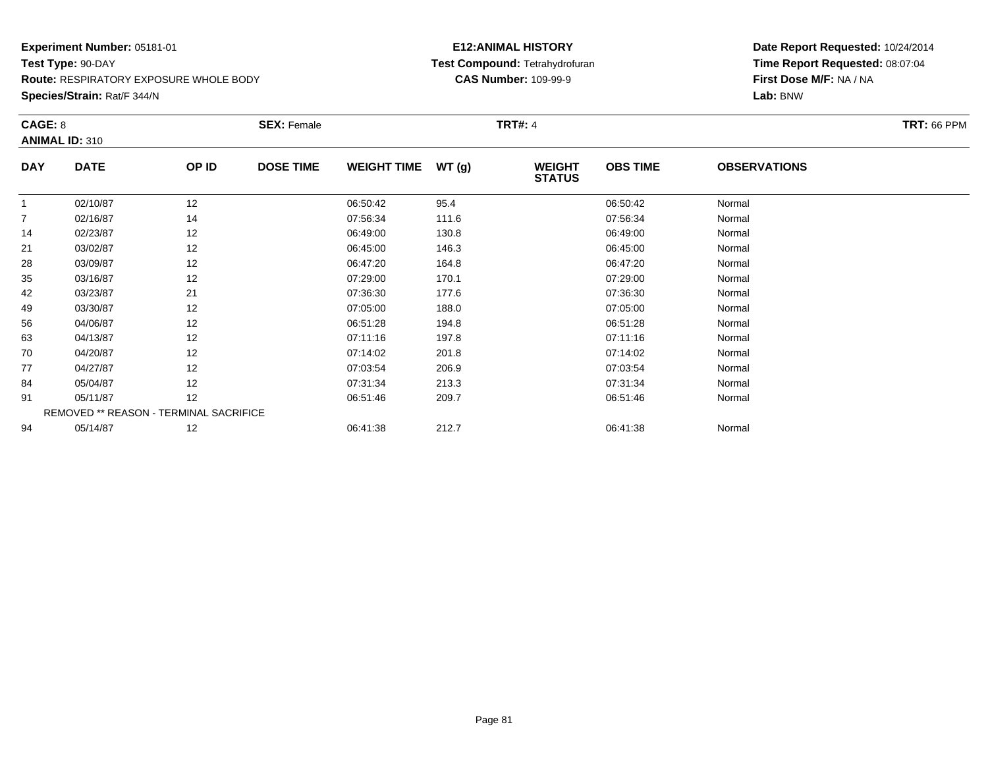**Species/Strain:** Rat/F 344/N

#### **E12:ANIMAL HISTORY Test Compound:** Tetrahydrofuran**CAS Number:** 109-99-9

| CAGE: 8        | <b>ANIMAL ID: 310</b>                  |       | <b>SEX: Female</b> |                    |       | <b>TRT#: 4</b>                 |                 |                     | <b>TRT: 66 PPM</b> |
|----------------|----------------------------------------|-------|--------------------|--------------------|-------|--------------------------------|-----------------|---------------------|--------------------|
| <b>DAY</b>     | <b>DATE</b>                            | OP ID | <b>DOSE TIME</b>   | <b>WEIGHT TIME</b> | WT(g) | <b>WEIGHT</b><br><b>STATUS</b> | <b>OBS TIME</b> | <b>OBSERVATIONS</b> |                    |
| $\overline{1}$ | 02/10/87                               | 12    |                    | 06:50:42           | 95.4  |                                | 06:50:42        | Normal              |                    |
| 7              | 02/16/87                               | 14    |                    | 07:56:34           | 111.6 |                                | 07:56:34        | Normal              |                    |
| 14             | 02/23/87                               | 12    |                    | 06:49:00           | 130.8 |                                | 06:49:00        | Normal              |                    |
| 21             | 03/02/87                               | 12    |                    | 06:45:00           | 146.3 |                                | 06:45:00        | Normal              |                    |
| 28             | 03/09/87                               | 12    |                    | 06:47:20           | 164.8 |                                | 06:47:20        | Normal              |                    |
| 35             | 03/16/87                               | 12    |                    | 07:29:00           | 170.1 |                                | 07:29:00        | Normal              |                    |
| 42             | 03/23/87                               | 21    |                    | 07:36:30           | 177.6 |                                | 07:36:30        | Normal              |                    |
| 49             | 03/30/87                               | 12    |                    | 07:05:00           | 188.0 |                                | 07:05:00        | Normal              |                    |
| 56             | 04/06/87                               | 12    |                    | 06:51:28           | 194.8 |                                | 06:51:28        | Normal              |                    |
| 63             | 04/13/87                               | 12    |                    | 07:11:16           | 197.8 |                                | 07:11:16        | Normal              |                    |
| 70             | 04/20/87                               | 12    |                    | 07:14:02           | 201.8 |                                | 07:14:02        | Normal              |                    |
| 77             | 04/27/87                               | 12    |                    | 07:03:54           | 206.9 |                                | 07:03:54        | Normal              |                    |
| 84             | 05/04/87                               | 12    |                    | 07:31:34           | 213.3 |                                | 07:31:34        | Normal              |                    |
| 91             | 05/11/87                               | 12    |                    | 06:51:46           | 209.7 |                                | 06:51:46        | Normal              |                    |
|                | REMOVED ** REASON - TERMINAL SACRIFICE |       |                    |                    |       |                                |                 |                     |                    |
| 94             | 05/14/87                               | 12    |                    | 06:41:38           | 212.7 |                                | 06:41:38        | Normal              |                    |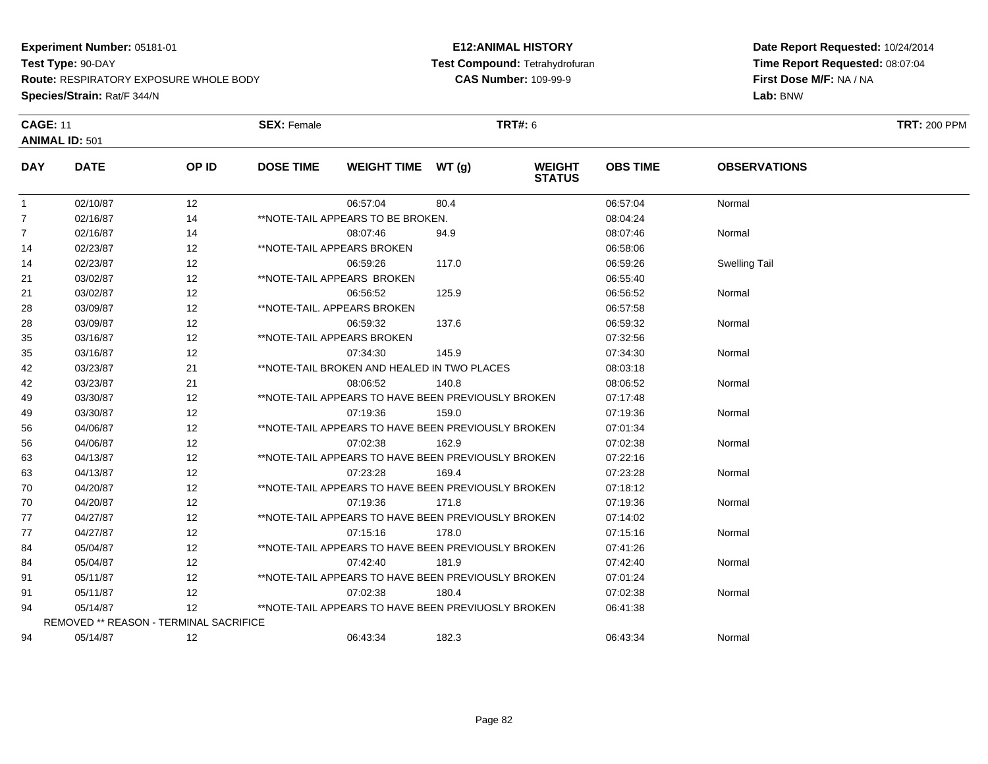### **Experiment Number:** 05181-01

**Test Type:** 90-DAY

**Route:** RESPIRATORY EXPOSURE WHOLE BODY

**Species/Strain:** Rat/F 344/N

#### **E12:ANIMAL HISTORY Test Compound:** Tetrahydrofuran**CAS Number:** 109-99-9

| <b>CAGE: 11</b> |                                               |       | <b>SEX: Female</b> |                                                    |       | <b>TRT#: 6</b>                 |                 |                      | <b>TRT: 200 PPM</b> |
|-----------------|-----------------------------------------------|-------|--------------------|----------------------------------------------------|-------|--------------------------------|-----------------|----------------------|---------------------|
|                 | <b>ANIMAL ID: 501</b>                         |       |                    |                                                    |       |                                |                 |                      |                     |
| <b>DAY</b>      | <b>DATE</b>                                   | OP ID | <b>DOSE TIME</b>   | WEIGHT TIME WT (g)                                 |       | <b>WEIGHT</b><br><b>STATUS</b> | <b>OBS TIME</b> | <b>OBSERVATIONS</b>  |                     |
| $\mathbf{1}$    | 02/10/87                                      | 12    |                    | 06:57:04                                           | 80.4  |                                | 06:57:04        | Normal               |                     |
| $\overline{7}$  | 02/16/87                                      | 14    |                    | **NOTE-TAIL APPEARS TO BE BROKEN.                  |       |                                | 08:04:24        |                      |                     |
| $\overline{7}$  | 02/16/87                                      | 14    |                    | 08:07:46                                           | 94.9  |                                | 08:07:46        | Normal               |                     |
| 14              | 02/23/87                                      | 12    |                    | **NOTE-TAIL APPEARS BROKEN                         |       |                                | 06:58:06        |                      |                     |
| 14              | 02/23/87                                      | 12    |                    | 06:59:26                                           | 117.0 |                                | 06:59:26        | <b>Swelling Tail</b> |                     |
| 21              | 03/02/87                                      | 12    |                    | **NOTE-TAIL APPEARS BROKEN                         |       |                                | 06:55:40        |                      |                     |
| 21              | 03/02/87                                      | 12    |                    | 06:56:52                                           | 125.9 |                                | 06:56:52        | Normal               |                     |
| 28              | 03/09/87                                      | 12    |                    | **NOTE-TAIL, APPEARS BROKEN                        |       |                                | 06:57:58        |                      |                     |
| 28              | 03/09/87                                      | 12    |                    | 06:59:32                                           | 137.6 |                                | 06:59:32        | Normal               |                     |
| 35              | 03/16/87                                      | 12    |                    | **NOTE-TAIL APPEARS BROKEN                         |       |                                | 07:32:56        |                      |                     |
| 35              | 03/16/87                                      | 12    |                    | 07:34:30                                           | 145.9 |                                | 07:34:30        | Normal               |                     |
| 42              | 03/23/87                                      | 21    |                    | **NOTE-TAIL BROKEN AND HEALED IN TWO PLACES        |       |                                | 08:03:18        |                      |                     |
| 42              | 03/23/87                                      | 21    |                    | 08:06:52                                           | 140.8 |                                | 08:06:52        | Normal               |                     |
| 49              | 03/30/87                                      | 12    |                    | **NOTE-TAIL APPEARS TO HAVE BEEN PREVIOUSLY BROKEN |       |                                | 07:17:48        |                      |                     |
| 49              | 03/30/87                                      | 12    |                    | 07:19:36                                           | 159.0 |                                | 07:19:36        | Normal               |                     |
| 56              | 04/06/87                                      | 12    |                    | **NOTE-TAIL APPEARS TO HAVE BEEN PREVIOUSLY BROKEN |       |                                | 07:01:34        |                      |                     |
| 56              | 04/06/87                                      | 12    |                    | 07:02:38                                           | 162.9 |                                | 07:02:38        | Normal               |                     |
| 63              | 04/13/87                                      | 12    |                    | **NOTE-TAIL APPEARS TO HAVE BEEN PREVIOUSLY BROKEN |       |                                | 07:22:16        |                      |                     |
| 63              | 04/13/87                                      | 12    |                    | 07:23:28                                           | 169.4 |                                | 07:23:28        | Normal               |                     |
| 70              | 04/20/87                                      | 12    |                    | **NOTE-TAIL APPEARS TO HAVE BEEN PREVIOUSLY BROKEN |       |                                | 07:18:12        |                      |                     |
| 70              | 04/20/87                                      | 12    |                    | 07:19:36                                           | 171.8 |                                | 07:19:36        | Normal               |                     |
| 77              | 04/27/87                                      | 12    |                    | **NOTE-TAIL APPEARS TO HAVE BEEN PREVIOUSLY BROKEN |       |                                | 07:14:02        |                      |                     |
| 77              | 04/27/87                                      | 12    |                    | 07:15:16                                           | 178.0 |                                | 07:15:16        | Normal               |                     |
| 84              | 05/04/87                                      | 12    |                    | **NOTE-TAIL APPEARS TO HAVE BEEN PREVIOUSLY BROKEN |       |                                | 07:41:26        |                      |                     |
| 84              | 05/04/87                                      | 12    |                    | 07:42:40                                           | 181.9 |                                | 07:42:40        | Normal               |                     |
| 91              | 05/11/87                                      | 12    |                    | **NOTE-TAIL APPEARS TO HAVE BEEN PREVIOUSLY BROKEN |       |                                | 07:01:24        |                      |                     |
| 91              | 05/11/87                                      | 12    |                    | 07:02:38                                           | 180.4 |                                | 07:02:38        | Normal               |                     |
| 94              | 05/14/87                                      | 12    |                    | **NOTE-TAIL APPEARS TO HAVE BEEN PREVIUOSLY BROKEN |       |                                | 06:41:38        |                      |                     |
|                 | <b>REMOVED ** REASON - TERMINAL SACRIFICE</b> |       |                    |                                                    |       |                                |                 |                      |                     |
| 94              | 05/14/87                                      | 12    |                    | 06:43:34                                           | 182.3 |                                | 06:43:34        | Normal               |                     |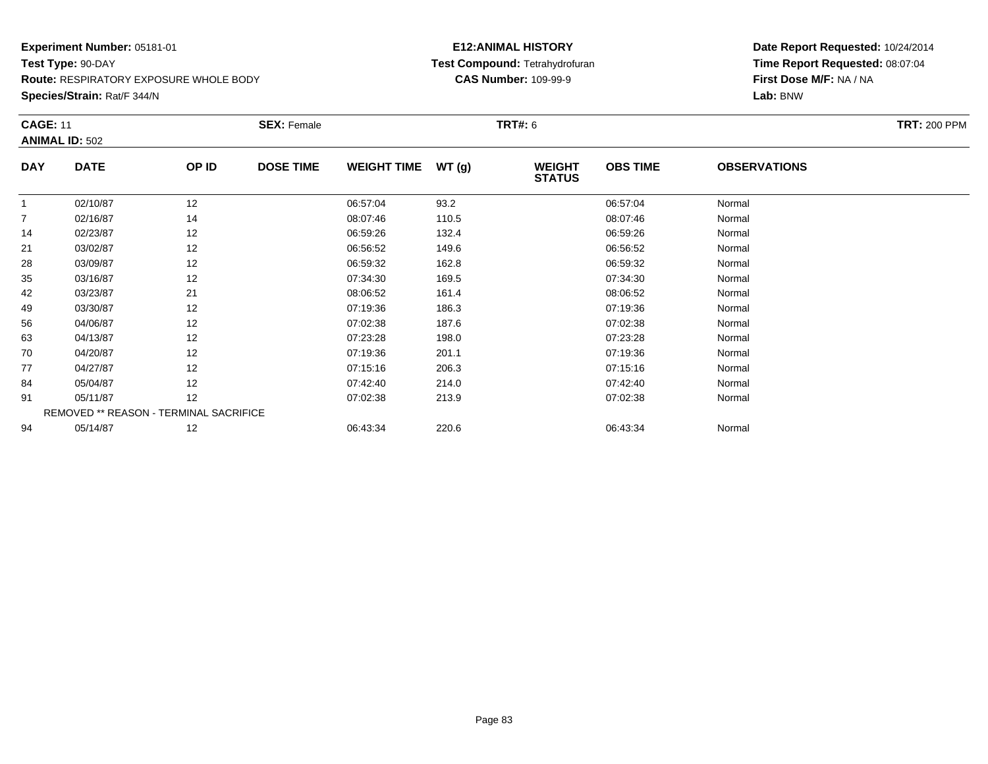**Route:** RESPIRATORY EXPOSURE WHOLE BODY

**Species/Strain:** Rat/F 344/N

#### **E12:ANIMAL HISTORY Test Compound:** Tetrahydrofuran**CAS Number:** 109-99-9

| <b>CAGE: 11</b> |                                        |       | <b>SEX: Female</b> |                    |       | <b>TRT#:</b> 6                 |                 |                     | <b>TRT: 200 PPM</b> |
|-----------------|----------------------------------------|-------|--------------------|--------------------|-------|--------------------------------|-----------------|---------------------|---------------------|
|                 | <b>ANIMAL ID: 502</b>                  |       |                    |                    |       |                                |                 |                     |                     |
| <b>DAY</b>      | <b>DATE</b>                            | OP ID | <b>DOSE TIME</b>   | <b>WEIGHT TIME</b> | WT(g) | <b>WEIGHT</b><br><b>STATUS</b> | <b>OBS TIME</b> | <b>OBSERVATIONS</b> |                     |
|                 | 02/10/87                               | 12    |                    | 06:57:04           | 93.2  |                                | 06:57:04        | Normal              |                     |
| $\overline{7}$  | 02/16/87                               | 14    |                    | 08:07:46           | 110.5 |                                | 08:07:46        | Normal              |                     |
| 14              | 02/23/87                               | 12    |                    | 06:59:26           | 132.4 |                                | 06:59:26        | Normal              |                     |
| 21              | 03/02/87                               | 12    |                    | 06:56:52           | 149.6 |                                | 06:56:52        | Normal              |                     |
| 28              | 03/09/87                               | 12    |                    | 06:59:32           | 162.8 |                                | 06:59:32        | Normal              |                     |
| 35              | 03/16/87                               | 12    |                    | 07:34:30           | 169.5 |                                | 07:34:30        | Normal              |                     |
| 42              | 03/23/87                               | 21    |                    | 08:06:52           | 161.4 |                                | 08:06:52        | Normal              |                     |
| 49              | 03/30/87                               | 12    |                    | 07:19:36           | 186.3 |                                | 07:19:36        | Normal              |                     |
| 56              | 04/06/87                               | 12    |                    | 07:02:38           | 187.6 |                                | 07:02:38        | Normal              |                     |
| 63              | 04/13/87                               | 12    |                    | 07:23:28           | 198.0 |                                | 07:23:28        | Normal              |                     |
| 70              | 04/20/87                               | 12    |                    | 07:19:36           | 201.1 |                                | 07:19:36        | Normal              |                     |
| 77              | 04/27/87                               | 12    |                    | 07:15:16           | 206.3 |                                | 07:15:16        | Normal              |                     |
| 84              | 05/04/87                               | 12    |                    | 07:42:40           | 214.0 |                                | 07:42:40        | Normal              |                     |
| 91              | 05/11/87                               | 12    |                    | 07:02:38           | 213.9 |                                | 07:02:38        | Normal              |                     |
|                 | REMOVED ** REASON - TERMINAL SACRIFICE |       |                    |                    |       |                                |                 |                     |                     |
| 94              | 05/14/87                               | 12    |                    | 06:43:34           | 220.6 |                                | 06:43:34        | Normal              |                     |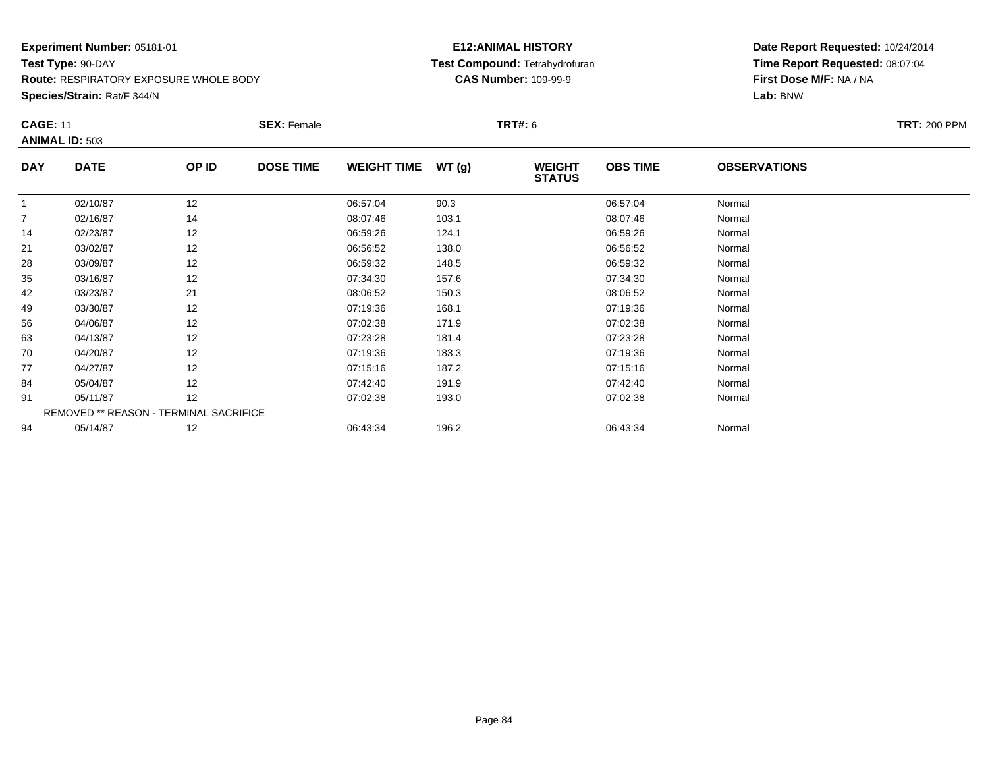**Route:** RESPIRATORY EXPOSURE WHOLE BODY

**Species/Strain:** Rat/F 344/N

#### **E12:ANIMAL HISTORY Test Compound:** Tetrahydrofuran**CAS Number:** 109-99-9

| <b>CAGE: 11</b> |                                        |       | <b>SEX: Female</b> |                    |       | <b>TRT#:</b> 6                 |                 |                     | <b>TRT: 200 PPM</b> |  |
|-----------------|----------------------------------------|-------|--------------------|--------------------|-------|--------------------------------|-----------------|---------------------|---------------------|--|
|                 | <b>ANIMAL ID: 503</b>                  |       |                    |                    |       |                                |                 |                     |                     |  |
| <b>DAY</b>      | <b>DATE</b>                            | OP ID | <b>DOSE TIME</b>   | <b>WEIGHT TIME</b> | WT(g) | <b>WEIGHT</b><br><b>STATUS</b> | <b>OBS TIME</b> | <b>OBSERVATIONS</b> |                     |  |
|                 | 02/10/87                               | 12    |                    | 06:57:04           | 90.3  |                                | 06:57:04        | Normal              |                     |  |
| $\overline{7}$  | 02/16/87                               | 14    |                    | 08:07:46           | 103.1 |                                | 08:07:46        | Normal              |                     |  |
| 14              | 02/23/87                               | 12    |                    | 06:59:26           | 124.1 |                                | 06:59:26        | Normal              |                     |  |
| 21              | 03/02/87                               | 12    |                    | 06:56:52           | 138.0 |                                | 06:56:52        | Normal              |                     |  |
| 28              | 03/09/87                               | 12    |                    | 06:59:32           | 148.5 |                                | 06:59:32        | Normal              |                     |  |
| 35              | 03/16/87                               | 12    |                    | 07:34:30           | 157.6 |                                | 07:34:30        | Normal              |                     |  |
| 42              | 03/23/87                               | 21    |                    | 08:06:52           | 150.3 |                                | 08:06:52        | Normal              |                     |  |
| 49              | 03/30/87                               | 12    |                    | 07:19:36           | 168.1 |                                | 07:19:36        | Normal              |                     |  |
| 56              | 04/06/87                               | 12    |                    | 07:02:38           | 171.9 |                                | 07:02:38        | Normal              |                     |  |
| 63              | 04/13/87                               | 12    |                    | 07:23:28           | 181.4 |                                | 07:23:28        | Normal              |                     |  |
| 70              | 04/20/87                               | 12    |                    | 07:19:36           | 183.3 |                                | 07:19:36        | Normal              |                     |  |
| 77              | 04/27/87                               | 12    |                    | 07:15:16           | 187.2 |                                | 07:15:16        | Normal              |                     |  |
| 84              | 05/04/87                               | 12    |                    | 07:42:40           | 191.9 |                                | 07:42:40        | Normal              |                     |  |
| 91              | 05/11/87                               | 12    |                    | 07:02:38           | 193.0 |                                | 07:02:38        | Normal              |                     |  |
|                 | REMOVED ** REASON - TERMINAL SACRIFICE |       |                    |                    |       |                                |                 |                     |                     |  |
| 94              | 05/14/87                               | 12    |                    | 06:43:34           | 196.2 |                                | 06:43:34        | Normal              |                     |  |
|                 |                                        |       |                    |                    |       |                                |                 |                     |                     |  |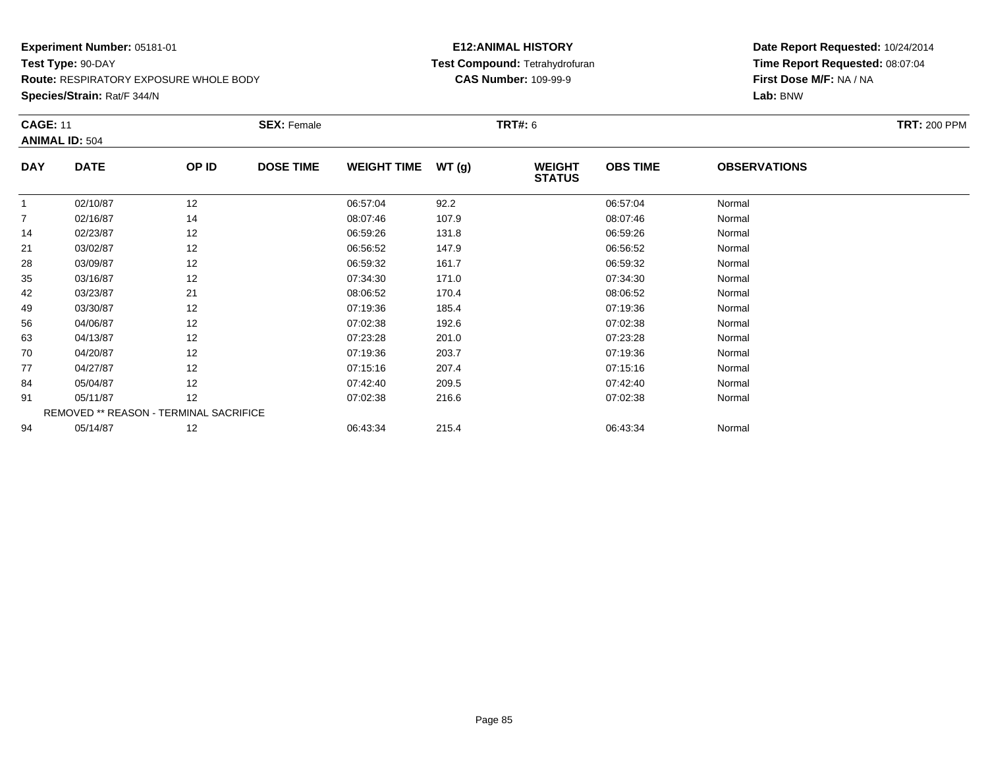**Route:** RESPIRATORY EXPOSURE WHOLE BODY

**Species/Strain:** Rat/F 344/N

#### **E12:ANIMAL HISTORY Test Compound:** Tetrahydrofuran**CAS Number:** 109-99-9

| <b>CAGE: 11</b> |                       |                                        | <b>SEX: Female</b> |                    |       | <b>TRT#: 6</b>                 |                 |                     | <b>TRT: 200 PPM</b> |
|-----------------|-----------------------|----------------------------------------|--------------------|--------------------|-------|--------------------------------|-----------------|---------------------|---------------------|
|                 | <b>ANIMAL ID: 504</b> |                                        |                    |                    |       |                                |                 |                     |                     |
| <b>DAY</b>      | <b>DATE</b>           | OP ID                                  | <b>DOSE TIME</b>   | <b>WEIGHT TIME</b> | WT(g) | <b>WEIGHT</b><br><b>STATUS</b> | <b>OBS TIME</b> | <b>OBSERVATIONS</b> |                     |
|                 | 02/10/87              | 12                                     |                    | 06:57:04           | 92.2  |                                | 06:57:04        | Normal              |                     |
| 7               | 02/16/87              | 14                                     |                    | 08:07:46           | 107.9 |                                | 08:07:46        | Normal              |                     |
| 14              | 02/23/87              | 12                                     |                    | 06:59:26           | 131.8 |                                | 06:59:26        | Normal              |                     |
| 21              | 03/02/87              | 12                                     |                    | 06:56:52           | 147.9 |                                | 06:56:52        | Normal              |                     |
| 28              | 03/09/87              | 12                                     |                    | 06:59:32           | 161.7 |                                | 06:59:32        | Normal              |                     |
| 35              | 03/16/87              | 12                                     |                    | 07:34:30           | 171.0 |                                | 07:34:30        | Normal              |                     |
| 42              | 03/23/87              | 21                                     |                    | 08:06:52           | 170.4 |                                | 08:06:52        | Normal              |                     |
| 49              | 03/30/87              | 12                                     |                    | 07:19:36           | 185.4 |                                | 07:19:36        | Normal              |                     |
| 56              | 04/06/87              | 12                                     |                    | 07:02:38           | 192.6 |                                | 07:02:38        | Normal              |                     |
| 63              | 04/13/87              | 12                                     |                    | 07:23:28           | 201.0 |                                | 07:23:28        | Normal              |                     |
| 70              | 04/20/87              | 12                                     |                    | 07:19:36           | 203.7 |                                | 07:19:36        | Normal              |                     |
| 77              | 04/27/87              | 12                                     |                    | 07:15:16           | 207.4 |                                | 07:15:16        | Normal              |                     |
| 84              | 05/04/87              | 12                                     |                    | 07:42:40           | 209.5 |                                | 07:42:40        | Normal              |                     |
| 91              | 05/11/87              | 12                                     |                    | 07:02:38           | 216.6 |                                | 07:02:38        | Normal              |                     |
|                 |                       | REMOVED ** REASON - TERMINAL SACRIFICE |                    |                    |       |                                |                 |                     |                     |
| 94              | 05/14/87              | 12                                     |                    | 06:43:34           | 215.4 |                                | 06:43:34        | Normal              |                     |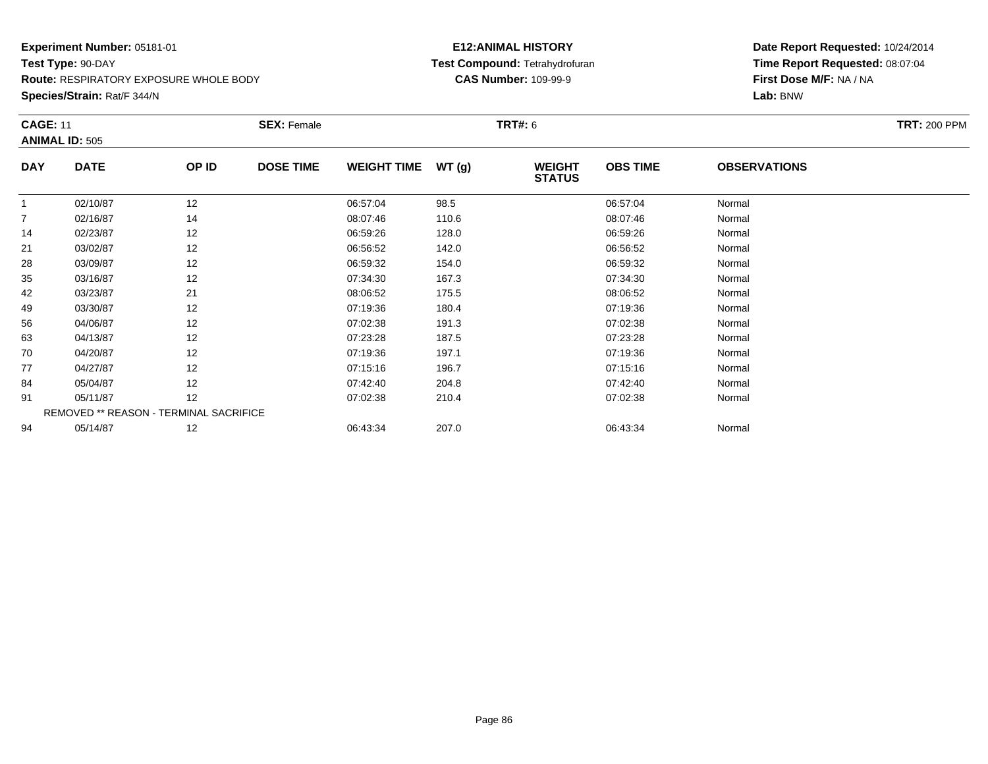**Route:** RESPIRATORY EXPOSURE WHOLE BODY

**Species/Strain:** Rat/F 344/N

#### **E12:ANIMAL HISTORY Test Compound:** Tetrahydrofuran**CAS Number:** 109-99-9

| <b>CAGE: 11</b> |                                        |       | <b>SEX: Female</b> |                    |       | <b>TRT#: 6</b>                 |                 |                     | <b>TRT: 200 PPM</b> |
|-----------------|----------------------------------------|-------|--------------------|--------------------|-------|--------------------------------|-----------------|---------------------|---------------------|
|                 | <b>ANIMAL ID: 505</b>                  |       |                    |                    |       |                                |                 |                     |                     |
| <b>DAY</b>      | <b>DATE</b>                            | OP ID | <b>DOSE TIME</b>   | <b>WEIGHT TIME</b> | WT(g) | <b>WEIGHT</b><br><b>STATUS</b> | <b>OBS TIME</b> | <b>OBSERVATIONS</b> |                     |
| 1               | 02/10/87                               | 12    |                    | 06:57:04           | 98.5  |                                | 06:57:04        | Normal              |                     |
| $\overline{7}$  | 02/16/87                               | 14    |                    | 08:07:46           | 110.6 |                                | 08:07:46        | Normal              |                     |
| 14              | 02/23/87                               | 12    |                    | 06:59:26           | 128.0 |                                | 06:59:26        | Normal              |                     |
| 21              | 03/02/87                               | 12    |                    | 06:56:52           | 142.0 |                                | 06:56:52        | Normal              |                     |
| 28              | 03/09/87                               | 12    |                    | 06:59:32           | 154.0 |                                | 06:59:32        | Normal              |                     |
| 35              | 03/16/87                               | 12    |                    | 07:34:30           | 167.3 |                                | 07:34:30        | Normal              |                     |
| 42              | 03/23/87                               | 21    |                    | 08:06:52           | 175.5 |                                | 08:06:52        | Normal              |                     |
| 49              | 03/30/87                               | 12    |                    | 07:19:36           | 180.4 |                                | 07:19:36        | Normal              |                     |
| 56              | 04/06/87                               | 12    |                    | 07:02:38           | 191.3 |                                | 07:02:38        | Normal              |                     |
| 63              | 04/13/87                               | 12    |                    | 07:23:28           | 187.5 |                                | 07:23:28        | Normal              |                     |
| 70              | 04/20/87                               | 12    |                    | 07:19:36           | 197.1 |                                | 07:19:36        | Normal              |                     |
| 77              | 04/27/87                               | 12    |                    | 07:15:16           | 196.7 |                                | 07:15:16        | Normal              |                     |
| 84              | 05/04/87                               | 12    |                    | 07:42:40           | 204.8 |                                | 07:42:40        | Normal              |                     |
| 91              | 05/11/87                               | 12    |                    | 07:02:38           | 210.4 |                                | 07:02:38        | Normal              |                     |
|                 | REMOVED ** REASON - TERMINAL SACRIFICE |       |                    |                    |       |                                |                 |                     |                     |
| 94              | 05/14/87                               | 12    |                    | 06:43:34           | 207.0 |                                | 06:43:34        | Normal              |                     |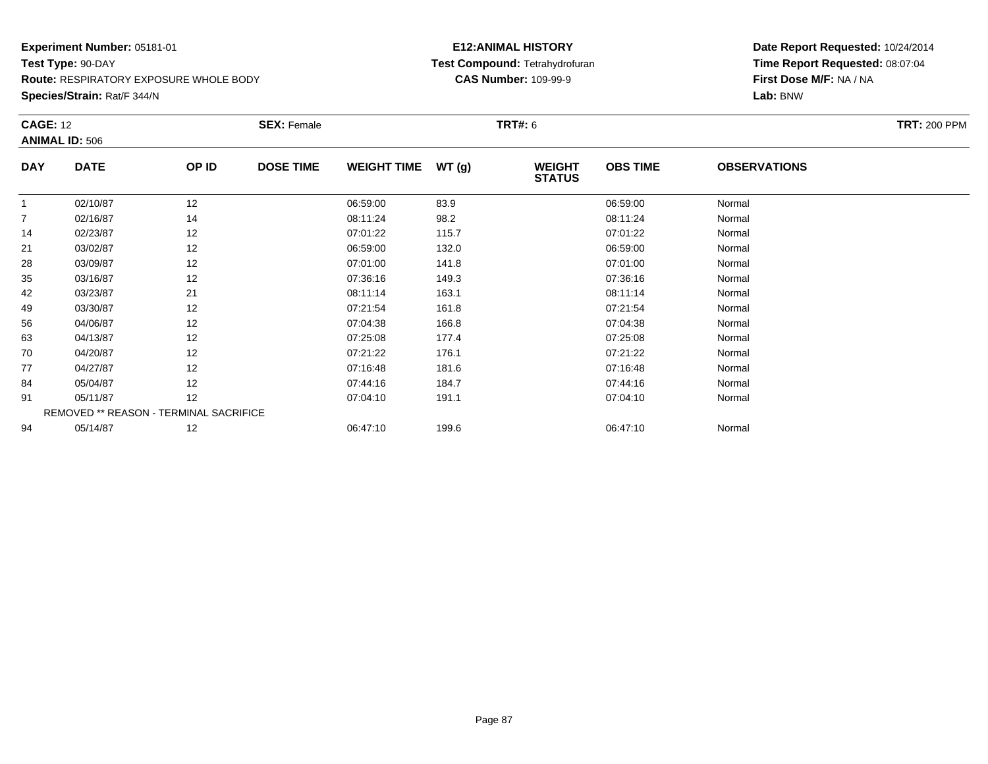**Route:** RESPIRATORY EXPOSURE WHOLE BODY

**Species/Strain:** Rat/F 344/N

#### **E12:ANIMAL HISTORY Test Compound:** Tetrahydrofuran**CAS Number:** 109-99-9

| <b>CAGE: 12</b> |                                        |       | <b>SEX: Female</b> |                    |       | <b>TRT#:</b> 6                 |                 |                     | <b>TRT: 200 PPM</b> |
|-----------------|----------------------------------------|-------|--------------------|--------------------|-------|--------------------------------|-----------------|---------------------|---------------------|
|                 | <b>ANIMAL ID: 506</b>                  |       |                    |                    |       |                                |                 |                     |                     |
| <b>DAY</b>      | <b>DATE</b>                            | OP ID | <b>DOSE TIME</b>   | <b>WEIGHT TIME</b> | WT(g) | <b>WEIGHT</b><br><b>STATUS</b> | <b>OBS TIME</b> | <b>OBSERVATIONS</b> |                     |
|                 | 02/10/87                               | 12    |                    | 06:59:00           | 83.9  |                                | 06:59:00        | Normal              |                     |
| $\overline{7}$  | 02/16/87                               | 14    |                    | 08:11:24           | 98.2  |                                | 08:11:24        | Normal              |                     |
| 14              | 02/23/87                               | 12    |                    | 07:01:22           | 115.7 |                                | 07:01:22        | Normal              |                     |
| 21              | 03/02/87                               | 12    |                    | 06:59:00           | 132.0 |                                | 06:59:00        | Normal              |                     |
| 28              | 03/09/87                               | 12    |                    | 07:01:00           | 141.8 |                                | 07:01:00        | Normal              |                     |
| 35              | 03/16/87                               | 12    |                    | 07:36:16           | 149.3 |                                | 07:36:16        | Normal              |                     |
| 42              | 03/23/87                               | 21    |                    | 08:11:14           | 163.1 |                                | 08:11:14        | Normal              |                     |
| 49              | 03/30/87                               | 12    |                    | 07:21:54           | 161.8 |                                | 07:21:54        | Normal              |                     |
| 56              | 04/06/87                               | 12    |                    | 07:04:38           | 166.8 |                                | 07:04:38        | Normal              |                     |
| 63              | 04/13/87                               | 12    |                    | 07:25:08           | 177.4 |                                | 07:25:08        | Normal              |                     |
| 70              | 04/20/87                               | 12    |                    | 07:21:22           | 176.1 |                                | 07:21:22        | Normal              |                     |
| 77              | 04/27/87                               | 12    |                    | 07:16:48           | 181.6 |                                | 07:16:48        | Normal              |                     |
| 84              | 05/04/87                               | 12    |                    | 07:44:16           | 184.7 |                                | 07:44:16        | Normal              |                     |
| 91              | 05/11/87                               | 12    |                    | 07:04:10           | 191.1 |                                | 07:04:10        | Normal              |                     |
|                 | REMOVED ** REASON - TERMINAL SACRIFICE |       |                    |                    |       |                                |                 |                     |                     |
| 94              | 05/14/87                               | 12    |                    | 06:47:10           | 199.6 |                                | 06:47:10        | Normal              |                     |
|                 |                                        |       |                    |                    |       |                                |                 |                     |                     |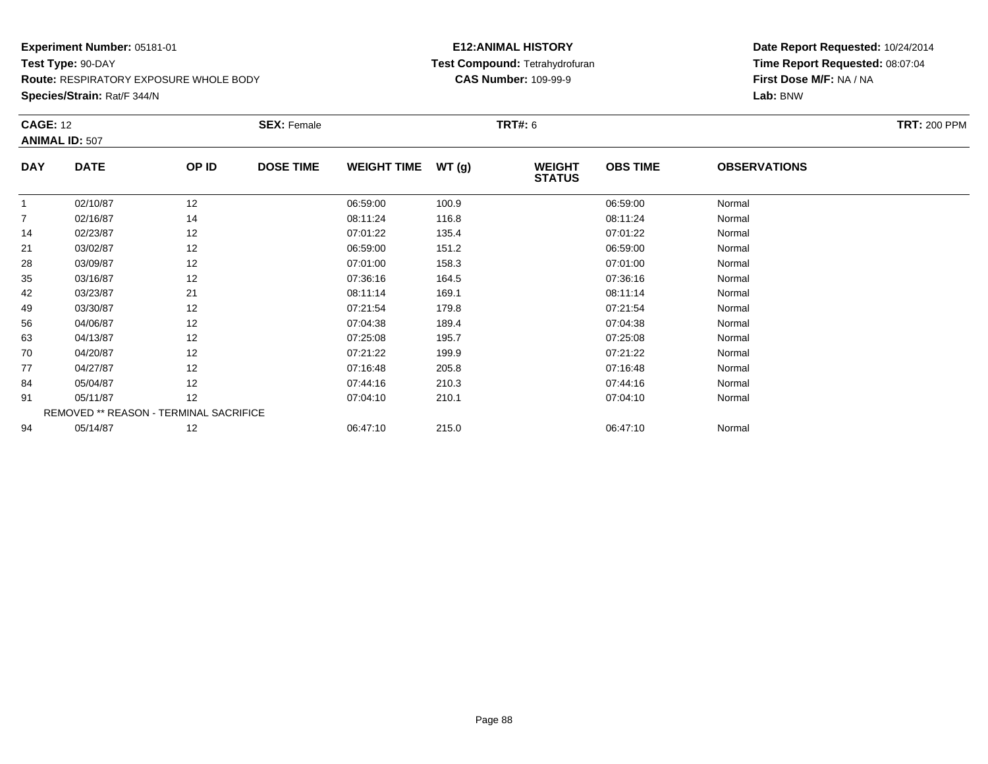**Route:** RESPIRATORY EXPOSURE WHOLE BODY

**Species/Strain:** Rat/F 344/N

#### **E12:ANIMAL HISTORY Test Compound:** Tetrahydrofuran**CAS Number:** 109-99-9

| <b>CAGE: 12</b> | <b>ANIMAL ID: 507</b>                  |       | <b>SEX: Female</b> |                    |       | <b>TRT#:</b> 6                 |                 |                     | <b>TRT: 200 PPM</b> |
|-----------------|----------------------------------------|-------|--------------------|--------------------|-------|--------------------------------|-----------------|---------------------|---------------------|
| <b>DAY</b>      | <b>DATE</b>                            | OP ID | <b>DOSE TIME</b>   | <b>WEIGHT TIME</b> | WT(g) | <b>WEIGHT</b><br><b>STATUS</b> | <b>OBS TIME</b> | <b>OBSERVATIONS</b> |                     |
|                 | 02/10/87                               | 12    |                    | 06:59:00           | 100.9 |                                | 06:59:00        | Normal              |                     |
| $\overline{7}$  | 02/16/87                               | 14    |                    | 08:11:24           | 116.8 |                                | 08:11:24        | Normal              |                     |
| 14              | 02/23/87                               | 12    |                    | 07:01:22           | 135.4 |                                | 07:01:22        | Normal              |                     |
| 21              | 03/02/87                               | 12    |                    | 06:59:00           | 151.2 |                                | 06:59:00        | Normal              |                     |
| 28              | 03/09/87                               | 12    |                    | 07:01:00           | 158.3 |                                | 07:01:00        | Normal              |                     |
| 35              | 03/16/87                               | 12    |                    | 07:36:16           | 164.5 |                                | 07:36:16        | Normal              |                     |
| 42              | 03/23/87                               | 21    |                    | 08:11:14           | 169.1 |                                | 08:11:14        | Normal              |                     |
| 49              | 03/30/87                               | 12    |                    | 07:21:54           | 179.8 |                                | 07:21:54        | Normal              |                     |
| 56              | 04/06/87                               | 12    |                    | 07:04:38           | 189.4 |                                | 07:04:38        | Normal              |                     |
| 63              | 04/13/87                               | 12    |                    | 07:25:08           | 195.7 |                                | 07:25:08        | Normal              |                     |
| 70              | 04/20/87                               | 12    |                    | 07:21:22           | 199.9 |                                | 07:21:22        | Normal              |                     |
| 77              | 04/27/87                               | 12    |                    | 07:16:48           | 205.8 |                                | 07:16:48        | Normal              |                     |
| 84              | 05/04/87                               | 12    |                    | 07:44:16           | 210.3 |                                | 07:44:16        | Normal              |                     |
| 91              | 05/11/87                               | 12    |                    | 07:04:10           | 210.1 |                                | 07:04:10        | Normal              |                     |
|                 | REMOVED ** REASON - TERMINAL SACRIFICE |       |                    |                    |       |                                |                 |                     |                     |
| 94              | 05/14/87                               | 12    |                    | 06:47:10           | 215.0 |                                | 06:47:10        | Normal              |                     |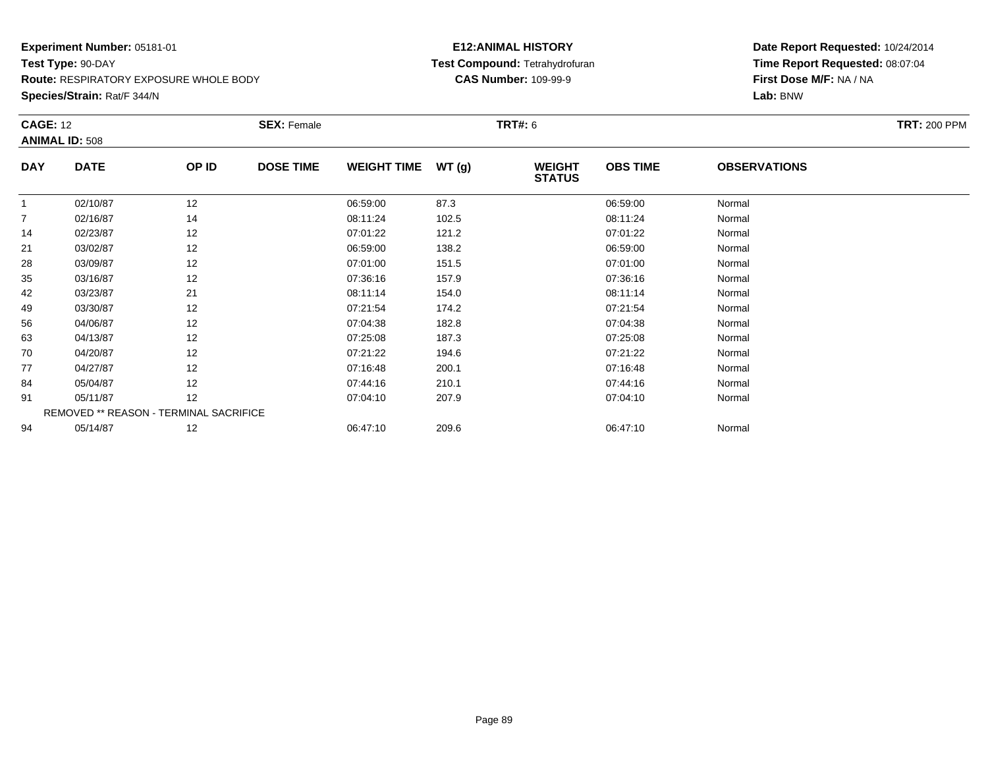**Route:** RESPIRATORY EXPOSURE WHOLE BODY

**Species/Strain:** Rat/F 344/N

#### **E12:ANIMAL HISTORY Test Compound:** Tetrahydrofuran**CAS Number:** 109-99-9

| <b>CAGE: 12</b> | <b>ANIMAL ID: 508</b>                  |       | <b>SEX: Female</b> |                    |       | <b>TRT#:</b> 6                 |                 |                     | <b>TRT: 200 PPM</b> |
|-----------------|----------------------------------------|-------|--------------------|--------------------|-------|--------------------------------|-----------------|---------------------|---------------------|
| <b>DAY</b>      | <b>DATE</b>                            | OP ID | <b>DOSE TIME</b>   | <b>WEIGHT TIME</b> | WT(g) | <b>WEIGHT</b><br><b>STATUS</b> | <b>OBS TIME</b> | <b>OBSERVATIONS</b> |                     |
|                 | 02/10/87                               | 12    |                    | 06:59:00           | 87.3  |                                | 06:59:00        | Normal              |                     |
| $\overline{7}$  | 02/16/87                               | 14    |                    | 08:11:24           | 102.5 |                                | 08:11:24        | Normal              |                     |
| 14              | 02/23/87                               | 12    |                    | 07:01:22           | 121.2 |                                | 07:01:22        | Normal              |                     |
| 21              | 03/02/87                               | 12    |                    | 06:59:00           | 138.2 |                                | 06:59:00        | Normal              |                     |
| 28              | 03/09/87                               | 12    |                    | 07:01:00           | 151.5 |                                | 07:01:00        | Normal              |                     |
| 35              | 03/16/87                               | 12    |                    | 07:36:16           | 157.9 |                                | 07:36:16        | Normal              |                     |
| 42              | 03/23/87                               | 21    |                    | 08:11:14           | 154.0 |                                | 08:11:14        | Normal              |                     |
| 49              | 03/30/87                               | 12    |                    | 07:21:54           | 174.2 |                                | 07:21:54        | Normal              |                     |
| 56              | 04/06/87                               | 12    |                    | 07:04:38           | 182.8 |                                | 07:04:38        | Normal              |                     |
| 63              | 04/13/87                               | 12    |                    | 07:25:08           | 187.3 |                                | 07:25:08        | Normal              |                     |
| 70              | 04/20/87                               | 12    |                    | 07:21:22           | 194.6 |                                | 07:21:22        | Normal              |                     |
| 77              | 04/27/87                               | 12    |                    | 07:16:48           | 200.1 |                                | 07:16:48        | Normal              |                     |
| 84              | 05/04/87                               | 12    |                    | 07:44:16           | 210.1 |                                | 07:44:16        | Normal              |                     |
| 91              | 05/11/87                               | 12    |                    | 07:04:10           | 207.9 |                                | 07:04:10        | Normal              |                     |
|                 | REMOVED ** REASON - TERMINAL SACRIFICE |       |                    |                    |       |                                |                 |                     |                     |
| 94              | 05/14/87                               | 12    |                    | 06:47:10           | 209.6 |                                | 06:47:10        | Normal              |                     |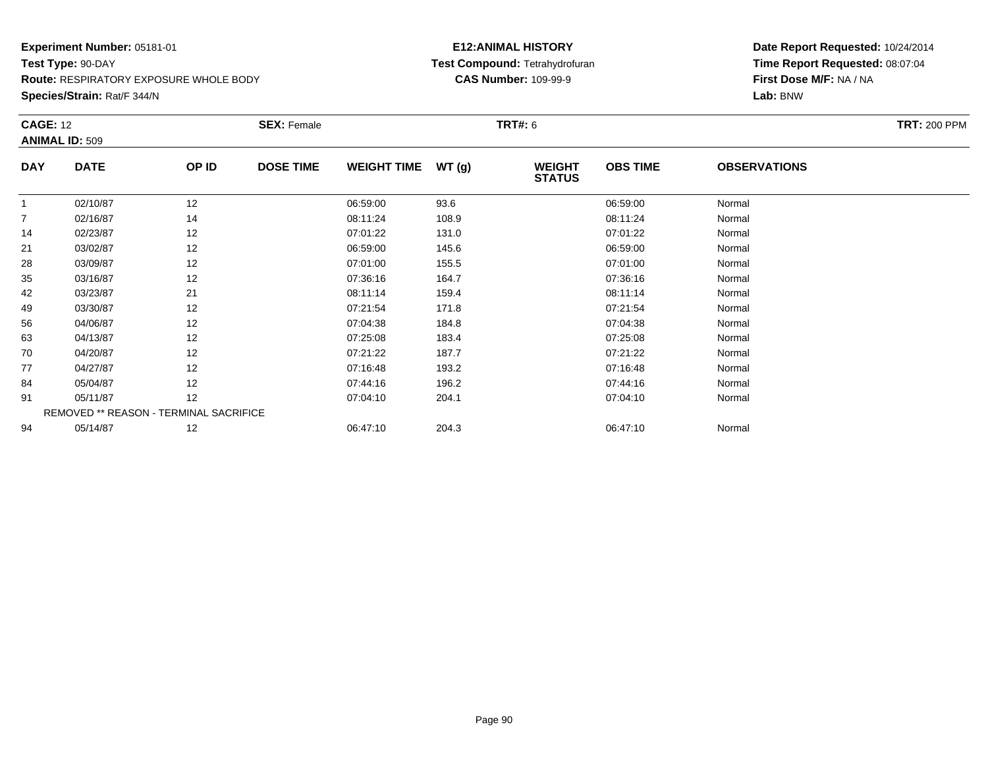**Route:** RESPIRATORY EXPOSURE WHOLE BODY

**Species/Strain:** Rat/F 344/N

#### **E12:ANIMAL HISTORY Test Compound:** Tetrahydrofuran**CAS Number:** 109-99-9

| <b>CAGE: 12</b> | <b>ANIMAL ID: 509</b>                  |       | <b>SEX: Female</b> |                    |       | <b>TRT#:</b> 6                 |                 |                     | <b>TRT: 200 PPM</b> |
|-----------------|----------------------------------------|-------|--------------------|--------------------|-------|--------------------------------|-----------------|---------------------|---------------------|
| <b>DAY</b>      | <b>DATE</b>                            | OP ID | <b>DOSE TIME</b>   | <b>WEIGHT TIME</b> | WT(g) | <b>WEIGHT</b><br><b>STATUS</b> | <b>OBS TIME</b> | <b>OBSERVATIONS</b> |                     |
|                 | 02/10/87                               | 12    |                    | 06:59:00           | 93.6  |                                | 06:59:00        | Normal              |                     |
| $\overline{7}$  | 02/16/87                               | 14    |                    | 08:11:24           | 108.9 |                                | 08:11:24        | Normal              |                     |
| 14              | 02/23/87                               | 12    |                    | 07:01:22           | 131.0 |                                | 07:01:22        | Normal              |                     |
| 21              | 03/02/87                               | 12    |                    | 06:59:00           | 145.6 |                                | 06:59:00        | Normal              |                     |
| 28              | 03/09/87                               | 12    |                    | 07:01:00           | 155.5 |                                | 07:01:00        | Normal              |                     |
| 35              | 03/16/87                               | 12    |                    | 07:36:16           | 164.7 |                                | 07:36:16        | Normal              |                     |
| 42              | 03/23/87                               | 21    |                    | 08:11:14           | 159.4 |                                | 08:11:14        | Normal              |                     |
| 49              | 03/30/87                               | 12    |                    | 07:21:54           | 171.8 |                                | 07:21:54        | Normal              |                     |
| 56              | 04/06/87                               | 12    |                    | 07:04:38           | 184.8 |                                | 07:04:38        | Normal              |                     |
| 63              | 04/13/87                               | 12    |                    | 07:25:08           | 183.4 |                                | 07:25:08        | Normal              |                     |
| 70              | 04/20/87                               | 12    |                    | 07:21:22           | 187.7 |                                | 07:21:22        | Normal              |                     |
| 77              | 04/27/87                               | 12    |                    | 07:16:48           | 193.2 |                                | 07:16:48        | Normal              |                     |
| 84              | 05/04/87                               | 12    |                    | 07:44:16           | 196.2 |                                | 07:44:16        | Normal              |                     |
| 91              | 05/11/87                               | 12    |                    | 07:04:10           | 204.1 |                                | 07:04:10        | Normal              |                     |
|                 | REMOVED ** REASON - TERMINAL SACRIFICE |       |                    |                    |       |                                |                 |                     |                     |
| 94              | 05/14/87                               | 12    |                    | 06:47:10           | 204.3 |                                | 06:47:10        | Normal              |                     |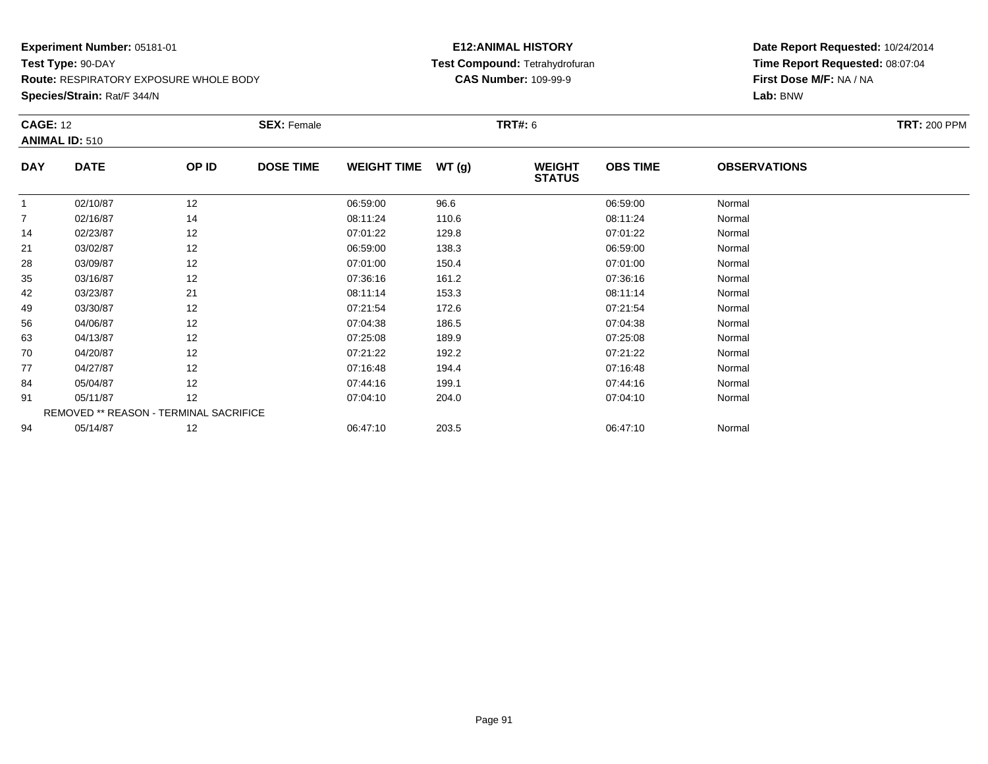**Route:** RESPIRATORY EXPOSURE WHOLE BODY

**Species/Strain:** Rat/F 344/N

#### **E12:ANIMAL HISTORY Test Compound:** Tetrahydrofuran**CAS Number:** 109-99-9

|                |                                        |       | <b>SEX: Female</b> |                    |       | <b>TRT#:</b> 6                 |                 |                     | <b>TRT: 200 PPM</b> |
|----------------|----------------------------------------|-------|--------------------|--------------------|-------|--------------------------------|-----------------|---------------------|---------------------|
|                | <b>ANIMAL ID: 510</b>                  |       |                    |                    |       |                                |                 |                     |                     |
| <b>DAY</b>     | <b>DATE</b>                            | OP ID | <b>DOSE TIME</b>   | <b>WEIGHT TIME</b> | WT(g) | <b>WEIGHT</b><br><b>STATUS</b> | <b>OBS TIME</b> | <b>OBSERVATIONS</b> |                     |
|                | 02/10/87                               | 12    |                    | 06:59:00           | 96.6  |                                | 06:59:00        | Normal              |                     |
| $\overline{7}$ | 02/16/87                               | 14    |                    | 08:11:24           | 110.6 |                                | 08:11:24        | Normal              |                     |
| 14             | 02/23/87                               | 12    |                    | 07:01:22           | 129.8 |                                | 07:01:22        | Normal              |                     |
| 21             | 03/02/87                               | 12    |                    | 06:59:00           | 138.3 |                                | 06:59:00        | Normal              |                     |
| 28             | 03/09/87                               | 12    |                    | 07:01:00           | 150.4 |                                | 07:01:00        | Normal              |                     |
| 35             | 03/16/87                               | 12    |                    | 07:36:16           | 161.2 |                                | 07:36:16        | Normal              |                     |
| 42             | 03/23/87                               | 21    |                    | 08:11:14           | 153.3 |                                | 08:11:14        | Normal              |                     |
| 49             | 03/30/87                               | 12    |                    | 07:21:54           | 172.6 |                                | 07:21:54        | Normal              |                     |
| 56             | 04/06/87                               | 12    |                    | 07:04:38           | 186.5 |                                | 07:04:38        | Normal              |                     |
| 63             | 04/13/87                               | 12    |                    | 07:25:08           | 189.9 |                                | 07:25:08        | Normal              |                     |
| 70             | 04/20/87                               | 12    |                    | 07:21:22           | 192.2 |                                | 07:21:22        | Normal              |                     |
| 77             | 04/27/87                               | 12    |                    | 07:16:48           | 194.4 |                                | 07:16:48        | Normal              |                     |
| 84             | 05/04/87                               | 12    |                    | 07:44:16           | 199.1 |                                | 07:44:16        | Normal              |                     |
| 91             | 05/11/87                               | 12    |                    | 07:04:10           | 204.0 |                                | 07:04:10        | Normal              |                     |
|                | REMOVED ** REASON - TERMINAL SACRIFICE |       |                    |                    |       |                                |                 |                     |                     |
| 94             | 05/14/87                               | 12    |                    | 06:47:10           | 203.5 |                                | 06:47:10        | Normal              |                     |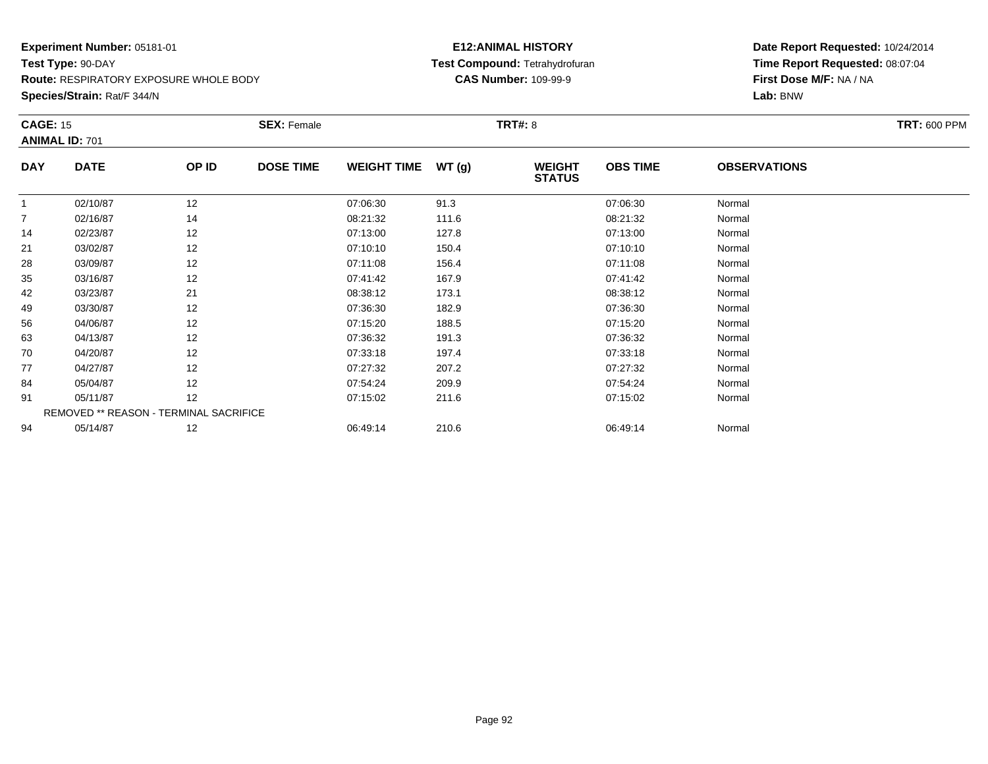**Route:** RESPIRATORY EXPOSURE WHOLE BODY

**Species/Strain:** Rat/F 344/N

#### **E12:ANIMAL HISTORY Test Compound:** Tetrahydrofuran**CAS Number:** 109-99-9

| <b>CAGE: 15</b> |                                        |       | <b>SEX: Female</b> |                    |       | <b>TRT#: 8</b>                 |                 |                     | <b>TRT: 600 PPM</b> |
|-----------------|----------------------------------------|-------|--------------------|--------------------|-------|--------------------------------|-----------------|---------------------|---------------------|
|                 | <b>ANIMAL ID: 701</b>                  |       |                    |                    |       |                                |                 |                     |                     |
| <b>DAY</b>      | <b>DATE</b>                            | OP ID | <b>DOSE TIME</b>   | <b>WEIGHT TIME</b> | WT(g) | <b>WEIGHT</b><br><b>STATUS</b> | <b>OBS TIME</b> | <b>OBSERVATIONS</b> |                     |
| $\mathbf{1}$    | 02/10/87                               | 12    |                    | 07:06:30           | 91.3  |                                | 07:06:30        | Normal              |                     |
| $\overline{7}$  | 02/16/87                               | 14    |                    | 08:21:32           | 111.6 |                                | 08:21:32        | Normal              |                     |
| 14              | 02/23/87                               | 12    |                    | 07:13:00           | 127.8 |                                | 07:13:00        | Normal              |                     |
| 21              | 03/02/87                               | 12    |                    | 07:10:10           | 150.4 |                                | 07:10:10        | Normal              |                     |
| 28              | 03/09/87                               | 12    |                    | 07:11:08           | 156.4 |                                | 07:11:08        | Normal              |                     |
| 35              | 03/16/87                               | 12    |                    | 07:41:42           | 167.9 |                                | 07:41:42        | Normal              |                     |
| 42              | 03/23/87                               | 21    |                    | 08:38:12           | 173.1 |                                | 08:38:12        | Normal              |                     |
| 49              | 03/30/87                               | 12    |                    | 07:36:30           | 182.9 |                                | 07:36:30        | Normal              |                     |
| 56              | 04/06/87                               | 12    |                    | 07:15:20           | 188.5 |                                | 07:15:20        | Normal              |                     |
| 63              | 04/13/87                               | 12    |                    | 07:36:32           | 191.3 |                                | 07:36:32        | Normal              |                     |
| 70              | 04/20/87                               | 12    |                    | 07:33:18           | 197.4 |                                | 07:33:18        | Normal              |                     |
| 77              | 04/27/87                               | 12    |                    | 07:27:32           | 207.2 |                                | 07:27:32        | Normal              |                     |
| 84              | 05/04/87                               | 12    |                    | 07:54:24           | 209.9 |                                | 07:54:24        | Normal              |                     |
| 91              | 05/11/87                               | 12    |                    | 07:15:02           | 211.6 |                                | 07:15:02        | Normal              |                     |
|                 | REMOVED ** REASON - TERMINAL SACRIFICE |       |                    |                    |       |                                |                 |                     |                     |
| 94              | 05/14/87                               | 12    |                    | 06:49:14           | 210.6 |                                | 06:49:14        | Normal              |                     |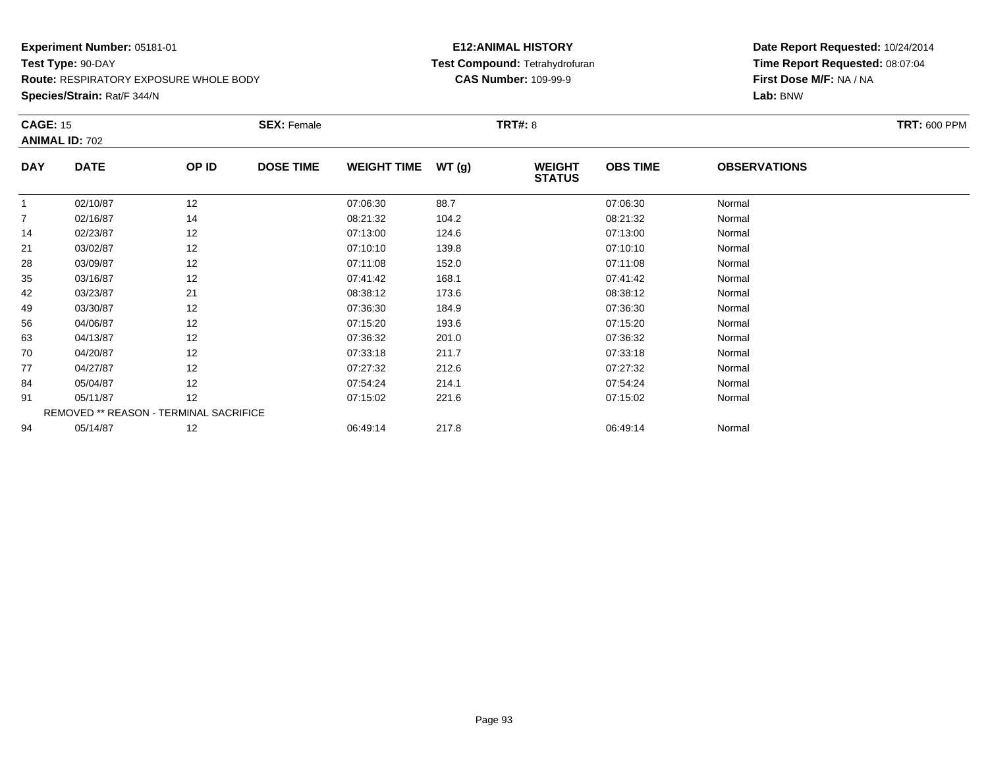**Route:** RESPIRATORY EXPOSURE WHOLE BODY

**Species/Strain:** Rat/F 344/N

#### **E12:ANIMAL HISTORY Test Compound:** Tetrahydrofuran**CAS Number:** 109-99-9

| <b>CAGE: 15</b> |                                        |       | <b>SEX: Female</b> |                    |       | <b>TRT#: 8</b>                 |                 |                     | <b>TRT: 600 PPM</b> |
|-----------------|----------------------------------------|-------|--------------------|--------------------|-------|--------------------------------|-----------------|---------------------|---------------------|
|                 | <b>ANIMAL ID: 702</b>                  |       |                    |                    |       |                                |                 |                     |                     |
| <b>DAY</b>      | <b>DATE</b>                            | OP ID | <b>DOSE TIME</b>   | <b>WEIGHT TIME</b> | WT(g) | <b>WEIGHT</b><br><b>STATUS</b> | <b>OBS TIME</b> | <b>OBSERVATIONS</b> |                     |
|                 | 02/10/87                               | 12    |                    | 07:06:30           | 88.7  |                                | 07:06:30        | Normal              |                     |
| $\overline{7}$  | 02/16/87                               | 14    |                    | 08:21:32           | 104.2 |                                | 08:21:32        | Normal              |                     |
| 14              | 02/23/87                               | 12    |                    | 07:13:00           | 124.6 |                                | 07:13:00        | Normal              |                     |
| 21              | 03/02/87                               | 12    |                    | 07:10:10           | 139.8 |                                | 07:10:10        | Normal              |                     |
| 28              | 03/09/87                               | 12    |                    | 07:11:08           | 152.0 |                                | 07:11:08        | Normal              |                     |
| 35              | 03/16/87                               | 12    |                    | 07:41:42           | 168.1 |                                | 07:41:42        | Normal              |                     |
| 42              | 03/23/87                               | 21    |                    | 08:38:12           | 173.6 |                                | 08:38:12        | Normal              |                     |
| 49              | 03/30/87                               | 12    |                    | 07:36:30           | 184.9 |                                | 07:36:30        | Normal              |                     |
| 56              | 04/06/87                               | 12    |                    | 07:15:20           | 193.6 |                                | 07:15:20        | Normal              |                     |
| 63              | 04/13/87                               | 12    |                    | 07:36:32           | 201.0 |                                | 07:36:32        | Normal              |                     |
| 70              | 04/20/87                               | 12    |                    | 07:33:18           | 211.7 |                                | 07:33:18        | Normal              |                     |
| 77              | 04/27/87                               | 12    |                    | 07:27:32           | 212.6 |                                | 07:27:32        | Normal              |                     |
| 84              | 05/04/87                               | 12    |                    | 07:54:24           | 214.1 |                                | 07:54:24        | Normal              |                     |
| 91              | 05/11/87                               | 12    |                    | 07:15:02           | 221.6 |                                | 07:15:02        | Normal              |                     |
|                 | REMOVED ** REASON - TERMINAL SACRIFICE |       |                    |                    |       |                                |                 |                     |                     |
| 94              | 05/14/87                               | 12    |                    | 06:49:14           | 217.8 |                                | 06:49:14        | Normal              |                     |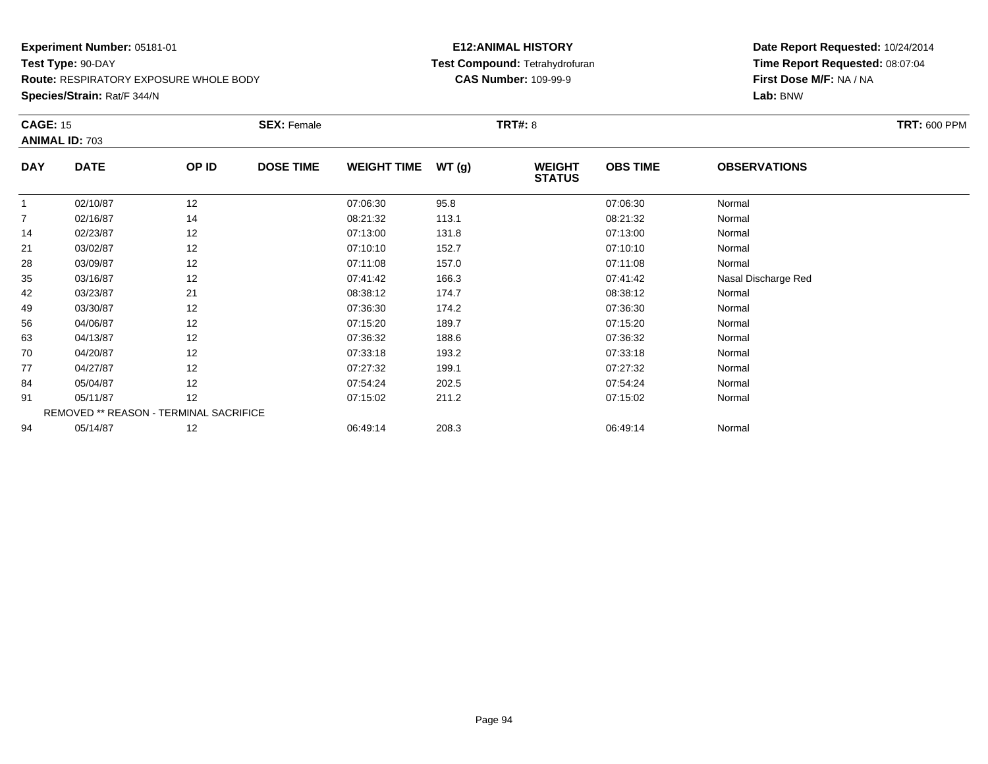**Route:** RESPIRATORY EXPOSURE WHOLE BODY

**Species/Strain:** Rat/F 344/N

#### **E12:ANIMAL HISTORY Test Compound:** Tetrahydrofuran**CAS Number:** 109-99-9

| <b>CAGE: 15</b> | <b>ANIMAL ID: 703</b>                  |       | <b>SEX: Female</b> |                    |       | <b>TRT#:</b> 8                 |                 |                     | <b>TRT: 600 PPM</b> |
|-----------------|----------------------------------------|-------|--------------------|--------------------|-------|--------------------------------|-----------------|---------------------|---------------------|
| <b>DAY</b>      | <b>DATE</b>                            | OP ID | <b>DOSE TIME</b>   | <b>WEIGHT TIME</b> | WT(g) | <b>WEIGHT</b><br><b>STATUS</b> | <b>OBS TIME</b> | <b>OBSERVATIONS</b> |                     |
|                 | 02/10/87                               | 12    |                    | 07:06:30           | 95.8  |                                | 07:06:30        | Normal              |                     |
| $\overline{7}$  | 02/16/87                               | 14    |                    | 08:21:32           | 113.1 |                                | 08:21:32        | Normal              |                     |
| 14              | 02/23/87                               | 12    |                    | 07:13:00           | 131.8 |                                | 07:13:00        | Normal              |                     |
| 21              | 03/02/87                               | 12    |                    | 07:10:10           | 152.7 |                                | 07:10:10        | Normal              |                     |
| 28              | 03/09/87                               | 12    |                    | 07:11:08           | 157.0 |                                | 07:11:08        | Normal              |                     |
| 35              | 03/16/87                               | 12    |                    | 07:41:42           | 166.3 |                                | 07:41:42        | Nasal Discharge Red |                     |
| 42              | 03/23/87                               | 21    |                    | 08:38:12           | 174.7 |                                | 08:38:12        | Normal              |                     |
| 49              | 03/30/87                               | 12    |                    | 07:36:30           | 174.2 |                                | 07:36:30        | Normal              |                     |
| 56              | 04/06/87                               | 12    |                    | 07:15:20           | 189.7 |                                | 07:15:20        | Normal              |                     |
| 63              | 04/13/87                               | 12    |                    | 07:36:32           | 188.6 |                                | 07:36:32        | Normal              |                     |
| 70              | 04/20/87                               | 12    |                    | 07:33:18           | 193.2 |                                | 07:33:18        | Normal              |                     |
| 77              | 04/27/87                               | 12    |                    | 07:27:32           | 199.1 |                                | 07:27:32        | Normal              |                     |
| 84              | 05/04/87                               | 12    |                    | 07:54:24           | 202.5 |                                | 07:54:24        | Normal              |                     |
| 91              | 05/11/87                               | 12    |                    | 07:15:02           | 211.2 |                                | 07:15:02        | Normal              |                     |
|                 | REMOVED ** REASON - TERMINAL SACRIFICE |       |                    |                    |       |                                |                 |                     |                     |
| 94              | 05/14/87                               | 12    |                    | 06:49:14           | 208.3 |                                | 06:49:14        | Normal              |                     |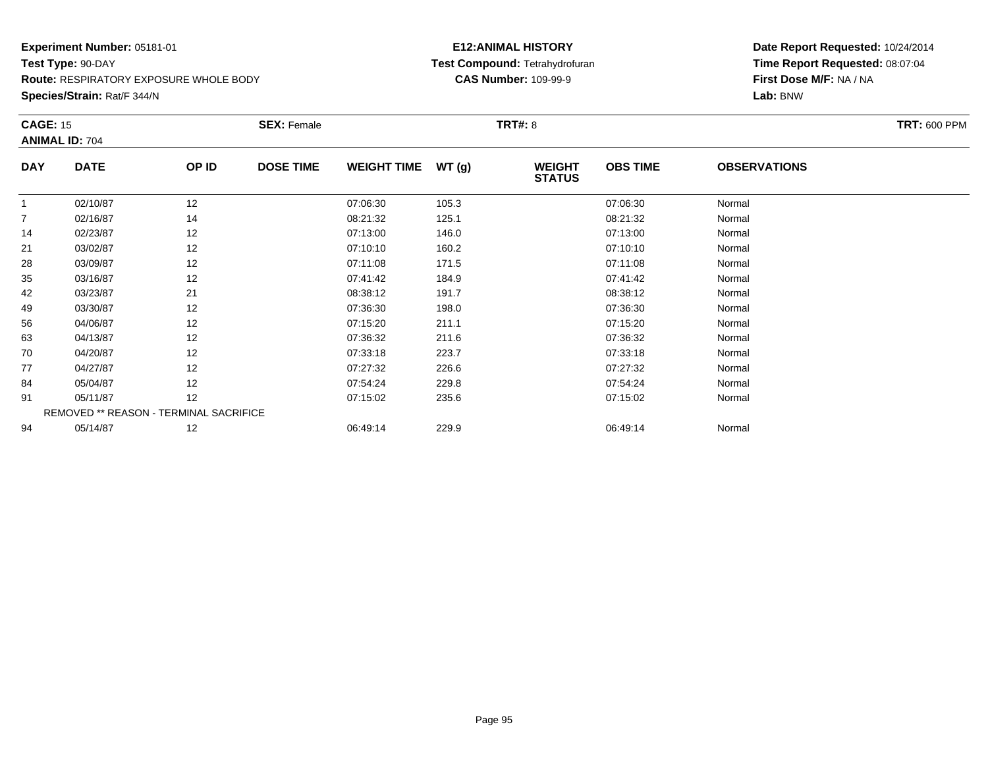**Route:** RESPIRATORY EXPOSURE WHOLE BODY

**Species/Strain:** Rat/F 344/N

#### **E12:ANIMAL HISTORY Test Compound:** Tetrahydrofuran**CAS Number:** 109-99-9

| <b>CAGE: 15</b> |                                        |       | <b>SEX: Female</b> |                    |       | <b>TRT#: 8</b>                 |                 |                     | <b>TRT: 600 PPM</b> |
|-----------------|----------------------------------------|-------|--------------------|--------------------|-------|--------------------------------|-----------------|---------------------|---------------------|
|                 | <b>ANIMAL ID: 704</b>                  |       |                    |                    |       |                                |                 |                     |                     |
| <b>DAY</b>      | <b>DATE</b>                            | OP ID | <b>DOSE TIME</b>   | <b>WEIGHT TIME</b> | WT(g) | <b>WEIGHT</b><br><b>STATUS</b> | <b>OBS TIME</b> | <b>OBSERVATIONS</b> |                     |
|                 | 02/10/87                               | 12    |                    | 07:06:30           | 105.3 |                                | 07:06:30        | Normal              |                     |
| $\overline{7}$  | 02/16/87                               | 14    |                    | 08:21:32           | 125.1 |                                | 08:21:32        | Normal              |                     |
| 14              | 02/23/87                               | 12    |                    | 07:13:00           | 146.0 |                                | 07:13:00        | Normal              |                     |
| 21              | 03/02/87                               | 12    |                    | 07:10:10           | 160.2 |                                | 07:10:10        | Normal              |                     |
| 28              | 03/09/87                               | 12    |                    | 07:11:08           | 171.5 |                                | 07:11:08        | Normal              |                     |
| 35              | 03/16/87                               | 12    |                    | 07:41:42           | 184.9 |                                | 07:41:42        | Normal              |                     |
| 42              | 03/23/87                               | 21    |                    | 08:38:12           | 191.7 |                                | 08:38:12        | Normal              |                     |
| 49              | 03/30/87                               | 12    |                    | 07:36:30           | 198.0 |                                | 07:36:30        | Normal              |                     |
| 56              | 04/06/87                               | 12    |                    | 07:15:20           | 211.1 |                                | 07:15:20        | Normal              |                     |
| 63              | 04/13/87                               | 12    |                    | 07:36:32           | 211.6 |                                | 07:36:32        | Normal              |                     |
| 70              | 04/20/87                               | 12    |                    | 07:33:18           | 223.7 |                                | 07:33:18        | Normal              |                     |
| 77              | 04/27/87                               | 12    |                    | 07:27:32           | 226.6 |                                | 07:27:32        | Normal              |                     |
| 84              | 05/04/87                               | 12    |                    | 07:54:24           | 229.8 |                                | 07:54:24        | Normal              |                     |
| 91              | 05/11/87                               | 12    |                    | 07:15:02           | 235.6 |                                | 07:15:02        | Normal              |                     |
|                 | REMOVED ** REASON - TERMINAL SACRIFICE |       |                    |                    |       |                                |                 |                     |                     |
| 94              | 05/14/87                               | 12    |                    | 06:49:14           | 229.9 |                                | 06:49:14        | Normal              |                     |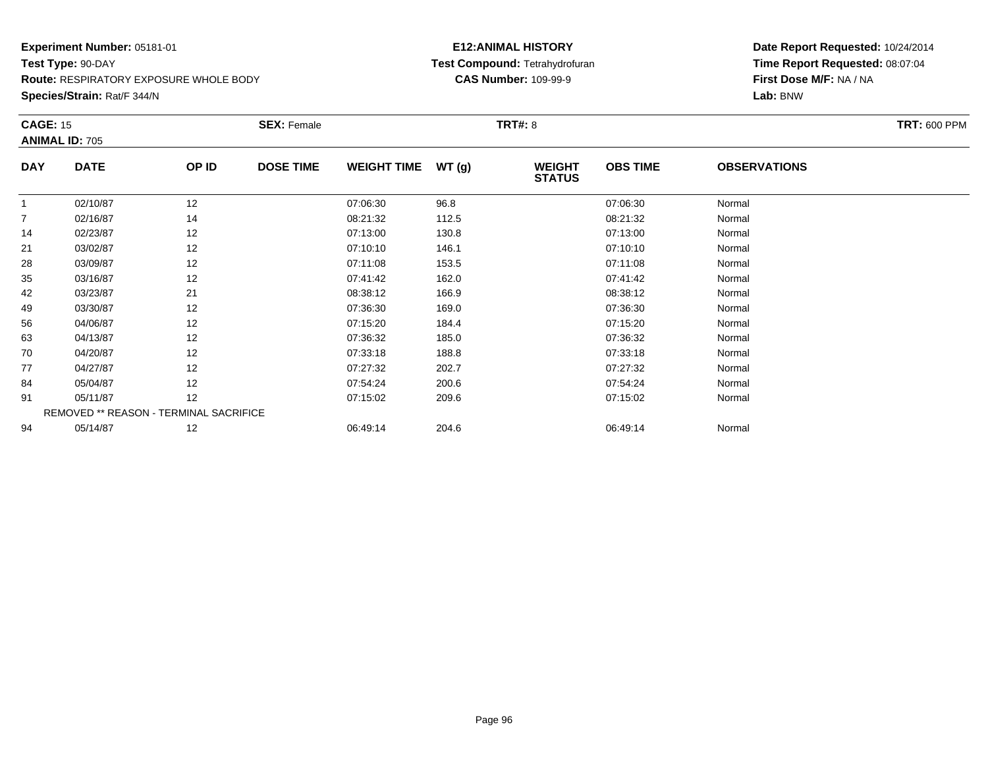**Route:** RESPIRATORY EXPOSURE WHOLE BODY

**Species/Strain:** Rat/F 344/N

#### **E12:ANIMAL HISTORY Test Compound:** Tetrahydrofuran**CAS Number:** 109-99-9

| <b>CAGE: 15</b> |                                        |       | <b>SEX: Female</b> |                    |       | <b>TRT#: 8</b>                 |                 |                     | <b>TRT: 600 PPM</b> |
|-----------------|----------------------------------------|-------|--------------------|--------------------|-------|--------------------------------|-----------------|---------------------|---------------------|
|                 | <b>ANIMAL ID: 705</b>                  |       |                    |                    |       |                                |                 |                     |                     |
| <b>DAY</b>      | <b>DATE</b>                            | OP ID | <b>DOSE TIME</b>   | <b>WEIGHT TIME</b> | WT(g) | <b>WEIGHT</b><br><b>STATUS</b> | <b>OBS TIME</b> | <b>OBSERVATIONS</b> |                     |
|                 | 02/10/87                               | 12    |                    | 07:06:30           | 96.8  |                                | 07:06:30        | Normal              |                     |
| $\overline{7}$  | 02/16/87                               | 14    |                    | 08:21:32           | 112.5 |                                | 08:21:32        | Normal              |                     |
| 14              | 02/23/87                               | 12    |                    | 07:13:00           | 130.8 |                                | 07:13:00        | Normal              |                     |
| 21              | 03/02/87                               | 12    |                    | 07:10:10           | 146.1 |                                | 07:10:10        | Normal              |                     |
| 28              | 03/09/87                               | 12    |                    | 07:11:08           | 153.5 |                                | 07:11:08        | Normal              |                     |
| 35              | 03/16/87                               | 12    |                    | 07:41:42           | 162.0 |                                | 07:41:42        | Normal              |                     |
| 42              | 03/23/87                               | 21    |                    | 08:38:12           | 166.9 |                                | 08:38:12        | Normal              |                     |
| 49              | 03/30/87                               | 12    |                    | 07:36:30           | 169.0 |                                | 07:36:30        | Normal              |                     |
| 56              | 04/06/87                               | 12    |                    | 07:15:20           | 184.4 |                                | 07:15:20        | Normal              |                     |
| 63              | 04/13/87                               | 12    |                    | 07:36:32           | 185.0 |                                | 07:36:32        | Normal              |                     |
| 70              | 04/20/87                               | 12    |                    | 07:33:18           | 188.8 |                                | 07:33:18        | Normal              |                     |
| 77              | 04/27/87                               | 12    |                    | 07:27:32           | 202.7 |                                | 07:27:32        | Normal              |                     |
| 84              | 05/04/87                               | 12    |                    | 07:54:24           | 200.6 |                                | 07:54:24        | Normal              |                     |
| 91              | 05/11/87                               | 12    |                    | 07:15:02           | 209.6 |                                | 07:15:02        | Normal              |                     |
|                 | REMOVED ** REASON - TERMINAL SACRIFICE |       |                    |                    |       |                                |                 |                     |                     |
| 94              | 05/14/87                               | 12    |                    | 06:49:14           | 204.6 |                                | 06:49:14        | Normal              |                     |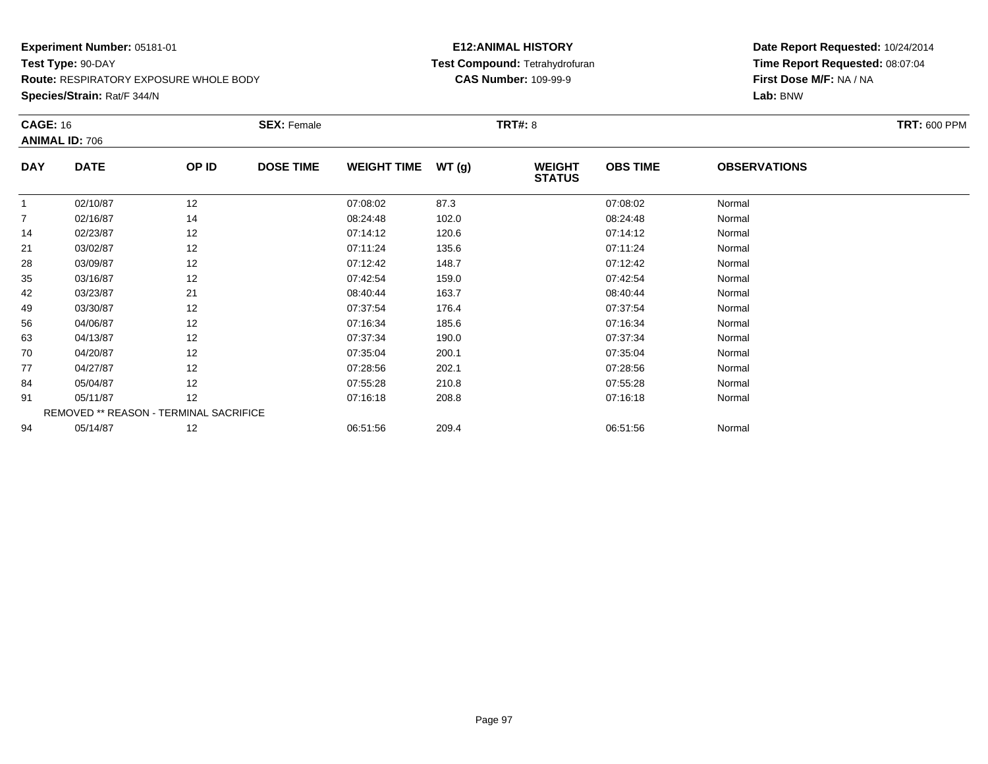**Species/Strain:** Rat/F 344/N

#### **E12:ANIMAL HISTORY Test Compound:** Tetrahydrofuran**CAS Number:** 109-99-9

| <b>CAGE: 16</b><br><b>ANIMAL ID: 706</b> |                                        |       | <b>SEX: Female</b> |                    |       | <b>TRT#: 8</b>                 |                 |                     | <b>TRT: 600 PPM</b> |
|------------------------------------------|----------------------------------------|-------|--------------------|--------------------|-------|--------------------------------|-----------------|---------------------|---------------------|
| <b>DAY</b>                               | <b>DATE</b>                            | OP ID | <b>DOSE TIME</b>   | <b>WEIGHT TIME</b> | WT(g) | <b>WEIGHT</b><br><b>STATUS</b> | <b>OBS TIME</b> | <b>OBSERVATIONS</b> |                     |
|                                          | 02/10/87                               | 12    |                    | 07:08:02           | 87.3  |                                | 07:08:02        | Normal              |                     |
| $\overline{7}$                           | 02/16/87                               | 14    |                    | 08:24:48           | 102.0 |                                | 08:24:48        | Normal              |                     |
| 14                                       | 02/23/87                               | 12    |                    | 07:14:12           | 120.6 |                                | 07:14:12        | Normal              |                     |
| 21                                       | 03/02/87                               | 12    |                    | 07:11:24           | 135.6 |                                | 07:11:24        | Normal              |                     |
| 28                                       | 03/09/87                               | 12    |                    | 07:12:42           | 148.7 |                                | 07:12:42        | Normal              |                     |
| 35                                       | 03/16/87                               | 12    |                    | 07:42:54           | 159.0 |                                | 07:42:54        | Normal              |                     |
| 42                                       | 03/23/87                               | 21    |                    | 08:40:44           | 163.7 |                                | 08:40:44        | Normal              |                     |
| 49                                       | 03/30/87                               | 12    |                    | 07:37:54           | 176.4 |                                | 07:37:54        | Normal              |                     |
| 56                                       | 04/06/87                               | 12    |                    | 07:16:34           | 185.6 |                                | 07:16:34        | Normal              |                     |
| 63                                       | 04/13/87                               | 12    |                    | 07:37:34           | 190.0 |                                | 07:37:34        | Normal              |                     |
| 70                                       | 04/20/87                               | 12    |                    | 07:35:04           | 200.1 |                                | 07:35:04        | Normal              |                     |
| 77                                       | 04/27/87                               | 12    |                    | 07:28:56           | 202.1 |                                | 07:28:56        | Normal              |                     |
| 84                                       | 05/04/87                               | 12    |                    | 07:55:28           | 210.8 |                                | 07:55:28        | Normal              |                     |
| 91                                       | 05/11/87                               | 12    |                    | 07:16:18           | 208.8 |                                | 07:16:18        | Normal              |                     |
|                                          | REMOVED ** REASON - TERMINAL SACRIFICE |       |                    |                    |       |                                |                 |                     |                     |
| 94                                       | 05/14/87                               | 12    |                    | 06:51:56           | 209.4 |                                | 06:51:56        | Normal              |                     |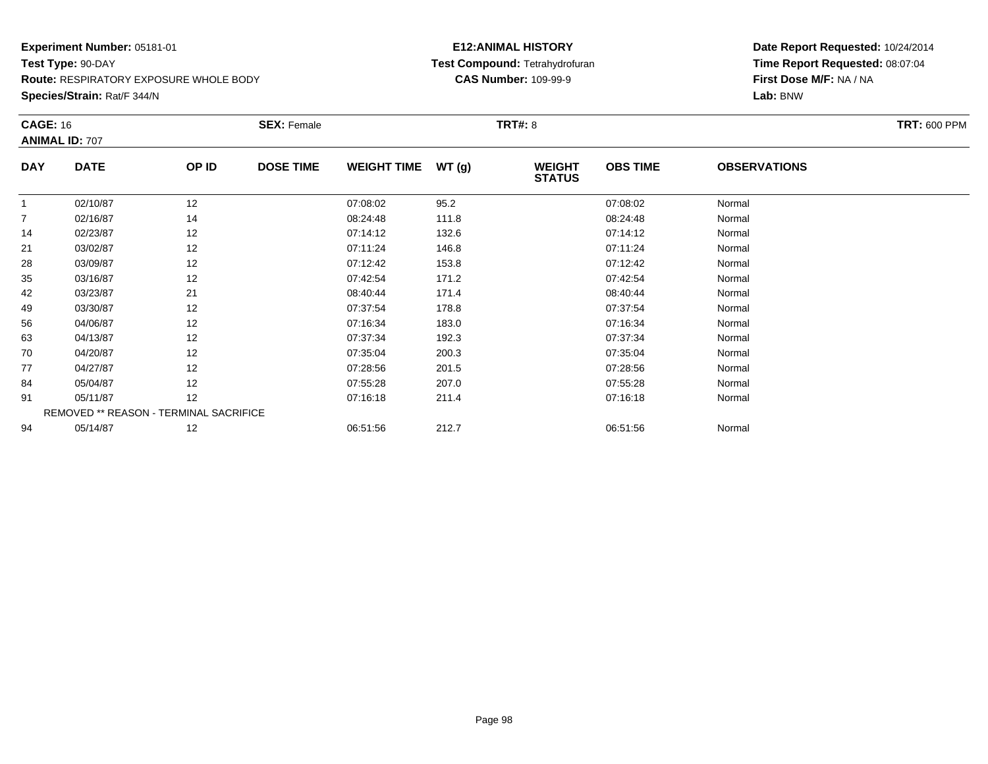**Species/Strain:** Rat/F 344/N

#### **E12:ANIMAL HISTORY Test Compound:** Tetrahydrofuran**CAS Number:** 109-99-9

| <b>CAGE: 16</b><br><b>ANIMAL ID: 707</b> |                                        | <b>SEX: Female</b> |                  |                    | <b>TRT#: 8</b> |                                |                 |                     |  |
|------------------------------------------|----------------------------------------|--------------------|------------------|--------------------|----------------|--------------------------------|-----------------|---------------------|--|
| <b>DAY</b>                               | <b>DATE</b>                            | OP ID              | <b>DOSE TIME</b> | <b>WEIGHT TIME</b> | WT(g)          | <b>WEIGHT</b><br><b>STATUS</b> | <b>OBS TIME</b> | <b>OBSERVATIONS</b> |  |
| 1                                        | 02/10/87                               | 12                 |                  | 07:08:02           | 95.2           |                                | 07:08:02        | Normal              |  |
| $\overline{7}$                           | 02/16/87                               | 14                 |                  | 08:24:48           | 111.8          |                                | 08:24:48        | Normal              |  |
| 14                                       | 02/23/87                               | 12                 |                  | 07:14:12           | 132.6          |                                | 07:14:12        | Normal              |  |
| 21                                       | 03/02/87                               | 12                 |                  | 07:11:24           | 146.8          |                                | 07:11:24        | Normal              |  |
| 28                                       | 03/09/87                               | 12                 |                  | 07:12:42           | 153.8          |                                | 07:12:42        | Normal              |  |
| 35                                       | 03/16/87                               | 12                 |                  | 07:42:54           | 171.2          |                                | 07:42:54        | Normal              |  |
| 42                                       | 03/23/87                               | 21                 |                  | 08:40:44           | 171.4          |                                | 08:40:44        | Normal              |  |
| 49                                       | 03/30/87                               | 12                 |                  | 07:37:54           | 178.8          |                                | 07:37:54        | Normal              |  |
| 56                                       | 04/06/87                               | 12                 |                  | 07:16:34           | 183.0          |                                | 07:16:34        | Normal              |  |
| 63                                       | 04/13/87                               | 12                 |                  | 07:37:34           | 192.3          |                                | 07:37:34        | Normal              |  |
| 70                                       | 04/20/87                               | 12                 |                  | 07:35:04           | 200.3          |                                | 07:35:04        | Normal              |  |
| 77                                       | 04/27/87                               | 12                 |                  | 07:28:56           | 201.5          |                                | 07:28:56        | Normal              |  |
| 84                                       | 05/04/87                               | 12                 |                  | 07:55:28           | 207.0          |                                | 07:55:28        | Normal              |  |
| 91                                       | 05/11/87                               | 12                 |                  | 07:16:18           | 211.4          |                                | 07:16:18        | Normal              |  |
|                                          | REMOVED ** REASON - TERMINAL SACRIFICE |                    |                  |                    |                |                                |                 |                     |  |
| 94                                       | 05/14/87                               | 12                 |                  | 06:51:56           | 212.7          |                                | 06:51:56        | Normal              |  |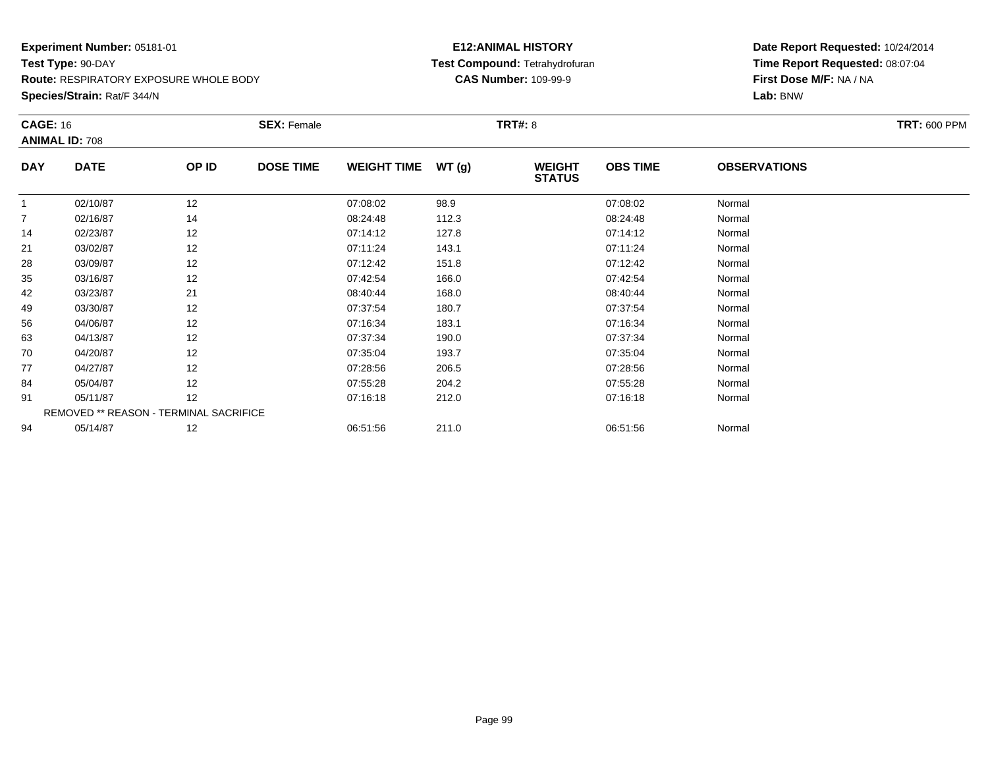**Species/Strain:** Rat/F 344/N

#### **E12:ANIMAL HISTORY Test Compound:** Tetrahydrofuran**CAS Number:** 109-99-9

| <b>CAGE: 16</b><br><b>ANIMAL ID: 708</b> |                                        | <b>SEX: Female</b> |                  |                    | <b>TRT#: 8</b> | <b>TRT: 600 PPM</b>            |                 |                     |  |
|------------------------------------------|----------------------------------------|--------------------|------------------|--------------------|----------------|--------------------------------|-----------------|---------------------|--|
| <b>DAY</b>                               | <b>DATE</b>                            | OP ID              | <b>DOSE TIME</b> | <b>WEIGHT TIME</b> | WT(g)          | <b>WEIGHT</b><br><b>STATUS</b> | <b>OBS TIME</b> | <b>OBSERVATIONS</b> |  |
|                                          | 02/10/87                               | 12                 |                  | 07:08:02           | 98.9           |                                | 07:08:02        | Normal              |  |
| $\overline{7}$                           | 02/16/87                               | 14                 |                  | 08:24:48           | 112.3          |                                | 08:24:48        | Normal              |  |
| 14                                       | 02/23/87                               | 12                 |                  | 07:14:12           | 127.8          |                                | 07:14:12        | Normal              |  |
| 21                                       | 03/02/87                               | 12                 |                  | 07:11:24           | 143.1          |                                | 07:11:24        | Normal              |  |
| 28                                       | 03/09/87                               | 12                 |                  | 07:12:42           | 151.8          |                                | 07:12:42        | Normal              |  |
| 35                                       | 03/16/87                               | 12                 |                  | 07:42:54           | 166.0          |                                | 07:42:54        | Normal              |  |
| 42                                       | 03/23/87                               | 21                 |                  | 08:40:44           | 168.0          |                                | 08:40:44        | Normal              |  |
| 49                                       | 03/30/87                               | 12                 |                  | 07:37:54           | 180.7          |                                | 07:37:54        | Normal              |  |
| 56                                       | 04/06/87                               | 12                 |                  | 07:16:34           | 183.1          |                                | 07:16:34        | Normal              |  |
| 63                                       | 04/13/87                               | 12                 |                  | 07:37:34           | 190.0          |                                | 07:37:34        | Normal              |  |
| 70                                       | 04/20/87                               | 12                 |                  | 07:35:04           | 193.7          |                                | 07:35:04        | Normal              |  |
| 77                                       | 04/27/87                               | 12                 |                  | 07:28:56           | 206.5          |                                | 07:28:56        | Normal              |  |
| 84                                       | 05/04/87                               | 12                 |                  | 07:55:28           | 204.2          |                                | 07:55:28        | Normal              |  |
| 91                                       | 05/11/87                               | 12                 |                  | 07:16:18           | 212.0          |                                | 07:16:18        | Normal              |  |
|                                          | REMOVED ** REASON - TERMINAL SACRIFICE |                    |                  |                    |                |                                |                 |                     |  |
| 94                                       | 05/14/87                               | 12                 |                  | 06:51:56           | 211.0          |                                | 06:51:56        | Normal              |  |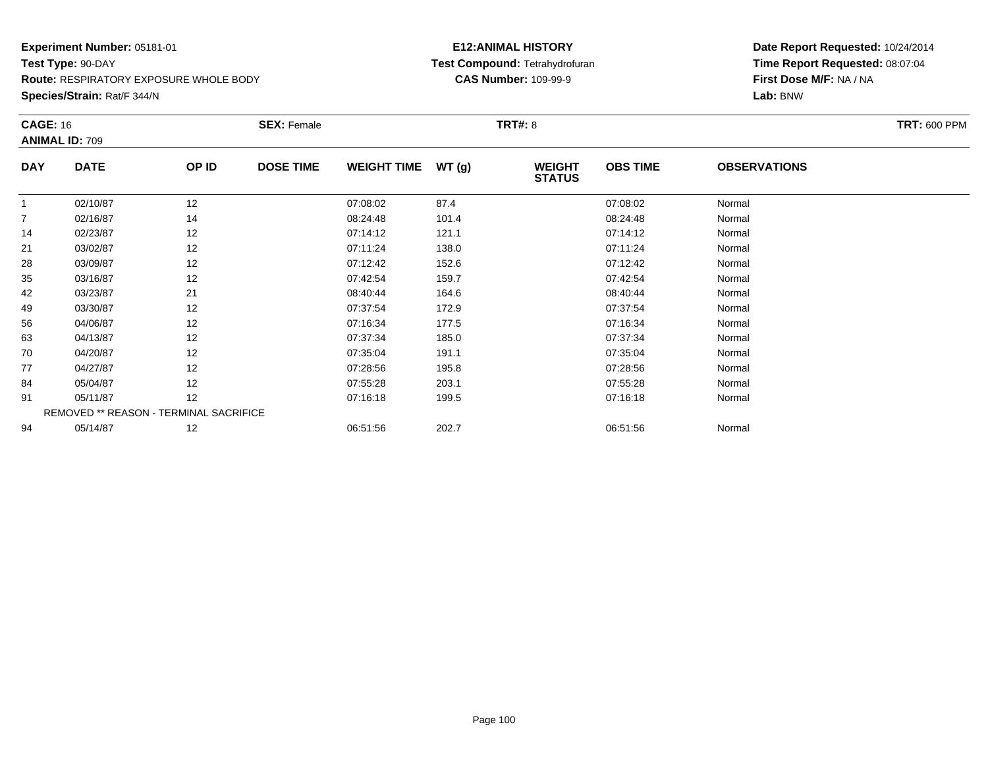**Species/Strain:** Rat/F 344/N

#### **E12:ANIMAL HISTORY Test Compound:** Tetrahydrofuran**CAS Number:** 109-99-9

| <b>CAGE: 16</b><br><b>ANIMAL ID: 709</b> |                                        | <b>SEX: Female</b> |                  |                    | <b>TRT#: 8</b> | <b>TRT: 600 PPM</b>            |                 |                     |  |
|------------------------------------------|----------------------------------------|--------------------|------------------|--------------------|----------------|--------------------------------|-----------------|---------------------|--|
| <b>DAY</b>                               | <b>DATE</b>                            | OP ID              | <b>DOSE TIME</b> | <b>WEIGHT TIME</b> | WT(g)          | <b>WEIGHT</b><br><b>STATUS</b> | <b>OBS TIME</b> | <b>OBSERVATIONS</b> |  |
|                                          | 02/10/87                               | 12                 |                  | 07:08:02           | 87.4           |                                | 07:08:02        | Normal              |  |
| $\overline{7}$                           | 02/16/87                               | 14                 |                  | 08:24:48           | 101.4          |                                | 08:24:48        | Normal              |  |
| 14                                       | 02/23/87                               | 12                 |                  | 07:14:12           | 121.1          |                                | 07:14:12        | Normal              |  |
| 21                                       | 03/02/87                               | 12                 |                  | 07:11:24           | 138.0          |                                | 07:11:24        | Normal              |  |
| 28                                       | 03/09/87                               | 12                 |                  | 07:12:42           | 152.6          |                                | 07:12:42        | Normal              |  |
| 35                                       | 03/16/87                               | 12                 |                  | 07:42:54           | 159.7          |                                | 07:42:54        | Normal              |  |
| 42                                       | 03/23/87                               | 21                 |                  | 08:40:44           | 164.6          |                                | 08:40:44        | Normal              |  |
| 49                                       | 03/30/87                               | 12                 |                  | 07:37:54           | 172.9          |                                | 07:37:54        | Normal              |  |
| 56                                       | 04/06/87                               | 12                 |                  | 07:16:34           | 177.5          |                                | 07:16:34        | Normal              |  |
| 63                                       | 04/13/87                               | 12                 |                  | 07:37:34           | 185.0          |                                | 07:37:34        | Normal              |  |
| 70                                       | 04/20/87                               | 12                 |                  | 07:35:04           | 191.1          |                                | 07:35:04        | Normal              |  |
| 77                                       | 04/27/87                               | 12                 |                  | 07:28:56           | 195.8          |                                | 07:28:56        | Normal              |  |
| 84                                       | 05/04/87                               | 12                 |                  | 07:55:28           | 203.1          |                                | 07:55:28        | Normal              |  |
| 91                                       | 05/11/87                               | 12                 |                  | 07:16:18           | 199.5          |                                | 07:16:18        | Normal              |  |
|                                          | REMOVED ** REASON - TERMINAL SACRIFICE |                    |                  |                    |                |                                |                 |                     |  |
| 94                                       | 05/14/87                               | 12                 |                  | 06:51:56           | 202.7          |                                | 06:51:56        | Normal              |  |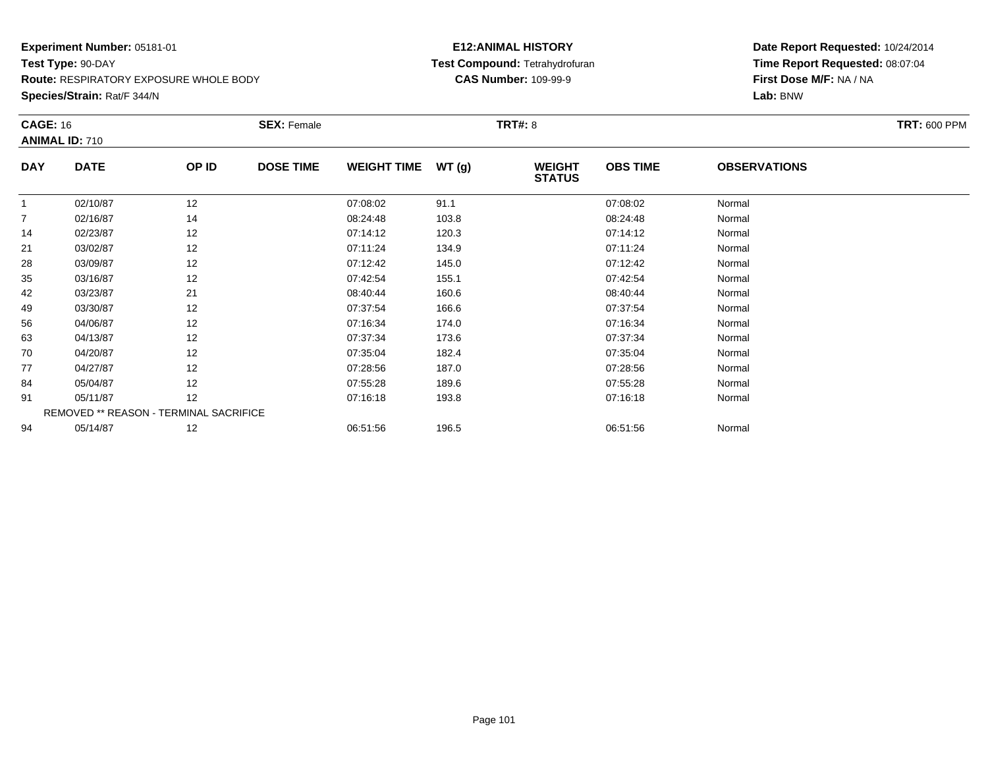**Species/Strain:** Rat/F 344/N

#### **E12:ANIMAL HISTORY Test Compound:** Tetrahydrofuran**CAS Number:** 109-99-9

| <b>CAGE: 16</b><br><b>ANIMAL ID: 710</b> |                                        | <b>SEX: Female</b> |                  |                    | <b>TRT#: 8</b> | <b>TRT: 600 PPM</b>            |                 |                     |  |
|------------------------------------------|----------------------------------------|--------------------|------------------|--------------------|----------------|--------------------------------|-----------------|---------------------|--|
| <b>DAY</b>                               | <b>DATE</b>                            | OP ID              | <b>DOSE TIME</b> | <b>WEIGHT TIME</b> | WT(g)          | <b>WEIGHT</b><br><b>STATUS</b> | <b>OBS TIME</b> | <b>OBSERVATIONS</b> |  |
|                                          | 02/10/87                               | 12                 |                  | 07:08:02           | 91.1           |                                | 07:08:02        | Normal              |  |
| $\overline{7}$                           | 02/16/87                               | 14                 |                  | 08:24:48           | 103.8          |                                | 08:24:48        | Normal              |  |
| 14                                       | 02/23/87                               | 12                 |                  | 07:14:12           | 120.3          |                                | 07:14:12        | Normal              |  |
| 21                                       | 03/02/87                               | 12                 |                  | 07:11:24           | 134.9          |                                | 07:11:24        | Normal              |  |
| 28                                       | 03/09/87                               | 12                 |                  | 07:12:42           | 145.0          |                                | 07:12:42        | Normal              |  |
| 35                                       | 03/16/87                               | 12                 |                  | 07:42:54           | 155.1          |                                | 07:42:54        | Normal              |  |
| 42                                       | 03/23/87                               | 21                 |                  | 08:40:44           | 160.6          |                                | 08:40:44        | Normal              |  |
| 49                                       | 03/30/87                               | 12                 |                  | 07:37:54           | 166.6          |                                | 07:37:54        | Normal              |  |
| 56                                       | 04/06/87                               | 12                 |                  | 07:16:34           | 174.0          |                                | 07:16:34        | Normal              |  |
| 63                                       | 04/13/87                               | 12                 |                  | 07:37:34           | 173.6          |                                | 07:37:34        | Normal              |  |
| 70                                       | 04/20/87                               | 12                 |                  | 07:35:04           | 182.4          |                                | 07:35:04        | Normal              |  |
| 77                                       | 04/27/87                               | 12                 |                  | 07:28:56           | 187.0          |                                | 07:28:56        | Normal              |  |
| 84                                       | 05/04/87                               | 12                 |                  | 07:55:28           | 189.6          |                                | 07:55:28        | Normal              |  |
| 91                                       | 05/11/87                               | 12                 |                  | 07:16:18           | 193.8          |                                | 07:16:18        | Normal              |  |
|                                          | REMOVED ** REASON - TERMINAL SACRIFICE |                    |                  |                    |                |                                |                 |                     |  |
| 94                                       | 05/14/87                               | 12                 |                  | 06:51:56           | 196.5          |                                | 06:51:56        | Normal              |  |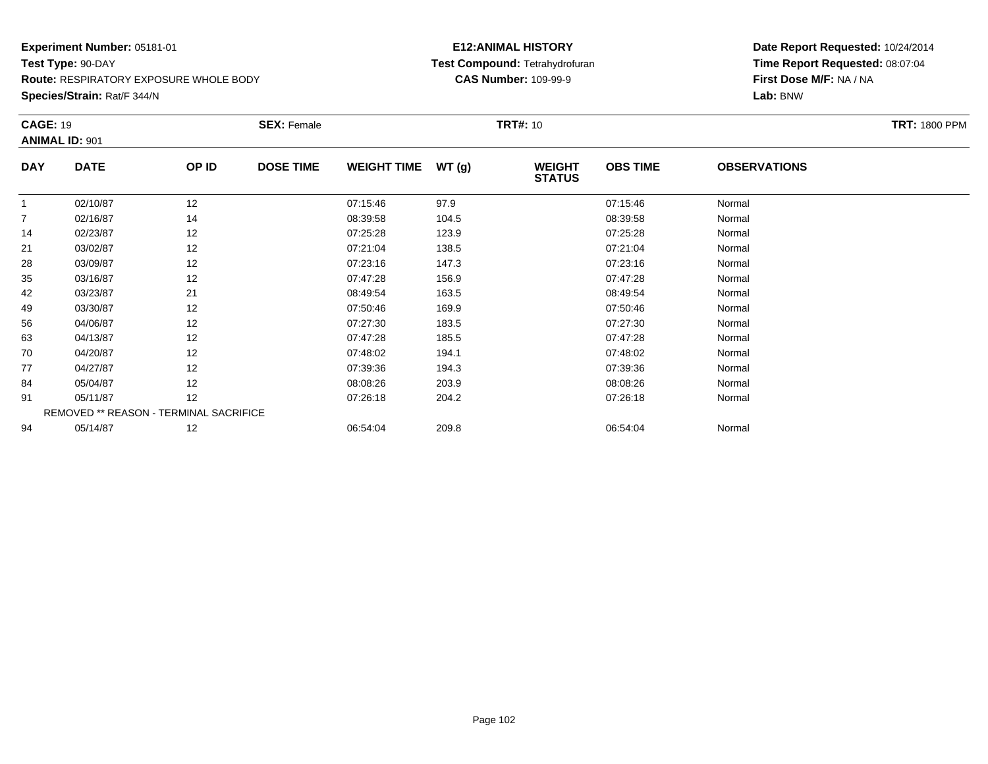**Species/Strain:** Rat/F 344/N

#### **E12:ANIMAL HISTORY Test Compound:** Tetrahydrofuran**CAS Number:** 109-99-9

| <b>CAGE: 19</b> |                                        |       | <b>SEX: Female</b> |                    |       | <b>TRT#:</b> 10                |                 |                     | <b>TRT: 1800 PPM</b> |
|-----------------|----------------------------------------|-------|--------------------|--------------------|-------|--------------------------------|-----------------|---------------------|----------------------|
|                 | <b>ANIMAL ID: 901</b>                  |       |                    |                    |       |                                |                 |                     |                      |
| <b>DAY</b>      | <b>DATE</b>                            | OP ID | <b>DOSE TIME</b>   | <b>WEIGHT TIME</b> | WT(g) | <b>WEIGHT</b><br><b>STATUS</b> | <b>OBS TIME</b> | <b>OBSERVATIONS</b> |                      |
|                 | 02/10/87                               | 12    |                    | 07:15:46           | 97.9  |                                | 07:15:46        | Normal              |                      |
| $\overline{7}$  | 02/16/87                               | 14    |                    | 08:39:58           | 104.5 |                                | 08:39:58        | Normal              |                      |
| 14              | 02/23/87                               | 12    |                    | 07:25:28           | 123.9 |                                | 07:25:28        | Normal              |                      |
| 21              | 03/02/87                               | 12    |                    | 07:21:04           | 138.5 |                                | 07:21:04        | Normal              |                      |
| 28              | 03/09/87                               | 12    |                    | 07:23:16           | 147.3 |                                | 07:23:16        | Normal              |                      |
| 35              | 03/16/87                               | 12    |                    | 07:47:28           | 156.9 |                                | 07:47:28        | Normal              |                      |
| 42              | 03/23/87                               | 21    |                    | 08:49:54           | 163.5 |                                | 08:49:54        | Normal              |                      |
| 49              | 03/30/87                               | 12    |                    | 07:50:46           | 169.9 |                                | 07:50:46        | Normal              |                      |
| 56              | 04/06/87                               | 12    |                    | 07:27:30           | 183.5 |                                | 07:27:30        | Normal              |                      |
| 63              | 04/13/87                               | 12    |                    | 07:47:28           | 185.5 |                                | 07:47:28        | Normal              |                      |
| 70              | 04/20/87                               | 12    |                    | 07:48:02           | 194.1 |                                | 07:48:02        | Normal              |                      |
| 77              | 04/27/87                               | 12    |                    | 07:39:36           | 194.3 |                                | 07:39:36        | Normal              |                      |
| 84              | 05/04/87                               | 12    |                    | 08:08:26           | 203.9 |                                | 08:08:26        | Normal              |                      |
| 91              | 05/11/87                               | 12    |                    | 07:26:18           | 204.2 |                                | 07:26:18        | Normal              |                      |
|                 | REMOVED ** REASON - TERMINAL SACRIFICE |       |                    |                    |       |                                |                 |                     |                      |
| 94              | 05/14/87                               | 12    |                    | 06:54:04           | 209.8 |                                | 06:54:04        | Normal              |                      |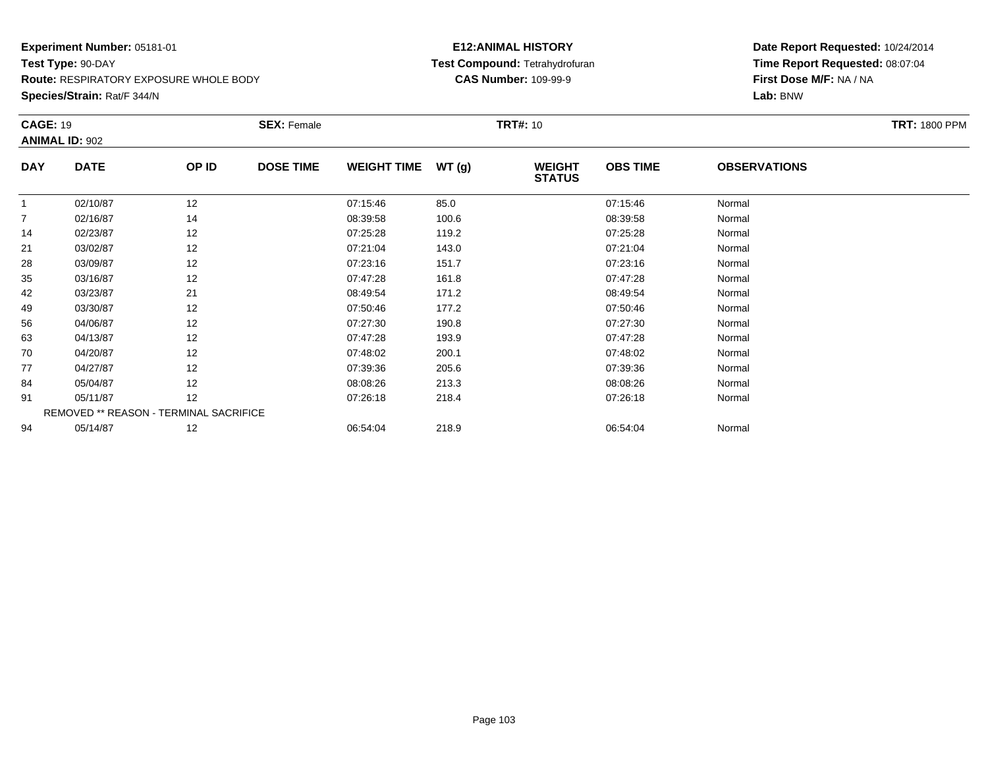**Route:** RESPIRATORY EXPOSURE WHOLE BODY

**Species/Strain:** Rat/F 344/N

#### **E12:ANIMAL HISTORY Test Compound:** Tetrahydrofuran**CAS Number:** 109-99-9

| <b>CAGE: 19</b> |                                        |       | <b>SEX: Female</b> |                    |       | <b>TRT#: 10</b>                |                 |                     | <b>TRT: 1800 PPM</b> |  |
|-----------------|----------------------------------------|-------|--------------------|--------------------|-------|--------------------------------|-----------------|---------------------|----------------------|--|
|                 | <b>ANIMAL ID: 902</b>                  |       |                    |                    |       |                                |                 |                     |                      |  |
| <b>DAY</b>      | <b>DATE</b>                            | OP ID | <b>DOSE TIME</b>   | <b>WEIGHT TIME</b> | WT(g) | <b>WEIGHT</b><br><b>STATUS</b> | <b>OBS TIME</b> | <b>OBSERVATIONS</b> |                      |  |
| $\mathbf{1}$    | 02/10/87                               | 12    |                    | 07:15:46           | 85.0  |                                | 07:15:46        | Normal              |                      |  |
| 7               | 02/16/87                               | 14    |                    | 08:39:58           | 100.6 |                                | 08:39:58        | Normal              |                      |  |
| 14              | 02/23/87                               | 12    |                    | 07:25:28           | 119.2 |                                | 07:25:28        | Normal              |                      |  |
| 21              | 03/02/87                               | 12    |                    | 07:21:04           | 143.0 |                                | 07:21:04        | Normal              |                      |  |
| 28              | 03/09/87                               | 12    |                    | 07:23:16           | 151.7 |                                | 07:23:16        | Normal              |                      |  |
| 35              | 03/16/87                               | 12    |                    | 07:47:28           | 161.8 |                                | 07:47:28        | Normal              |                      |  |
| 42              | 03/23/87                               | 21    |                    | 08:49:54           | 171.2 |                                | 08:49:54        | Normal              |                      |  |
| 49              | 03/30/87                               | 12    |                    | 07:50:46           | 177.2 |                                | 07:50:46        | Normal              |                      |  |
| 56              | 04/06/87                               | 12    |                    | 07:27:30           | 190.8 |                                | 07:27:30        | Normal              |                      |  |
| 63              | 04/13/87                               | 12    |                    | 07:47:28           | 193.9 |                                | 07:47:28        | Normal              |                      |  |
| 70              | 04/20/87                               | 12    |                    | 07:48:02           | 200.1 |                                | 07:48:02        | Normal              |                      |  |
| 77              | 04/27/87                               | 12    |                    | 07:39:36           | 205.6 |                                | 07:39:36        | Normal              |                      |  |
| 84              | 05/04/87                               | 12    |                    | 08:08:26           | 213.3 |                                | 08:08:26        | Normal              |                      |  |
| 91              | 05/11/87                               | 12    |                    | 07:26:18           | 218.4 |                                | 07:26:18        | Normal              |                      |  |
|                 | REMOVED ** REASON - TERMINAL SACRIFICE |       |                    |                    |       |                                |                 |                     |                      |  |
| 94              | 05/14/87                               | 12    |                    | 06:54:04           | 218.9 |                                | 06:54:04        | Normal              |                      |  |
|                 |                                        |       |                    |                    |       |                                |                 |                     |                      |  |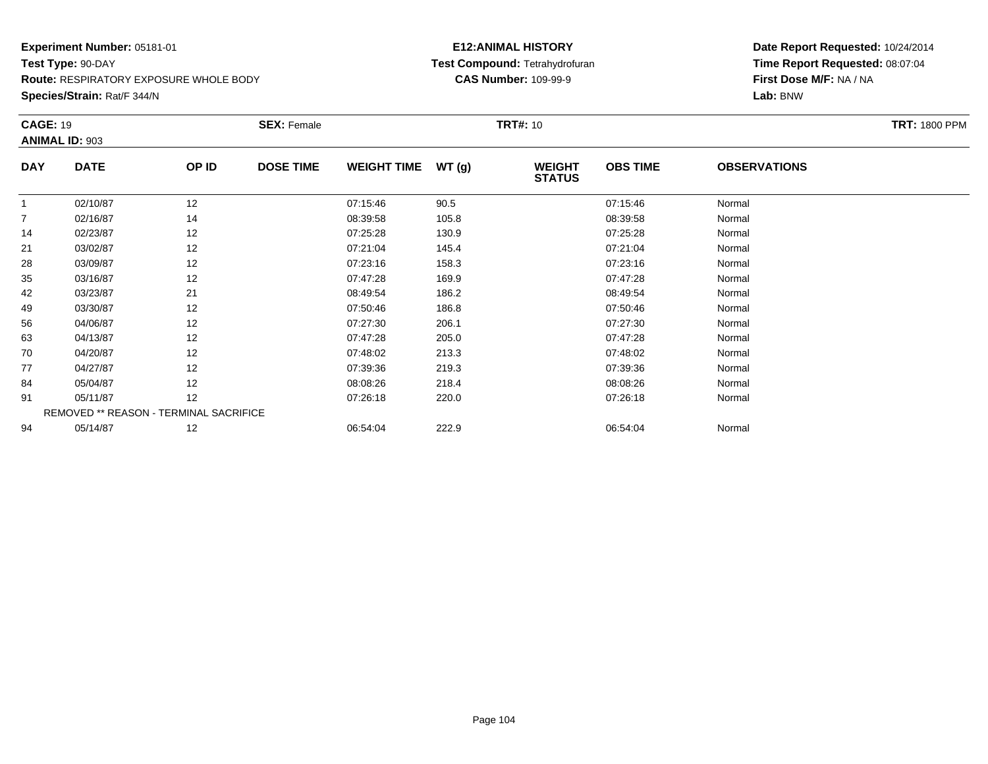**Route:** RESPIRATORY EXPOSURE WHOLE BODY

**Species/Strain:** Rat/F 344/N

#### **E12:ANIMAL HISTORY Test Compound:** Tetrahydrofuran**CAS Number:** 109-99-9

| <b>CAGE: 19</b> |                                        |       | <b>SEX: Female</b> |                    |       | <b>TRT#: 10</b>                |                 |                     | <b>TRT: 1800 PPM</b> |
|-----------------|----------------------------------------|-------|--------------------|--------------------|-------|--------------------------------|-----------------|---------------------|----------------------|
|                 | <b>ANIMAL ID: 903</b>                  |       |                    |                    |       |                                |                 |                     |                      |
| <b>DAY</b>      | <b>DATE</b>                            | OP ID | <b>DOSE TIME</b>   | <b>WEIGHT TIME</b> | WT(g) | <b>WEIGHT</b><br><b>STATUS</b> | <b>OBS TIME</b> | <b>OBSERVATIONS</b> |                      |
| $\mathbf{1}$    | 02/10/87                               | 12    |                    | 07:15:46           | 90.5  |                                | 07:15:46        | Normal              |                      |
| 7               | 02/16/87                               | 14    |                    | 08:39:58           | 105.8 |                                | 08:39:58        | Normal              |                      |
| 14              | 02/23/87                               | 12    |                    | 07:25:28           | 130.9 |                                | 07:25:28        | Normal              |                      |
| 21              | 03/02/87                               | 12    |                    | 07:21:04           | 145.4 |                                | 07:21:04        | Normal              |                      |
| 28              | 03/09/87                               | 12    |                    | 07:23:16           | 158.3 |                                | 07:23:16        | Normal              |                      |
| 35              | 03/16/87                               | 12    |                    | 07:47:28           | 169.9 |                                | 07:47:28        | Normal              |                      |
| 42              | 03/23/87                               | 21    |                    | 08:49:54           | 186.2 |                                | 08:49:54        | Normal              |                      |
| 49              | 03/30/87                               | 12    |                    | 07:50:46           | 186.8 |                                | 07:50:46        | Normal              |                      |
| 56              | 04/06/87                               | 12    |                    | 07:27:30           | 206.1 |                                | 07:27:30        | Normal              |                      |
| 63              | 04/13/87                               | 12    |                    | 07:47:28           | 205.0 |                                | 07:47:28        | Normal              |                      |
| 70              | 04/20/87                               | 12    |                    | 07:48:02           | 213.3 |                                | 07:48:02        | Normal              |                      |
| 77              | 04/27/87                               | 12    |                    | 07:39:36           | 219.3 |                                | 07:39:36        | Normal              |                      |
| 84              | 05/04/87                               | 12    |                    | 08:08:26           | 218.4 |                                | 08:08:26        | Normal              |                      |
| 91              | 05/11/87                               | 12    |                    | 07:26:18           | 220.0 |                                | 07:26:18        | Normal              |                      |
|                 | REMOVED ** REASON - TERMINAL SACRIFICE |       |                    |                    |       |                                |                 |                     |                      |
| 94              | 05/14/87                               | 12    |                    | 06:54:04           | 222.9 |                                | 06:54:04        | Normal              |                      |
|                 |                                        |       |                    |                    |       |                                |                 |                     |                      |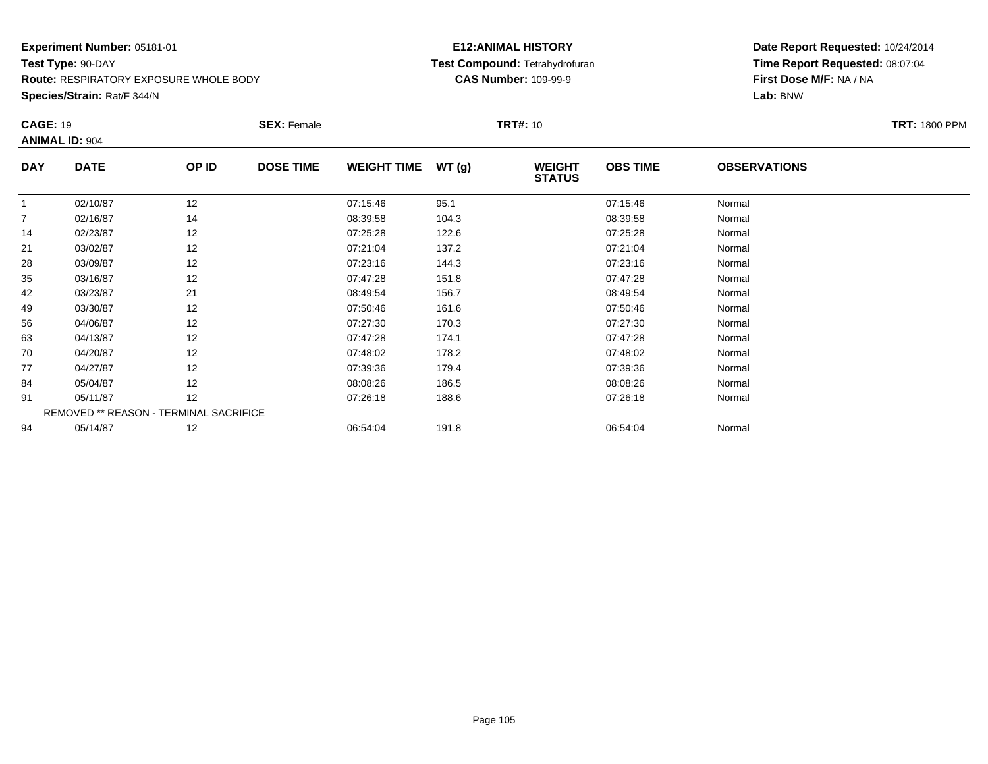**Species/Strain:** Rat/F 344/N

#### **E12:ANIMAL HISTORY Test Compound:** Tetrahydrofuran**CAS Number:** 109-99-9

| <b>TRT: 1800 PPM</b> |
|----------------------|
|                      |
|                      |
|                      |
|                      |
|                      |
|                      |
|                      |
|                      |
|                      |
|                      |
|                      |
|                      |
|                      |
|                      |
|                      |
|                      |
|                      |
|                      |
|                      |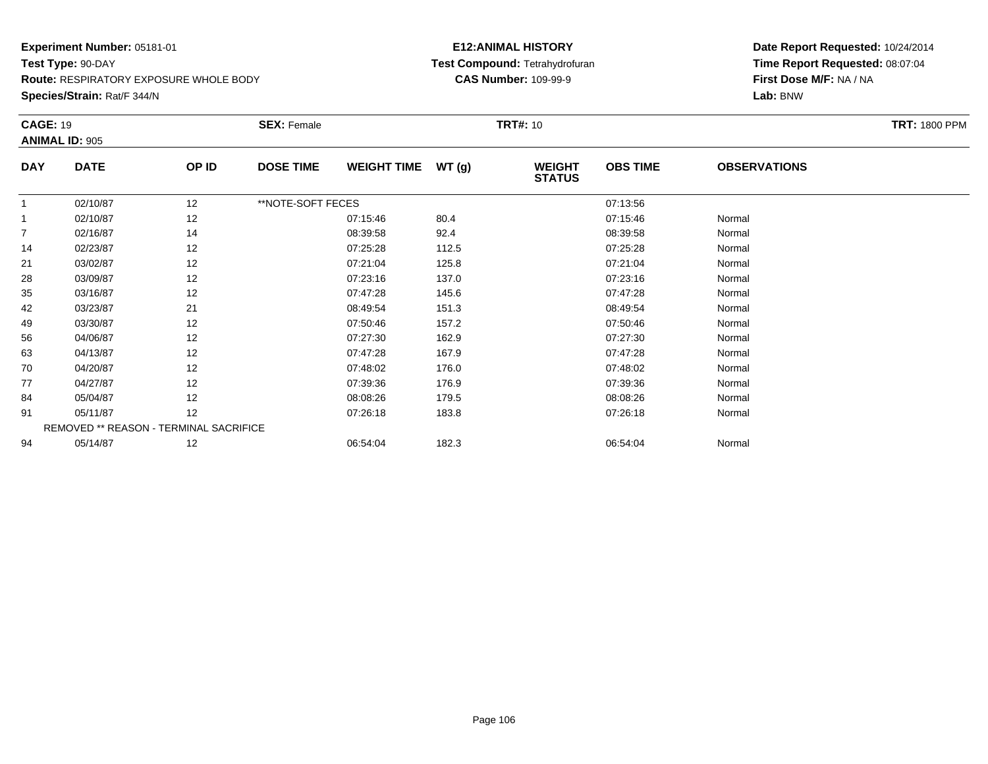**Route:** RESPIRATORY EXPOSURE WHOLE BODY

**Species/Strain:** Rat/F 344/N

#### **E12:ANIMAL HISTORY Test Compound:** Tetrahydrofuran**CAS Number:** 109-99-9

|                | <b>CAGE: 19</b>                        |       | <b>SEX: Female</b> |                    |       | <b>TRT#: 10</b>                |                 | <b>TRT: 1800 PPM</b> |  |
|----------------|----------------------------------------|-------|--------------------|--------------------|-------|--------------------------------|-----------------|----------------------|--|
|                | <b>ANIMAL ID: 905</b>                  |       |                    |                    |       |                                |                 |                      |  |
| <b>DAY</b>     | <b>DATE</b>                            | OP ID | <b>DOSE TIME</b>   | <b>WEIGHT TIME</b> | WT(g) | <b>WEIGHT</b><br><b>STATUS</b> | <b>OBS TIME</b> | <b>OBSERVATIONS</b>  |  |
|                | 02/10/87                               | 12    | **NOTE-SOFT FECES  |                    |       |                                | 07:13:56        |                      |  |
| $\mathbf{1}$   | 02/10/87                               | 12    |                    | 07:15:46           | 80.4  |                                | 07:15:46        | Normal               |  |
| $\overline{7}$ | 02/16/87                               | 14    |                    | 08:39:58           | 92.4  |                                | 08:39:58        | Normal               |  |
| 14             | 02/23/87                               | 12    |                    | 07:25:28           | 112.5 |                                | 07:25:28        | Normal               |  |
| 21             | 03/02/87                               | 12    |                    | 07:21:04           | 125.8 |                                | 07:21:04        | Normal               |  |
| 28             | 03/09/87                               | 12    |                    | 07:23:16           | 137.0 |                                | 07:23:16        | Normal               |  |
| 35             | 03/16/87                               | 12    |                    | 07:47:28           | 145.6 |                                | 07:47:28        | Normal               |  |
| 42             | 03/23/87                               | 21    |                    | 08:49:54           | 151.3 |                                | 08:49:54        | Normal               |  |
| 49             | 03/30/87                               | 12    |                    | 07:50:46           | 157.2 |                                | 07:50:46        | Normal               |  |
| 56             | 04/06/87                               | 12    |                    | 07:27:30           | 162.9 |                                | 07:27:30        | Normal               |  |
| 63             | 04/13/87                               | 12    |                    | 07:47:28           | 167.9 |                                | 07:47:28        | Normal               |  |
| 70             | 04/20/87                               | 12    |                    | 07:48:02           | 176.0 |                                | 07:48:02        | Normal               |  |
| 77             | 04/27/87                               | 12    |                    | 07:39:36           | 176.9 |                                | 07:39:36        | Normal               |  |
| 84             | 05/04/87                               | 12    |                    | 08:08:26           | 179.5 |                                | 08:08:26        | Normal               |  |
| 91             | 05/11/87                               | 12    |                    | 07:26:18           | 183.8 |                                | 07:26:18        | Normal               |  |
|                | REMOVED ** REASON - TERMINAL SACRIFICE |       |                    |                    |       |                                |                 |                      |  |
| 94             | 05/14/87                               | 12    |                    | 06:54:04           | 182.3 |                                | 06:54:04        | Normal               |  |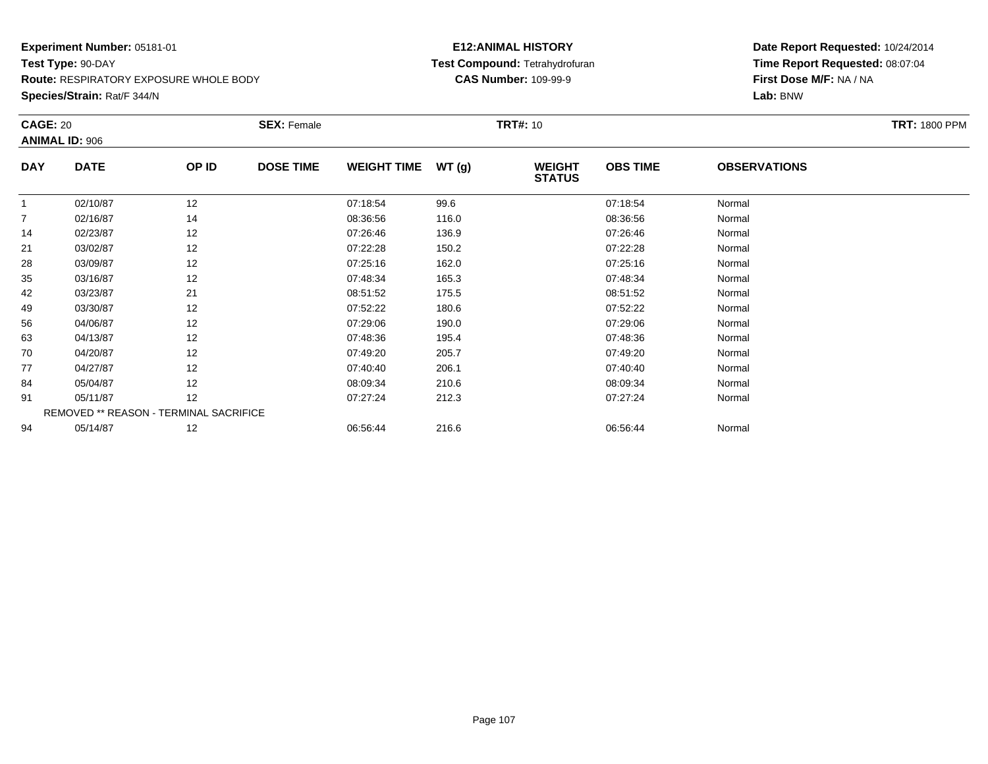**Species/Strain:** Rat/F 344/N

#### **E12:ANIMAL HISTORY Test Compound:** Tetrahydrofuran**CAS Number:** 109-99-9

| <b>CAGE: 20</b><br><b>ANIMAL ID: 906</b> |                                        | <b>SEX: Female</b> |                  |                    | <b>TRT#: 10</b> | <b>TRT: 1800 PPM</b>           |                 |                     |  |
|------------------------------------------|----------------------------------------|--------------------|------------------|--------------------|-----------------|--------------------------------|-----------------|---------------------|--|
| <b>DAY</b>                               | <b>DATE</b>                            | OP ID              | <b>DOSE TIME</b> | <b>WEIGHT TIME</b> | WT(g)           | <b>WEIGHT</b><br><b>STATUS</b> | <b>OBS TIME</b> | <b>OBSERVATIONS</b> |  |
|                                          | 02/10/87                               | 12                 |                  | 07:18:54           | 99.6            |                                | 07:18:54        | Normal              |  |
| $\overline{7}$                           | 02/16/87                               | 14                 |                  | 08:36:56           | 116.0           |                                | 08:36:56        | Normal              |  |
| 14                                       | 02/23/87                               | 12                 |                  | 07:26:46           | 136.9           |                                | 07:26:46        | Normal              |  |
| 21                                       | 03/02/87                               | 12                 |                  | 07:22:28           | 150.2           |                                | 07:22:28        | Normal              |  |
| 28                                       | 03/09/87                               | 12                 |                  | 07:25:16           | 162.0           |                                | 07:25:16        | Normal              |  |
| 35                                       | 03/16/87                               | 12                 |                  | 07:48:34           | 165.3           |                                | 07:48:34        | Normal              |  |
| 42                                       | 03/23/87                               | 21                 |                  | 08:51:52           | 175.5           |                                | 08:51:52        | Normal              |  |
| 49                                       | 03/30/87                               | 12                 |                  | 07:52:22           | 180.6           |                                | 07:52:22        | Normal              |  |
| 56                                       | 04/06/87                               | 12                 |                  | 07:29:06           | 190.0           |                                | 07:29:06        | Normal              |  |
| 63                                       | 04/13/87                               | 12                 |                  | 07:48:36           | 195.4           |                                | 07:48:36        | Normal              |  |
| 70                                       | 04/20/87                               | 12                 |                  | 07:49:20           | 205.7           |                                | 07:49:20        | Normal              |  |
| 77                                       | 04/27/87                               | 12                 |                  | 07:40:40           | 206.1           |                                | 07:40:40        | Normal              |  |
| 84                                       | 05/04/87                               | 12                 |                  | 08:09:34           | 210.6           |                                | 08:09:34        | Normal              |  |
| 91                                       | 05/11/87                               | 12                 |                  | 07:27:24           | 212.3           |                                | 07:27:24        | Normal              |  |
|                                          | REMOVED ** REASON - TERMINAL SACRIFICE |                    |                  |                    |                 |                                |                 |                     |  |
| 94                                       | 05/14/87                               | 12                 |                  | 06:56:44           | 216.6           |                                | 06:56:44        | Normal              |  |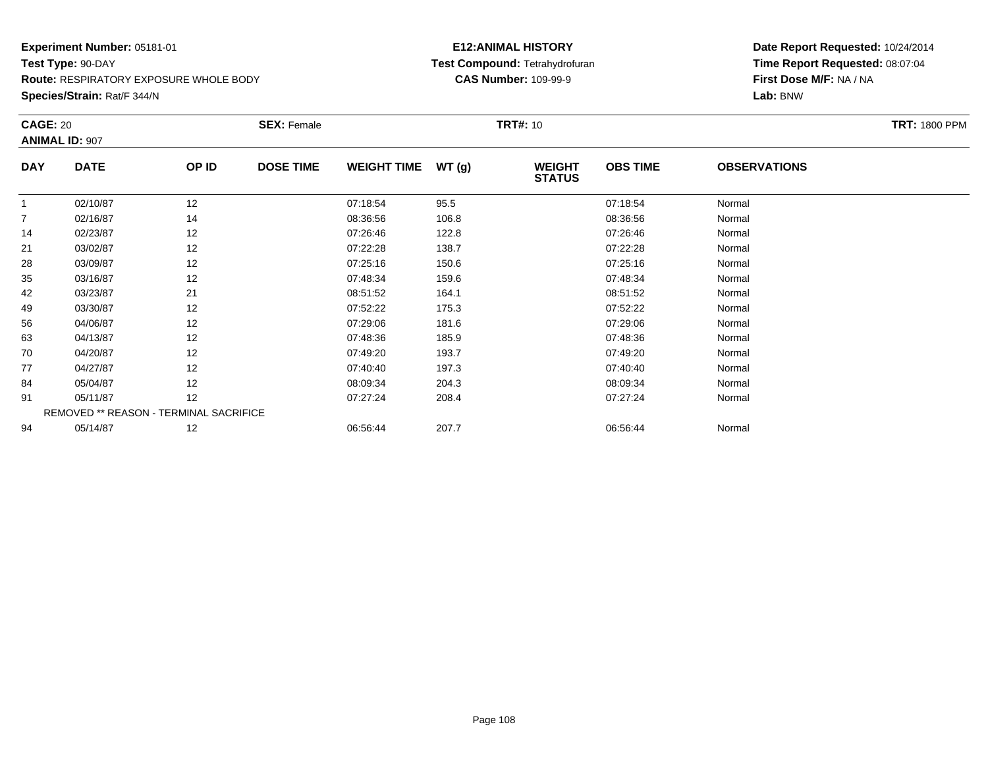**Species/Strain:** Rat/F 344/N

#### **E12:ANIMAL HISTORY Test Compound:** Tetrahydrofuran**CAS Number:** 109-99-9

| <b>CAGE: 20</b><br><b>ANIMAL ID: 907</b> |                                        | <b>SEX: Female</b> |                  |                    | <b>TRT#:</b> 10 | <b>TRT: 1800 PPM</b>           |                 |                     |  |
|------------------------------------------|----------------------------------------|--------------------|------------------|--------------------|-----------------|--------------------------------|-----------------|---------------------|--|
| <b>DAY</b>                               | <b>DATE</b>                            | OP ID              | <b>DOSE TIME</b> | <b>WEIGHT TIME</b> | WT(g)           | <b>WEIGHT</b><br><b>STATUS</b> | <b>OBS TIME</b> | <b>OBSERVATIONS</b> |  |
|                                          | 02/10/87                               | 12                 |                  | 07:18:54           | 95.5            |                                | 07:18:54        | Normal              |  |
| $\overline{7}$                           | 02/16/87                               | 14                 |                  | 08:36:56           | 106.8           |                                | 08:36:56        | Normal              |  |
| 14                                       | 02/23/87                               | 12                 |                  | 07:26:46           | 122.8           |                                | 07:26:46        | Normal              |  |
| 21                                       | 03/02/87                               | 12                 |                  | 07:22:28           | 138.7           |                                | 07:22:28        | Normal              |  |
| 28                                       | 03/09/87                               | 12                 |                  | 07:25:16           | 150.6           |                                | 07:25:16        | Normal              |  |
| 35                                       | 03/16/87                               | 12                 |                  | 07:48:34           | 159.6           |                                | 07:48:34        | Normal              |  |
| 42                                       | 03/23/87                               | 21                 |                  | 08:51:52           | 164.1           |                                | 08:51:52        | Normal              |  |
| 49                                       | 03/30/87                               | 12                 |                  | 07:52:22           | 175.3           |                                | 07:52:22        | Normal              |  |
| 56                                       | 04/06/87                               | 12                 |                  | 07:29:06           | 181.6           |                                | 07:29:06        | Normal              |  |
| 63                                       | 04/13/87                               | 12                 |                  | 07:48:36           | 185.9           |                                | 07:48:36        | Normal              |  |
| 70                                       | 04/20/87                               | 12                 |                  | 07:49:20           | 193.7           |                                | 07:49:20        | Normal              |  |
| 77                                       | 04/27/87                               | 12                 |                  | 07:40:40           | 197.3           |                                | 07:40:40        | Normal              |  |
| 84                                       | 05/04/87                               | 12                 |                  | 08:09:34           | 204.3           |                                | 08:09:34        | Normal              |  |
| 91                                       | 05/11/87                               | 12                 |                  | 07:27:24           | 208.4           |                                | 07:27:24        | Normal              |  |
|                                          | REMOVED ** REASON - TERMINAL SACRIFICE |                    |                  |                    |                 |                                |                 |                     |  |
| 94                                       | 05/14/87                               | 12                 |                  | 06:56:44           | 207.7           |                                | 06:56:44        | Normal              |  |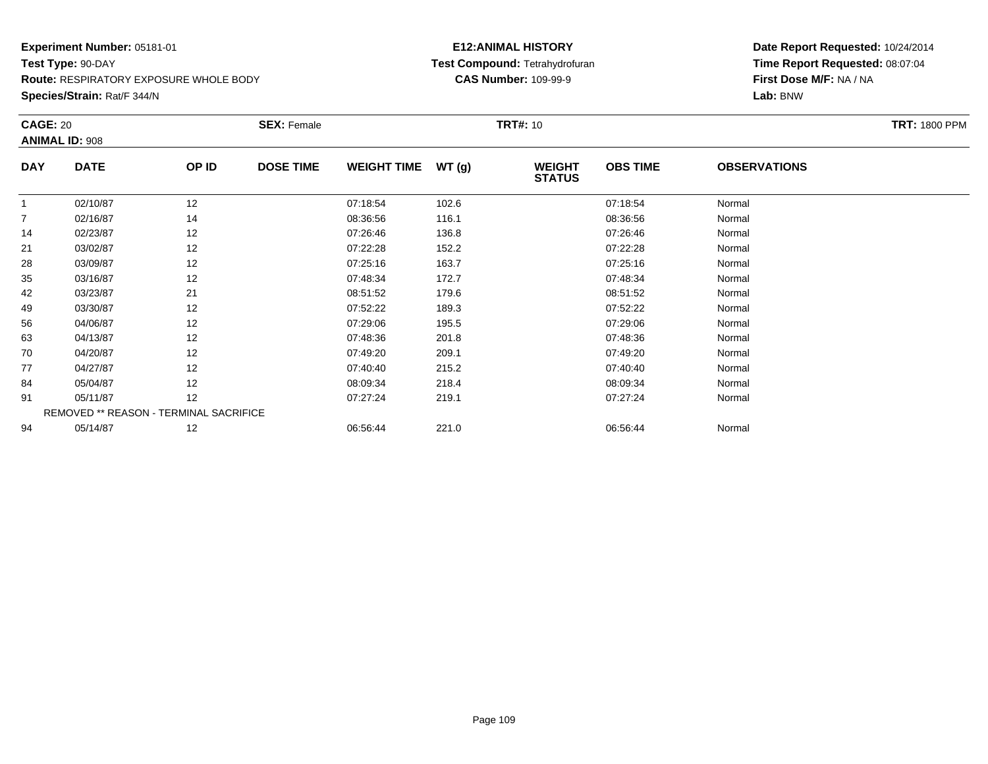### **Experiment Number:** 05181-01**Test Type:** 90-DAY**Route:** RESPIRATORY EXPOSURE WHOLE BODY

**Species/Strain:** Rat/F 344/N

## **E12:ANIMAL HISTORY Test Compound:** Tetrahydrofuran**CAS Number:** 109-99-9

| <b>CAGE: 20</b> |                                        |       | <b>SEX: Female</b> |                    |       | <b>TRT#:</b> 10                |                 |                     | <b>TRT: 1800 PPM</b> |
|-----------------|----------------------------------------|-------|--------------------|--------------------|-------|--------------------------------|-----------------|---------------------|----------------------|
|                 | <b>ANIMAL ID: 908</b>                  |       |                    |                    |       |                                |                 |                     |                      |
| <b>DAY</b>      | <b>DATE</b>                            | OP ID | <b>DOSE TIME</b>   | <b>WEIGHT TIME</b> | WT(g) | <b>WEIGHT</b><br><b>STATUS</b> | <b>OBS TIME</b> | <b>OBSERVATIONS</b> |                      |
|                 | 02/10/87                               | 12    |                    | 07:18:54           | 102.6 |                                | 07:18:54        | Normal              |                      |
| $\overline{7}$  | 02/16/87                               | 14    |                    | 08:36:56           | 116.1 |                                | 08:36:56        | Normal              |                      |
| 14              | 02/23/87                               | 12    |                    | 07:26:46           | 136.8 |                                | 07:26:46        | Normal              |                      |
| 21              | 03/02/87                               | 12    |                    | 07:22:28           | 152.2 |                                | 07:22:28        | Normal              |                      |
| 28              | 03/09/87                               | 12    |                    | 07:25:16           | 163.7 |                                | 07:25:16        | Normal              |                      |
| 35              | 03/16/87                               | 12    |                    | 07:48:34           | 172.7 |                                | 07:48:34        | Normal              |                      |
| 42              | 03/23/87                               | 21    |                    | 08:51:52           | 179.6 |                                | 08:51:52        | Normal              |                      |
| 49              | 03/30/87                               | 12    |                    | 07:52:22           | 189.3 |                                | 07:52:22        | Normal              |                      |
| 56              | 04/06/87                               | 12    |                    | 07:29:06           | 195.5 |                                | 07:29:06        | Normal              |                      |
| 63              | 04/13/87                               | 12    |                    | 07:48:36           | 201.8 |                                | 07:48:36        | Normal              |                      |
| 70              | 04/20/87                               | 12    |                    | 07:49:20           | 209.1 |                                | 07:49:20        | Normal              |                      |
| 77              | 04/27/87                               | 12    |                    | 07:40:40           | 215.2 |                                | 07:40:40        | Normal              |                      |
| 84              | 05/04/87                               | 12    |                    | 08:09:34           | 218.4 |                                | 08:09:34        | Normal              |                      |
| 91              | 05/11/87                               | 12    |                    | 07:27:24           | 219.1 |                                | 07:27:24        | Normal              |                      |
|                 | REMOVED ** REASON - TERMINAL SACRIFICE |       |                    |                    |       |                                |                 |                     |                      |
| 94              | 05/14/87                               | 12    |                    | 06:56:44           | 221.0 |                                | 06:56:44        | Normal              |                      |
|                 |                                        |       |                    |                    |       |                                |                 |                     |                      |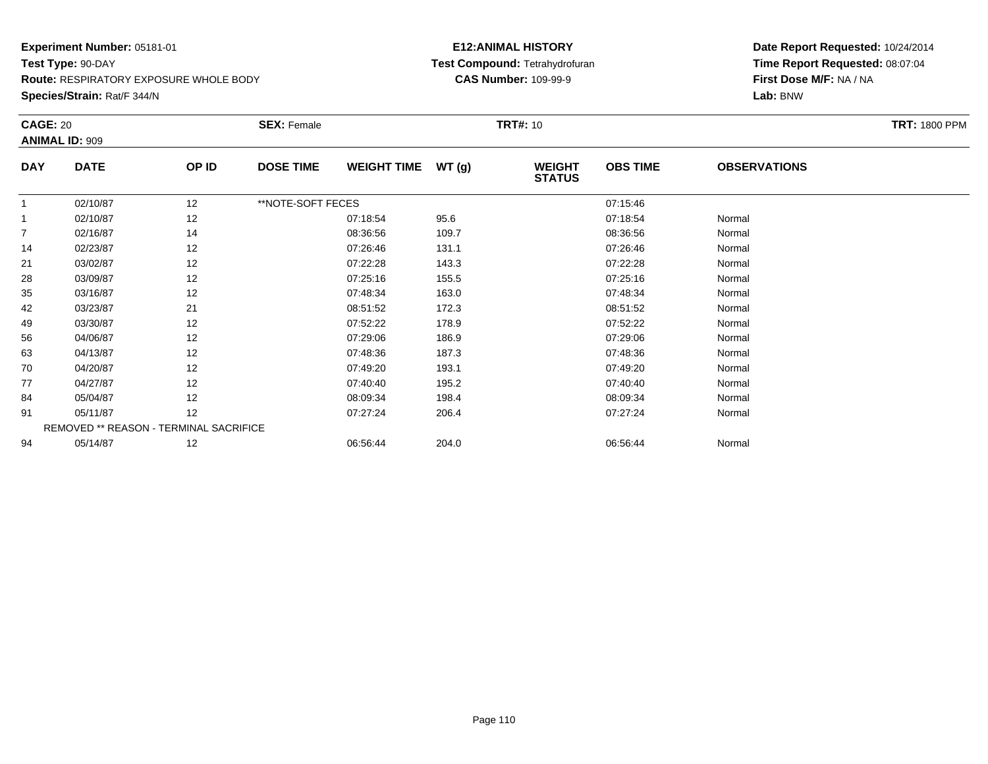### **Experiment Number:** 05181-01**Test Type:** 90-DAY

**Route:** RESPIRATORY EXPOSURE WHOLE BODY

**Species/Strain:** Rat/F 344/N

## **E12:ANIMAL HISTORY Test Compound:** Tetrahydrofuran**CAS Number:** 109-99-9

| <b>CAGE: 20</b> |                                        |       | <b>SEX: Female</b> |                    |        | <b>TRT#: 10</b>                |                 |                     | <b>TRT: 1800 PPM</b> |
|-----------------|----------------------------------------|-------|--------------------|--------------------|--------|--------------------------------|-----------------|---------------------|----------------------|
|                 | <b>ANIMAL ID: 909</b>                  |       |                    |                    |        |                                |                 |                     |                      |
| <b>DAY</b>      | <b>DATE</b>                            | OP ID | <b>DOSE TIME</b>   | <b>WEIGHT TIME</b> | WT (g) | <b>WEIGHT</b><br><b>STATUS</b> | <b>OBS TIME</b> | <b>OBSERVATIONS</b> |                      |
|                 | 02/10/87                               | 12    | **NOTE-SOFT FECES  |                    |        |                                | 07:15:46        |                     |                      |
|                 | 02/10/87                               | 12    |                    | 07:18:54           | 95.6   |                                | 07:18:54        | Normal              |                      |
| $\overline{7}$  | 02/16/87                               | 14    |                    | 08:36:56           | 109.7  |                                | 08:36:56        | Normal              |                      |
| 14              | 02/23/87                               | 12    |                    | 07:26:46           | 131.1  |                                | 07:26:46        | Normal              |                      |
| 21              | 03/02/87                               | 12    |                    | 07:22:28           | 143.3  |                                | 07:22:28        | Normal              |                      |
| 28              | 03/09/87                               | 12    |                    | 07:25:16           | 155.5  |                                | 07:25:16        | Normal              |                      |
| 35              | 03/16/87                               | 12    |                    | 07:48:34           | 163.0  |                                | 07:48:34        | Normal              |                      |
| 42              | 03/23/87                               | 21    |                    | 08:51:52           | 172.3  |                                | 08:51:52        | Normal              |                      |
| 49              | 03/30/87                               | 12    |                    | 07:52:22           | 178.9  |                                | 07:52:22        | Normal              |                      |
| 56              | 04/06/87                               | 12    |                    | 07:29:06           | 186.9  |                                | 07:29:06        | Normal              |                      |
| 63              | 04/13/87                               | 12    |                    | 07:48:36           | 187.3  |                                | 07:48:36        | Normal              |                      |
| 70              | 04/20/87                               | 12    |                    | 07:49:20           | 193.1  |                                | 07:49:20        | Normal              |                      |
| 77              | 04/27/87                               | 12    |                    | 07:40:40           | 195.2  |                                | 07:40:40        | Normal              |                      |
| 84              | 05/04/87                               | 12    |                    | 08:09:34           | 198.4  |                                | 08:09:34        | Normal              |                      |
| 91              | 05/11/87                               | 12    |                    | 07:27:24           | 206.4  |                                | 07:27:24        | Normal              |                      |
|                 | REMOVED ** REASON - TERMINAL SACRIFICE |       |                    |                    |        |                                |                 |                     |                      |
| 94              | 05/14/87                               | 12    |                    | 06:56:44           | 204.0  |                                | 06:56:44        | Normal              |                      |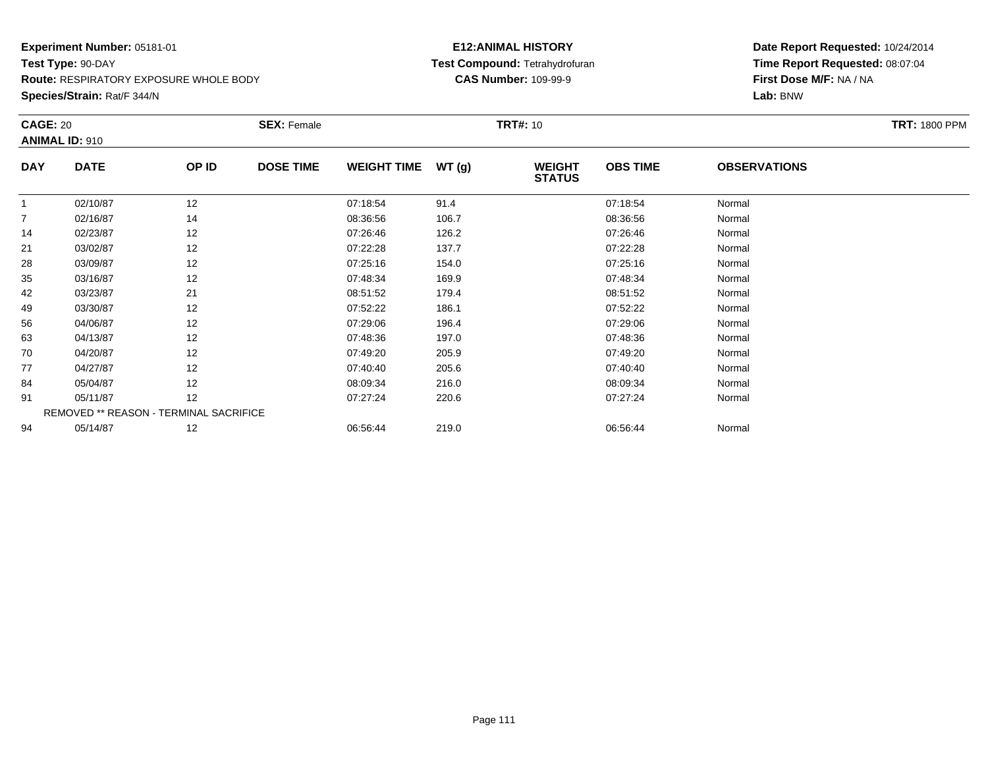### **Experiment Number:** 05181-01**Test Type:** 90-DAY**Route:** RESPIRATORY EXPOSURE WHOLE BODY

**Species/Strain:** Rat/F 344/N

## **E12:ANIMAL HISTORY Test Compound:** Tetrahydrofuran**CAS Number:** 109-99-9

| <b>CAGE: 20</b> |                                        |       | <b>SEX: Female</b> |                    |       | <b>TRT#:</b> 10                |                 |                     | <b>TRT: 1800 PPM</b> |
|-----------------|----------------------------------------|-------|--------------------|--------------------|-------|--------------------------------|-----------------|---------------------|----------------------|
|                 | <b>ANIMAL ID: 910</b>                  |       |                    |                    |       |                                |                 |                     |                      |
| <b>DAY</b>      | <b>DATE</b>                            | OP ID | <b>DOSE TIME</b>   | <b>WEIGHT TIME</b> | WT(g) | <b>WEIGHT</b><br><b>STATUS</b> | <b>OBS TIME</b> | <b>OBSERVATIONS</b> |                      |
|                 | 02/10/87                               | 12    |                    | 07:18:54           | 91.4  |                                | 07:18:54        | Normal              |                      |
| $\overline{7}$  | 02/16/87                               | 14    |                    | 08:36:56           | 106.7 |                                | 08:36:56        | Normal              |                      |
| 14              | 02/23/87                               | 12    |                    | 07:26:46           | 126.2 |                                | 07:26:46        | Normal              |                      |
| 21              | 03/02/87                               | 12    |                    | 07:22:28           | 137.7 |                                | 07:22:28        | Normal              |                      |
| 28              | 03/09/87                               | 12    |                    | 07:25:16           | 154.0 |                                | 07:25:16        | Normal              |                      |
| 35              | 03/16/87                               | 12    |                    | 07:48:34           | 169.9 |                                | 07:48:34        | Normal              |                      |
| 42              | 03/23/87                               | 21    |                    | 08:51:52           | 179.4 |                                | 08:51:52        | Normal              |                      |
| 49              | 03/30/87                               | 12    |                    | 07:52:22           | 186.1 |                                | 07:52:22        | Normal              |                      |
| 56              | 04/06/87                               | 12    |                    | 07:29:06           | 196.4 |                                | 07:29:06        | Normal              |                      |
| 63              | 04/13/87                               | 12    |                    | 07:48:36           | 197.0 |                                | 07:48:36        | Normal              |                      |
| 70              | 04/20/87                               | 12    |                    | 07:49:20           | 205.9 |                                | 07:49:20        | Normal              |                      |
| 77              | 04/27/87                               | 12    |                    | 07:40:40           | 205.6 |                                | 07:40:40        | Normal              |                      |
| 84              | 05/04/87                               | 12    |                    | 08:09:34           | 216.0 |                                | 08:09:34        | Normal              |                      |
| 91              | 05/11/87                               | 12    |                    | 07:27:24           | 220.6 |                                | 07:27:24        | Normal              |                      |
|                 | REMOVED ** REASON - TERMINAL SACRIFICE |       |                    |                    |       |                                |                 |                     |                      |
| 94              | 05/14/87                               | 12    |                    | 06:56:44           | 219.0 |                                | 06:56:44        | Normal              |                      |
|                 |                                        |       |                    |                    |       |                                |                 |                     |                      |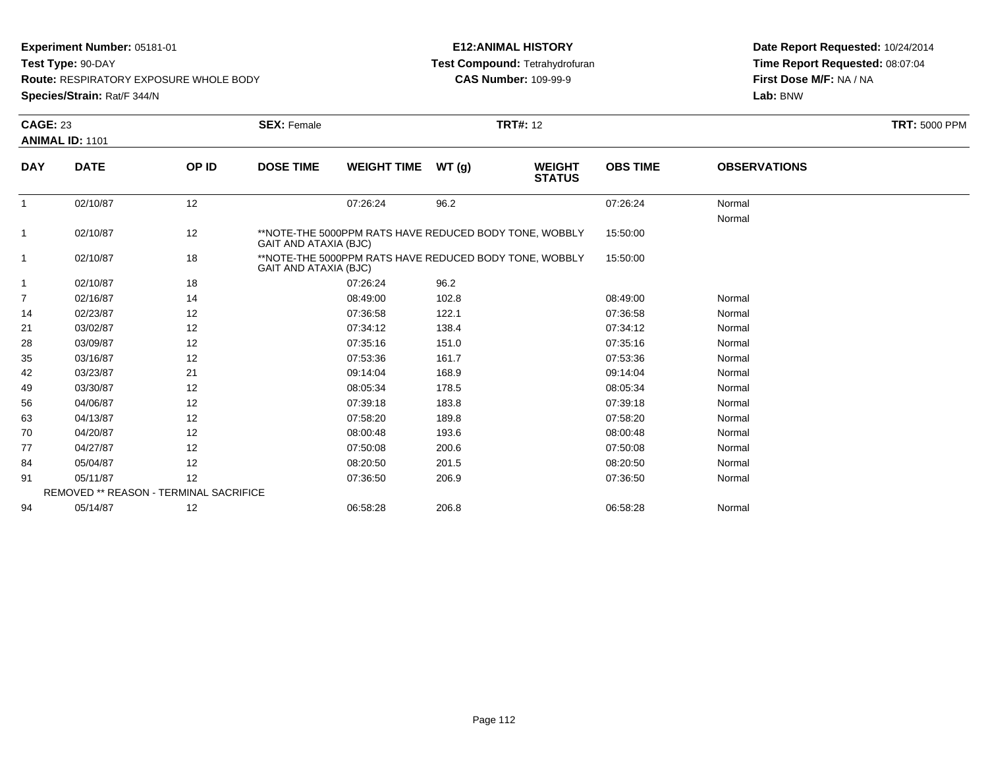**Test Type:** 90-DAY

**Route:** RESPIRATORY EXPOSURE WHOLE BODY

**Species/Strain:** Rat/F 344/N

## **E12:ANIMAL HISTORY Test Compound:** Tetrahydrofuran**CAS Number:** 109-99-9

|              | <b>CAGE: 23</b>                        |       | <b>SEX: Female</b> | <b>TRT: 5000 PPM</b>                                                            |       |                                |                 |                     |  |
|--------------|----------------------------------------|-------|--------------------|---------------------------------------------------------------------------------|-------|--------------------------------|-----------------|---------------------|--|
|              | <b>ANIMAL ID: 1101</b>                 |       |                    |                                                                                 |       |                                |                 |                     |  |
| <b>DAY</b>   | <b>DATE</b>                            | OP ID | <b>DOSE TIME</b>   | <b>WEIGHT TIME</b>                                                              | WT(g) | <b>WEIGHT</b><br><b>STATUS</b> | <b>OBS TIME</b> | <b>OBSERVATIONS</b> |  |
| $\mathbf{1}$ | 02/10/87                               | 12    |                    | 07:26:24                                                                        | 96.2  |                                | 07:26:24        | Normal<br>Normal    |  |
| 1            | 02/10/87                               | 12    |                    | **NOTE-THE 5000PPM RATS HAVE REDUCED BODY TONE, WOBBLY<br>GAIT AND ATAXIA (BJC) |       |                                |                 |                     |  |
| 1            | 02/10/87                               | 18    |                    | **NOTE-THE 5000PPM RATS HAVE REDUCED BODY TONE, WOBBLY<br>GAIT AND ATAXIA (BJC) |       |                                |                 |                     |  |
| 1            | 02/10/87                               | 18    |                    | 07:26:24                                                                        | 96.2  |                                |                 |                     |  |
| 7            | 02/16/87                               | 14    |                    | 08:49:00                                                                        | 102.8 |                                | 08:49:00        | Normal              |  |
| 14           | 02/23/87                               | 12    |                    | 07:36:58                                                                        | 122.1 |                                | 07:36:58        | Normal              |  |
| 21           | 03/02/87                               | 12    |                    | 07:34:12                                                                        | 138.4 |                                | 07:34:12        | Normal              |  |
| 28           | 03/09/87                               | 12    |                    | 07:35:16                                                                        | 151.0 |                                | 07:35:16        | Normal              |  |
| 35           | 03/16/87                               | 12    |                    | 07:53:36                                                                        | 161.7 |                                | 07:53:36        | Normal              |  |
| 42           | 03/23/87                               | 21    |                    | 09:14:04                                                                        | 168.9 |                                | 09:14:04        | Normal              |  |
| 49           | 03/30/87                               | 12    |                    | 08:05:34                                                                        | 178.5 |                                | 08:05:34        | Normal              |  |
| 56           | 04/06/87                               | 12    |                    | 07:39:18                                                                        | 183.8 |                                | 07:39:18        | Normal              |  |
| 63           | 04/13/87                               | 12    |                    | 07:58:20                                                                        | 189.8 |                                | 07:58:20        | Normal              |  |
| 70           | 04/20/87                               | 12    |                    | 08:00:48                                                                        | 193.6 |                                | 08:00:48        | Normal              |  |
| 77           | 04/27/87                               | 12    |                    | 07:50:08                                                                        | 200.6 |                                | 07:50:08        | Normal              |  |
| 84           | 05/04/87                               | 12    |                    | 08:20:50                                                                        | 201.5 |                                | 08:20:50        | Normal              |  |
| 91           | 05/11/87                               | 12    |                    | 07:36:50                                                                        | 206.9 |                                | 07:36:50        | Normal              |  |
|              | REMOVED ** REASON - TERMINAL SACRIFICE |       |                    |                                                                                 |       |                                |                 |                     |  |
| 94           | 05/14/87                               | 12    |                    | 06:58:28                                                                        | 206.8 |                                | 06:58:28        | Normal              |  |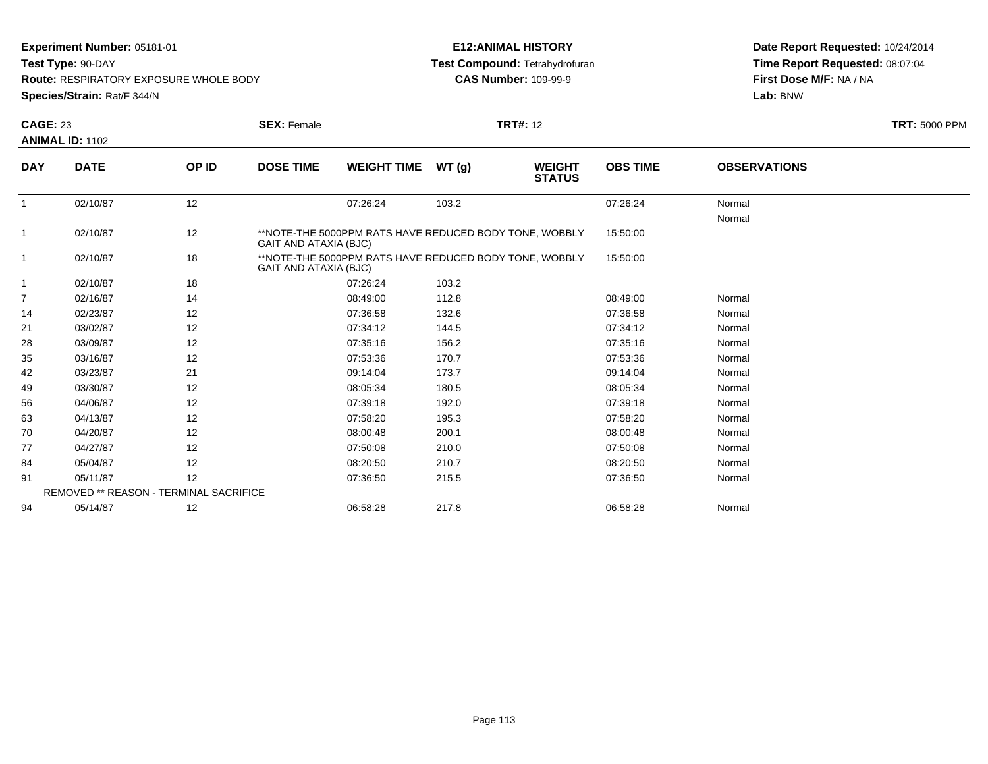**Test Type:** 90-DAY

**Route:** RESPIRATORY EXPOSURE WHOLE BODY

**Species/Strain:** Rat/F 344/N

## **E12:ANIMAL HISTORY Test Compound:** Tetrahydrofuran**CAS Number:** 109-99-9

|              | <b>CAGE: 23</b>                               |       | <b>SEX: Female</b>           | <b>TRT: 5000 PPM</b>                                                            |       |                                |                 |                     |  |
|--------------|-----------------------------------------------|-------|------------------------------|---------------------------------------------------------------------------------|-------|--------------------------------|-----------------|---------------------|--|
|              | <b>ANIMAL ID: 1102</b>                        |       |                              |                                                                                 |       |                                |                 |                     |  |
| <b>DAY</b>   | <b>DATE</b>                                   | OP ID | <b>DOSE TIME</b>             | <b>WEIGHT TIME</b>                                                              | WT(g) | <b>WEIGHT</b><br><b>STATUS</b> | <b>OBS TIME</b> | <b>OBSERVATIONS</b> |  |
| $\mathbf{1}$ | 02/10/87                                      | 12    |                              | 07:26:24                                                                        | 103.2 |                                | 07:26:24        | Normal              |  |
| 1            | 02/10/87                                      | 12    | <b>GAIT AND ATAXIA (BJC)</b> | **NOTE-THE 5000PPM RATS HAVE REDUCED BODY TONE, WOBBLY                          |       |                                | 15:50:00        | Normal              |  |
| 1            | 02/10/87                                      | 18    |                              | **NOTE-THE 5000PPM RATS HAVE REDUCED BODY TONE, WOBBLY<br>GAIT AND ATAXIA (BJC) |       |                                |                 |                     |  |
| 1            | 02/10/87                                      | 18    |                              | 07:26:24                                                                        | 103.2 |                                |                 |                     |  |
| 7            | 02/16/87                                      | 14    |                              | 08:49:00                                                                        | 112.8 |                                | 08:49:00        | Normal              |  |
| 14           | 02/23/87                                      | 12    |                              | 07:36:58                                                                        | 132.6 |                                | 07:36:58        | Normal              |  |
| 21           | 03/02/87                                      | 12    |                              | 07:34:12                                                                        | 144.5 |                                | 07:34:12        | Normal              |  |
| 28           | 03/09/87                                      | 12    |                              | 07:35:16                                                                        | 156.2 |                                | 07:35:16        | Normal              |  |
| 35           | 03/16/87                                      | 12    |                              | 07:53:36                                                                        | 170.7 |                                | 07:53:36        | Normal              |  |
| 42           | 03/23/87                                      | 21    |                              | 09:14:04                                                                        | 173.7 |                                | 09:14:04        | Normal              |  |
| 49           | 03/30/87                                      | 12    |                              | 08:05:34                                                                        | 180.5 |                                | 08:05:34        | Normal              |  |
| 56           | 04/06/87                                      | 12    |                              | 07:39:18                                                                        | 192.0 |                                | 07:39:18        | Normal              |  |
| 63           | 04/13/87                                      | 12    |                              | 07:58:20                                                                        | 195.3 |                                | 07:58:20        | Normal              |  |
| 70           | 04/20/87                                      | 12    |                              | 08:00:48                                                                        | 200.1 |                                | 08:00:48        | Normal              |  |
| 77           | 04/27/87                                      | 12    |                              | 07:50:08                                                                        | 210.0 |                                | 07:50:08        | Normal              |  |
| 84           | 05/04/87                                      | 12    |                              | 08:20:50                                                                        | 210.7 |                                | 08:20:50        | Normal              |  |
| 91           | 05/11/87                                      | 12    |                              | 07:36:50                                                                        | 215.5 |                                | 07:36:50        | Normal              |  |
|              | <b>REMOVED ** REASON - TERMINAL SACRIFICE</b> |       |                              |                                                                                 |       |                                |                 |                     |  |
| 94           | 05/14/87                                      | 12    |                              | 06:58:28                                                                        | 217.8 |                                | 06:58:28        | Normal              |  |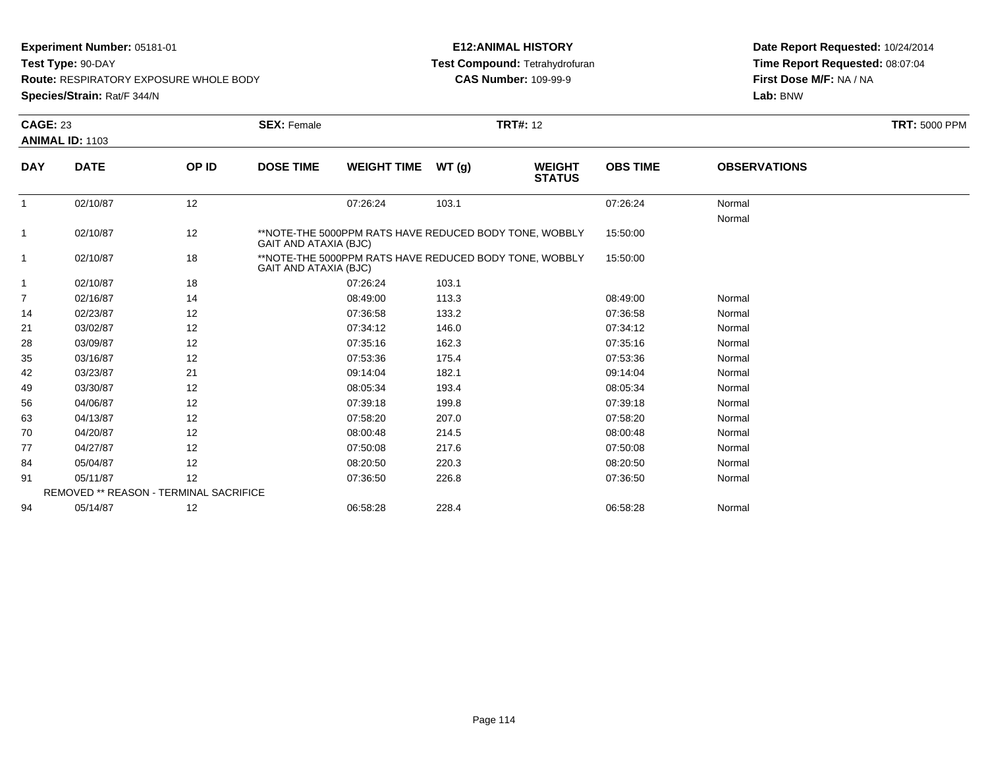**Test Type:** 90-DAY

**Route:** RESPIRATORY EXPOSURE WHOLE BODY

**Species/Strain:** Rat/F 344/N

## **E12:ANIMAL HISTORY Test Compound:** Tetrahydrofuran**CAS Number:** 109-99-9

| <b>CAGE: 23</b> |                                               |       | <b>SEX: Female</b>    |                                                                                        |       | <b>TRT#: 12</b>                |                 |                     | <b>TRT: 5000 PPM</b> |
|-----------------|-----------------------------------------------|-------|-----------------------|----------------------------------------------------------------------------------------|-------|--------------------------------|-----------------|---------------------|----------------------|
|                 | <b>ANIMAL ID: 1103</b>                        |       |                       |                                                                                        |       |                                |                 |                     |                      |
| <b>DAY</b>      | <b>DATE</b>                                   | OP ID | <b>DOSE TIME</b>      | <b>WEIGHT TIME</b>                                                                     | WT(g) | <b>WEIGHT</b><br><b>STATUS</b> | <b>OBS TIME</b> | <b>OBSERVATIONS</b> |                      |
| $\mathbf{1}$    | 02/10/87                                      | 12    |                       | 07:26:24                                                                               | 103.1 |                                | 07:26:24        | Normal              |                      |
|                 |                                               |       |                       |                                                                                        |       |                                | 15:50:00        | Normal              |                      |
| 1               | 02/10/87                                      | 12    |                       | **NOTE-THE 5000PPM RATS HAVE REDUCED BODY TONE, WOBBLY<br><b>GAIT AND ATAXIA (BJC)</b> |       |                                |                 |                     |                      |
| 1               | 02/10/87                                      | 18    | GAIT AND ATAXIA (BJC) | **NOTE-THE 5000PPM RATS HAVE REDUCED BODY TONE, WOBBLY                                 |       |                                | 15:50:00        |                     |                      |
| 1               | 02/10/87                                      | 18    |                       | 07:26:24                                                                               | 103.1 |                                |                 |                     |                      |
| 7               | 02/16/87                                      | 14    |                       | 08:49:00                                                                               | 113.3 |                                | 08:49:00        | Normal              |                      |
| 14              | 02/23/87                                      | 12    |                       | 07:36:58                                                                               | 133.2 |                                | 07:36:58        | Normal              |                      |
| 21              | 03/02/87                                      | 12    |                       | 07:34:12                                                                               | 146.0 |                                | 07:34:12        | Normal              |                      |
| 28              | 03/09/87                                      | 12    |                       | 07:35:16                                                                               | 162.3 |                                | 07:35:16        | Normal              |                      |
| 35              | 03/16/87                                      | 12    |                       | 07:53:36                                                                               | 175.4 |                                | 07:53:36        | Normal              |                      |
| 42              | 03/23/87                                      | 21    |                       | 09:14:04                                                                               | 182.1 |                                | 09:14:04        | Normal              |                      |
| 49              | 03/30/87                                      | 12    |                       | 08:05:34                                                                               | 193.4 |                                | 08:05:34        | Normal              |                      |
| 56              | 04/06/87                                      | 12    |                       | 07:39:18                                                                               | 199.8 |                                | 07:39:18        | Normal              |                      |
| 63              | 04/13/87                                      | 12    |                       | 07:58:20                                                                               | 207.0 |                                | 07:58:20        | Normal              |                      |
| 70              | 04/20/87                                      | 12    |                       | 08:00:48                                                                               | 214.5 |                                | 08:00:48        | Normal              |                      |
| 77              | 04/27/87                                      | 12    |                       | 07:50:08                                                                               | 217.6 |                                | 07:50:08        | Normal              |                      |
| 84              | 05/04/87                                      | 12    |                       | 08:20:50                                                                               | 220.3 |                                | 08:20:50        | Normal              |                      |
| 91              | 05/11/87                                      | 12    |                       | 07:36:50                                                                               | 226.8 |                                | 07:36:50        | Normal              |                      |
|                 | <b>REMOVED ** REASON - TERMINAL SACRIFICE</b> |       |                       |                                                                                        |       |                                |                 |                     |                      |
| 94              | 05/14/87                                      | 12    |                       | 06:58:28                                                                               | 228.4 |                                | 06:58:28        | Normal              |                      |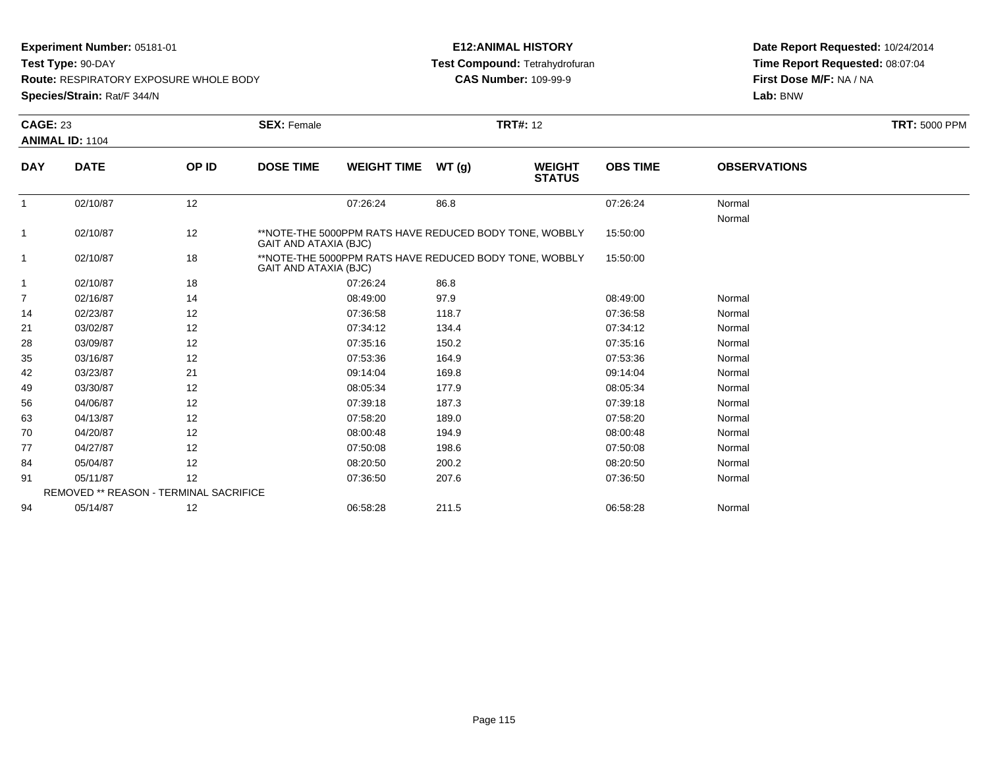**Test Type:** 90-DAY

**Route:** RESPIRATORY EXPOSURE WHOLE BODY

**Species/Strain:** Rat/F 344/N

## **E12:ANIMAL HISTORY Test Compound:** Tetrahydrofuran**CAS Number:** 109-99-9

|                | <b>CAGE: 23</b>                        |       | <b>SEX: Female</b> | <b>TRT: 5000 PPM</b>                                                                        |       |                                |                 |                     |  |
|----------------|----------------------------------------|-------|--------------------|---------------------------------------------------------------------------------------------|-------|--------------------------------|-----------------|---------------------|--|
|                | <b>ANIMAL ID: 1104</b>                 |       |                    |                                                                                             |       |                                |                 |                     |  |
| <b>DAY</b>     | <b>DATE</b>                            | OP ID | <b>DOSE TIME</b>   | <b>WEIGHT TIME</b>                                                                          | WT(g) | <b>WEIGHT</b><br><b>STATUS</b> | <b>OBS TIME</b> | <b>OBSERVATIONS</b> |  |
|                | 02/10/87                               | 12    |                    | 07:26:24                                                                                    | 86.8  |                                | 07:26:24        | Normal              |  |
|                |                                        |       |                    |                                                                                             |       |                                |                 | Normal              |  |
| $\mathbf{1}$   | 02/10/87                               | 12    |                    | **NOTE-THE 5000PPM RATS HAVE REDUCED BODY TONE, WOBBLY<br>GAIT AND ATAXIA (BJC)<br>15:50:00 |       |                                |                 |                     |  |
|                | 02/10/87                               | 18    |                    | **NOTE-THE 5000PPM RATS HAVE REDUCED BODY TONE, WOBBLY<br>GAIT AND ATAXIA (BJC)             |       |                                |                 |                     |  |
| $\mathbf 1$    | 02/10/87                               | 18    |                    | 07:26:24                                                                                    | 86.8  |                                |                 |                     |  |
| $\overline{7}$ | 02/16/87                               | 14    |                    | 08:49:00                                                                                    | 97.9  |                                | 08:49:00        | Normal              |  |
| 14             | 02/23/87                               | 12    |                    | 07:36:58                                                                                    | 118.7 |                                | 07:36:58        | Normal              |  |
| 21             | 03/02/87                               | 12    |                    | 07:34:12                                                                                    | 134.4 |                                | 07:34:12        | Normal              |  |
| 28             | 03/09/87                               | 12    |                    | 07:35:16                                                                                    | 150.2 |                                | 07:35:16        | Normal              |  |
| 35             | 03/16/87                               | 12    |                    | 07:53:36                                                                                    | 164.9 |                                | 07:53:36        | Normal              |  |
| 42             | 03/23/87                               | 21    |                    | 09:14:04                                                                                    | 169.8 |                                | 09:14:04        | Normal              |  |
| 49             | 03/30/87                               | 12    |                    | 08:05:34                                                                                    | 177.9 |                                | 08:05:34        | Normal              |  |
| 56             | 04/06/87                               | 12    |                    | 07:39:18                                                                                    | 187.3 |                                | 07:39:18        | Normal              |  |
| 63             | 04/13/87                               | 12    |                    | 07:58:20                                                                                    | 189.0 |                                | 07:58:20        | Normal              |  |
| 70             | 04/20/87                               | 12    |                    | 08:00:48                                                                                    | 194.9 |                                | 08:00:48        | Normal              |  |
| 77             | 04/27/87                               | 12    |                    | 07:50:08                                                                                    | 198.6 |                                | 07:50:08        | Normal              |  |
| 84             | 05/04/87                               | 12    |                    | 08:20:50                                                                                    | 200.2 |                                | 08:20:50        | Normal              |  |
| 91             | 05/11/87                               | 12    |                    | 07:36:50                                                                                    | 207.6 |                                | 07:36:50        | Normal              |  |
|                | REMOVED ** REASON - TERMINAL SACRIFICE |       |                    |                                                                                             |       |                                |                 |                     |  |
| 94             | 05/14/87                               | 12    |                    | 06:58:28                                                                                    | 211.5 |                                | 06:58:28        | Normal              |  |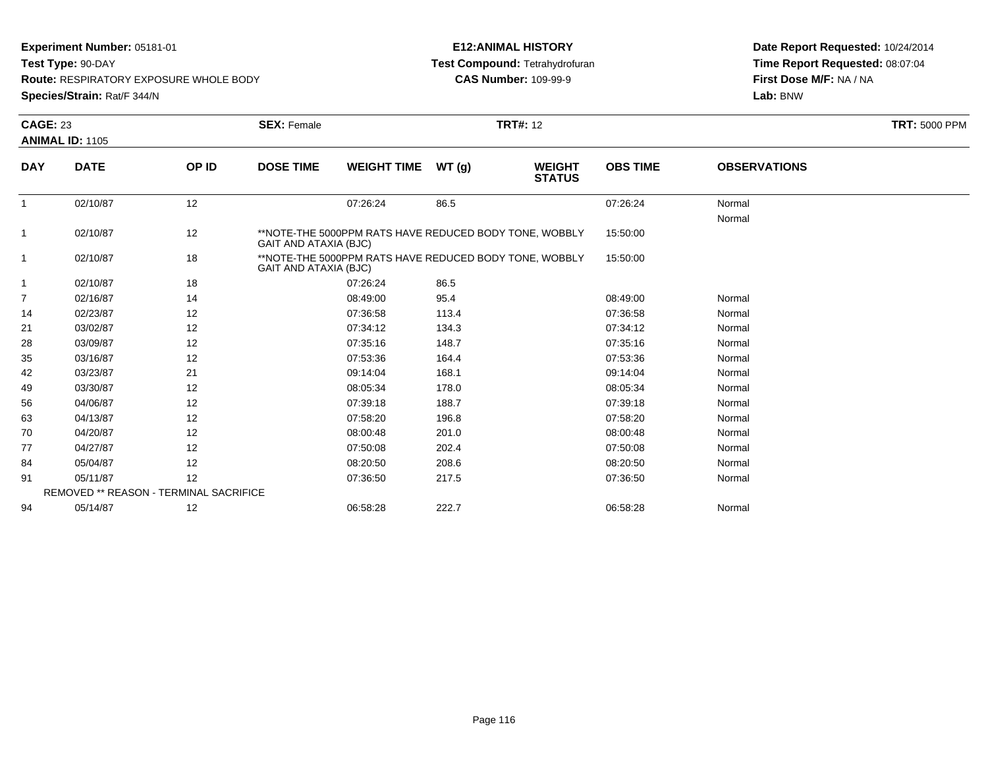**Test Type:** 90-DAY

**Route:** RESPIRATORY EXPOSURE WHOLE BODY

**Species/Strain:** Rat/F 344/N

## **E12:ANIMAL HISTORY Test Compound:** Tetrahydrofuran**CAS Number:** 109-99-9

|              | <b>CAGE: 23</b>                        |       | <b>SEX: Female</b> | <b>TRT: 5000 PPM</b>                                                            |       |                                |                 |                     |  |
|--------------|----------------------------------------|-------|--------------------|---------------------------------------------------------------------------------|-------|--------------------------------|-----------------|---------------------|--|
|              | <b>ANIMAL ID: 1105</b>                 |       |                    |                                                                                 |       |                                |                 |                     |  |
| <b>DAY</b>   | <b>DATE</b>                            | OP ID | <b>DOSE TIME</b>   | <b>WEIGHT TIME</b>                                                              | WT(g) | <b>WEIGHT</b><br><b>STATUS</b> | <b>OBS TIME</b> | <b>OBSERVATIONS</b> |  |
| $\mathbf{1}$ | 02/10/87                               | 12    |                    | 07:26:24                                                                        | 86.5  |                                | 07:26:24        | Normal<br>Normal    |  |
| 1            | 02/10/87                               | 12    |                    | **NOTE-THE 5000PPM RATS HAVE REDUCED BODY TONE, WOBBLY<br>GAIT AND ATAXIA (BJC) |       |                                |                 |                     |  |
| 1            | 02/10/87                               | 18    |                    | **NOTE-THE 5000PPM RATS HAVE REDUCED BODY TONE, WOBBLY<br>GAIT AND ATAXIA (BJC) |       |                                |                 |                     |  |
| 1            | 02/10/87                               | 18    |                    | 07:26:24                                                                        | 86.5  |                                |                 |                     |  |
| 7            | 02/16/87                               | 14    |                    | 08:49:00                                                                        | 95.4  |                                | 08:49:00        | Normal              |  |
| 14           | 02/23/87                               | 12    |                    | 07:36:58                                                                        | 113.4 |                                | 07:36:58        | Normal              |  |
| 21           | 03/02/87                               | 12    |                    | 07:34:12                                                                        | 134.3 |                                | 07:34:12        | Normal              |  |
| 28           | 03/09/87                               | 12    |                    | 07:35:16                                                                        | 148.7 |                                | 07:35:16        | Normal              |  |
| 35           | 03/16/87                               | 12    |                    | 07:53:36                                                                        | 164.4 |                                | 07:53:36        | Normal              |  |
| 42           | 03/23/87                               | 21    |                    | 09:14:04                                                                        | 168.1 |                                | 09:14:04        | Normal              |  |
| 49           | 03/30/87                               | 12    |                    | 08:05:34                                                                        | 178.0 |                                | 08:05:34        | Normal              |  |
| 56           | 04/06/87                               | 12    |                    | 07:39:18                                                                        | 188.7 |                                | 07:39:18        | Normal              |  |
| 63           | 04/13/87                               | 12    |                    | 07:58:20                                                                        | 196.8 |                                | 07:58:20        | Normal              |  |
| 70           | 04/20/87                               | 12    |                    | 08:00:48                                                                        | 201.0 |                                | 08:00:48        | Normal              |  |
| 77           | 04/27/87                               | 12    |                    | 07:50:08                                                                        | 202.4 |                                | 07:50:08        | Normal              |  |
| 84           | 05/04/87                               | 12    |                    | 08:20:50                                                                        | 208.6 |                                | 08:20:50        | Normal              |  |
| 91           | 05/11/87                               | 12    |                    | 07:36:50                                                                        | 217.5 |                                | 07:36:50        | Normal              |  |
|              | REMOVED ** REASON - TERMINAL SACRIFICE |       |                    |                                                                                 |       |                                |                 |                     |  |
| 94           | 05/14/87                               | 12    |                    | 06:58:28                                                                        | 222.7 |                                | 06:58:28        | Normal              |  |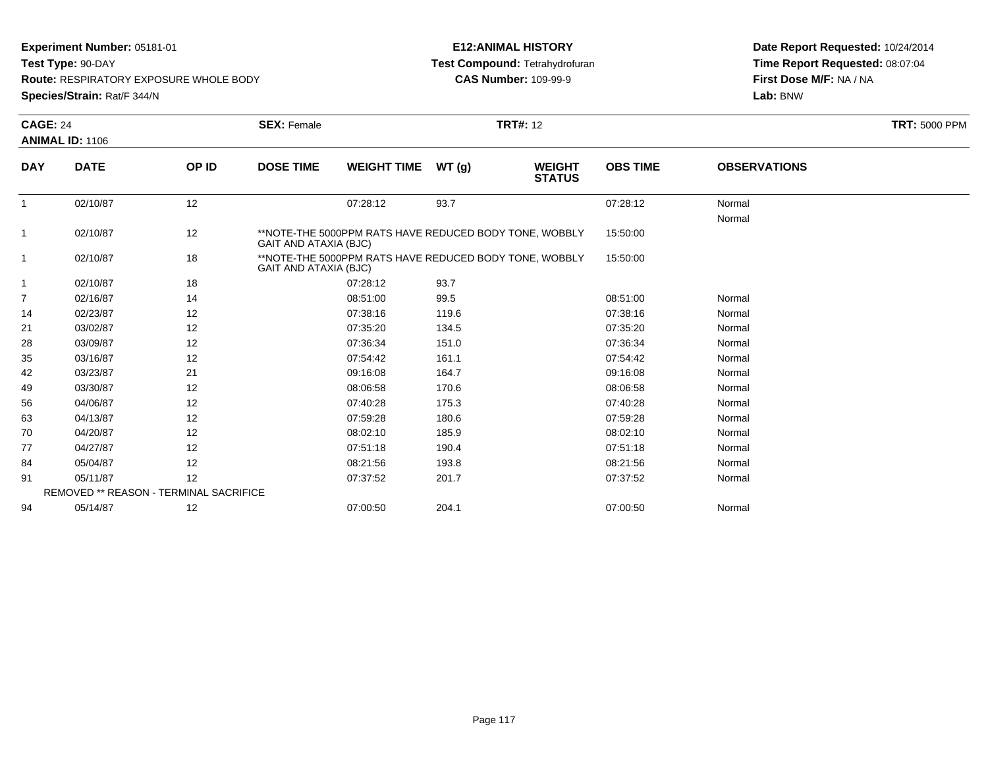**Test Type:** 90-DAY

**Route:** RESPIRATORY EXPOSURE WHOLE BODY

**Species/Strain:** Rat/F 344/N

## **E12:ANIMAL HISTORY Test Compound:** Tetrahydrofuran**CAS Number:** 109-99-9

|              | <b>CAGE: 24</b>                        |       | <b>TRT#: 12</b><br><b>SEX: Female</b> |                                                                                 |       |                                |                 |                     | <b>TRT: 5000 PPM</b> |
|--------------|----------------------------------------|-------|---------------------------------------|---------------------------------------------------------------------------------|-------|--------------------------------|-----------------|---------------------|----------------------|
|              | <b>ANIMAL ID: 1106</b>                 |       |                                       |                                                                                 |       |                                |                 |                     |                      |
| <b>DAY</b>   | <b>DATE</b>                            | OP ID | <b>DOSE TIME</b>                      | <b>WEIGHT TIME</b>                                                              | WT(g) | <b>WEIGHT</b><br><b>STATUS</b> | <b>OBS TIME</b> | <b>OBSERVATIONS</b> |                      |
| $\mathbf{1}$ | 02/10/87                               | 12    |                                       | 07:28:12                                                                        | 93.7  |                                | 07:28:12        | Normal              |                      |
| 1            | 02/10/87                               | 12    | <b>GAIT AND ATAXIA (BJC)</b>          | **NOTE-THE 5000PPM RATS HAVE REDUCED BODY TONE, WOBBLY                          |       |                                | 15:50:00        | Normal              |                      |
| 1            | 02/10/87                               | 18    |                                       | **NOTE-THE 5000PPM RATS HAVE REDUCED BODY TONE, WOBBLY<br>GAIT AND ATAXIA (BJC) |       |                                |                 |                     |                      |
| 1            | 02/10/87                               | 18    |                                       | 07:28:12                                                                        | 93.7  |                                |                 |                     |                      |
| 7            | 02/16/87                               | 14    |                                       | 08:51:00                                                                        | 99.5  |                                | 08:51:00        | Normal              |                      |
| 14           | 02/23/87                               | 12    |                                       | 07:38:16                                                                        | 119.6 |                                | 07:38:16        | Normal              |                      |
| 21           | 03/02/87                               | 12    |                                       | 07:35:20                                                                        | 134.5 |                                | 07:35:20        | Normal              |                      |
| 28           | 03/09/87                               | 12    |                                       | 07:36:34                                                                        | 151.0 |                                | 07:36:34        | Normal              |                      |
| 35           | 03/16/87                               | 12    |                                       | 07:54:42                                                                        | 161.1 |                                | 07:54:42        | Normal              |                      |
| 42           | 03/23/87                               | 21    |                                       | 09:16:08                                                                        | 164.7 |                                | 09:16:08        | Normal              |                      |
| 49           | 03/30/87                               | 12    |                                       | 08:06:58                                                                        | 170.6 |                                | 08:06:58        | Normal              |                      |
| 56           | 04/06/87                               | 12    |                                       | 07:40:28                                                                        | 175.3 |                                | 07:40:28        | Normal              |                      |
| 63           | 04/13/87                               | 12    |                                       | 07:59:28                                                                        | 180.6 |                                | 07:59:28        | Normal              |                      |
| 70           | 04/20/87                               | 12    |                                       | 08:02:10                                                                        | 185.9 |                                | 08:02:10        | Normal              |                      |
| 77           | 04/27/87                               | 12    |                                       | 07:51:18                                                                        | 190.4 |                                | 07:51:18        | Normal              |                      |
| 84           | 05/04/87                               | 12    |                                       | 08:21:56                                                                        | 193.8 |                                | 08:21:56        | Normal              |                      |
| 91           | 05/11/87                               | 12    |                                       | 07:37:52                                                                        | 201.7 |                                | 07:37:52        | Normal              |                      |
|              | REMOVED ** REASON - TERMINAL SACRIFICE |       |                                       |                                                                                 |       |                                |                 |                     |                      |
| 94           | 05/14/87                               | 12    |                                       | 07:00:50                                                                        | 204.1 |                                | 07:00:50        | Normal              |                      |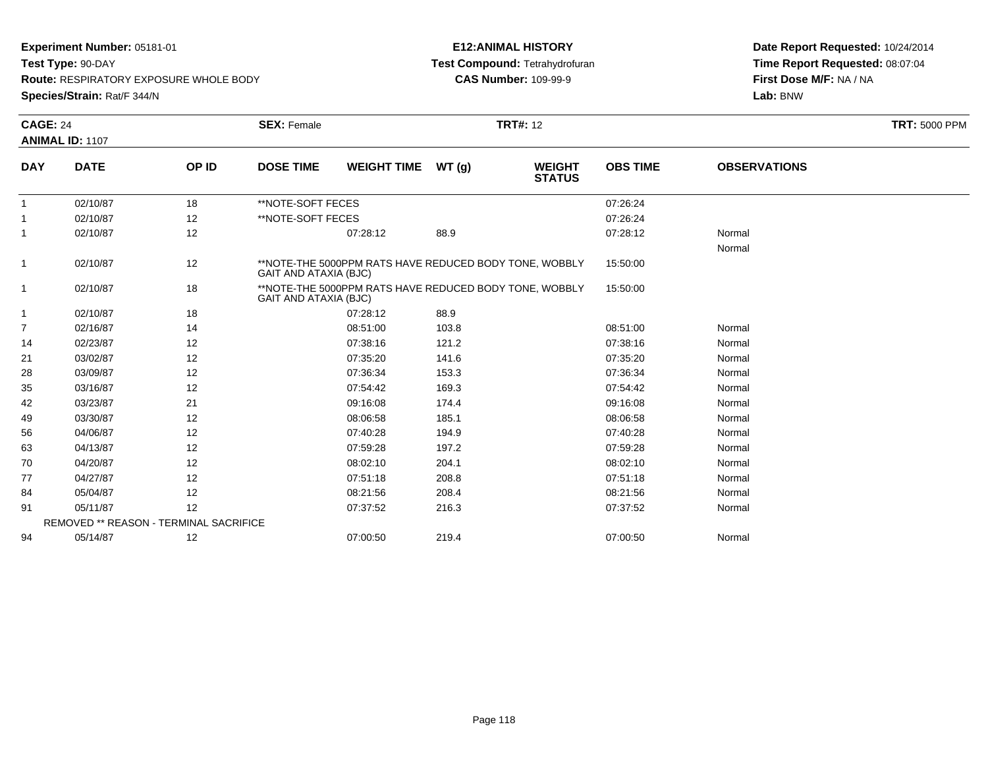**Test Type:** 90-DAY

**Route:** RESPIRATORY EXPOSURE WHOLE BODY

**Species/Strain:** Rat/F 344/N

## **E12:ANIMAL HISTORY Test Compound:** Tetrahydrofuran**CAS Number:** 109-99-9

|                | <b>CAGE: 24</b><br>ANIMAL ID: 1107     |       | <b>SEX: Female</b>    |                                                                                                                                                  |       | <b>TRT#: 12</b>                |                 |                     | <b>TRT: 5000 PPM</b> |
|----------------|----------------------------------------|-------|-----------------------|--------------------------------------------------------------------------------------------------------------------------------------------------|-------|--------------------------------|-----------------|---------------------|----------------------|
| <b>DAY</b>     | <b>DATE</b>                            | OP ID | <b>DOSE TIME</b>      | <b>WEIGHT TIME</b>                                                                                                                               | WT(g) | <b>WEIGHT</b><br><b>STATUS</b> | <b>OBS TIME</b> | <b>OBSERVATIONS</b> |                      |
| $\mathbf{1}$   | 02/10/87                               | 18    | **NOTE-SOFT FECES     |                                                                                                                                                  |       |                                | 07:26:24        |                     |                      |
|                | 02/10/87                               | 12    | **NOTE-SOFT FECES     |                                                                                                                                                  |       |                                | 07:26:24        |                     |                      |
| $\mathbf{1}$   | 02/10/87                               | 12    |                       | 07:28:12                                                                                                                                         | 88.9  |                                | 07:28:12        | Normal<br>Normal    |                      |
| $\mathbf{1}$   | 02/10/87                               | 12    |                       | **NOTE-THE 5000PPM RATS HAVE REDUCED BODY TONE, WOBBLY<br><b>GAIT AND ATAXIA (BJC)</b><br>**NOTE-THE 5000PPM RATS HAVE REDUCED BODY TONE, WOBBLY |       |                                |                 |                     |                      |
| $\mathbf{1}$   | 02/10/87                               | 18    | GAIT AND ATAXIA (BJC) |                                                                                                                                                  |       |                                | 15:50:00        |                     |                      |
| $\mathbf{1}$   | 02/10/87                               | 18    |                       | 07:28:12                                                                                                                                         | 88.9  |                                |                 |                     |                      |
| $\overline{7}$ | 02/16/87                               | 14    |                       | 08:51:00                                                                                                                                         | 103.8 |                                | 08:51:00        | Normal              |                      |
| 14             | 02/23/87                               | 12    |                       | 07:38:16                                                                                                                                         | 121.2 |                                | 07:38:16        | Normal              |                      |
| 21             | 03/02/87                               | 12    |                       | 07:35:20                                                                                                                                         | 141.6 |                                | 07:35:20        | Normal              |                      |
| 28             | 03/09/87                               | 12    |                       | 07:36:34                                                                                                                                         | 153.3 |                                | 07:36:34        | Normal              |                      |
| 35             | 03/16/87                               | 12    |                       | 07:54:42                                                                                                                                         | 169.3 |                                | 07:54:42        | Normal              |                      |
| 42             | 03/23/87                               | 21    |                       | 09:16:08                                                                                                                                         | 174.4 |                                | 09:16:08        | Normal              |                      |
| 49             | 03/30/87                               | 12    |                       | 08:06:58                                                                                                                                         | 185.1 |                                | 08:06:58        | Normal              |                      |
| 56             | 04/06/87                               | 12    |                       | 07:40:28                                                                                                                                         | 194.9 |                                | 07:40:28        | Normal              |                      |
| 63             | 04/13/87                               | 12    |                       | 07:59:28                                                                                                                                         | 197.2 |                                | 07:59:28        | Normal              |                      |
| 70             | 04/20/87                               | 12    |                       | 08:02:10                                                                                                                                         | 204.1 |                                | 08:02:10        | Normal              |                      |
| 77             | 04/27/87                               | 12    |                       | 07:51:18                                                                                                                                         | 208.8 |                                | 07:51:18        | Normal              |                      |
| 84             | 05/04/87                               | 12    |                       | 08:21:56                                                                                                                                         | 208.4 |                                | 08:21:56        | Normal              |                      |
| 91             | 05/11/87                               | 12    |                       | 07:37:52                                                                                                                                         | 216.3 |                                | 07:37:52        | Normal              |                      |
|                | REMOVED ** REASON - TERMINAL SACRIFICE |       |                       |                                                                                                                                                  |       |                                |                 |                     |                      |
| 94             | 05/14/87                               | 12    |                       | 07:00:50                                                                                                                                         | 219.4 |                                | 07:00:50        | Normal              |                      |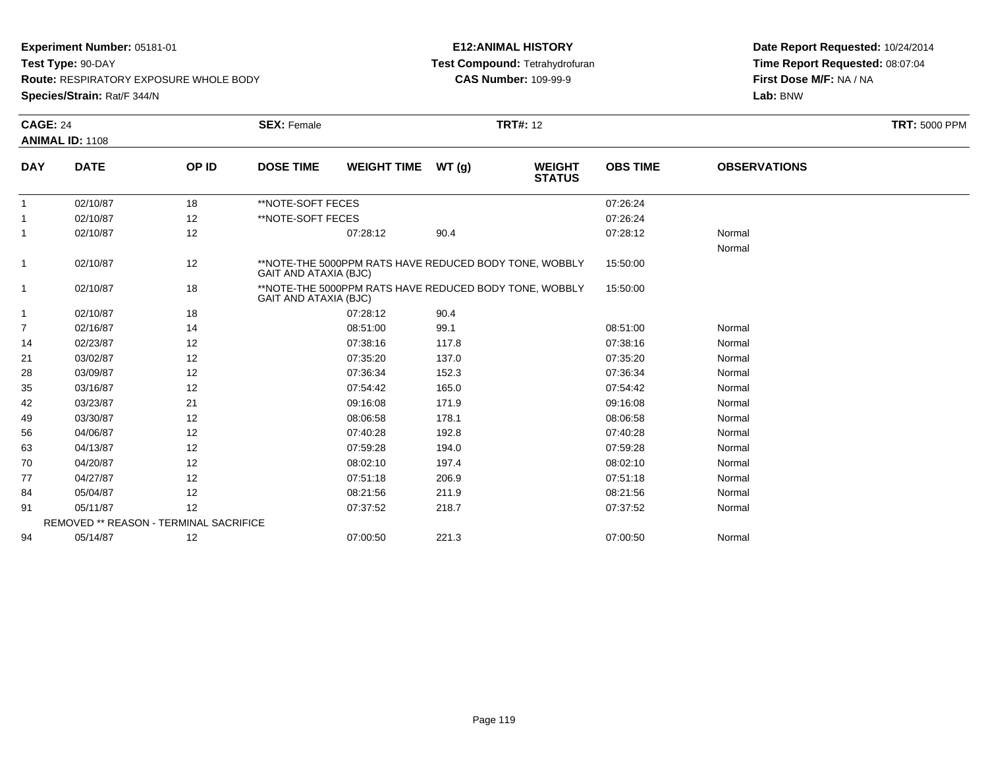**Test Type:** 90-DAY

**Route:** RESPIRATORY EXPOSURE WHOLE BODY

**Species/Strain:** Rat/F 344/N

## **E12:ANIMAL HISTORY Test Compound:** Tetrahydrofuran**CAS Number:** 109-99-9

| <b>DAY</b><br>$\mathbf{1}$<br>$\mathbf{1}$ | <b>CAGE: 24</b><br><b>ANIMAL ID: 1108</b> |       | <b>SEX: Female</b>           |                                                        |       | <b>TRT#: 12</b>                |                 |                     | <b>TRT: 5000 PPM</b> |
|--------------------------------------------|-------------------------------------------|-------|------------------------------|--------------------------------------------------------|-------|--------------------------------|-----------------|---------------------|----------------------|
|                                            | <b>DATE</b>                               | OP ID | <b>DOSE TIME</b>             | <b>WEIGHT TIME</b>                                     | WT(g) | <b>WEIGHT</b><br><b>STATUS</b> | <b>OBS TIME</b> | <b>OBSERVATIONS</b> |                      |
|                                            | 02/10/87                                  | 18    | **NOTE-SOFT FECES            |                                                        |       |                                | 07:26:24        |                     |                      |
|                                            | 02/10/87                                  | 12    | **NOTE-SOFT FECES            |                                                        |       |                                | 07:26:24        |                     |                      |
|                                            | 02/10/87                                  | 12    |                              | 07:28:12                                               | 90.4  |                                | 07:28:12        | Normal<br>Normal    |                      |
| $\mathbf{1}$                               | 02/10/87                                  | 12    | <b>GAIT AND ATAXIA (BJC)</b> | **NOTE-THE 5000PPM RATS HAVE REDUCED BODY TONE, WOBBLY |       |                                | 15:50:00        |                     |                      |
| $\mathbf{1}$                               | 02/10/87                                  | 18    | GAIT AND ATAXIA (BJC)        | **NOTE-THE 5000PPM RATS HAVE REDUCED BODY TONE, WOBBLY |       |                                | 15:50:00        |                     |                      |
| $\mathbf{1}$                               | 02/10/87                                  | 18    |                              | 07:28:12                                               | 90.4  |                                |                 |                     |                      |
| $\overline{7}$                             | 02/16/87                                  | 14    |                              | 08:51:00                                               | 99.1  |                                | 08:51:00        | Normal              |                      |
| 14                                         | 02/23/87                                  | 12    |                              | 07:38:16                                               | 117.8 |                                | 07:38:16        | Normal              |                      |
| 21                                         | 03/02/87                                  | 12    |                              | 07:35:20                                               | 137.0 |                                | 07:35:20        | Normal              |                      |
| 28                                         | 03/09/87                                  | 12    |                              | 07:36:34                                               | 152.3 |                                | 07:36:34        | Normal              |                      |
| 35                                         | 03/16/87                                  | 12    |                              | 07:54:42                                               | 165.0 |                                | 07:54:42        | Normal              |                      |
| 42                                         | 03/23/87                                  | 21    |                              | 09:16:08                                               | 171.9 |                                | 09:16:08        | Normal              |                      |
| 49                                         | 03/30/87                                  | 12    |                              | 08:06:58                                               | 178.1 |                                | 08:06:58        | Normal              |                      |
| 56                                         | 04/06/87                                  | 12    |                              | 07:40:28                                               | 192.8 |                                | 07:40:28        | Normal              |                      |
| 63                                         | 04/13/87                                  | 12    |                              | 07:59:28                                               | 194.0 |                                | 07:59:28        | Normal              |                      |
| 70                                         | 04/20/87                                  | 12    |                              | 08:02:10                                               | 197.4 |                                | 08:02:10        | Normal              |                      |
| 77                                         | 04/27/87                                  | 12    |                              | 07:51:18                                               | 206.9 |                                | 07:51:18        | Normal              |                      |
| 84                                         | 05/04/87                                  | 12    |                              | 08:21:56                                               | 211.9 |                                | 08:21:56        | Normal              |                      |
| 91                                         | 05/11/87                                  | 12    |                              | 07:37:52                                               | 218.7 |                                | 07:37:52        | Normal              |                      |
|                                            | REMOVED ** REASON - TERMINAL SACRIFICE    |       |                              |                                                        |       |                                |                 |                     |                      |
| 94                                         | 05/14/87                                  | 12    |                              | 07:00:50                                               | 221.3 |                                | 07:00:50        | Normal              |                      |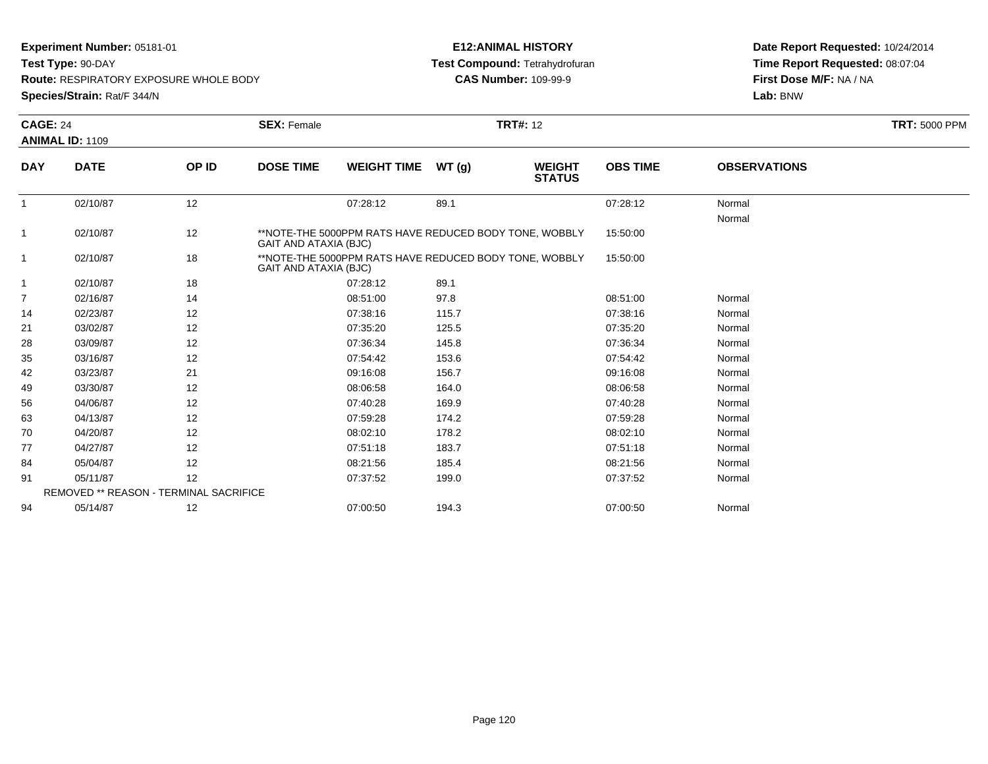**Test Type:** 90-DAY

**Route:** RESPIRATORY EXPOSURE WHOLE BODY

**Species/Strain:** Rat/F 344/N

## **E12:ANIMAL HISTORY Test Compound:** Tetrahydrofuran**CAS Number:** 109-99-9

|                | <b>CAGE: 24</b>                        |       | <b>TRT#: 12</b><br><b>SEX: Female</b> |                                                                                        |       |                                |                 |                     | <b>TRT: 5000 PPM</b> |
|----------------|----------------------------------------|-------|---------------------------------------|----------------------------------------------------------------------------------------|-------|--------------------------------|-----------------|---------------------|----------------------|
|                | <b>ANIMAL ID: 1109</b>                 |       |                                       |                                                                                        |       |                                |                 |                     |                      |
| <b>DAY</b>     | <b>DATE</b>                            | OP ID | <b>DOSE TIME</b>                      | <b>WEIGHT TIME</b>                                                                     | WT(g) | <b>WEIGHT</b><br><b>STATUS</b> | <b>OBS TIME</b> | <b>OBSERVATIONS</b> |                      |
| $\mathbf{1}$   | 02/10/87                               | 12    |                                       | 07:28:12                                                                               | 89.1  |                                | 07:28:12        | Normal<br>Normal    |                      |
| $\mathbf{1}$   | 02/10/87                               | 12    |                                       | **NOTE-THE 5000PPM RATS HAVE REDUCED BODY TONE, WOBBLY<br><b>GAIT AND ATAXIA (BJC)</b> |       |                                |                 |                     |                      |
| $\mathbf{1}$   | 02/10/87                               | 18    |                                       | **NOTE-THE 5000PPM RATS HAVE REDUCED BODY TONE, WOBBLY<br><b>GAIT AND ATAXIA (BJC)</b> |       |                                |                 |                     |                      |
| $\mathbf{1}$   | 02/10/87                               | 18    |                                       | 07:28:12                                                                               | 89.1  |                                |                 |                     |                      |
| $\overline{7}$ | 02/16/87                               | 14    |                                       | 08:51:00                                                                               | 97.8  |                                | 08:51:00        | Normal              |                      |
| 14             | 02/23/87                               | 12    |                                       | 07:38:16                                                                               | 115.7 |                                | 07:38:16        | Normal              |                      |
| 21             | 03/02/87                               | 12    |                                       | 07:35:20                                                                               | 125.5 |                                | 07:35:20        | Normal              |                      |
| 28             | 03/09/87                               | 12    |                                       | 07:36:34                                                                               | 145.8 |                                | 07:36:34        | Normal              |                      |
| 35             | 03/16/87                               | 12    |                                       | 07:54:42                                                                               | 153.6 |                                | 07:54:42        | Normal              |                      |
| 42             | 03/23/87                               | 21    |                                       | 09:16:08                                                                               | 156.7 |                                | 09:16:08        | Normal              |                      |
| 49             | 03/30/87                               | 12    |                                       | 08:06:58                                                                               | 164.0 |                                | 08:06:58        | Normal              |                      |
| 56             | 04/06/87                               | 12    |                                       | 07:40:28                                                                               | 169.9 |                                | 07:40:28        | Normal              |                      |
| 63             | 04/13/87                               | 12    |                                       | 07:59:28                                                                               | 174.2 |                                | 07:59:28        | Normal              |                      |
| 70             | 04/20/87                               | 12    |                                       | 08:02:10                                                                               | 178.2 |                                | 08:02:10        | Normal              |                      |
| 77             | 04/27/87                               | 12    |                                       | 07:51:18                                                                               | 183.7 |                                | 07:51:18        | Normal              |                      |
| 84             | 05/04/87                               | 12    |                                       | 08:21:56                                                                               | 185.4 |                                | 08:21:56        | Normal              |                      |
| 91             | 05/11/87                               | 12    |                                       | 07:37:52                                                                               | 199.0 |                                | 07:37:52        | Normal              |                      |
|                | REMOVED ** REASON - TERMINAL SACRIFICE |       |                                       |                                                                                        |       |                                |                 |                     |                      |
| 94             | 05/14/87                               | 12    |                                       | 07:00:50                                                                               | 194.3 |                                | 07:00:50        | Normal              |                      |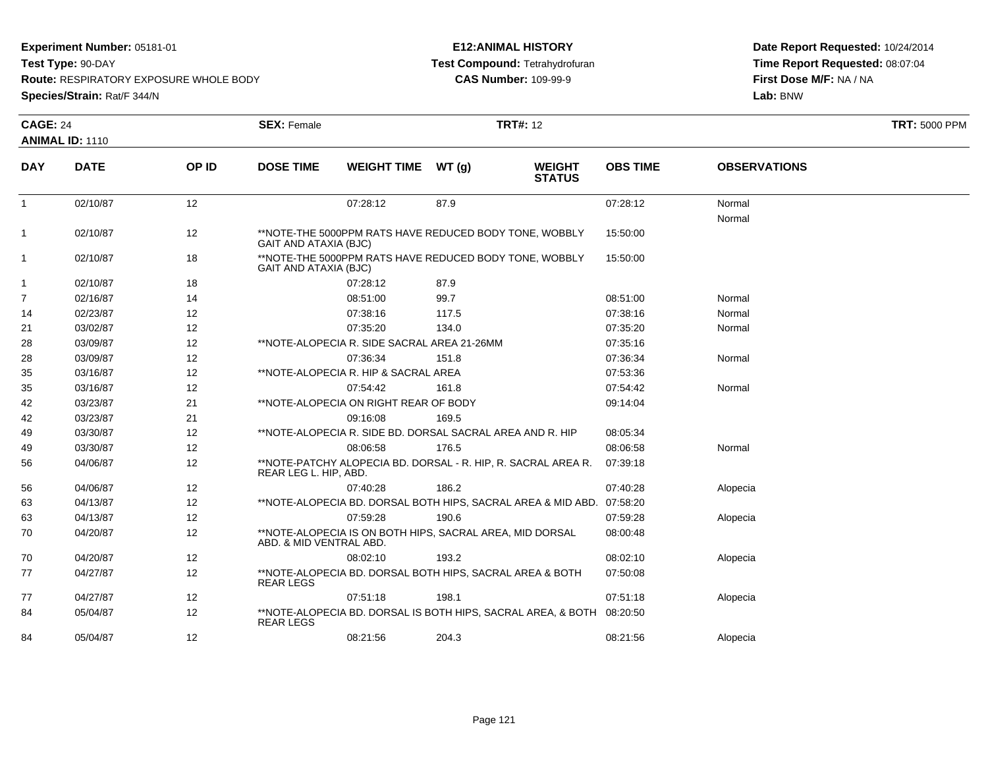**Test Type:** 90-DAY

**Route:** RESPIRATORY EXPOSURE WHOLE BODY

**Species/Strain:** Rat/F 344/N

## **E12:ANIMAL HISTORY Test Compound:** Tetrahydrofuran**CAS Number:** 109-99-9

| <b>CAGE: 24</b> |                        |       | <b>SEX: Female</b>           |                                                                       |       | <b>TRT#: 12</b>                |                 |                     | <b>TRT: 5000 PPM</b> |  |
|-----------------|------------------------|-------|------------------------------|-----------------------------------------------------------------------|-------|--------------------------------|-----------------|---------------------|----------------------|--|
|                 | <b>ANIMAL ID: 1110</b> |       |                              |                                                                       |       |                                |                 |                     |                      |  |
| <b>DAY</b>      | <b>DATE</b>            | OP ID | <b>DOSE TIME</b>             | WEIGHT TIME WT (g)                                                    |       | <b>WEIGHT</b><br><b>STATUS</b> | <b>OBS TIME</b> | <b>OBSERVATIONS</b> |                      |  |
| $\mathbf{1}$    | 02/10/87               | 12    |                              | 07:28:12                                                              | 87.9  |                                | 07:28:12        | Normal<br>Normal    |                      |  |
| $\mathbf 1$     | 02/10/87               | 12    | <b>GAIT AND ATAXIA (BJC)</b> | **NOTE-THE 5000PPM RATS HAVE REDUCED BODY TONE, WOBBLY                |       |                                | 15:50:00        |                     |                      |  |
| $\mathbf{1}$    | 02/10/87               | 18    | <b>GAIT AND ATAXIA (BJC)</b> | **NOTE-THE 5000PPM RATS HAVE REDUCED BODY TONE, WOBBLY                |       |                                | 15:50:00        |                     |                      |  |
| $\mathbf{1}$    | 02/10/87               | 18    |                              | 07:28:12                                                              | 87.9  |                                |                 |                     |                      |  |
| $\overline{7}$  | 02/16/87               | 14    |                              | 08:51:00                                                              | 99.7  |                                | 08:51:00        | Normal              |                      |  |
| 14              | 02/23/87               | 12    |                              | 07:38:16                                                              | 117.5 |                                | 07:38:16        | Normal              |                      |  |
| 21              | 03/02/87               | 12    |                              | 07:35:20                                                              | 134.0 |                                | 07:35:20        | Normal              |                      |  |
| 28              | 03/09/87               | 12    |                              | **NOTE-ALOPECIA R. SIDE SACRAL AREA 21-26MM                           |       |                                | 07:35:16        |                     |                      |  |
| 28              | 03/09/87               | 12    |                              | 07:36:34                                                              | 151.8 |                                | 07:36:34        | Normal              |                      |  |
| 35              | 03/16/87               | 12    |                              | **NOTE-ALOPECIA R. HIP & SACRAL AREA                                  |       |                                | 07:53:36        |                     |                      |  |
| 35              | 03/16/87               | 12    |                              | 07:54:42                                                              | 161.8 |                                | 07:54:42        | Normal              |                      |  |
| 42              | 03/23/87               | 21    |                              | **NOTE-ALOPECIA ON RIGHT REAR OF BODY                                 |       |                                | 09:14:04        |                     |                      |  |
| 42              | 03/23/87               | 21    |                              | 09:16:08                                                              | 169.5 |                                |                 |                     |                      |  |
| 49              | 03/30/87               | 12    |                              | **NOTE-ALOPECIA R. SIDE BD. DORSAL SACRAL AREA AND R. HIP             |       |                                | 08:05:34        |                     |                      |  |
| 49              | 03/30/87               | 12    |                              | 08:06:58                                                              | 176.5 |                                | 08:06:58        | Normal              |                      |  |
| 56              | 04/06/87               | 12    | REAR LEG L. HIP, ABD.        | **NOTE-PATCHY ALOPECIA BD. DORSAL - R. HIP, R. SACRAL AREA R.         |       |                                | 07:39:18        |                     |                      |  |
| 56              | 04/06/87               | 12    |                              | 07:40:28                                                              | 186.2 |                                | 07:40:28        | Alopecia            |                      |  |
| 63              | 04/13/87               | 12    |                              | **NOTE-ALOPECIA BD. DORSAL BOTH HIPS, SACRAL AREA & MID ABD.          |       |                                | 07:58:20        |                     |                      |  |
| 63              | 04/13/87               | 12    |                              | 07:59:28                                                              | 190.6 |                                | 07:59:28        | Alopecia            |                      |  |
| 70              | 04/20/87               | 12    | ABD. & MID VENTRAL ABD.      | **NOTE-ALOPECIA IS ON BOTH HIPS, SACRAL AREA, MID DORSAL              |       |                                | 08:00:48        |                     |                      |  |
| 70              | 04/20/87               | 12    |                              | 08:02:10                                                              | 193.2 |                                | 08:02:10        | Alopecia            |                      |  |
| 77              | 04/27/87               | 12    | <b>REAR LEGS</b>             | **NOTE-ALOPECIA BD. DORSAL BOTH HIPS, SACRAL AREA & BOTH              |       |                                | 07:50:08        |                     |                      |  |
| 77              | 04/27/87               | 12    |                              | 07:51:18                                                              | 198.1 |                                | 07:51:18        | Alopecia            |                      |  |
| 84              | 05/04/87               | 12    | <b>REAR LEGS</b>             | **NOTE-ALOPECIA BD. DORSAL IS BOTH HIPS, SACRAL AREA, & BOTH 08:20:50 |       |                                |                 |                     |                      |  |
| 84              | 05/04/87               | 12    |                              | 08:21:56                                                              | 204.3 |                                | 08:21:56        | Alopecia            |                      |  |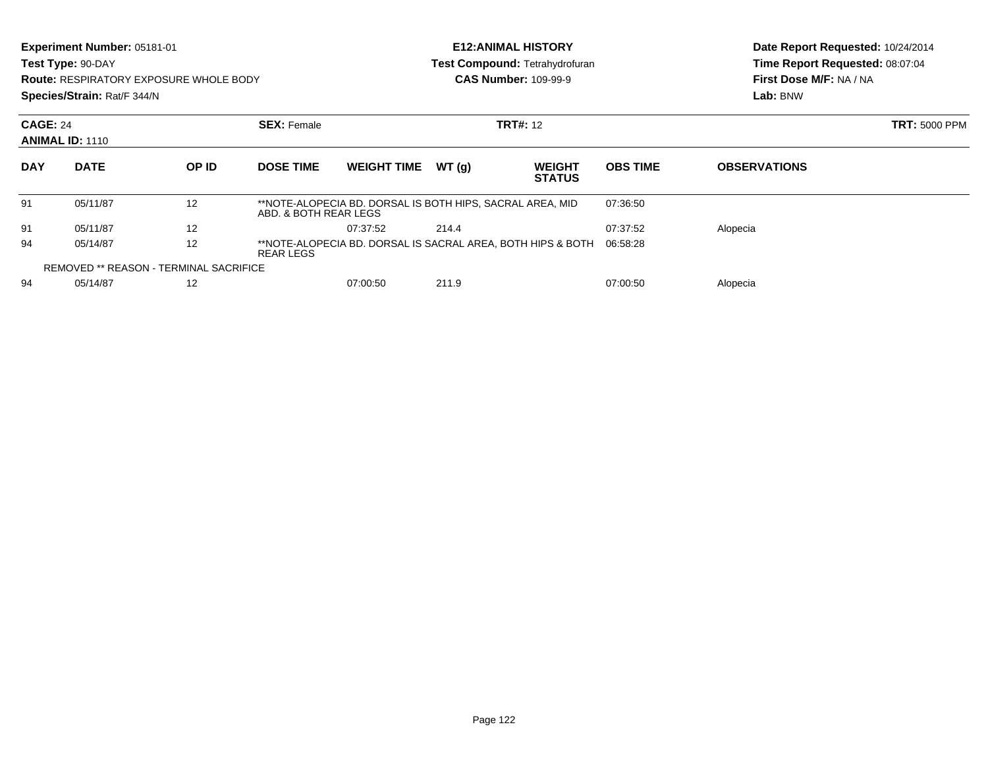| Experiment Number: 05181-01<br>Test Type: 90-DAY<br><b>Route: RESPIRATORY EXPOSURE WHOLE BODY</b><br>Species/Strain: Rat/F 344/N |                        |                                               |                                                                                      | <b>E12: ANIMAL HISTORY</b> |        |                                       |                                                                        | Date Report Requested: 10/24/2014 |  |
|----------------------------------------------------------------------------------------------------------------------------------|------------------------|-----------------------------------------------|--------------------------------------------------------------------------------------|----------------------------|--------|---------------------------------------|------------------------------------------------------------------------|-----------------------------------|--|
|                                                                                                                                  |                        |                                               |                                                                                      |                            |        | <b>Test Compound: Tetrahydrofuran</b> | Time Report Requested: 08:07:04<br>First Dose M/F: NA / NA<br>Lab: BNW |                                   |  |
|                                                                                                                                  |                        |                                               |                                                                                      |                            |        | <b>CAS Number: 109-99-9</b>           |                                                                        |                                   |  |
|                                                                                                                                  |                        |                                               |                                                                                      |                            |        |                                       |                                                                        |                                   |  |
| <b>CAGE: 24</b><br><b>SEX: Female</b>                                                                                            |                        |                                               |                                                                                      |                            |        | <b>TRT#: 12</b>                       |                                                                        | <b>TRT: 5000 PPM</b>              |  |
|                                                                                                                                  | <b>ANIMAL ID: 1110</b> |                                               |                                                                                      |                            |        |                                       |                                                                        |                                   |  |
| <b>DAY</b>                                                                                                                       | <b>DATE</b>            | OP ID                                         | <b>DOSE TIME</b>                                                                     | <b>WEIGHT TIME</b>         | WT (g) | <b>WEIGHT</b><br><b>STATUS</b>        | <b>OBS TIME</b>                                                        | <b>OBSERVATIONS</b>               |  |
| 91                                                                                                                               | 05/11/87               | 12                                            | **NOTE-ALOPECIA BD. DORSAL IS BOTH HIPS, SACRAL AREA, MID<br>ABD, & BOTH REAR LEGS   |                            |        |                                       | 07:36:50                                                               |                                   |  |
| 91                                                                                                                               | 05/11/87               | 12                                            |                                                                                      | 07:37:52                   | 214.4  |                                       | 07:37:52                                                               | Alopecia                          |  |
| 94                                                                                                                               | 05/14/87               | 12                                            | **NOTE-ALOPECIA BD. DORSAL IS SACRAL AREA, BOTH HIPS & BOTH<br>06:58:28<br>REAR LEGS |                            |        |                                       |                                                                        |                                   |  |
|                                                                                                                                  |                        | <b>REMOVED ** REASON - TERMINAL SACRIFICE</b> |                                                                                      |                            |        |                                       |                                                                        |                                   |  |
| 94                                                                                                                               | 05/14/87               | 12                                            |                                                                                      | 07:00:50                   | 211.9  |                                       | 07:00:50                                                               | Alopecia                          |  |